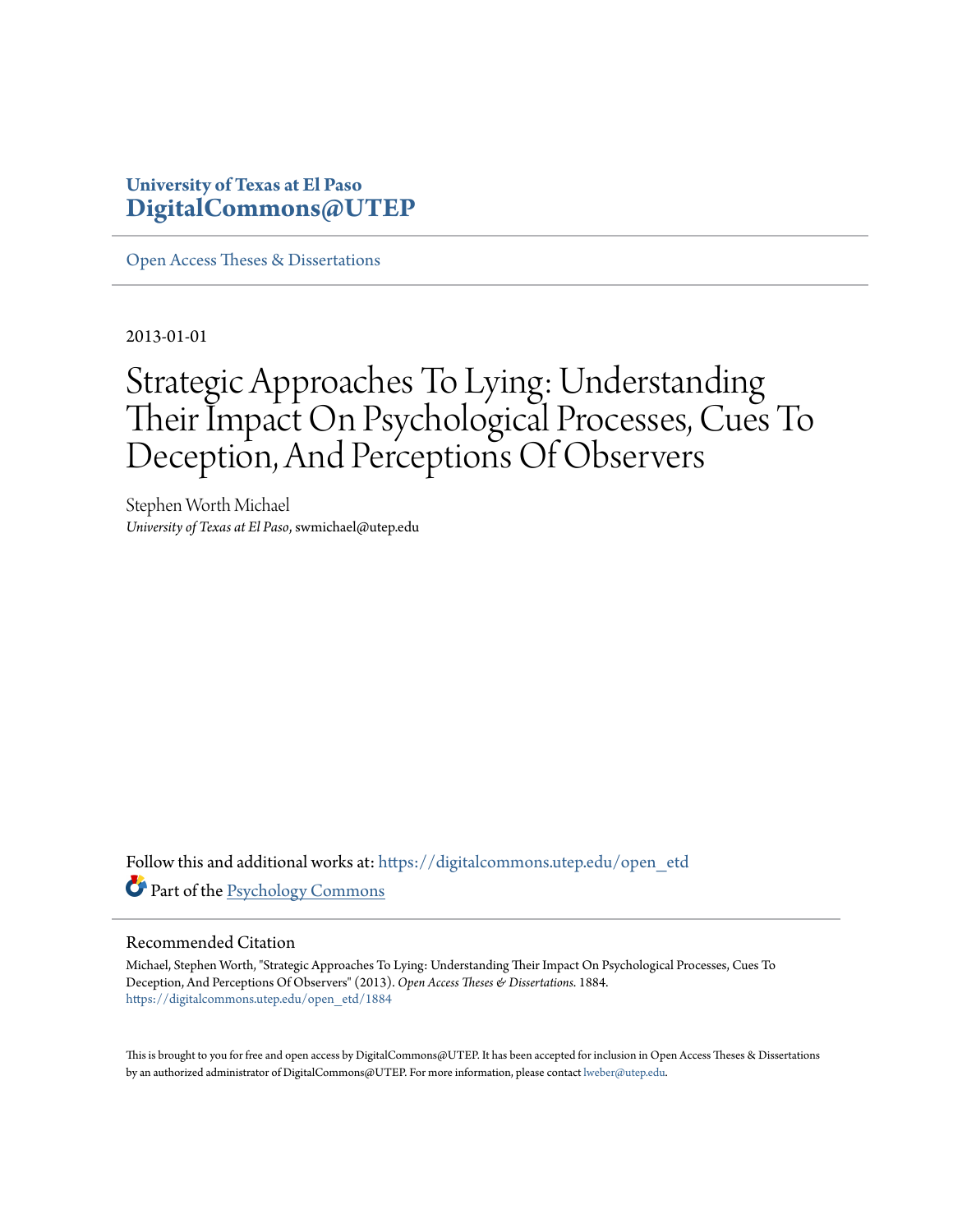### **University of Texas at El Paso [DigitalCommons@UTEP](https://digitalcommons.utep.edu/?utm_source=digitalcommons.utep.edu%2Fopen_etd%2F1884&utm_medium=PDF&utm_campaign=PDFCoverPages)**

[Open Access Theses & Dissertations](https://digitalcommons.utep.edu/open_etd?utm_source=digitalcommons.utep.edu%2Fopen_etd%2F1884&utm_medium=PDF&utm_campaign=PDFCoverPages)

2013-01-01

# Strategic Approaches To Lying: Understanding Their Impact On Psychological Processes, Cues To Deception, And Perceptions Of Observers

Stephen Worth Michael *University of Texas at El Paso*, swmichael@utep.edu

Follow this and additional works at: [https://digitalcommons.utep.edu/open\\_etd](https://digitalcommons.utep.edu/open_etd?utm_source=digitalcommons.utep.edu%2Fopen_etd%2F1884&utm_medium=PDF&utm_campaign=PDFCoverPages) Part of the [Psychology Commons](http://network.bepress.com/hgg/discipline/404?utm_source=digitalcommons.utep.edu%2Fopen_etd%2F1884&utm_medium=PDF&utm_campaign=PDFCoverPages)

### Recommended Citation

Michael, Stephen Worth, "Strategic Approaches To Lying: Understanding Their Impact On Psychological Processes, Cues To Deception, And Perceptions Of Observers" (2013). *Open Access Theses & Dissertations*. 1884. [https://digitalcommons.utep.edu/open\\_etd/1884](https://digitalcommons.utep.edu/open_etd/1884?utm_source=digitalcommons.utep.edu%2Fopen_etd%2F1884&utm_medium=PDF&utm_campaign=PDFCoverPages)

This is brought to you for free and open access by DigitalCommons@UTEP. It has been accepted for inclusion in Open Access Theses & Dissertations by an authorized administrator of DigitalCommons@UTEP. For more information, please contact [lweber@utep.edu.](mailto:lweber@utep.edu)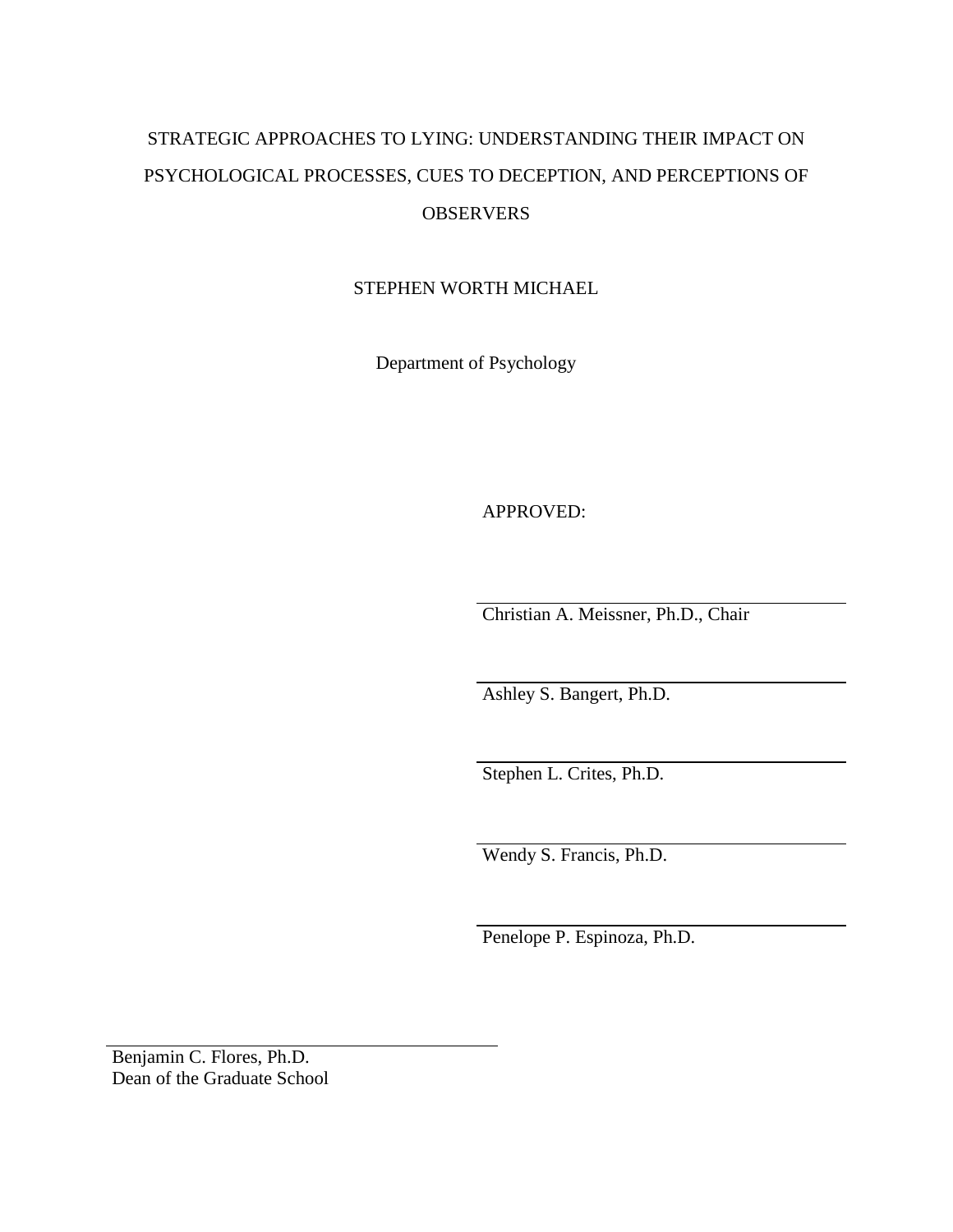# STRATEGIC APPROACHES TO LYING: UNDERSTANDING THEIR IMPACT ON PSYCHOLOGICAL PROCESSES, CUES TO DECEPTION, AND PERCEPTIONS OF **OBSERVERS**

STEPHEN WORTH MICHAEL

Department of Psychology

APPROVED:

Christian A. Meissner, Ph.D., Chair

Ashley S. Bangert, Ph.D.

Stephen L. Crites, Ph.D.

Wendy S. Francis, Ph.D.

Penelope P. Espinoza, Ph.D.

Benjamin C. Flores, Ph.D. Dean of the Graduate School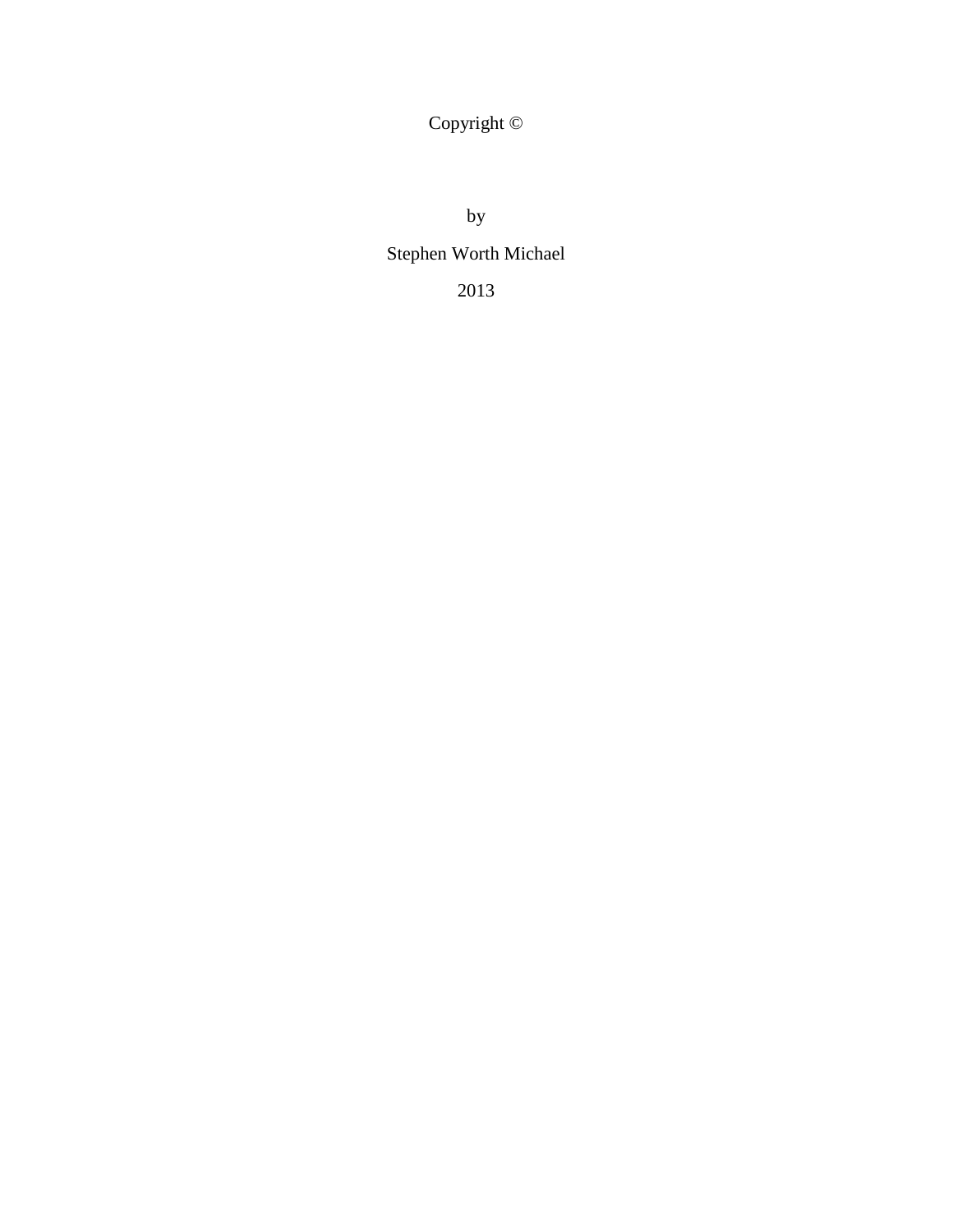Copyright ©

by

# Stephen Worth Michael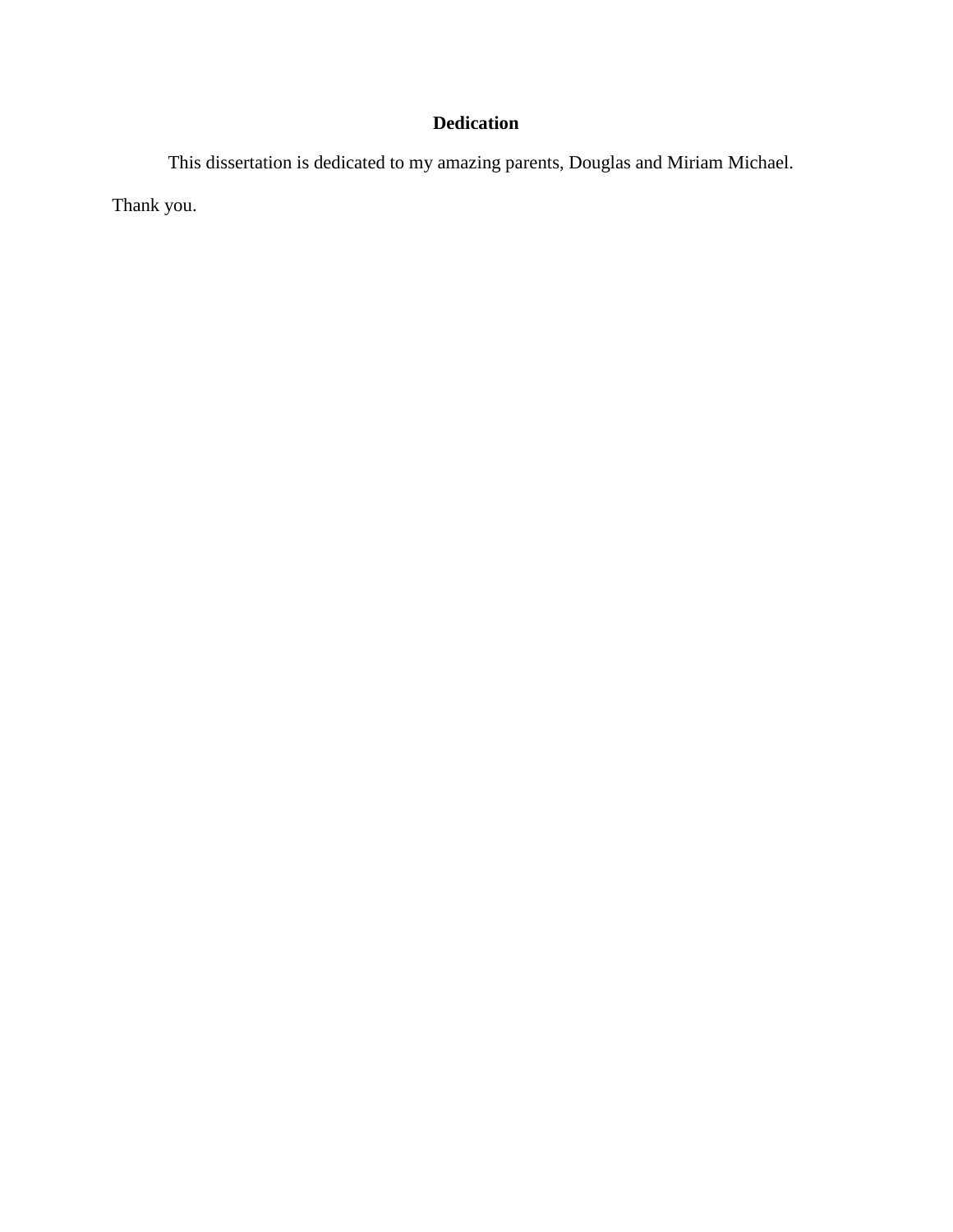### **Dedication**

This dissertation is dedicated to my amazing parents, Douglas and Miriam Michael. Thank you.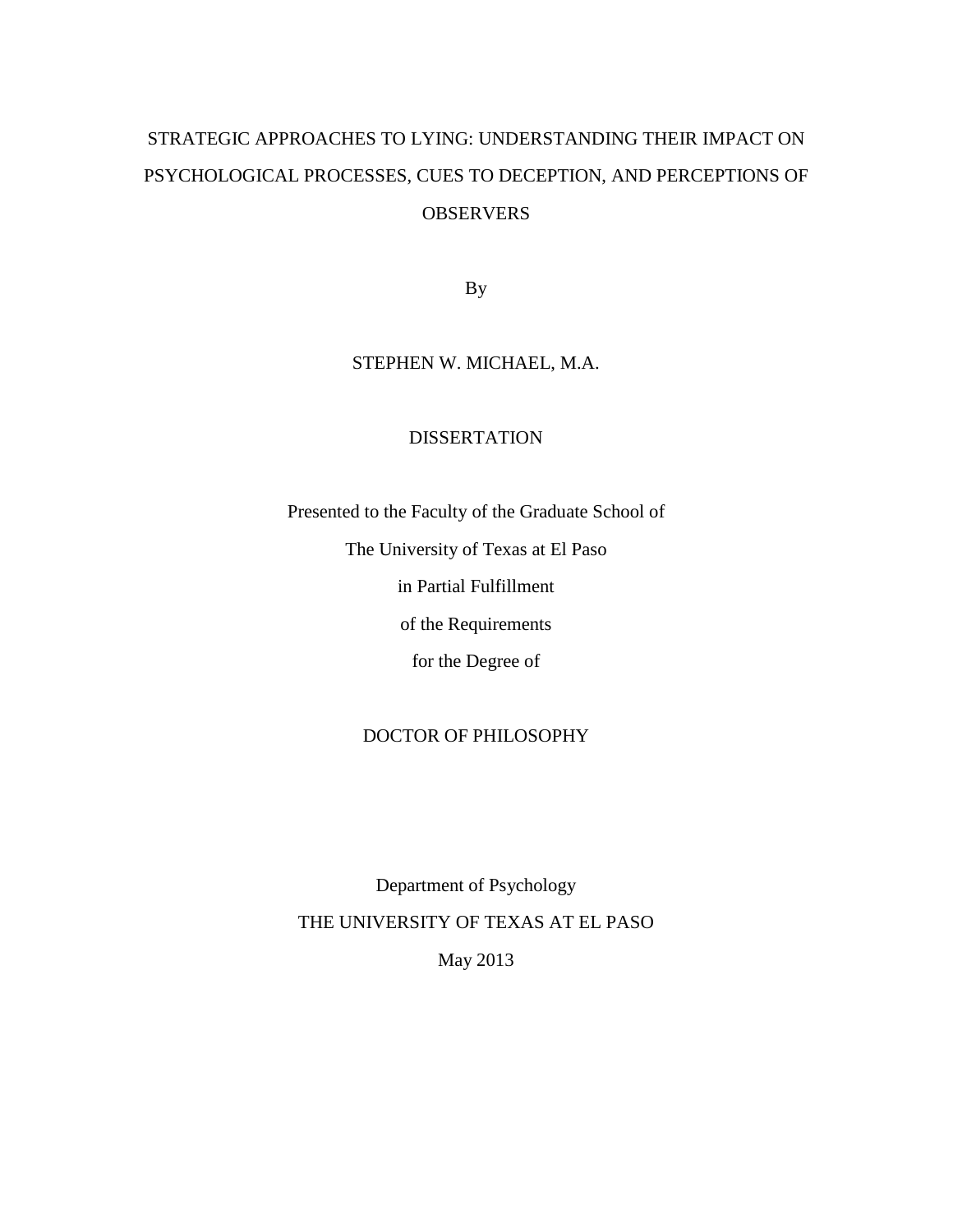# STRATEGIC APPROACHES TO LYING: UNDERSTANDING THEIR IMPACT ON PSYCHOLOGICAL PROCESSES, CUES TO DECEPTION, AND PERCEPTIONS OF **OBSERVERS**

By

### STEPHEN W. MICHAEL, M.A.

### DISSERTATION

Presented to the Faculty of the Graduate School of The University of Texas at El Paso in Partial Fulfillment of the Requirements for the Degree of

### DOCTOR OF PHILOSOPHY

Department of Psychology THE UNIVERSITY OF TEXAS AT EL PASO

May 2013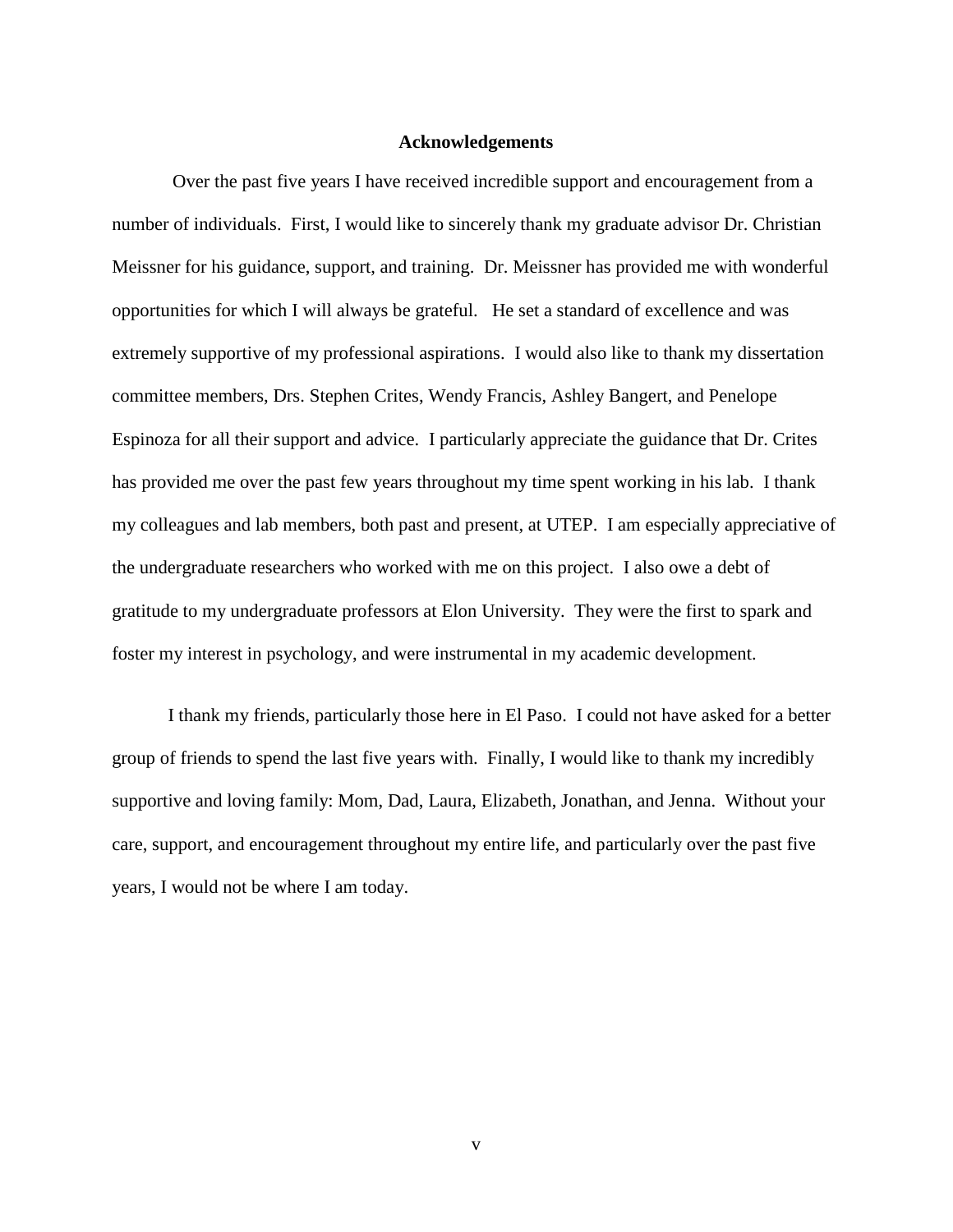### **Acknowledgements**

Over the past five years I have received incredible support and encouragement from a number of individuals. First, I would like to sincerely thank my graduate advisor Dr. Christian Meissner for his guidance, support, and training. Dr. Meissner has provided me with wonderful opportunities for which I will always be grateful. He set a standard of excellence and was extremely supportive of my professional aspirations. I would also like to thank my dissertation committee members, Drs. Stephen Crites, Wendy Francis, Ashley Bangert, and Penelope Espinoza for all their support and advice. I particularly appreciate the guidance that Dr. Crites has provided me over the past few years throughout my time spent working in his lab. I thank my colleagues and lab members, both past and present, at UTEP. I am especially appreciative of the undergraduate researchers who worked with me on this project. I also owe a debt of gratitude to my undergraduate professors at Elon University. They were the first to spark and foster my interest in psychology, and were instrumental in my academic development.

I thank my friends, particularly those here in El Paso. I could not have asked for a better group of friends to spend the last five years with. Finally, I would like to thank my incredibly supportive and loving family: Mom, Dad, Laura, Elizabeth, Jonathan, and Jenna. Without your care, support, and encouragement throughout my entire life, and particularly over the past five years, I would not be where I am today.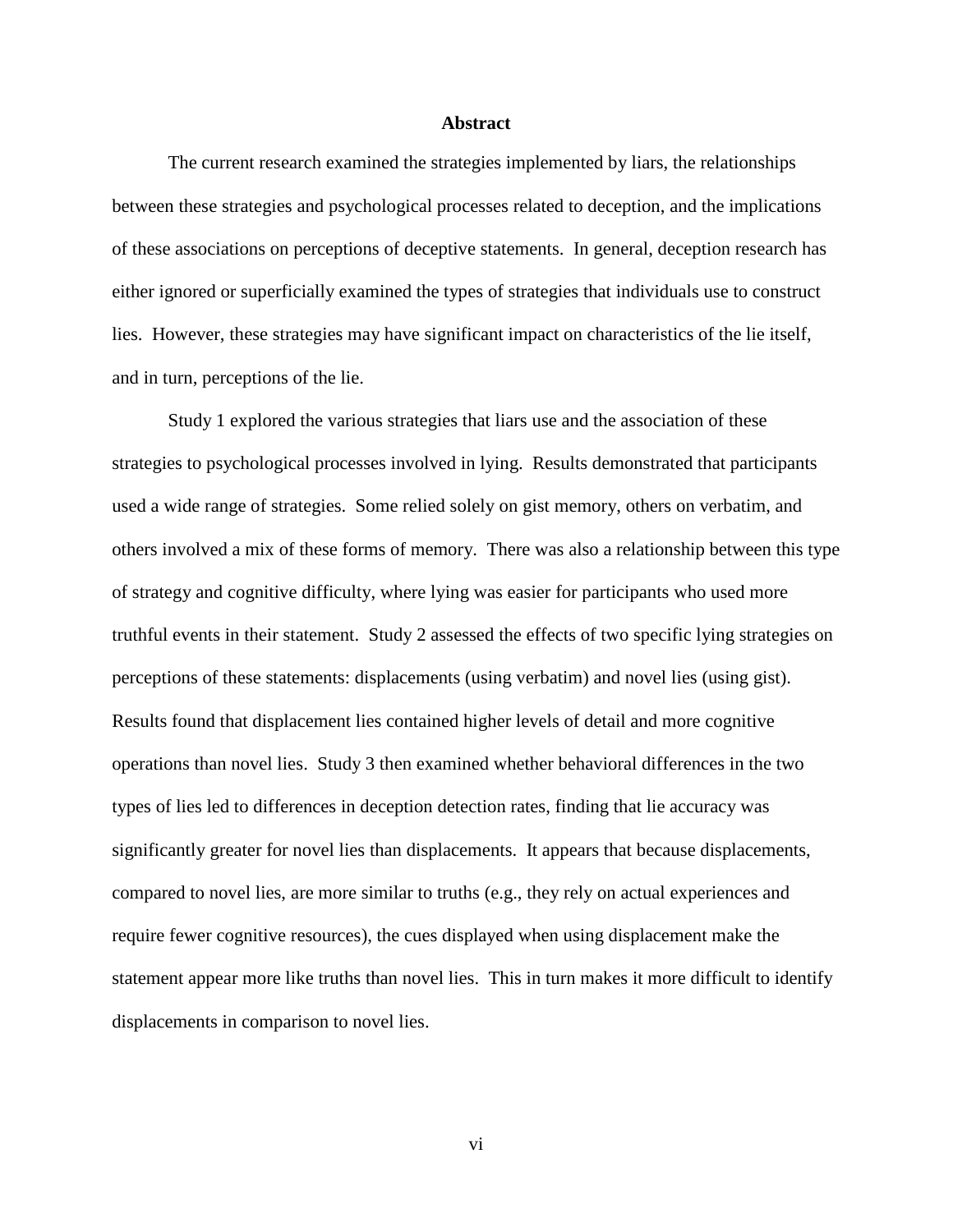### **Abstract**

The current research examined the strategies implemented by liars, the relationships between these strategies and psychological processes related to deception, and the implications of these associations on perceptions of deceptive statements. In general, deception research has either ignored or superficially examined the types of strategies that individuals use to construct lies. However, these strategies may have significant impact on characteristics of the lie itself, and in turn, perceptions of the lie.

Study 1 explored the various strategies that liars use and the association of these strategies to psychological processes involved in lying. Results demonstrated that participants used a wide range of strategies. Some relied solely on gist memory, others on verbatim, and others involved a mix of these forms of memory. There was also a relationship between this type of strategy and cognitive difficulty, where lying was easier for participants who used more truthful events in their statement. Study 2 assessed the effects of two specific lying strategies on perceptions of these statements: displacements (using verbatim) and novel lies (using gist). Results found that displacement lies contained higher levels of detail and more cognitive operations than novel lies. Study 3 then examined whether behavioral differences in the two types of lies led to differences in deception detection rates, finding that lie accuracy was significantly greater for novel lies than displacements. It appears that because displacements, compared to novel lies, are more similar to truths (e.g., they rely on actual experiences and require fewer cognitive resources), the cues displayed when using displacement make the statement appear more like truths than novel lies. This in turn makes it more difficult to identify displacements in comparison to novel lies.

vi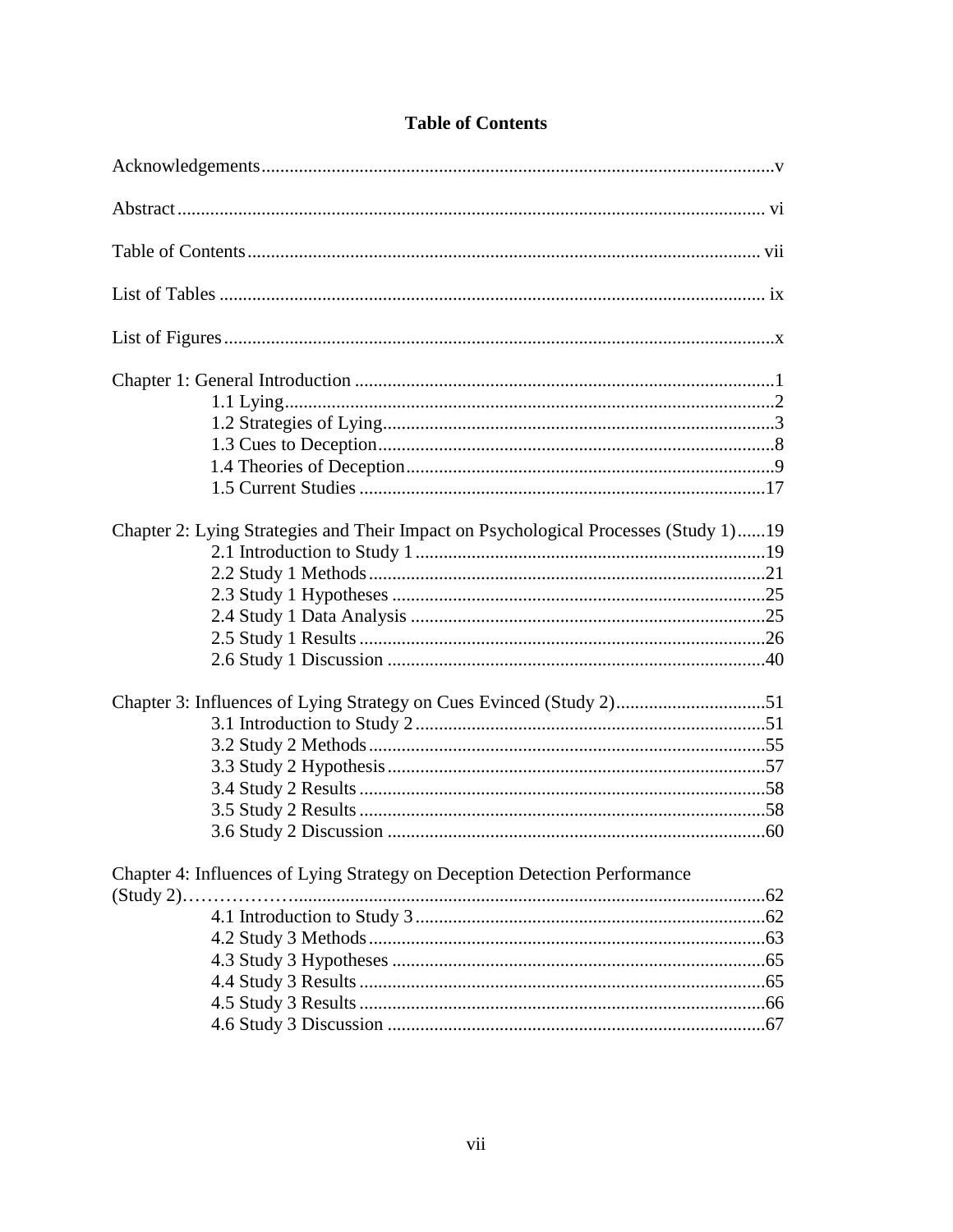| Chapter 2: Lying Strategies and Their Impact on Psychological Processes (Study 1)19 |                                                                            |  |
|-------------------------------------------------------------------------------------|----------------------------------------------------------------------------|--|
|                                                                                     |                                                                            |  |
|                                                                                     |                                                                            |  |
|                                                                                     |                                                                            |  |
|                                                                                     |                                                                            |  |
|                                                                                     |                                                                            |  |
|                                                                                     |                                                                            |  |
|                                                                                     |                                                                            |  |
|                                                                                     |                                                                            |  |
|                                                                                     |                                                                            |  |
|                                                                                     |                                                                            |  |
|                                                                                     |                                                                            |  |
|                                                                                     |                                                                            |  |
|                                                                                     |                                                                            |  |
|                                                                                     |                                                                            |  |
|                                                                                     |                                                                            |  |
|                                                                                     |                                                                            |  |
|                                                                                     |                                                                            |  |
|                                                                                     |                                                                            |  |
|                                                                                     |                                                                            |  |
|                                                                                     |                                                                            |  |
|                                                                                     |                                                                            |  |
|                                                                                     |                                                                            |  |
|                                                                                     |                                                                            |  |
|                                                                                     |                                                                            |  |
|                                                                                     | Chapter 4: Influences of Lying Strategy on Deception Detection Performance |  |
|                                                                                     |                                                                            |  |
|                                                                                     |                                                                            |  |
|                                                                                     |                                                                            |  |
|                                                                                     |                                                                            |  |
|                                                                                     |                                                                            |  |
|                                                                                     |                                                                            |  |
|                                                                                     |                                                                            |  |

### **Table of Contents**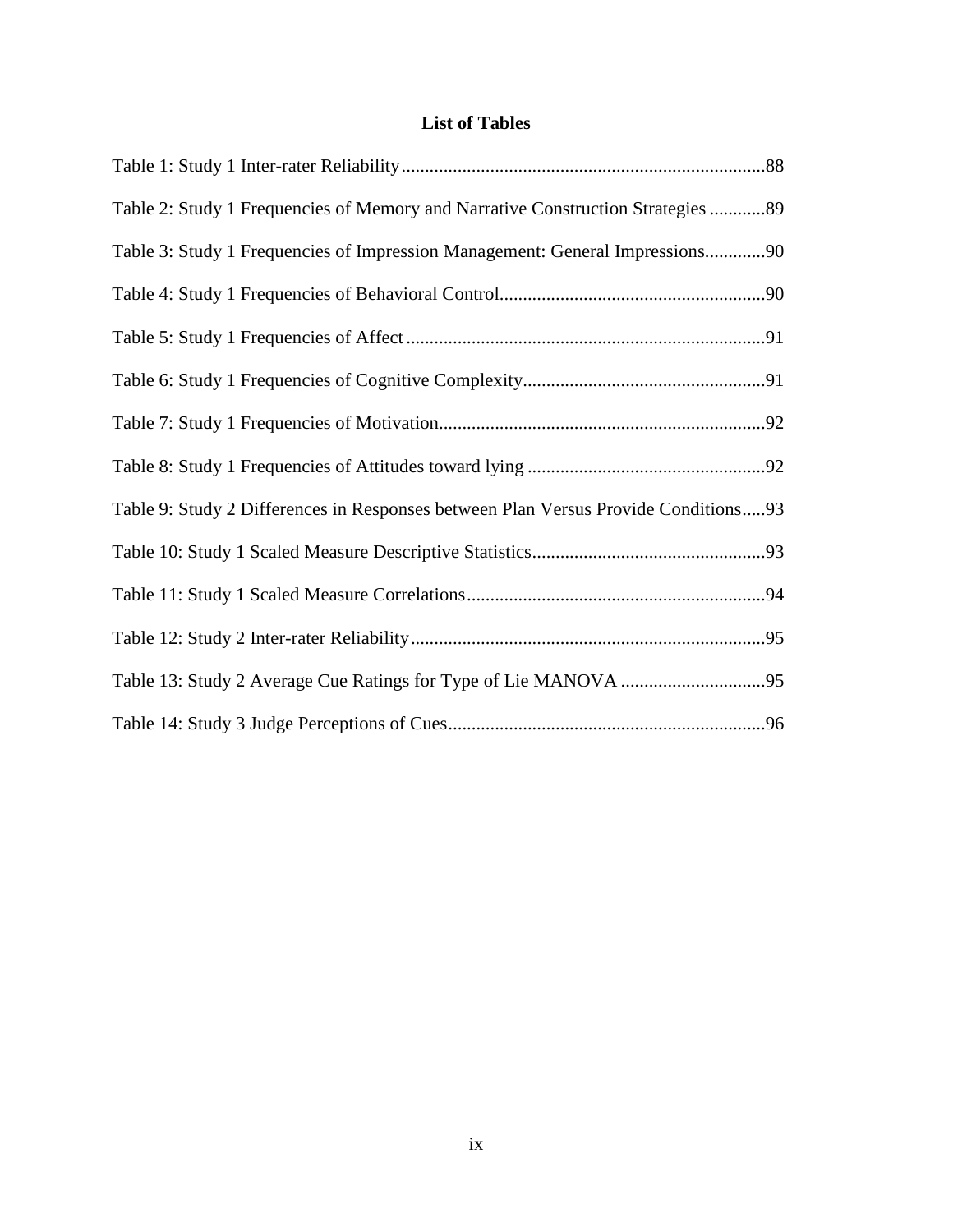### **List of Tables**

| Table 2: Study 1 Frequencies of Memory and Narrative Construction Strategies 89    |  |
|------------------------------------------------------------------------------------|--|
| Table 3: Study 1 Frequencies of Impression Management: General Impressions90       |  |
|                                                                                    |  |
|                                                                                    |  |
|                                                                                    |  |
|                                                                                    |  |
|                                                                                    |  |
| Table 9: Study 2 Differences in Responses between Plan Versus Provide Conditions93 |  |
|                                                                                    |  |
|                                                                                    |  |
|                                                                                    |  |
|                                                                                    |  |
|                                                                                    |  |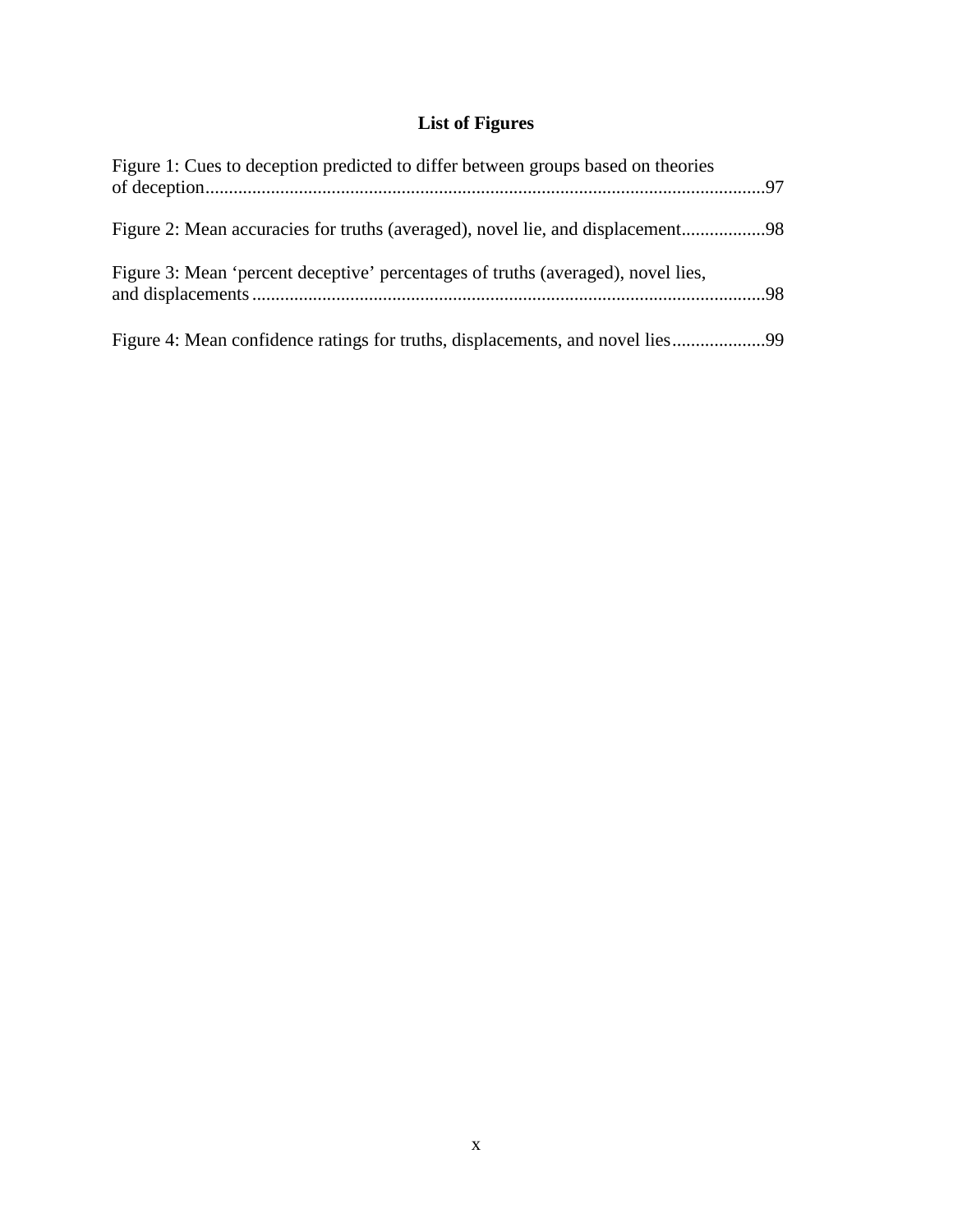# **List of Figures**

| Figure 1: Cues to deception predicted to differ between groups based on theories |  |
|----------------------------------------------------------------------------------|--|
| Figure 2: Mean accuracies for truths (averaged), novel lie, and displacement     |  |
| Figure 3: Mean 'percent deceptive' percentages of truths (averaged), novel lies, |  |
| Figure 4: Mean confidence ratings for truths, displacements, and novel lies      |  |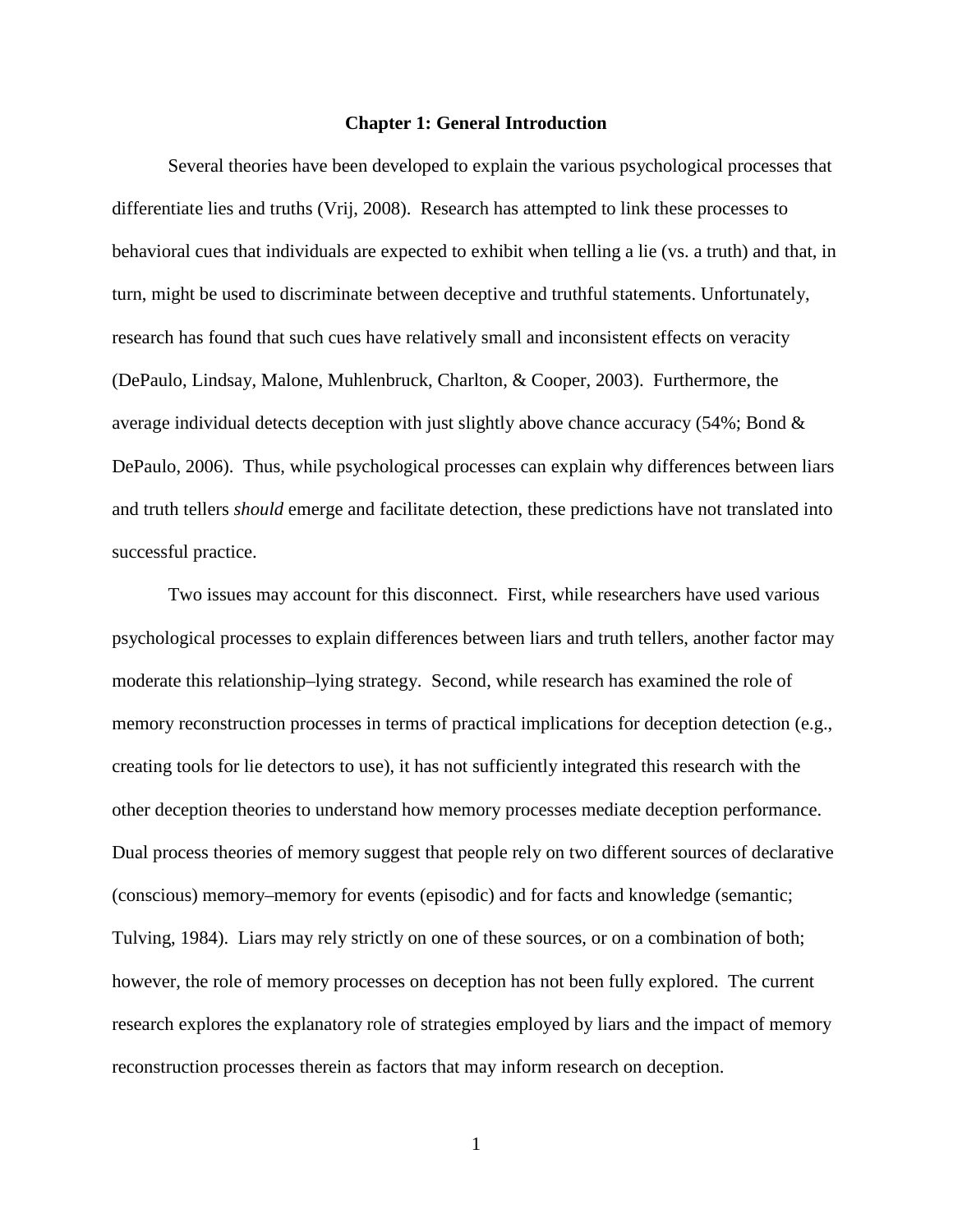### **Chapter 1: General Introduction**

Several theories have been developed to explain the various psychological processes that differentiate lies and truths (Vrij, 2008). Research has attempted to link these processes to behavioral cues that individuals are expected to exhibit when telling a lie (vs. a truth) and that, in turn, might be used to discriminate between deceptive and truthful statements. Unfortunately, research has found that such cues have relatively small and inconsistent effects on veracity (DePaulo, Lindsay, Malone, Muhlenbruck, Charlton, & Cooper, 2003). Furthermore, the average individual detects deception with just slightly above chance accuracy (54%; Bond & DePaulo, 2006). Thus, while psychological processes can explain why differences between liars and truth tellers *should* emerge and facilitate detection, these predictions have not translated into successful practice.

Two issues may account for this disconnect. First, while researchers have used various psychological processes to explain differences between liars and truth tellers, another factor may moderate this relationship–lying strategy. Second, while research has examined the role of memory reconstruction processes in terms of practical implications for deception detection (e.g., creating tools for lie detectors to use), it has not sufficiently integrated this research with the other deception theories to understand how memory processes mediate deception performance. Dual process theories of memory suggest that people rely on two different sources of declarative (conscious) memory–memory for events (episodic) and for facts and knowledge (semantic; Tulving, 1984). Liars may rely strictly on one of these sources, or on a combination of both; however, the role of memory processes on deception has not been fully explored. The current research explores the explanatory role of strategies employed by liars and the impact of memory reconstruction processes therein as factors that may inform research on deception.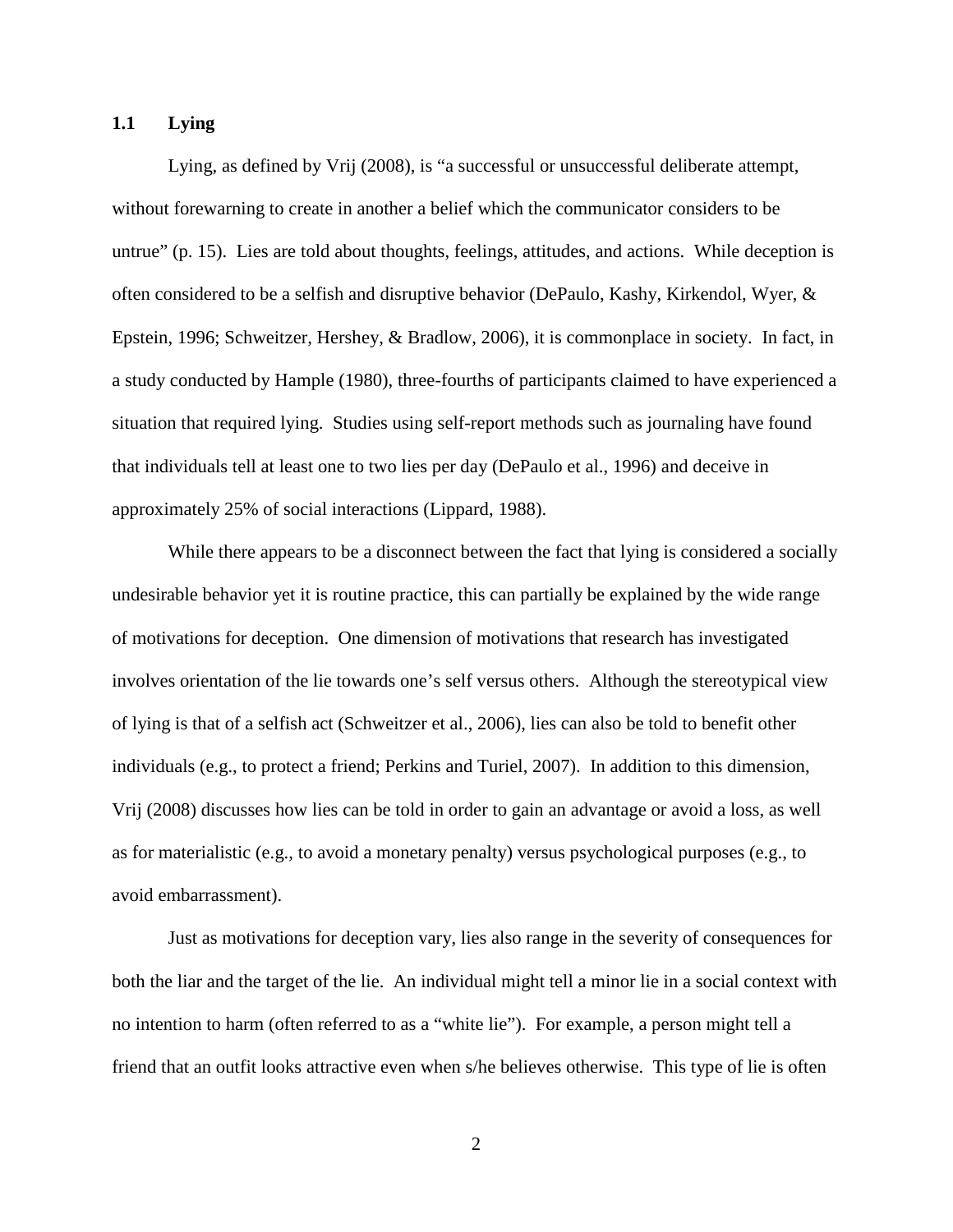### **1.1 Lying**

Lying, as defined by Vrij (2008), is "a successful or unsuccessful deliberate attempt, without forewarning to create in another a belief which the communicator considers to be untrue" (p. 15). Lies are told about thoughts, feelings, attitudes, and actions. While deception is often considered to be a selfish and disruptive behavior (DePaulo, Kashy, Kirkendol, Wyer, & Epstein, 1996; Schweitzer, Hershey, & Bradlow, 2006), it is commonplace in society. In fact, in a study conducted by Hample (1980), three-fourths of participants claimed to have experienced a situation that required lying. Studies using self-report methods such as journaling have found that individuals tell at least one to two lies per day (DePaulo et al., 1996) and deceive in approximately 25% of social interactions (Lippard, 1988).

While there appears to be a disconnect between the fact that lying is considered a socially undesirable behavior yet it is routine practice, this can partially be explained by the wide range of motivations for deception. One dimension of motivations that research has investigated involves orientation of the lie towards one's self versus others. Although the stereotypical view of lying is that of a selfish act (Schweitzer et al., 2006), lies can also be told to benefit other individuals (e.g., to protect a friend; Perkins and Turiel, 2007). In addition to this dimension, Vrij (2008) discusses how lies can be told in order to gain an advantage or avoid a loss, as well as for materialistic (e.g., to avoid a monetary penalty) versus psychological purposes (e.g., to avoid embarrassment).

Just as motivations for deception vary, lies also range in the severity of consequences for both the liar and the target of the lie. An individual might tell a minor lie in a social context with no intention to harm (often referred to as a "white lie"). For example, a person might tell a friend that an outfit looks attractive even when s/he believes otherwise. This type of lie is often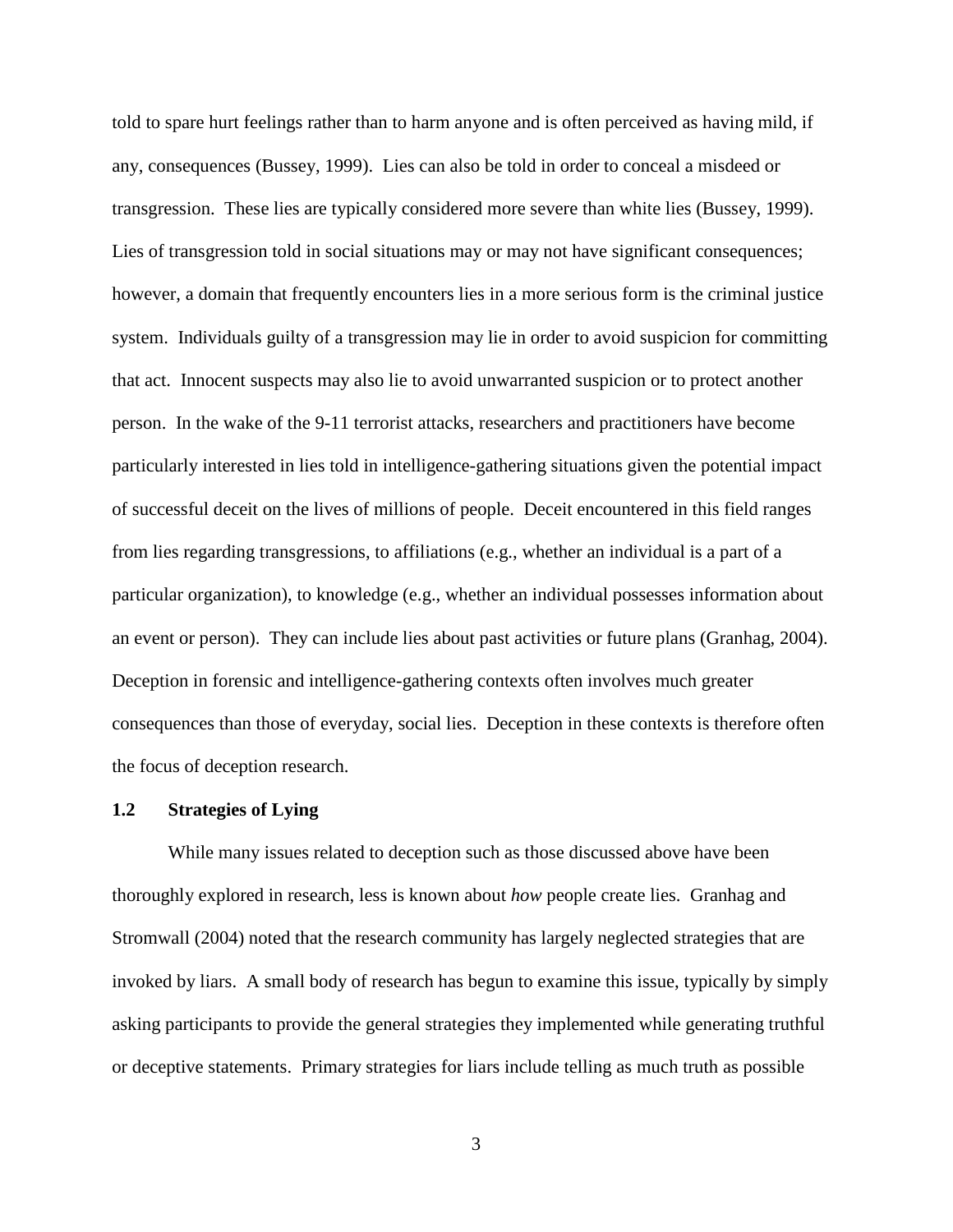told to spare hurt feelings rather than to harm anyone and is often perceived as having mild, if any, consequences (Bussey, 1999). Lies can also be told in order to conceal a misdeed or transgression. These lies are typically considered more severe than white lies (Bussey, 1999). Lies of transgression told in social situations may or may not have significant consequences; however, a domain that frequently encounters lies in a more serious form is the criminal justice system. Individuals guilty of a transgression may lie in order to avoid suspicion for committing that act. Innocent suspects may also lie to avoid unwarranted suspicion or to protect another person. In the wake of the 9-11 terrorist attacks, researchers and practitioners have become particularly interested in lies told in intelligence-gathering situations given the potential impact of successful deceit on the lives of millions of people. Deceit encountered in this field ranges from lies regarding transgressions, to affiliations (e.g., whether an individual is a part of a particular organization), to knowledge (e.g., whether an individual possesses information about an event or person). They can include lies about past activities or future plans (Granhag, 2004). Deception in forensic and intelligence-gathering contexts often involves much greater consequences than those of everyday, social lies. Deception in these contexts is therefore often the focus of deception research.

### **1.2 Strategies of Lying**

While many issues related to deception such as those discussed above have been thoroughly explored in research, less is known about *how* people create lies. Granhag and Stromwall (2004) noted that the research community has largely neglected strategies that are invoked by liars. A small body of research has begun to examine this issue, typically by simply asking participants to provide the general strategies they implemented while generating truthful or deceptive statements. Primary strategies for liars include telling as much truth as possible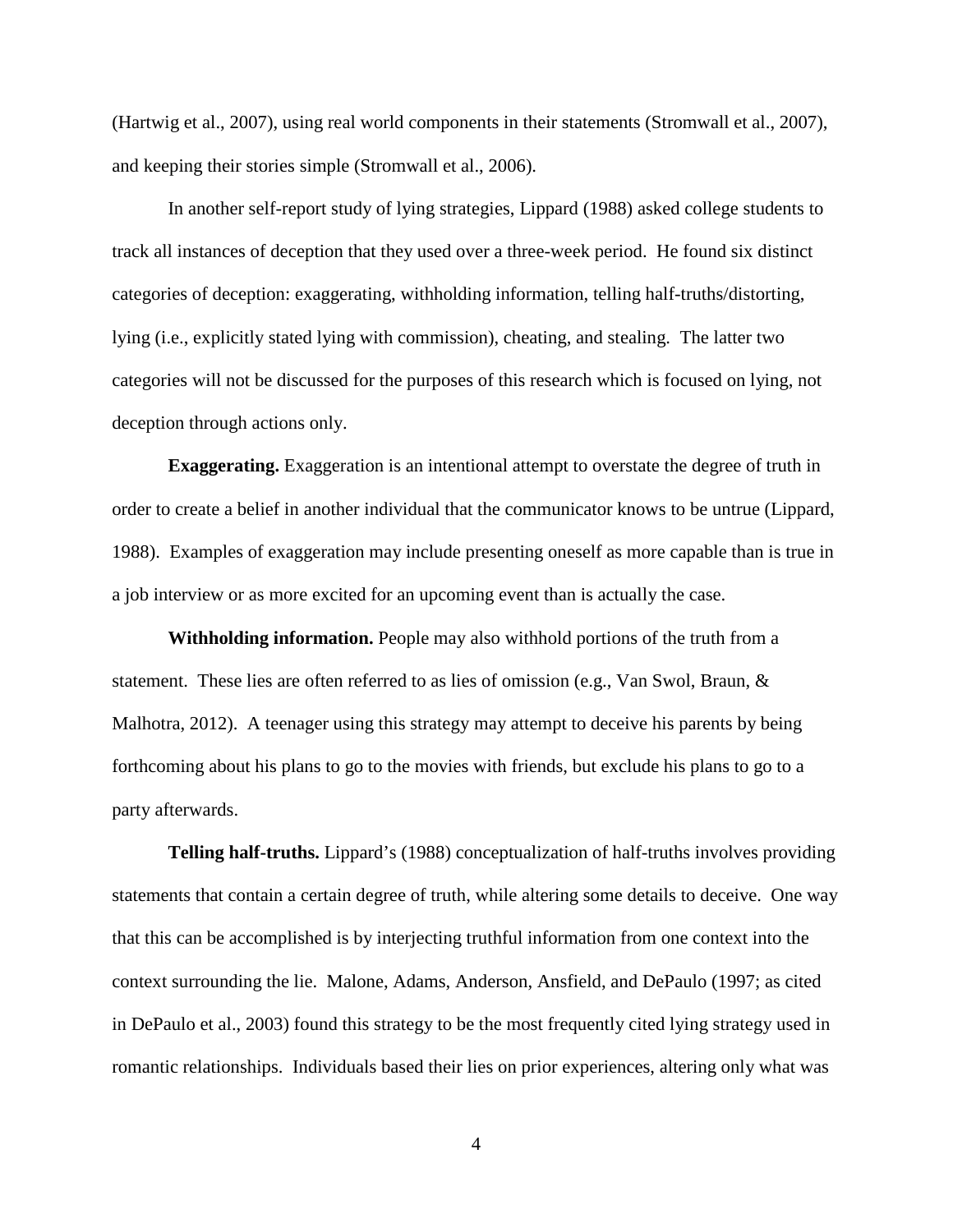(Hartwig et al., 2007), using real world components in their statements (Stromwall et al., 2007), and keeping their stories simple (Stromwall et al., 2006).

In another self-report study of lying strategies, Lippard (1988) asked college students to track all instances of deception that they used over a three-week period. He found six distinct categories of deception: exaggerating, withholding information, telling half-truths/distorting, lying (i.e., explicitly stated lying with commission), cheating, and stealing. The latter two categories will not be discussed for the purposes of this research which is focused on lying, not deception through actions only.

**Exaggerating.** Exaggeration is an intentional attempt to overstate the degree of truth in order to create a belief in another individual that the communicator knows to be untrue (Lippard, 1988). Examples of exaggeration may include presenting oneself as more capable than is true in a job interview or as more excited for an upcoming event than is actually the case.

**Withholding information.** People may also withhold portions of the truth from a statement. These lies are often referred to as lies of omission (e.g., Van Swol, Braun, & Malhotra, 2012). A teenager using this strategy may attempt to deceive his parents by being forthcoming about his plans to go to the movies with friends, but exclude his plans to go to a party afterwards.

**Telling half-truths.** Lippard's (1988) conceptualization of half-truths involves providing statements that contain a certain degree of truth, while altering some details to deceive. One way that this can be accomplished is by interjecting truthful information from one context into the context surrounding the lie. Malone, Adams, Anderson, Ansfield, and DePaulo (1997; as cited in DePaulo et al., 2003) found this strategy to be the most frequently cited lying strategy used in romantic relationships. Individuals based their lies on prior experiences, altering only what was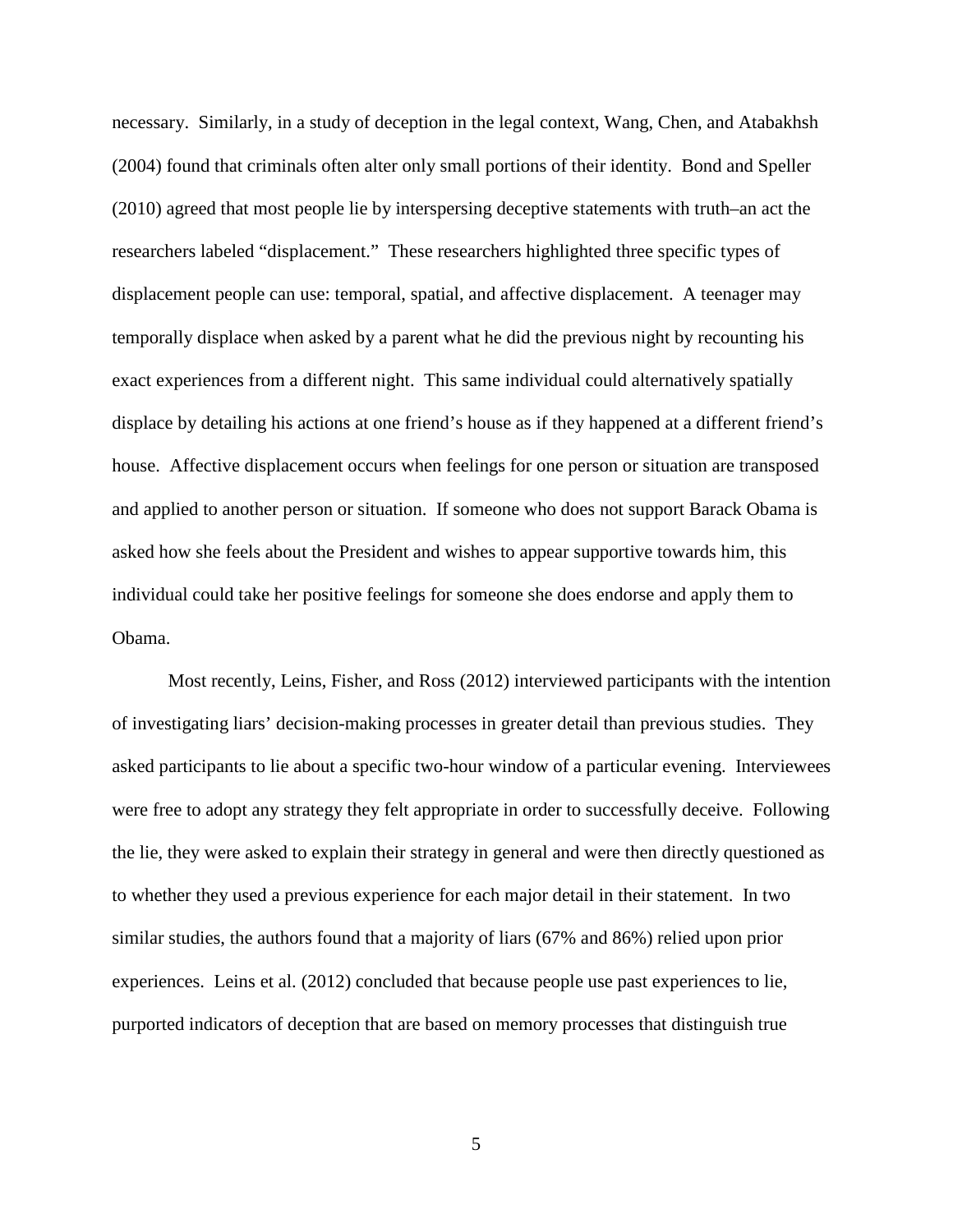necessary. Similarly, in a study of deception in the legal context, Wang, Chen, and Atabakhsh (2004) found that criminals often alter only small portions of their identity. Bond and Speller (2010) agreed that most people lie by interspersing deceptive statements with truth–an act the researchers labeled "displacement." These researchers highlighted three specific types of displacement people can use: temporal, spatial, and affective displacement. A teenager may temporally displace when asked by a parent what he did the previous night by recounting his exact experiences from a different night. This same individual could alternatively spatially displace by detailing his actions at one friend's house as if they happened at a different friend's house. Affective displacement occurs when feelings for one person or situation are transposed and applied to another person or situation. If someone who does not support Barack Obama is asked how she feels about the President and wishes to appear supportive towards him, this individual could take her positive feelings for someone she does endorse and apply them to Obama.

Most recently, Leins, Fisher, and Ross (2012) interviewed participants with the intention of investigating liars' decision-making processes in greater detail than previous studies. They asked participants to lie about a specific two-hour window of a particular evening. Interviewees were free to adopt any strategy they felt appropriate in order to successfully deceive. Following the lie, they were asked to explain their strategy in general and were then directly questioned as to whether they used a previous experience for each major detail in their statement. In two similar studies, the authors found that a majority of liars (67% and 86%) relied upon prior experiences. Leins et al. (2012) concluded that because people use past experiences to lie, purported indicators of deception that are based on memory processes that distinguish true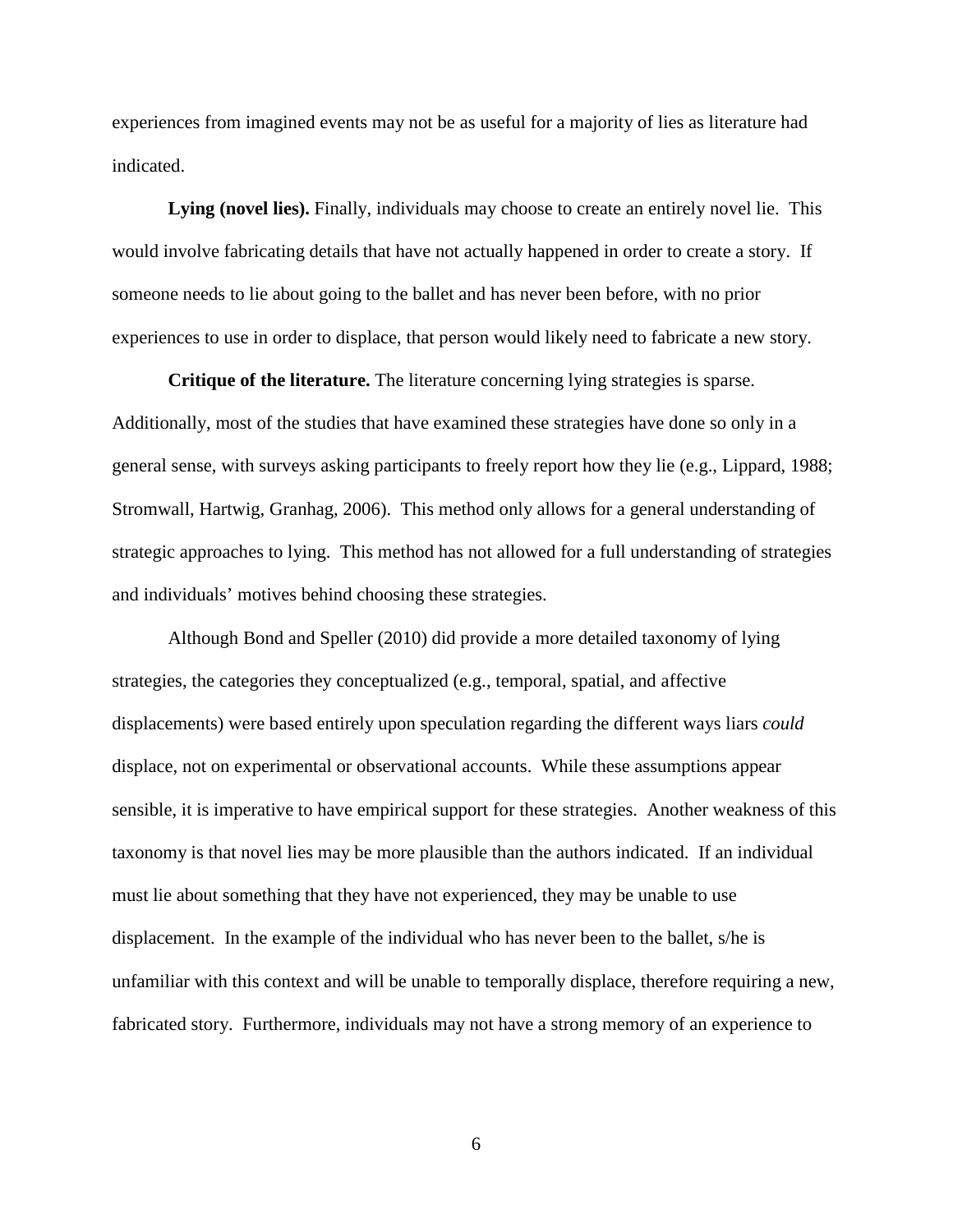experiences from imagined events may not be as useful for a majority of lies as literature had indicated.

**Lying (novel lies).** Finally, individuals may choose to create an entirely novel lie. This would involve fabricating details that have not actually happened in order to create a story. If someone needs to lie about going to the ballet and has never been before, with no prior experiences to use in order to displace, that person would likely need to fabricate a new story.

**Critique of the literature.** The literature concerning lying strategies is sparse. Additionally, most of the studies that have examined these strategies have done so only in a general sense, with surveys asking participants to freely report how they lie (e.g., Lippard, 1988; Stromwall, Hartwig, Granhag, 2006). This method only allows for a general understanding of strategic approaches to lying. This method has not allowed for a full understanding of strategies and individuals' motives behind choosing these strategies.

Although Bond and Speller (2010) did provide a more detailed taxonomy of lying strategies, the categories they conceptualized (e.g., temporal, spatial, and affective displacements) were based entirely upon speculation regarding the different ways liars *could* displace, not on experimental or observational accounts. While these assumptions appear sensible, it is imperative to have empirical support for these strategies. Another weakness of this taxonomy is that novel lies may be more plausible than the authors indicated. If an individual must lie about something that they have not experienced, they may be unable to use displacement. In the example of the individual who has never been to the ballet, s/he is unfamiliar with this context and will be unable to temporally displace, therefore requiring a new, fabricated story. Furthermore, individuals may not have a strong memory of an experience to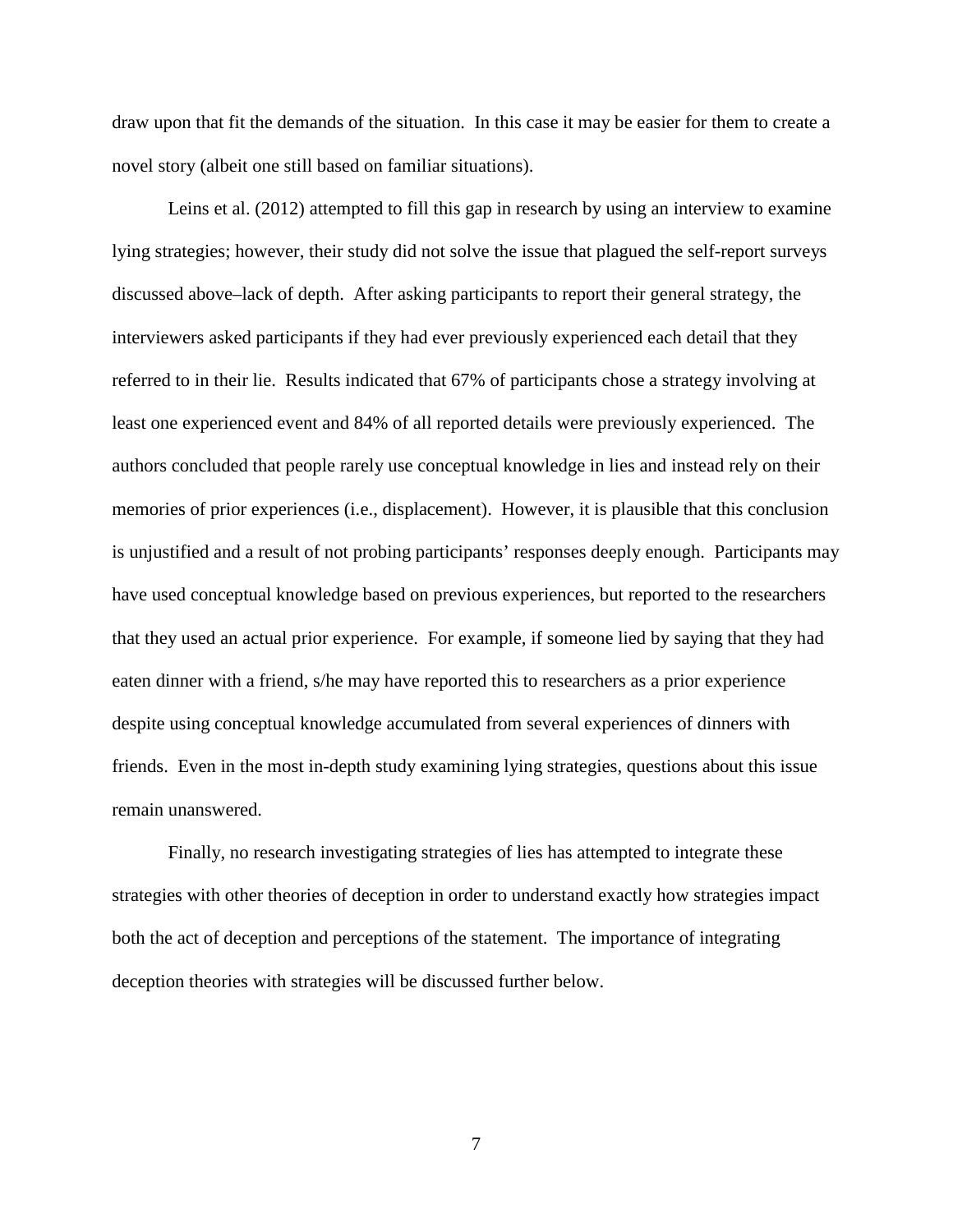draw upon that fit the demands of the situation. In this case it may be easier for them to create a novel story (albeit one still based on familiar situations).

Leins et al. (2012) attempted to fill this gap in research by using an interview to examine lying strategies; however, their study did not solve the issue that plagued the self-report surveys discussed above–lack of depth. After asking participants to report their general strategy, the interviewers asked participants if they had ever previously experienced each detail that they referred to in their lie. Results indicated that 67% of participants chose a strategy involving at least one experienced event and 84% of all reported details were previously experienced. The authors concluded that people rarely use conceptual knowledge in lies and instead rely on their memories of prior experiences (i.e., displacement). However, it is plausible that this conclusion is unjustified and a result of not probing participants' responses deeply enough. Participants may have used conceptual knowledge based on previous experiences, but reported to the researchers that they used an actual prior experience. For example, if someone lied by saying that they had eaten dinner with a friend, s/he may have reported this to researchers as a prior experience despite using conceptual knowledge accumulated from several experiences of dinners with friends. Even in the most in-depth study examining lying strategies, questions about this issue remain unanswered.

Finally, no research investigating strategies of lies has attempted to integrate these strategies with other theories of deception in order to understand exactly how strategies impact both the act of deception and perceptions of the statement. The importance of integrating deception theories with strategies will be discussed further below.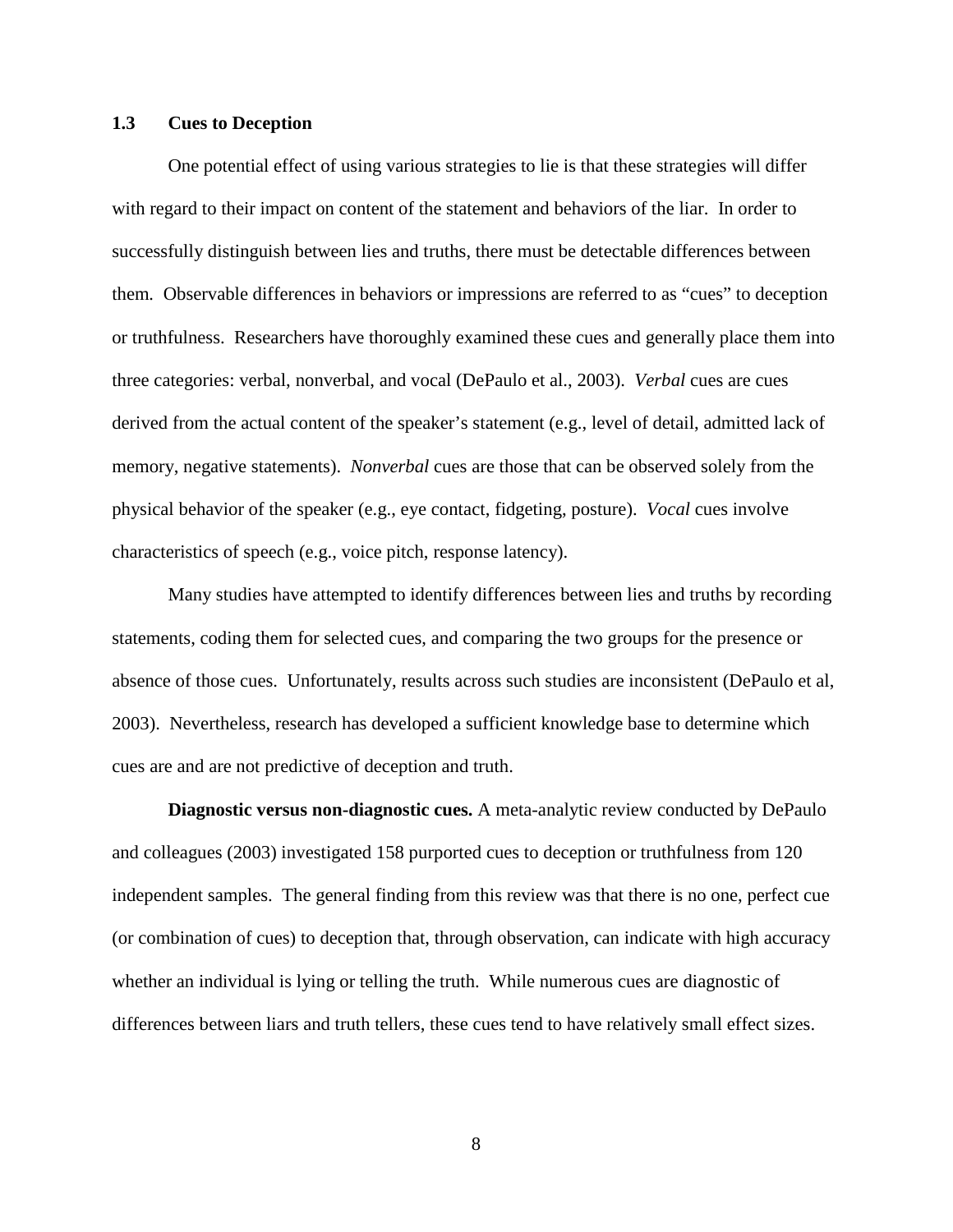### **1.3 Cues to Deception**

One potential effect of using various strategies to lie is that these strategies will differ with regard to their impact on content of the statement and behaviors of the liar. In order to successfully distinguish between lies and truths, there must be detectable differences between them*.* Observable differences in behaviors or impressions are referred to as "cues" to deception or truthfulness. Researchers have thoroughly examined these cues and generally place them into three categories: verbal, nonverbal, and vocal (DePaulo et al., 2003). *Verbal* cues are cues derived from the actual content of the speaker's statement (e.g., level of detail, admitted lack of memory, negative statements). *Nonverbal* cues are those that can be observed solely from the physical behavior of the speaker (e.g., eye contact, fidgeting, posture). *Vocal* cues involve characteristics of speech (e.g., voice pitch, response latency).

Many studies have attempted to identify differences between lies and truths by recording statements, coding them for selected cues, and comparing the two groups for the presence or absence of those cues. Unfortunately, results across such studies are inconsistent (DePaulo et al, 2003). Nevertheless, research has developed a sufficient knowledge base to determine which cues are and are not predictive of deception and truth.

**Diagnostic versus non-diagnostic cues.** A meta-analytic review conducted by DePaulo and colleagues (2003) investigated 158 purported cues to deception or truthfulness from 120 independent samples. The general finding from this review was that there is no one, perfect cue (or combination of cues) to deception that, through observation, can indicate with high accuracy whether an individual is lying or telling the truth. While numerous cues are diagnostic of differences between liars and truth tellers, these cues tend to have relatively small effect sizes.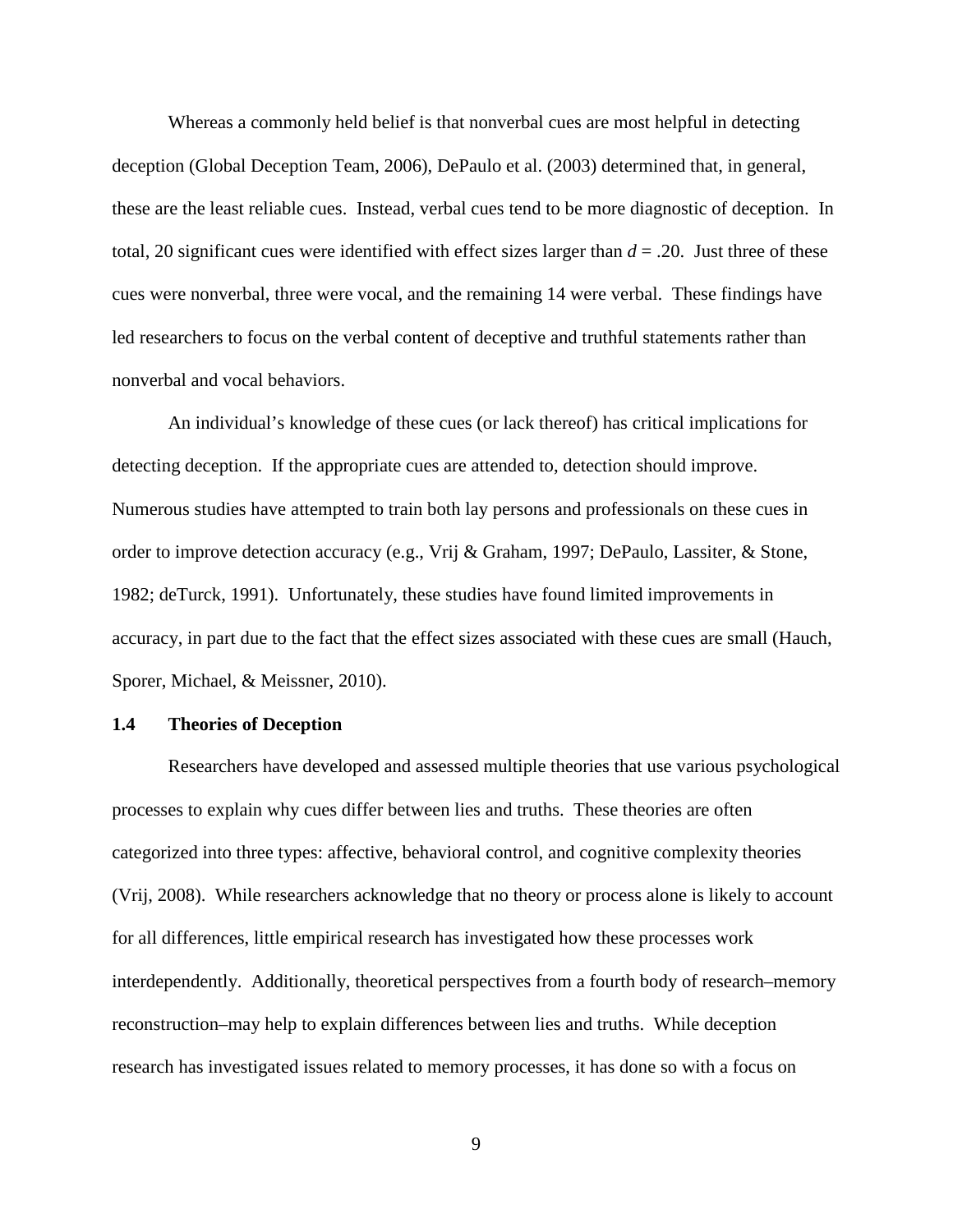Whereas a commonly held belief is that nonverbal cues are most helpful in detecting deception (Global Deception Team, 2006), DePaulo et al. (2003) determined that, in general, these are the least reliable cues. Instead, verbal cues tend to be more diagnostic of deception. In total, 20 significant cues were identified with effect sizes larger than *d* = .20. Just three of these cues were nonverbal, three were vocal, and the remaining 14 were verbal. These findings have led researchers to focus on the verbal content of deceptive and truthful statements rather than nonverbal and vocal behaviors.

An individual's knowledge of these cues (or lack thereof) has critical implications for detecting deception. If the appropriate cues are attended to, detection should improve. Numerous studies have attempted to train both lay persons and professionals on these cues in order to improve detection accuracy (e.g., Vrij & Graham, 1997; DePaulo, Lassiter, & Stone, 1982; deTurck, 1991). Unfortunately, these studies have found limited improvements in accuracy, in part due to the fact that the effect sizes associated with these cues are small (Hauch, Sporer, Michael, & Meissner, 2010).

#### **1.4 Theories of Deception**

Researchers have developed and assessed multiple theories that use various psychological processes to explain why cues differ between lies and truths. These theories are often categorized into three types: affective, behavioral control, and cognitive complexity theories (Vrij, 2008). While researchers acknowledge that no theory or process alone is likely to account for all differences, little empirical research has investigated how these processes work interdependently. Additionally, theoretical perspectives from a fourth body of research–memory reconstruction–may help to explain differences between lies and truths. While deception research has investigated issues related to memory processes, it has done so with a focus on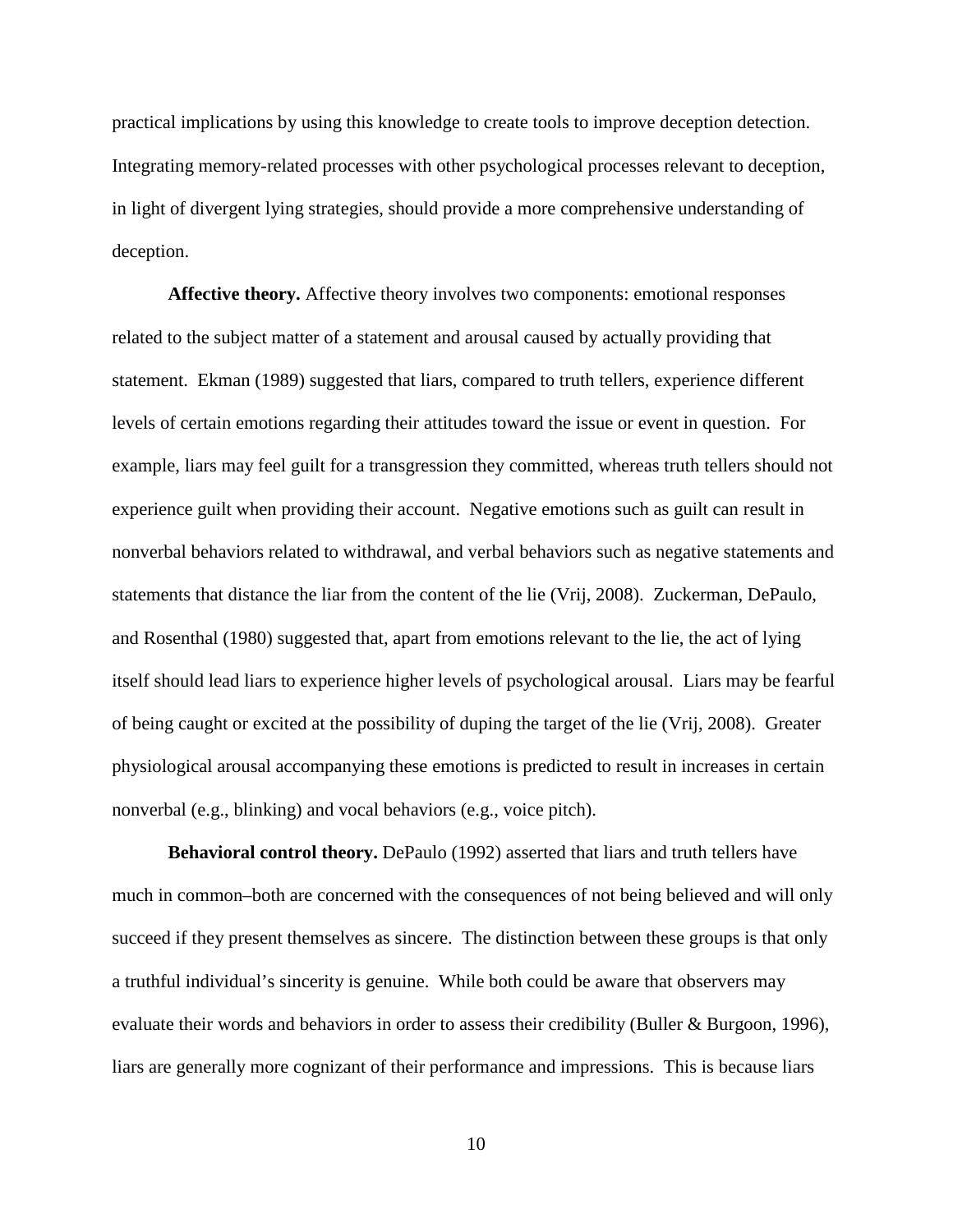practical implications by using this knowledge to create tools to improve deception detection. Integrating memory-related processes with other psychological processes relevant to deception, in light of divergent lying strategies, should provide a more comprehensive understanding of deception.

**Affective theory.** Affective theory involves two components: emotional responses related to the subject matter of a statement and arousal caused by actually providing that statement. Ekman (1989) suggested that liars, compared to truth tellers, experience different levels of certain emotions regarding their attitudes toward the issue or event in question. For example, liars may feel guilt for a transgression they committed, whereas truth tellers should not experience guilt when providing their account. Negative emotions such as guilt can result in nonverbal behaviors related to withdrawal, and verbal behaviors such as negative statements and statements that distance the liar from the content of the lie (Vrij, 2008). Zuckerman, DePaulo, and Rosenthal (1980) suggested that, apart from emotions relevant to the lie, the act of lying itself should lead liars to experience higher levels of psychological arousal. Liars may be fearful of being caught or excited at the possibility of duping the target of the lie (Vrij, 2008). Greater physiological arousal accompanying these emotions is predicted to result in increases in certain nonverbal (e.g., blinking) and vocal behaviors (e.g., voice pitch).

**Behavioral control theory.** DePaulo (1992) asserted that liars and truth tellers have much in common–both are concerned with the consequences of not being believed and will only succeed if they present themselves as sincere. The distinction between these groups is that only a truthful individual's sincerity is genuine. While both could be aware that observers may evaluate their words and behaviors in order to assess their credibility (Buller & Burgoon, 1996), liars are generally more cognizant of their performance and impressions. This is because liars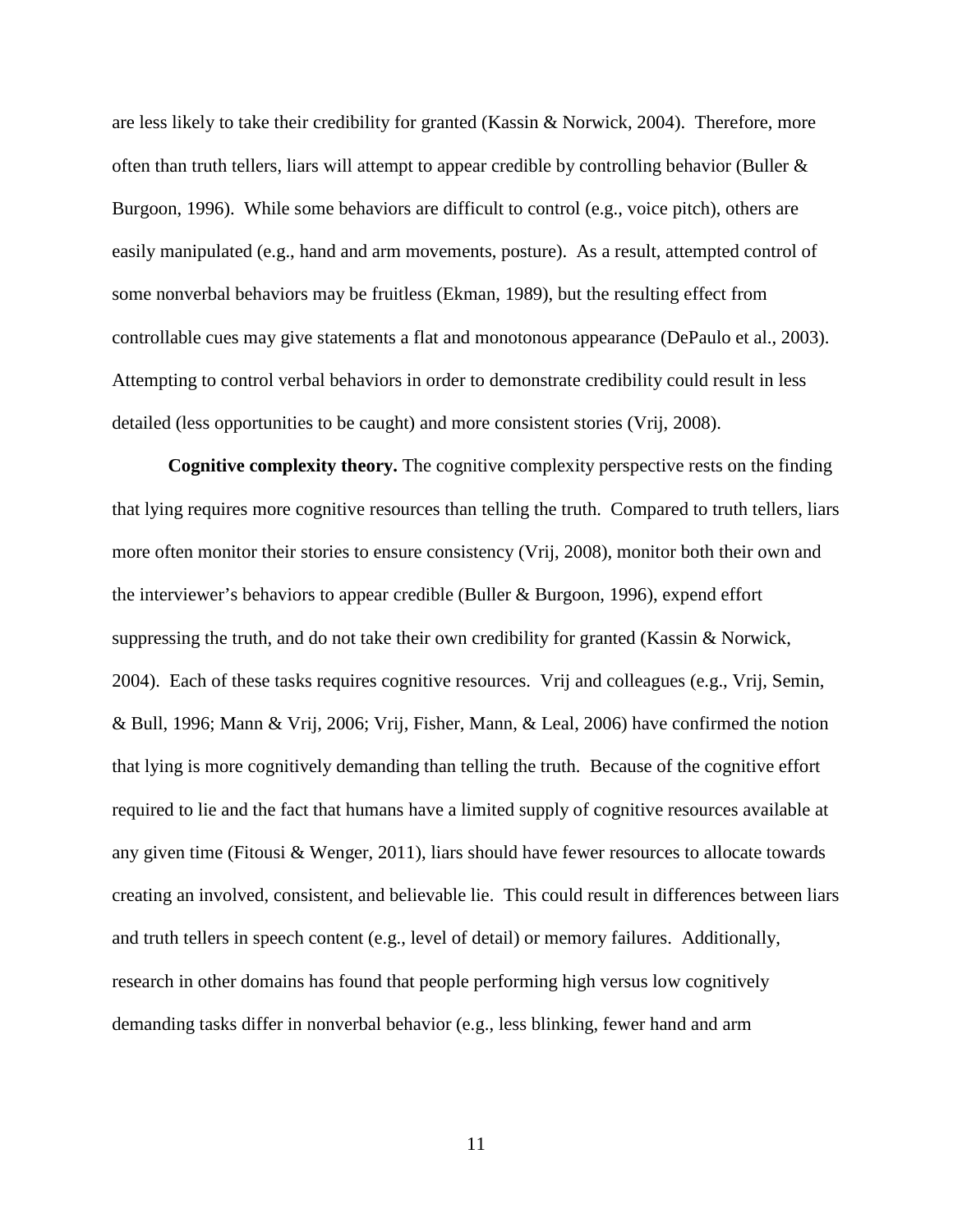are less likely to take their credibility for granted (Kassin & Norwick, 2004). Therefore, more often than truth tellers, liars will attempt to appear credible by controlling behavior (Buller & Burgoon, 1996). While some behaviors are difficult to control (e.g., voice pitch), others are easily manipulated (e.g., hand and arm movements, posture). As a result, attempted control of some nonverbal behaviors may be fruitless (Ekman, 1989), but the resulting effect from controllable cues may give statements a flat and monotonous appearance (DePaulo et al., 2003). Attempting to control verbal behaviors in order to demonstrate credibility could result in less detailed (less opportunities to be caught) and more consistent stories (Vrij, 2008).

**Cognitive complexity theory.** The cognitive complexity perspective rests on the finding that lying requires more cognitive resources than telling the truth. Compared to truth tellers, liars more often monitor their stories to ensure consistency (Vrij, 2008), monitor both their own and the interviewer's behaviors to appear credible (Buller & Burgoon, 1996), expend effort suppressing the truth, and do not take their own credibility for granted (Kassin & Norwick, 2004). Each of these tasks requires cognitive resources. Vrij and colleagues (e.g., Vrij, Semin, & Bull, 1996; Mann & Vrij, 2006; Vrij, Fisher, Mann, & Leal, 2006) have confirmed the notion that lying is more cognitively demanding than telling the truth. Because of the cognitive effort required to lie and the fact that humans have a limited supply of cognitive resources available at any given time (Fitousi & Wenger, 2011), liars should have fewer resources to allocate towards creating an involved, consistent, and believable lie. This could result in differences between liars and truth tellers in speech content (e.g., level of detail) or memory failures. Additionally, research in other domains has found that people performing high versus low cognitively demanding tasks differ in nonverbal behavior (e.g., less blinking, fewer hand and arm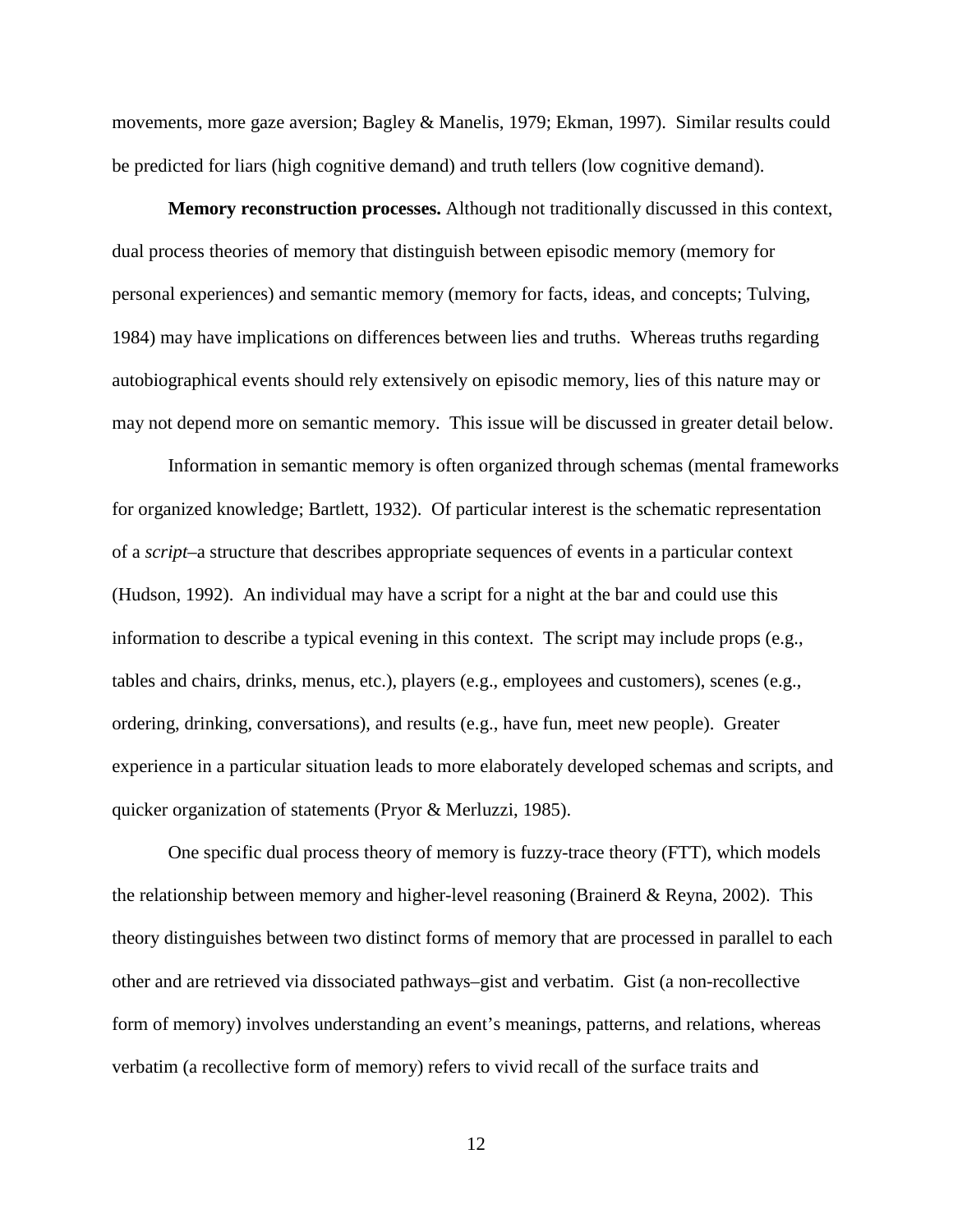movements, more gaze aversion; Bagley & Manelis, 1979; Ekman, 1997). Similar results could be predicted for liars (high cognitive demand) and truth tellers (low cognitive demand).

**Memory reconstruction processes.** Although not traditionally discussed in this context, dual process theories of memory that distinguish between episodic memory (memory for personal experiences) and semantic memory (memory for facts, ideas, and concepts; Tulving, 1984) may have implications on differences between lies and truths. Whereas truths regarding autobiographical events should rely extensively on episodic memory, lies of this nature may or may not depend more on semantic memory. This issue will be discussed in greater detail below.

Information in semantic memory is often organized through schemas (mental frameworks for organized knowledge; Bartlett, 1932). Of particular interest is the schematic representation of a *script*–a structure that describes appropriate sequences of events in a particular context (Hudson, 1992). An individual may have a script for a night at the bar and could use this information to describe a typical evening in this context. The script may include props (e.g., tables and chairs, drinks, menus, etc.), players (e.g., employees and customers), scenes (e.g., ordering, drinking, conversations), and results (e.g., have fun, meet new people). Greater experience in a particular situation leads to more elaborately developed schemas and scripts, and quicker organization of statements (Pryor & Merluzzi, 1985).

One specific dual process theory of memory is fuzzy-trace theory (FTT), which models the relationship between memory and higher-level reasoning (Brainerd & Reyna, 2002). This theory distinguishes between two distinct forms of memory that are processed in parallel to each other and are retrieved via dissociated pathways–gist and verbatim. Gist (a non-recollective form of memory) involves understanding an event's meanings, patterns, and relations, whereas verbatim (a recollective form of memory) refers to vivid recall of the surface traits and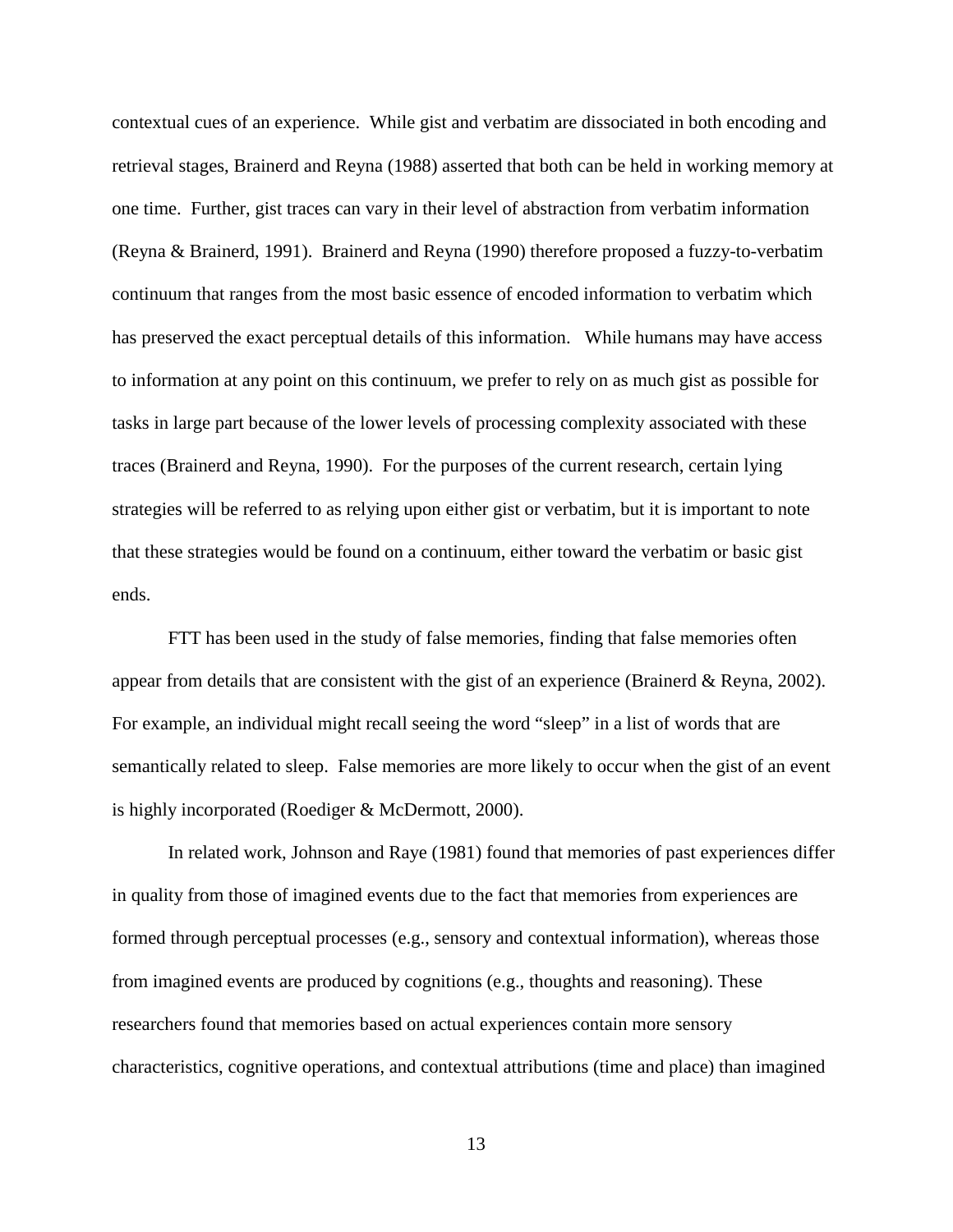contextual cues of an experience. While gist and verbatim are dissociated in both encoding and retrieval stages, Brainerd and Reyna (1988) asserted that both can be held in working memory at one time. Further, gist traces can vary in their level of abstraction from verbatim information (Reyna & Brainerd, 1991). Brainerd and Reyna (1990) therefore proposed a fuzzy-to-verbatim continuum that ranges from the most basic essence of encoded information to verbatim which has preserved the exact perceptual details of this information. While humans may have access to information at any point on this continuum, we prefer to rely on as much gist as possible for tasks in large part because of the lower levels of processing complexity associated with these traces (Brainerd and Reyna, 1990). For the purposes of the current research, certain lying strategies will be referred to as relying upon either gist or verbatim, but it is important to note that these strategies would be found on a continuum, either toward the verbatim or basic gist ends.

FTT has been used in the study of false memories, finding that false memories often appear from details that are consistent with the gist of an experience (Brainerd & Reyna, 2002). For example, an individual might recall seeing the word "sleep" in a list of words that are semantically related to sleep. False memories are more likely to occur when the gist of an event is highly incorporated (Roediger & McDermott, 2000).

In related work, Johnson and Raye (1981) found that memories of past experiences differ in quality from those of imagined events due to the fact that memories from experiences are formed through perceptual processes (e.g., sensory and contextual information), whereas those from imagined events are produced by cognitions (e.g., thoughts and reasoning). These researchers found that memories based on actual experiences contain more sensory characteristics, cognitive operations, and contextual attributions (time and place) than imagined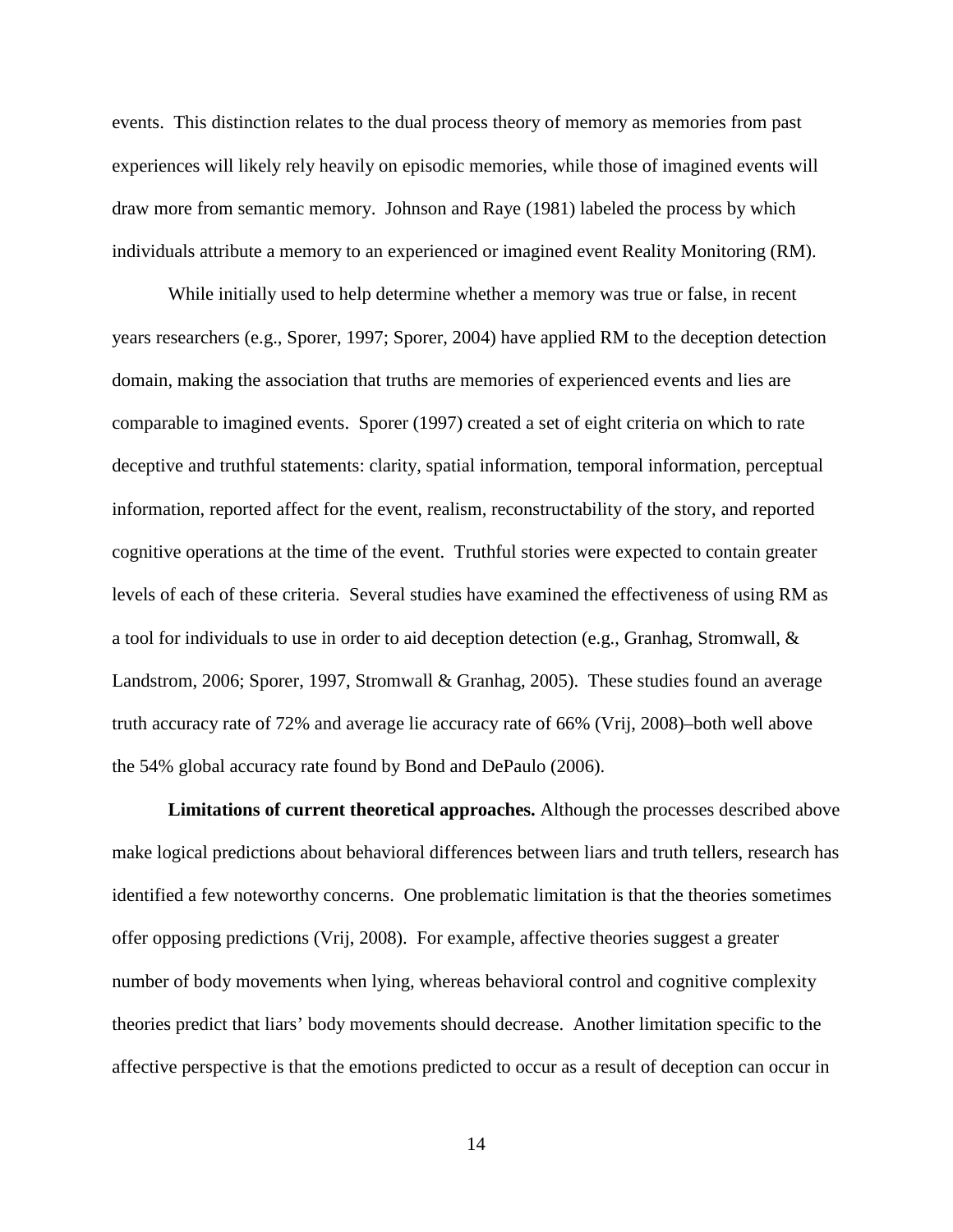events. This distinction relates to the dual process theory of memory as memories from past experiences will likely rely heavily on episodic memories, while those of imagined events will draw more from semantic memory. Johnson and Raye (1981) labeled the process by which individuals attribute a memory to an experienced or imagined event Reality Monitoring (RM).

While initially used to help determine whether a memory was true or false, in recent years researchers (e.g., Sporer, 1997; Sporer, 2004) have applied RM to the deception detection domain, making the association that truths are memories of experienced events and lies are comparable to imagined events. Sporer (1997) created a set of eight criteria on which to rate deceptive and truthful statements: clarity, spatial information, temporal information, perceptual information, reported affect for the event, realism, reconstructability of the story, and reported cognitive operations at the time of the event. Truthful stories were expected to contain greater levels of each of these criteria. Several studies have examined the effectiveness of using RM as a tool for individuals to use in order to aid deception detection (e.g., Granhag, Stromwall, & Landstrom, 2006; Sporer, 1997, Stromwall & Granhag, 2005). These studies found an average truth accuracy rate of 72% and average lie accuracy rate of 66% (Vrij, 2008)–both well above the 54% global accuracy rate found by Bond and DePaulo (2006).

**Limitations of current theoretical approaches.** Although the processes described above make logical predictions about behavioral differences between liars and truth tellers, research has identified a few noteworthy concerns. One problematic limitation is that the theories sometimes offer opposing predictions (Vrij, 2008). For example, affective theories suggest a greater number of body movements when lying, whereas behavioral control and cognitive complexity theories predict that liars' body movements should decrease. Another limitation specific to the affective perspective is that the emotions predicted to occur as a result of deception can occur in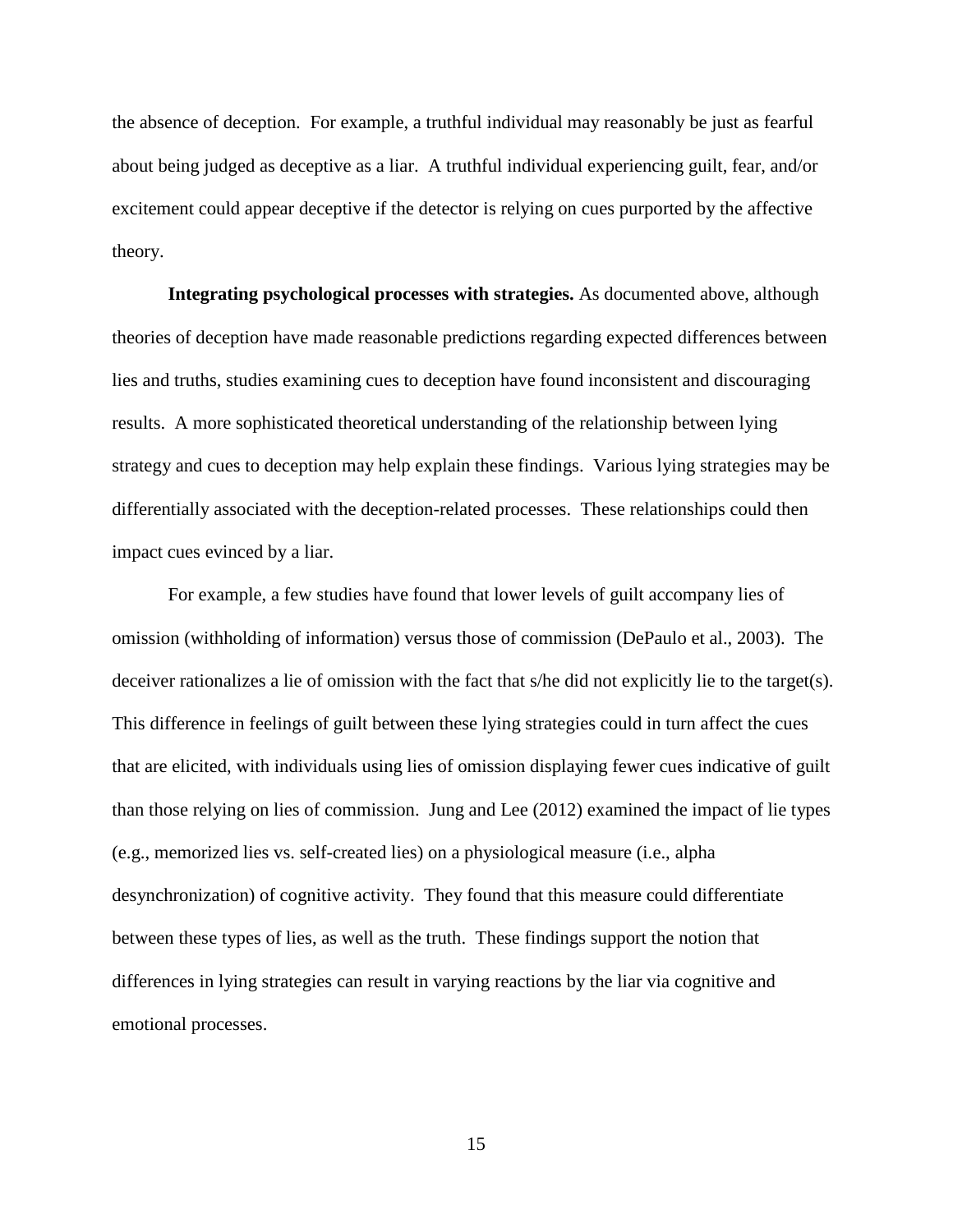the absence of deception. For example, a truthful individual may reasonably be just as fearful about being judged as deceptive as a liar. A truthful individual experiencing guilt, fear, and/or excitement could appear deceptive if the detector is relying on cues purported by the affective theory.

**Integrating psychological processes with strategies.** As documented above, although theories of deception have made reasonable predictions regarding expected differences between lies and truths, studies examining cues to deception have found inconsistent and discouraging results. A more sophisticated theoretical understanding of the relationship between lying strategy and cues to deception may help explain these findings. Various lying strategies may be differentially associated with the deception-related processes. These relationships could then impact cues evinced by a liar.

For example, a few studies have found that lower levels of guilt accompany lies of omission (withholding of information) versus those of commission (DePaulo et al., 2003). The deceiver rationalizes a lie of omission with the fact that s/he did not explicitly lie to the target(s). This difference in feelings of guilt between these lying strategies could in turn affect the cues that are elicited, with individuals using lies of omission displaying fewer cues indicative of guilt than those relying on lies of commission. Jung and Lee (2012) examined the impact of lie types (e.g., memorized lies vs. self-created lies) on a physiological measure (i.e., alpha desynchronization) of cognitive activity. They found that this measure could differentiate between these types of lies, as well as the truth. These findings support the notion that differences in lying strategies can result in varying reactions by the liar via cognitive and emotional processes.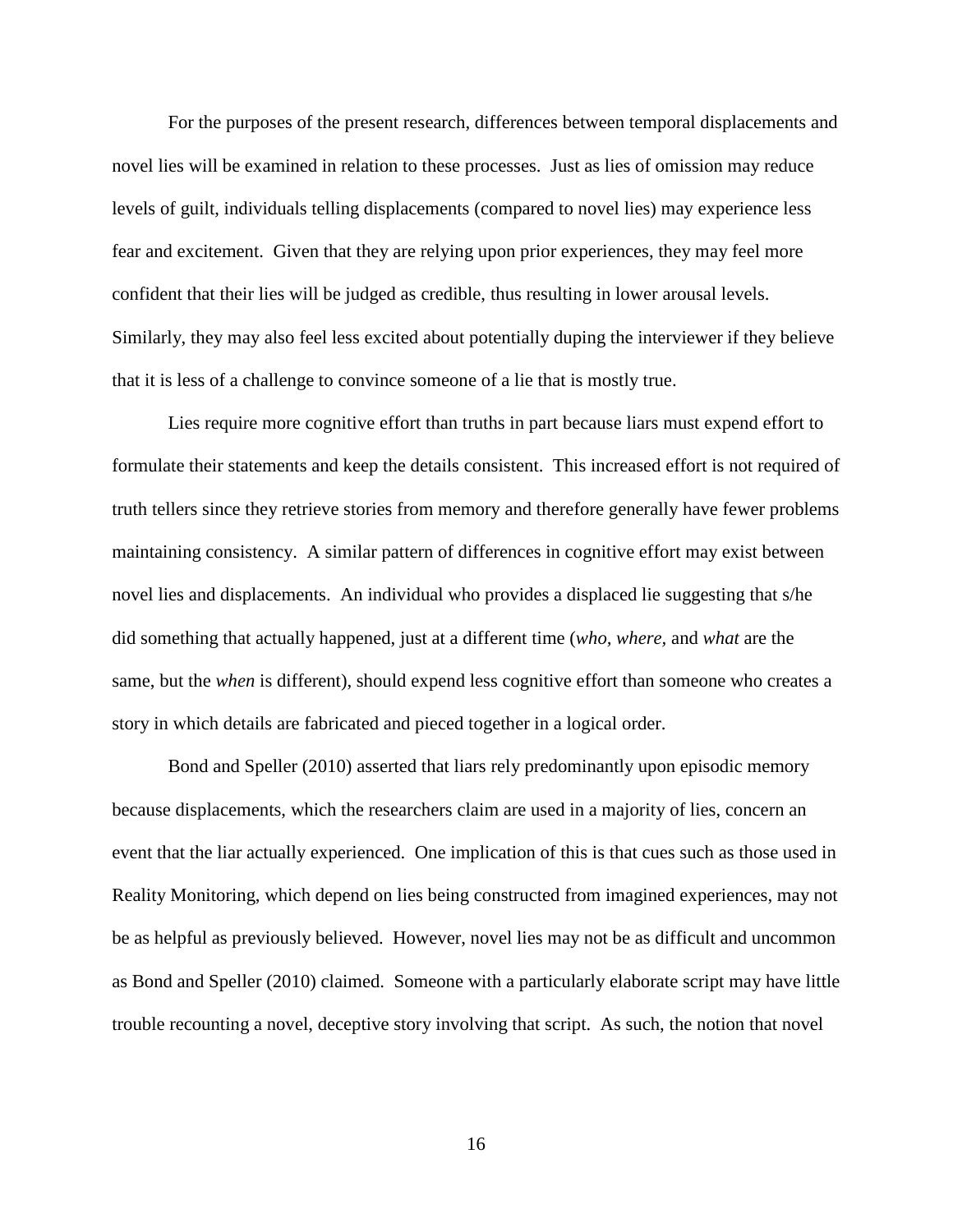For the purposes of the present research, differences between temporal displacements and novel lies will be examined in relation to these processes. Just as lies of omission may reduce levels of guilt, individuals telling displacements (compared to novel lies) may experience less fear and excitement. Given that they are relying upon prior experiences, they may feel more confident that their lies will be judged as credible, thus resulting in lower arousal levels. Similarly, they may also feel less excited about potentially duping the interviewer if they believe that it is less of a challenge to convince someone of a lie that is mostly true.

Lies require more cognitive effort than truths in part because liars must expend effort to formulate their statements and keep the details consistent. This increased effort is not required of truth tellers since they retrieve stories from memory and therefore generally have fewer problems maintaining consistency. A similar pattern of differences in cognitive effort may exist between novel lies and displacements. An individual who provides a displaced lie suggesting that s/he did something that actually happened, just at a different time (*who, where,* and *what* are the same, but the *when* is different), should expend less cognitive effort than someone who creates a story in which details are fabricated and pieced together in a logical order.

Bond and Speller (2010) asserted that liars rely predominantly upon episodic memory because displacements, which the researchers claim are used in a majority of lies, concern an event that the liar actually experienced. One implication of this is that cues such as those used in Reality Monitoring, which depend on lies being constructed from imagined experiences, may not be as helpful as previously believed. However, novel lies may not be as difficult and uncommon as Bond and Speller (2010) claimed. Someone with a particularly elaborate script may have little trouble recounting a novel, deceptive story involving that script. As such, the notion that novel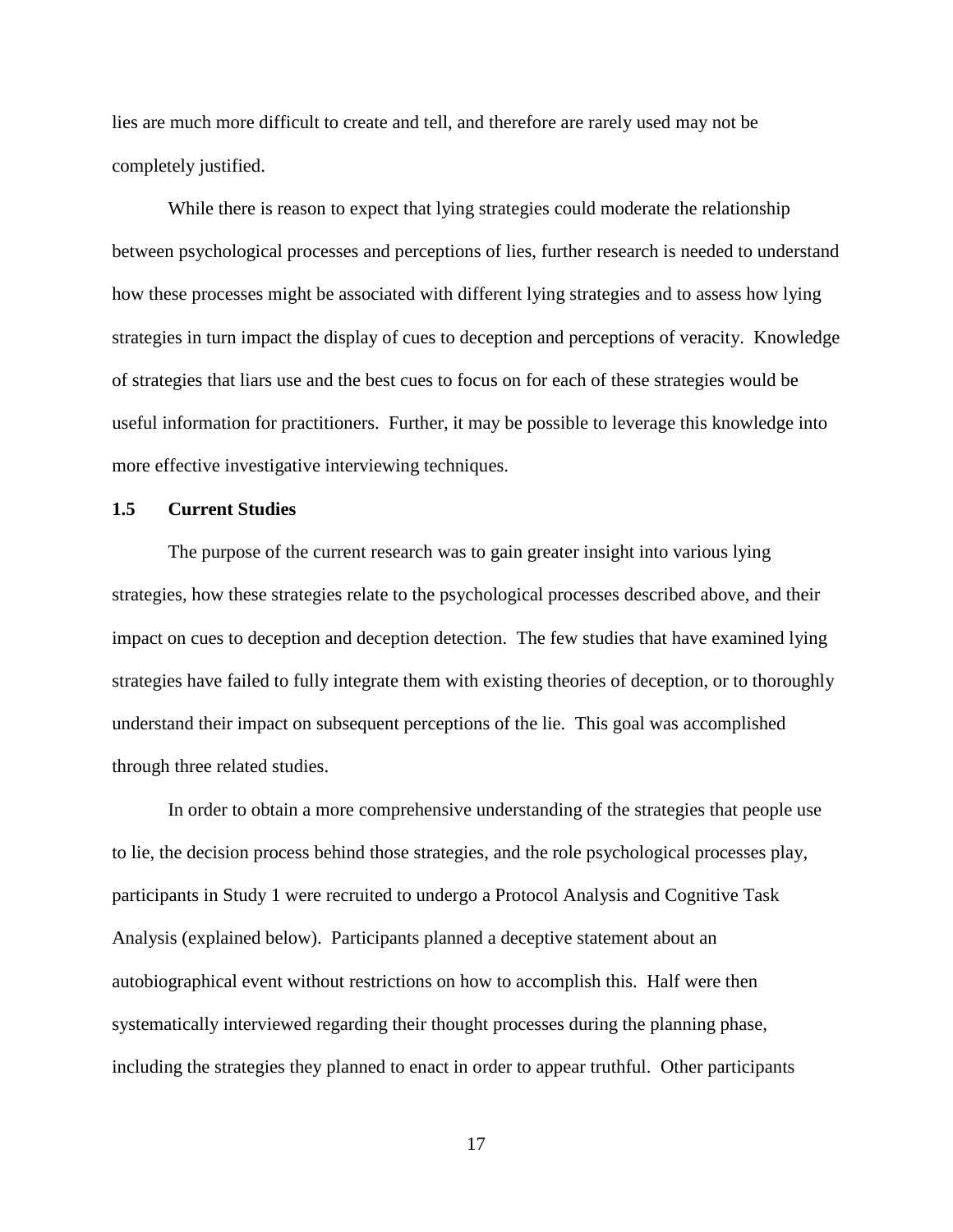lies are much more difficult to create and tell, and therefore are rarely used may not be completely justified.

While there is reason to expect that lying strategies could moderate the relationship between psychological processes and perceptions of lies, further research is needed to understand how these processes might be associated with different lying strategies and to assess how lying strategies in turn impact the display of cues to deception and perceptions of veracity. Knowledge of strategies that liars use and the best cues to focus on for each of these strategies would be useful information for practitioners. Further, it may be possible to leverage this knowledge into more effective investigative interviewing techniques.

### **1.5 Current Studies**

The purpose of the current research was to gain greater insight into various lying strategies, how these strategies relate to the psychological processes described above, and their impact on cues to deception and deception detection. The few studies that have examined lying strategies have failed to fully integrate them with existing theories of deception, or to thoroughly understand their impact on subsequent perceptions of the lie. This goal was accomplished through three related studies.

In order to obtain a more comprehensive understanding of the strategies that people use to lie, the decision process behind those strategies, and the role psychological processes play, participants in Study 1 were recruited to undergo a Protocol Analysis and Cognitive Task Analysis (explained below). Participants planned a deceptive statement about an autobiographical event without restrictions on how to accomplish this. Half were then systematically interviewed regarding their thought processes during the planning phase, including the strategies they planned to enact in order to appear truthful. Other participants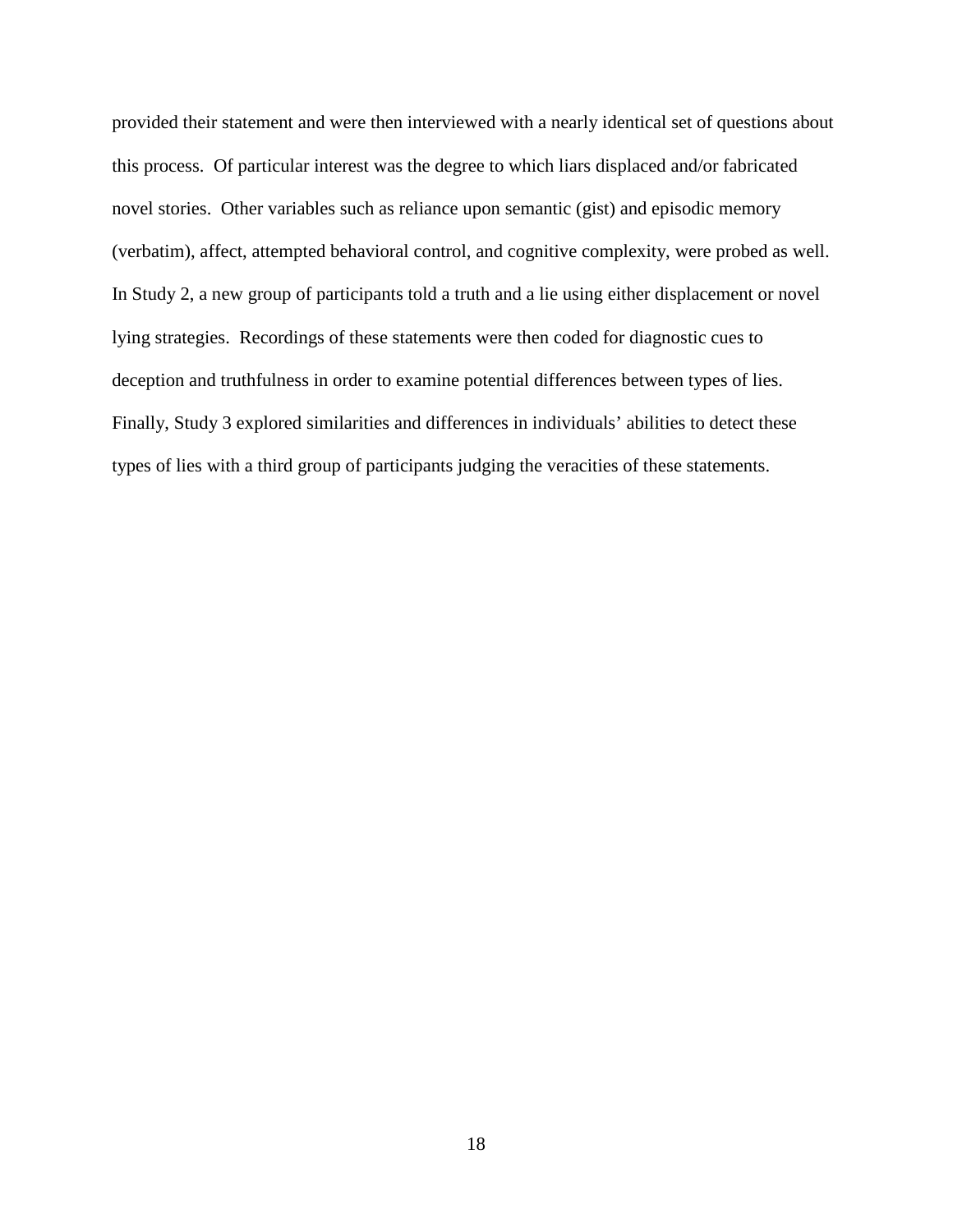provided their statement and were then interviewed with a nearly identical set of questions about this process. Of particular interest was the degree to which liars displaced and/or fabricated novel stories. Other variables such as reliance upon semantic (gist) and episodic memory (verbatim), affect, attempted behavioral control, and cognitive complexity, were probed as well. In Study 2, a new group of participants told a truth and a lie using either displacement or novel lying strategies. Recordings of these statements were then coded for diagnostic cues to deception and truthfulness in order to examine potential differences between types of lies. Finally, Study 3 explored similarities and differences in individuals' abilities to detect these types of lies with a third group of participants judging the veracities of these statements.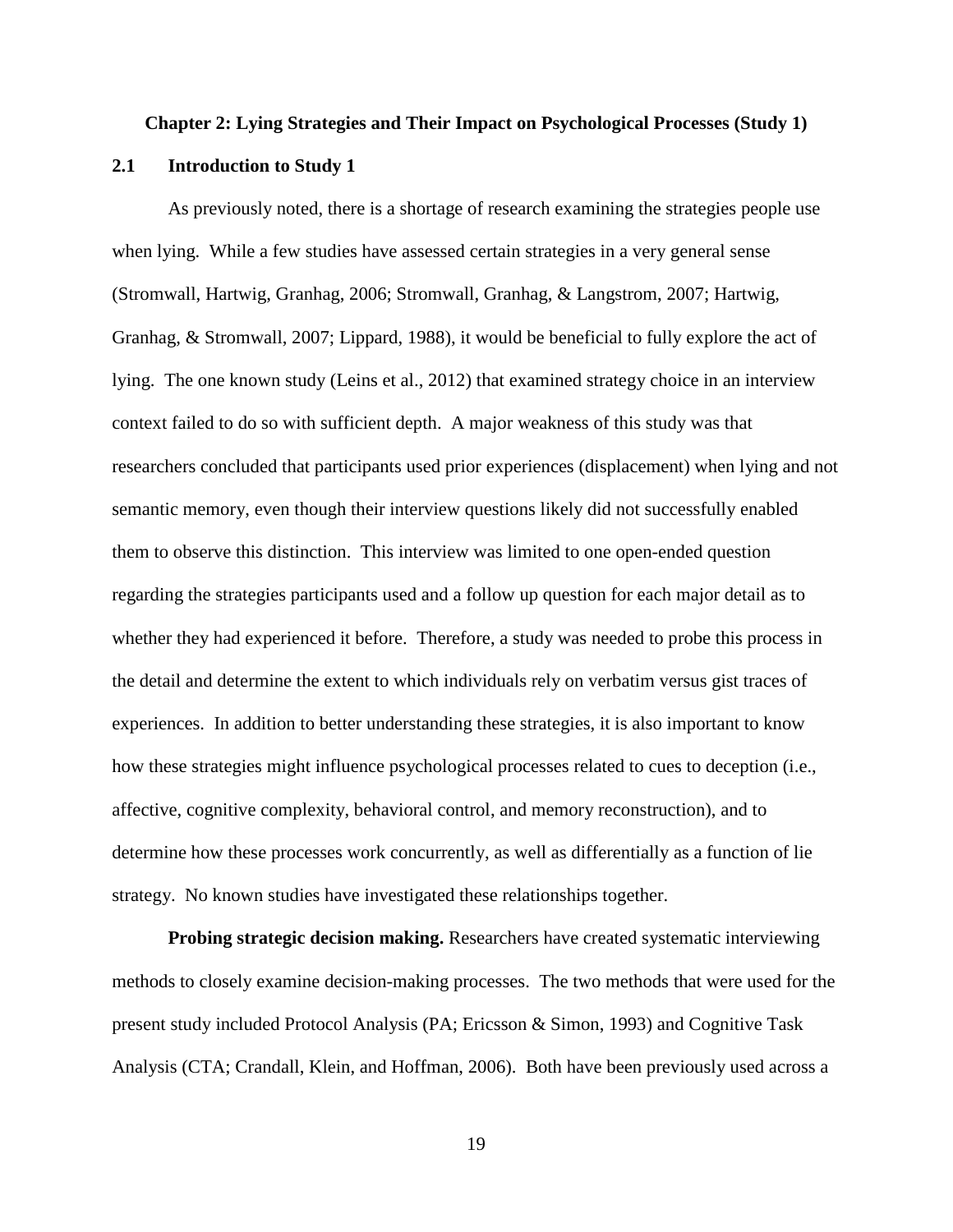#### **Chapter 2: Lying Strategies and Their Impact on Psychological Processes (Study 1)**

### **2.1 Introduction to Study 1**

As previously noted, there is a shortage of research examining the strategies people use when lying. While a few studies have assessed certain strategies in a very general sense (Stromwall, Hartwig, Granhag, 2006; Stromwall, Granhag, & Langstrom, 2007; Hartwig, Granhag, & Stromwall, 2007; Lippard, 1988), it would be beneficial to fully explore the act of lying. The one known study (Leins et al., 2012) that examined strategy choice in an interview context failed to do so with sufficient depth. A major weakness of this study was that researchers concluded that participants used prior experiences (displacement) when lying and not semantic memory, even though their interview questions likely did not successfully enabled them to observe this distinction. This interview was limited to one open-ended question regarding the strategies participants used and a follow up question for each major detail as to whether they had experienced it before. Therefore, a study was needed to probe this process in the detail and determine the extent to which individuals rely on verbatim versus gist traces of experiences. In addition to better understanding these strategies, it is also important to know how these strategies might influence psychological processes related to cues to deception (i.e., affective, cognitive complexity, behavioral control, and memory reconstruction), and to determine how these processes work concurrently, as well as differentially as a function of lie strategy. No known studies have investigated these relationships together.

**Probing strategic decision making.** Researchers have created systematic interviewing methods to closely examine decision-making processes. The two methods that were used for the present study included Protocol Analysis (PA; Ericsson & Simon, 1993) and Cognitive Task Analysis (CTA; Crandall, Klein, and Hoffman, 2006). Both have been previously used across a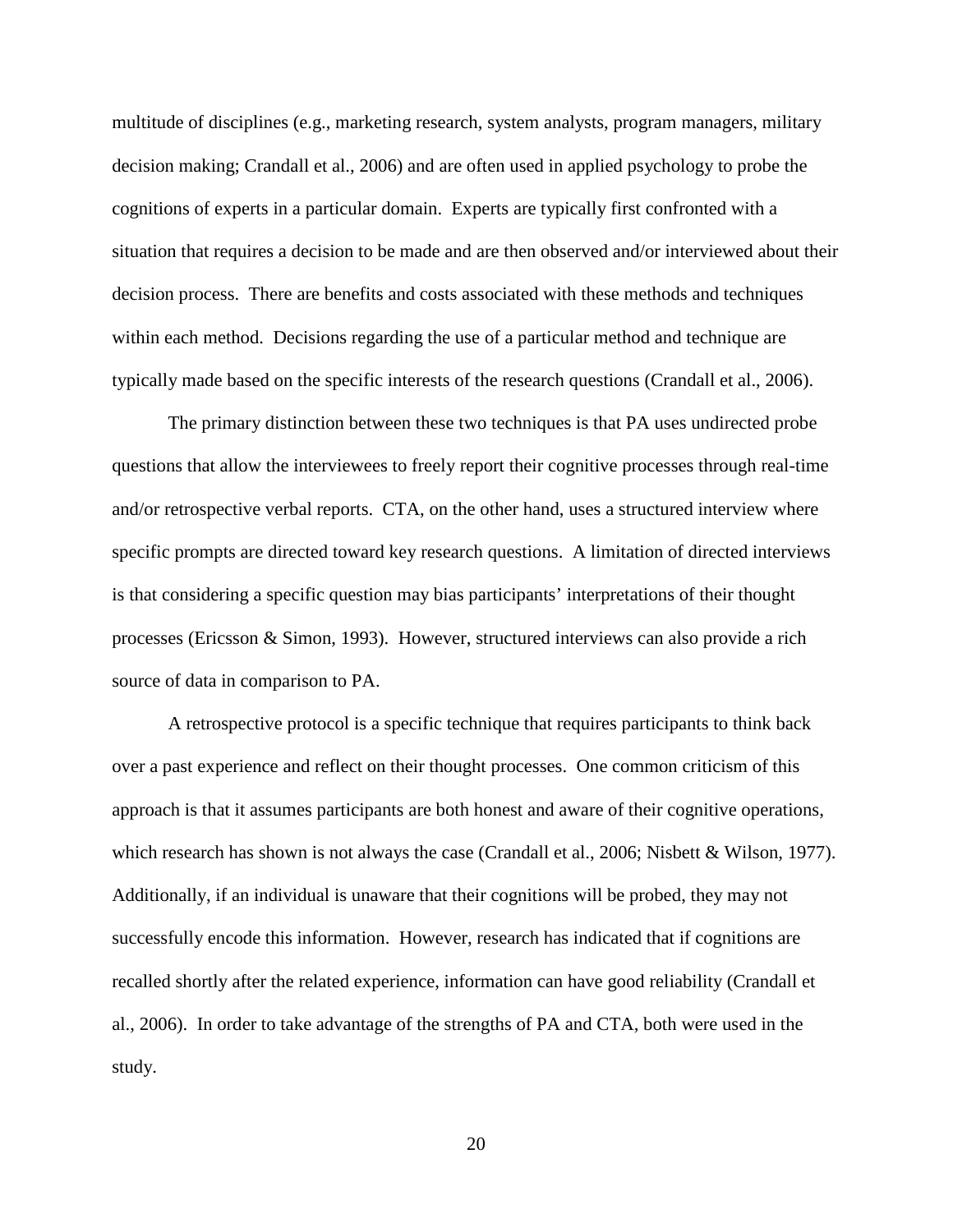multitude of disciplines (e.g., marketing research, system analysts, program managers, military decision making; Crandall et al., 2006) and are often used in applied psychology to probe the cognitions of experts in a particular domain. Experts are typically first confronted with a situation that requires a decision to be made and are then observed and/or interviewed about their decision process. There are benefits and costs associated with these methods and techniques within each method. Decisions regarding the use of a particular method and technique are typically made based on the specific interests of the research questions (Crandall et al., 2006).

The primary distinction between these two techniques is that PA uses undirected probe questions that allow the interviewees to freely report their cognitive processes through real-time and/or retrospective verbal reports. CTA, on the other hand, uses a structured interview where specific prompts are directed toward key research questions. A limitation of directed interviews is that considering a specific question may bias participants' interpretations of their thought processes (Ericsson & Simon, 1993). However, structured interviews can also provide a rich source of data in comparison to PA.

A retrospective protocol is a specific technique that requires participants to think back over a past experience and reflect on their thought processes. One common criticism of this approach is that it assumes participants are both honest and aware of their cognitive operations, which research has shown is not always the case (Crandall et al., 2006; Nisbett & Wilson, 1977). Additionally, if an individual is unaware that their cognitions will be probed, they may not successfully encode this information. However, research has indicated that if cognitions are recalled shortly after the related experience, information can have good reliability (Crandall et al., 2006). In order to take advantage of the strengths of PA and CTA, both were used in the study.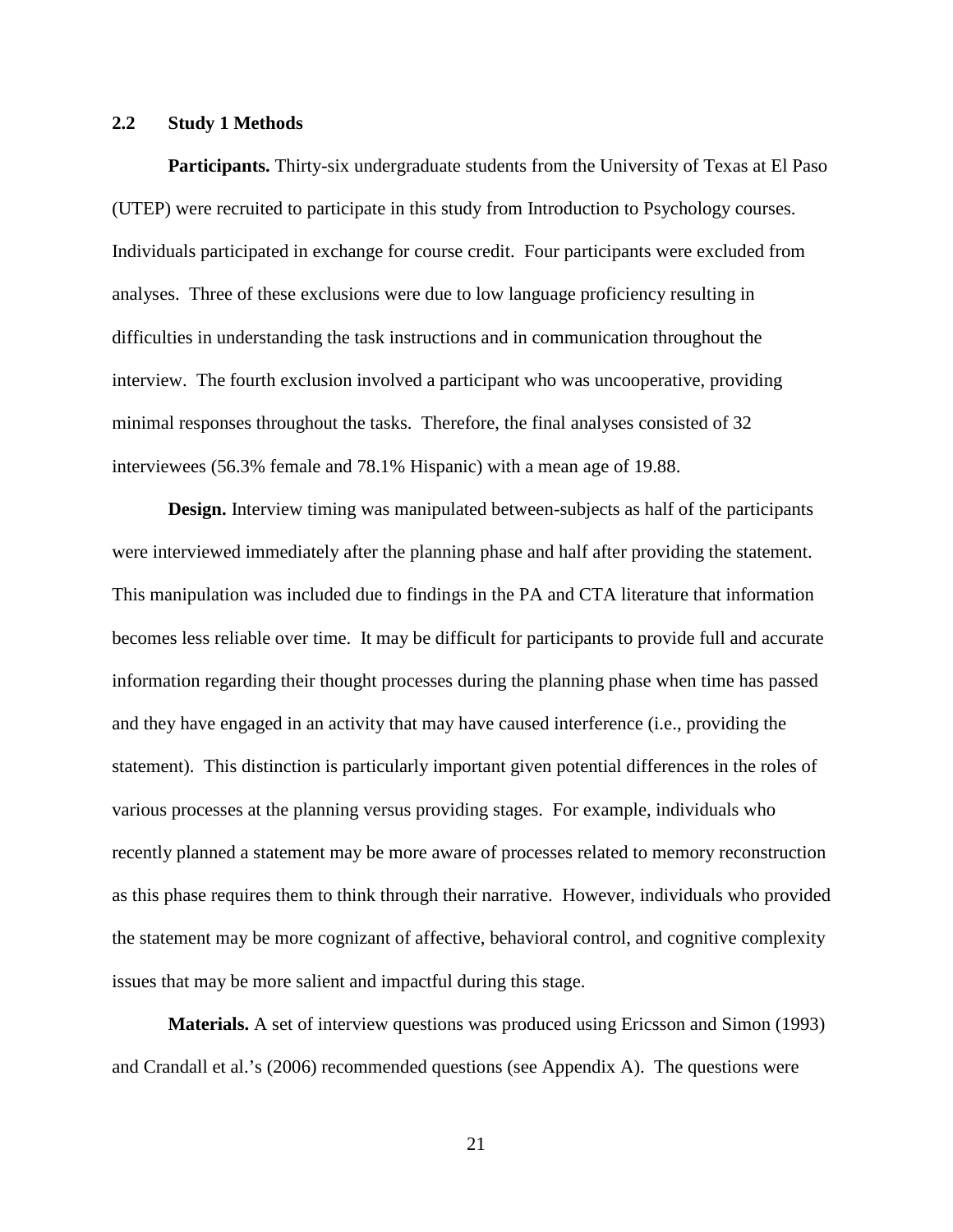### **2.2 Study 1 Methods**

**Participants.** Thirty-six undergraduate students from the University of Texas at El Paso (UTEP) were recruited to participate in this study from Introduction to Psychology courses. Individuals participated in exchange for course credit. Four participants were excluded from analyses. Three of these exclusions were due to low language proficiency resulting in difficulties in understanding the task instructions and in communication throughout the interview. The fourth exclusion involved a participant who was uncooperative, providing minimal responses throughout the tasks. Therefore, the final analyses consisted of 32 interviewees (56.3% female and 78.1% Hispanic) with a mean age of 19.88.

**Design.** Interview timing was manipulated between-subjects as half of the participants were interviewed immediately after the planning phase and half after providing the statement. This manipulation was included due to findings in the PA and CTA literature that information becomes less reliable over time. It may be difficult for participants to provide full and accurate information regarding their thought processes during the planning phase when time has passed and they have engaged in an activity that may have caused interference (i.e., providing the statement). This distinction is particularly important given potential differences in the roles of various processes at the planning versus providing stages. For example, individuals who recently planned a statement may be more aware of processes related to memory reconstruction as this phase requires them to think through their narrative. However, individuals who provided the statement may be more cognizant of affective, behavioral control, and cognitive complexity issues that may be more salient and impactful during this stage.

**Materials.** A set of interview questions was produced using Ericsson and Simon (1993) and Crandall et al.'s (2006) recommended questions (see Appendix A). The questions were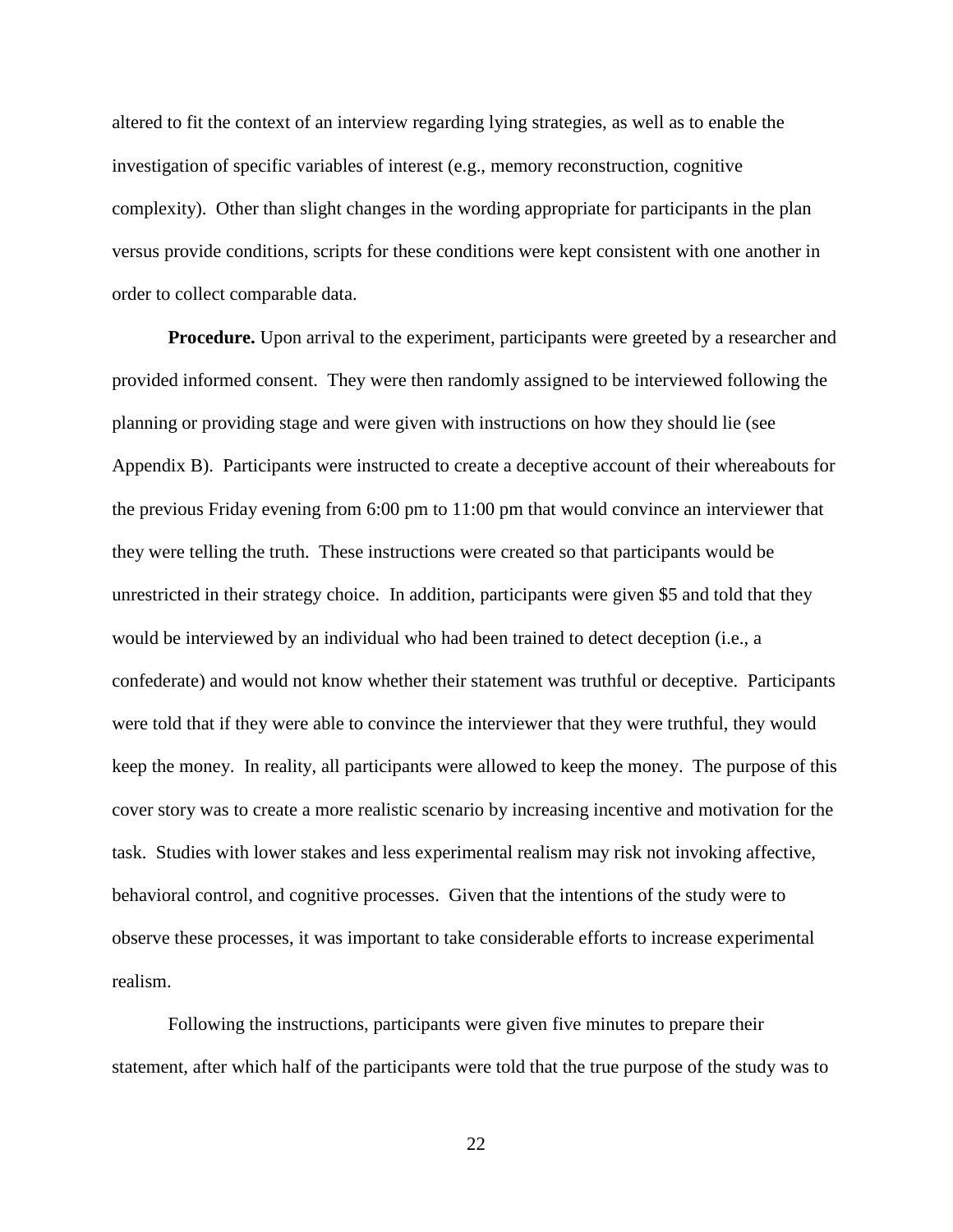altered to fit the context of an interview regarding lying strategies, as well as to enable the investigation of specific variables of interest (e.g., memory reconstruction, cognitive complexity). Other than slight changes in the wording appropriate for participants in the plan versus provide conditions, scripts for these conditions were kept consistent with one another in order to collect comparable data.

**Procedure.** Upon arrival to the experiment, participants were greeted by a researcher and provided informed consent. They were then randomly assigned to be interviewed following the planning or providing stage and were given with instructions on how they should lie (see Appendix B). Participants were instructed to create a deceptive account of their whereabouts for the previous Friday evening from 6:00 pm to 11:00 pm that would convince an interviewer that they were telling the truth. These instructions were created so that participants would be unrestricted in their strategy choice. In addition, participants were given \$5 and told that they would be interviewed by an individual who had been trained to detect deception (i.e., a confederate) and would not know whether their statement was truthful or deceptive. Participants were told that if they were able to convince the interviewer that they were truthful, they would keep the money. In reality, all participants were allowed to keep the money. The purpose of this cover story was to create a more realistic scenario by increasing incentive and motivation for the task. Studies with lower stakes and less experimental realism may risk not invoking affective, behavioral control, and cognitive processes. Given that the intentions of the study were to observe these processes, it was important to take considerable efforts to increase experimental realism.

Following the instructions, participants were given five minutes to prepare their statement, after which half of the participants were told that the true purpose of the study was to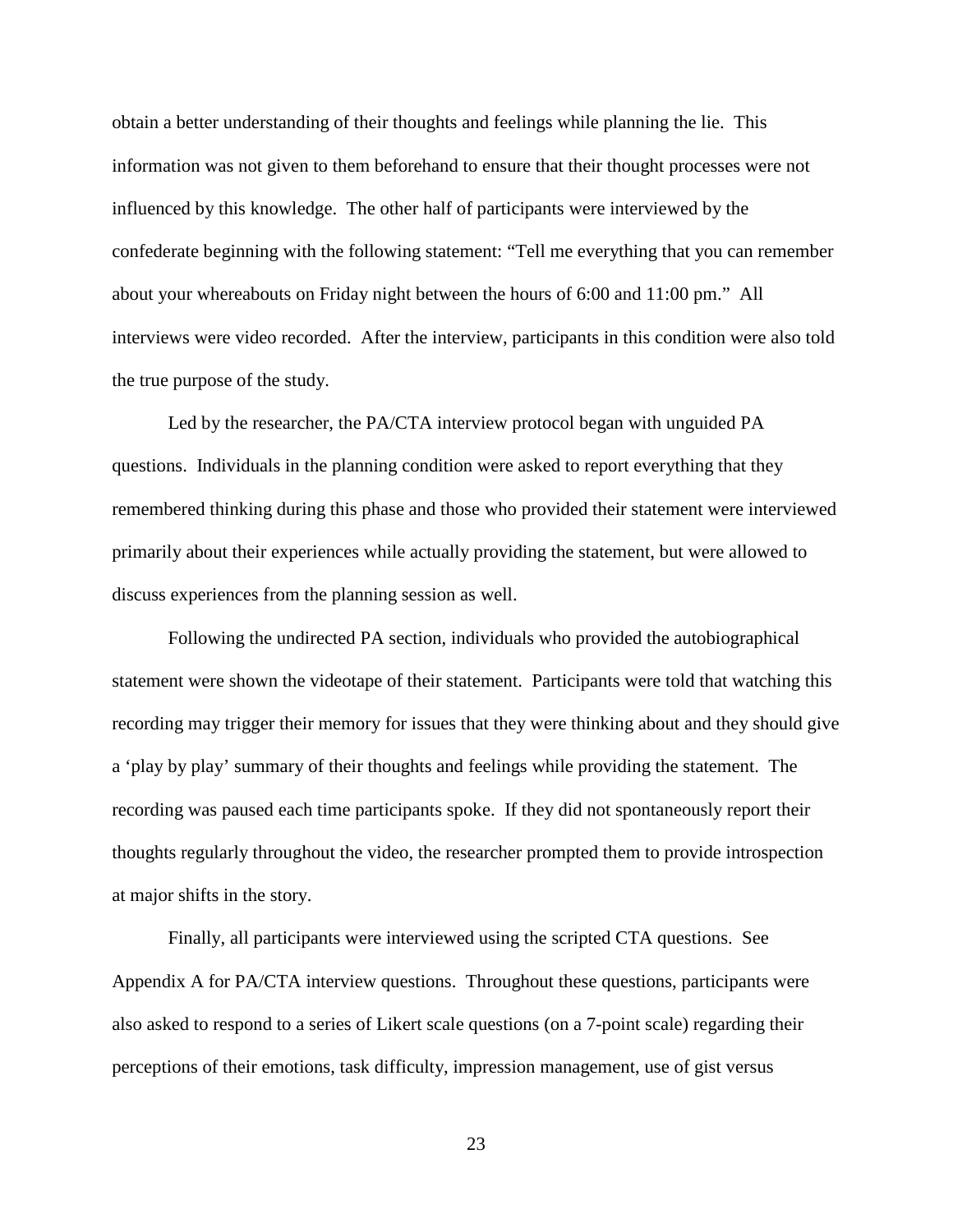obtain a better understanding of their thoughts and feelings while planning the lie. This information was not given to them beforehand to ensure that their thought processes were not influenced by this knowledge. The other half of participants were interviewed by the confederate beginning with the following statement: "Tell me everything that you can remember about your whereabouts on Friday night between the hours of 6:00 and 11:00 pm." All interviews were video recorded. After the interview, participants in this condition were also told the true purpose of the study.

Led by the researcher, the PA/CTA interview protocol began with unguided PA questions. Individuals in the planning condition were asked to report everything that they remembered thinking during this phase and those who provided their statement were interviewed primarily about their experiences while actually providing the statement, but were allowed to discuss experiences from the planning session as well.

Following the undirected PA section, individuals who provided the autobiographical statement were shown the videotape of their statement. Participants were told that watching this recording may trigger their memory for issues that they were thinking about and they should give a 'play by play' summary of their thoughts and feelings while providing the statement. The recording was paused each time participants spoke. If they did not spontaneously report their thoughts regularly throughout the video, the researcher prompted them to provide introspection at major shifts in the story.

Finally, all participants were interviewed using the scripted CTA questions. See Appendix A for PA/CTA interview questions. Throughout these questions, participants were also asked to respond to a series of Likert scale questions (on a 7-point scale) regarding their perceptions of their emotions, task difficulty, impression management, use of gist versus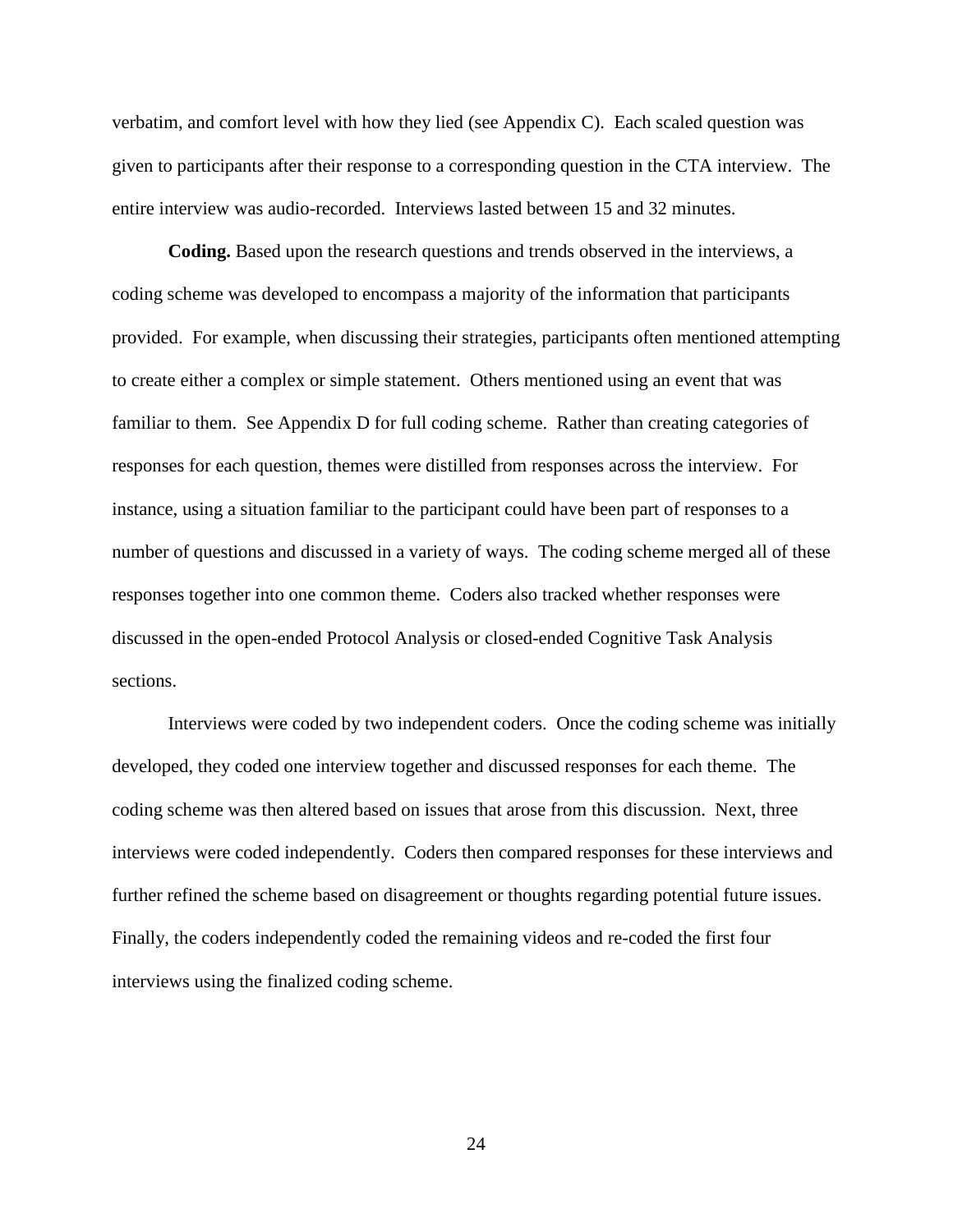verbatim, and comfort level with how they lied (see Appendix C). Each scaled question was given to participants after their response to a corresponding question in the CTA interview. The entire interview was audio-recorded. Interviews lasted between 15 and 32 minutes.

**Coding.** Based upon the research questions and trends observed in the interviews, a coding scheme was developed to encompass a majority of the information that participants provided. For example, when discussing their strategies, participants often mentioned attempting to create either a complex or simple statement. Others mentioned using an event that was familiar to them. See Appendix D for full coding scheme. Rather than creating categories of responses for each question, themes were distilled from responses across the interview. For instance, using a situation familiar to the participant could have been part of responses to a number of questions and discussed in a variety of ways. The coding scheme merged all of these responses together into one common theme. Coders also tracked whether responses were discussed in the open-ended Protocol Analysis or closed-ended Cognitive Task Analysis sections.

Interviews were coded by two independent coders. Once the coding scheme was initially developed, they coded one interview together and discussed responses for each theme. The coding scheme was then altered based on issues that arose from this discussion. Next, three interviews were coded independently. Coders then compared responses for these interviews and further refined the scheme based on disagreement or thoughts regarding potential future issues. Finally, the coders independently coded the remaining videos and re-coded the first four interviews using the finalized coding scheme.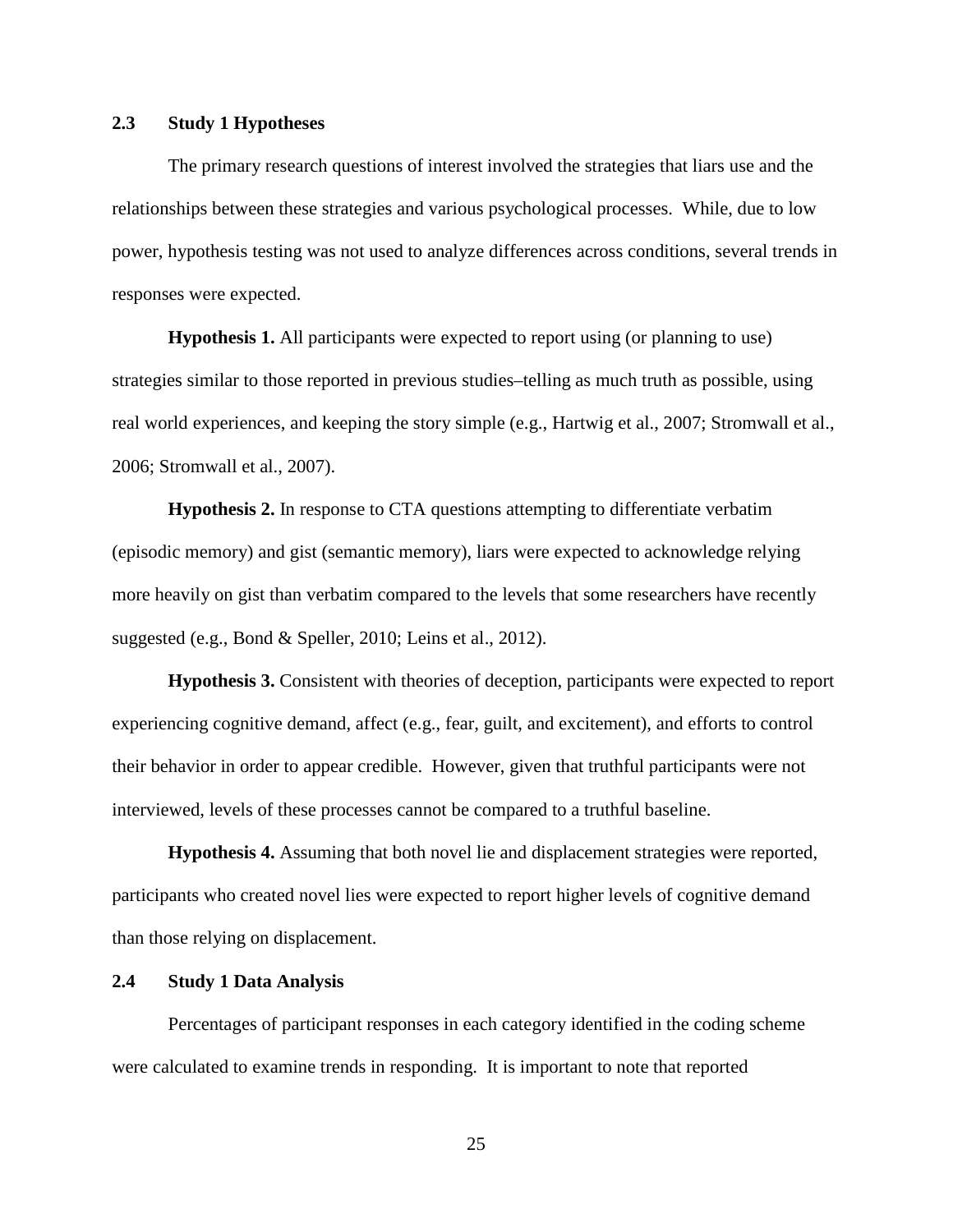### **2.3 Study 1 Hypotheses**

The primary research questions of interest involved the strategies that liars use and the relationships between these strategies and various psychological processes. While, due to low power, hypothesis testing was not used to analyze differences across conditions, several trends in responses were expected.

**Hypothesis 1.** All participants were expected to report using (or planning to use) strategies similar to those reported in previous studies–telling as much truth as possible, using real world experiences, and keeping the story simple (e.g., Hartwig et al., 2007; Stromwall et al., 2006; Stromwall et al., 2007).

**Hypothesis 2.** In response to CTA questions attempting to differentiate verbatim (episodic memory) and gist (semantic memory), liars were expected to acknowledge relying more heavily on gist than verbatim compared to the levels that some researchers have recently suggested (e.g., Bond & Speller, 2010; Leins et al., 2012).

**Hypothesis 3.** Consistent with theories of deception, participants were expected to report experiencing cognitive demand, affect (e.g., fear, guilt, and excitement), and efforts to control their behavior in order to appear credible. However, given that truthful participants were not interviewed, levels of these processes cannot be compared to a truthful baseline.

**Hypothesis 4.** Assuming that both novel lie and displacement strategies were reported, participants who created novel lies were expected to report higher levels of cognitive demand than those relying on displacement.

### **2.4 Study 1 Data Analysis**

Percentages of participant responses in each category identified in the coding scheme were calculated to examine trends in responding. It is important to note that reported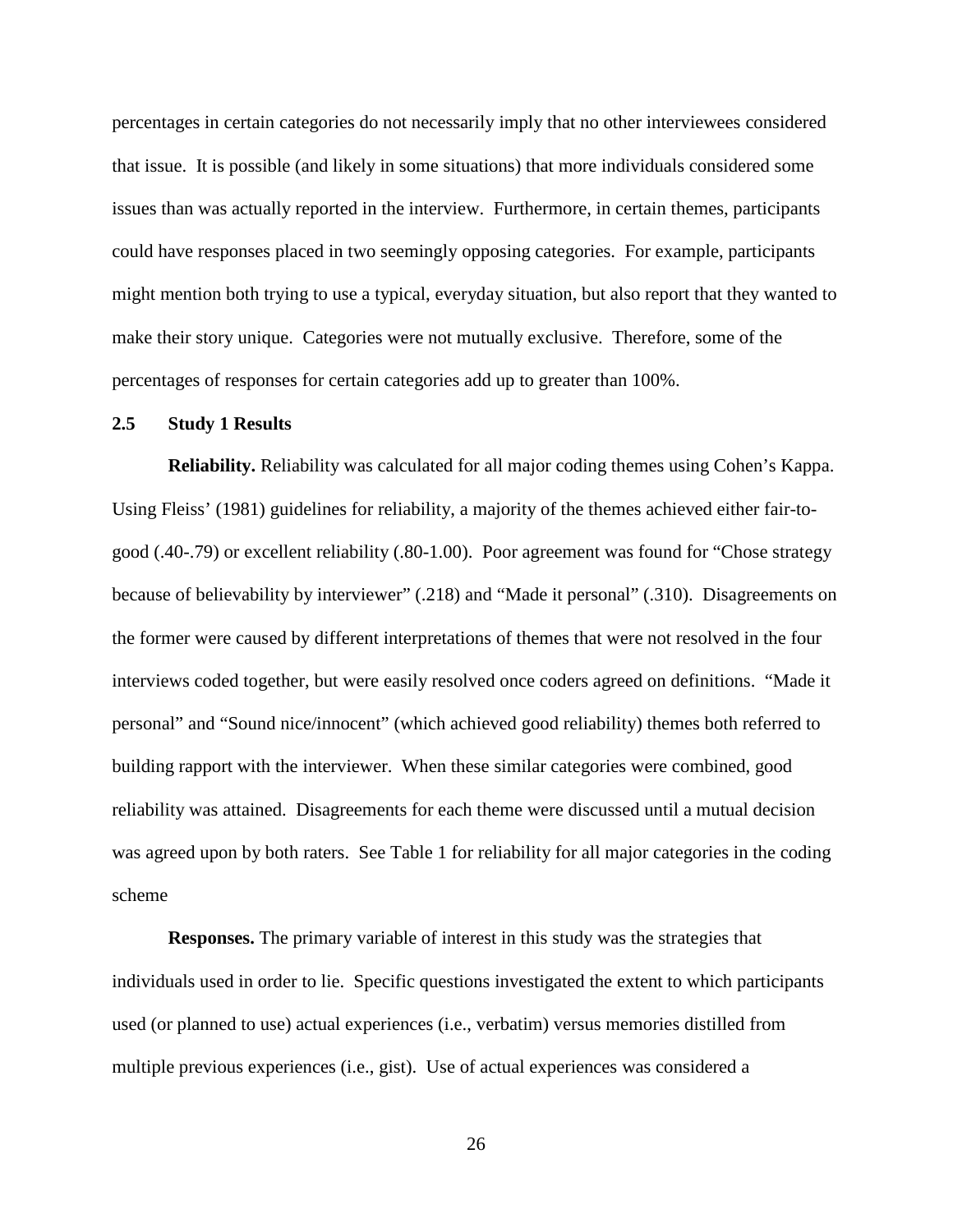percentages in certain categories do not necessarily imply that no other interviewees considered that issue. It is possible (and likely in some situations) that more individuals considered some issues than was actually reported in the interview. Furthermore, in certain themes, participants could have responses placed in two seemingly opposing categories. For example, participants might mention both trying to use a typical, everyday situation, but also report that they wanted to make their story unique. Categories were not mutually exclusive. Therefore, some of the percentages of responses for certain categories add up to greater than 100%.

## **2.5 Study 1 Results**

**Reliability.** Reliability was calculated for all major coding themes using Cohen's Kappa. Using Fleiss' (1981) guidelines for reliability, a majority of the themes achieved either fair-togood (.40-.79) or excellent reliability (.80-1.00). Poor agreement was found for "Chose strategy because of believability by interviewer" (.218) and "Made it personal" (.310). Disagreements on the former were caused by different interpretations of themes that were not resolved in the four interviews coded together, but were easily resolved once coders agreed on definitions. "Made it personal" and "Sound nice/innocent" (which achieved good reliability) themes both referred to building rapport with the interviewer. When these similar categories were combined, good reliability was attained. Disagreements for each theme were discussed until a mutual decision was agreed upon by both raters. See Table 1 for reliability for all major categories in the coding scheme

**Responses.** The primary variable of interest in this study was the strategies that individuals used in order to lie. Specific questions investigated the extent to which participants used (or planned to use) actual experiences (i.e., verbatim) versus memories distilled from multiple previous experiences (i.e., gist). Use of actual experiences was considered a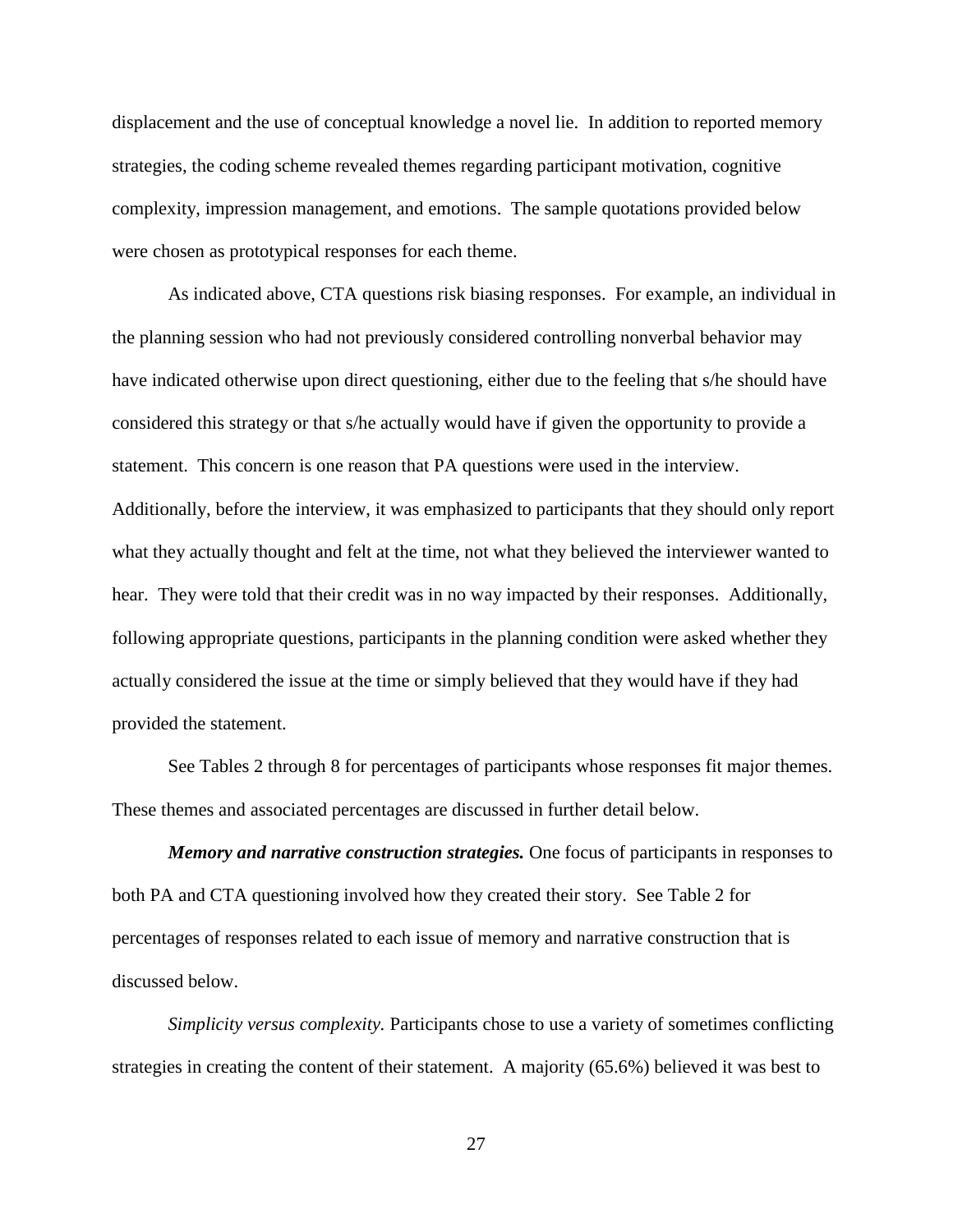displacement and the use of conceptual knowledge a novel lie. In addition to reported memory strategies, the coding scheme revealed themes regarding participant motivation, cognitive complexity, impression management, and emotions. The sample quotations provided below were chosen as prototypical responses for each theme.

As indicated above, CTA questions risk biasing responses. For example, an individual in the planning session who had not previously considered controlling nonverbal behavior may have indicated otherwise upon direct questioning, either due to the feeling that s/he should have considered this strategy or that s/he actually would have if given the opportunity to provide a statement. This concern is one reason that PA questions were used in the interview. Additionally, before the interview, it was emphasized to participants that they should only report what they actually thought and felt at the time, not what they believed the interviewer wanted to hear. They were told that their credit was in no way impacted by their responses. Additionally, following appropriate questions, participants in the planning condition were asked whether they actually considered the issue at the time or simply believed that they would have if they had provided the statement.

See Tables 2 through 8 for percentages of participants whose responses fit major themes. These themes and associated percentages are discussed in further detail below.

*Memory and narrative construction strategies.* One focus of participants in responses to both PA and CTA questioning involved how they created their story. See Table 2 for percentages of responses related to each issue of memory and narrative construction that is discussed below.

*Simplicity versus complexity.* Participants chose to use a variety of sometimes conflicting strategies in creating the content of their statement. A majority (65.6%) believed it was best to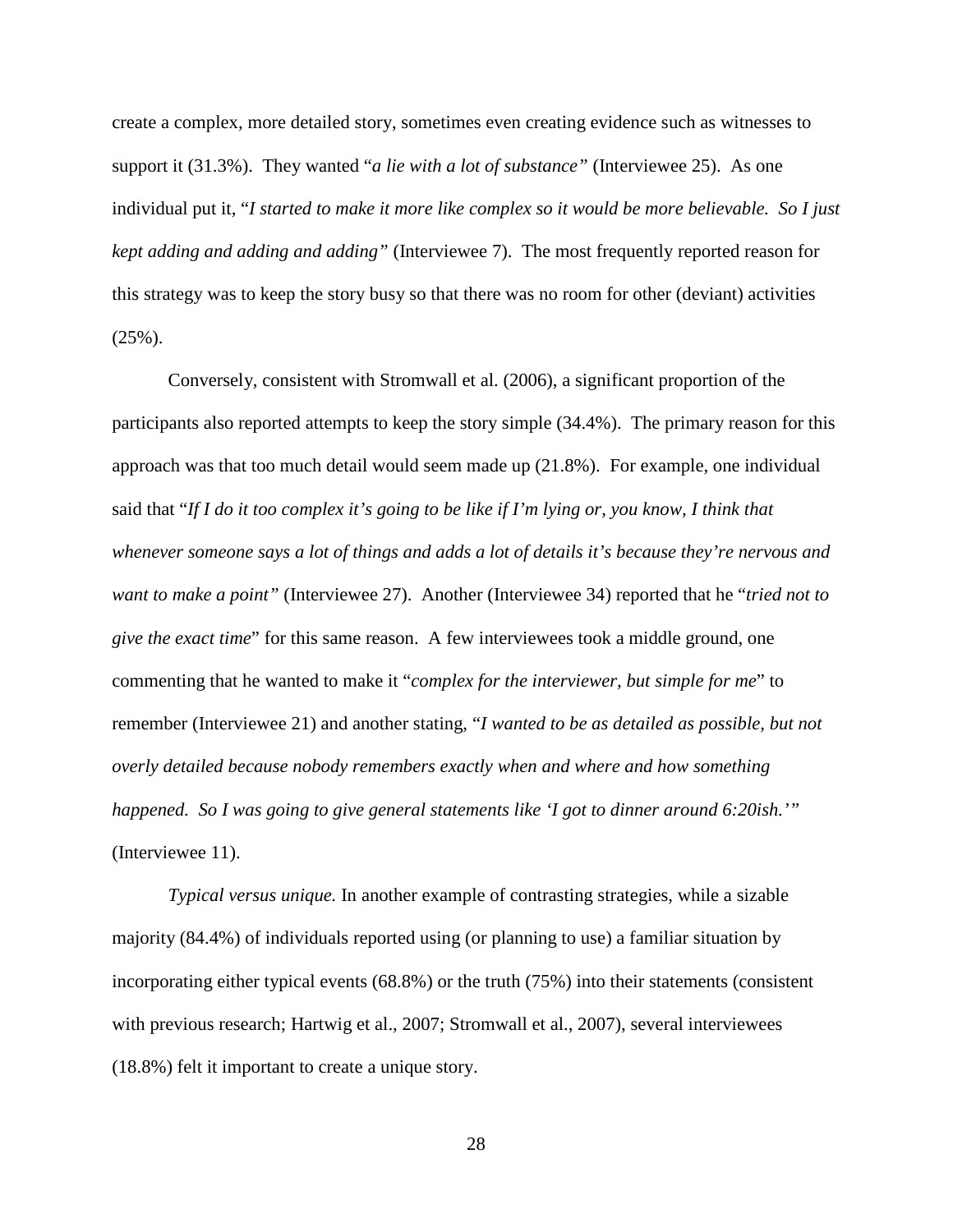create a complex, more detailed story, sometimes even creating evidence such as witnesses to support it (31.3%). They wanted "*a lie with a lot of substance"* (Interviewee 25). As one individual put it, "*I started to make it more like complex so it would be more believable. So I just kept adding and adding and adding"* (Interviewee 7). The most frequently reported reason for this strategy was to keep the story busy so that there was no room for other (deviant) activities  $(25\%)$ .

Conversely, consistent with Stromwall et al. (2006), a significant proportion of the participants also reported attempts to keep the story simple (34.4%). The primary reason for this approach was that too much detail would seem made up (21.8%). For example, one individual said that "*If I do it too complex it's going to be like if I'm lying or, you know, I think that whenever someone says a lot of things and adds a lot of details it's because they're nervous and want to make a point"* (Interviewee 27). Another (Interviewee 34) reported that he "*tried not to give the exact time*" for this same reason. A few interviewees took a middle ground, one commenting that he wanted to make it "*complex for the interviewer, but simple for me*" to remember (Interviewee 21) and another stating, "*I wanted to be as detailed as possible, but not overly detailed because nobody remembers exactly when and where and how something happened. So I was going to give general statements like 'I got to dinner around 6:20ish.'"* (Interviewee 11).

*Typical versus unique.* In another example of contrasting strategies, while a sizable majority (84.4%) of individuals reported using (or planning to use) a familiar situation by incorporating either typical events (68.8%) or the truth (75%) into their statements (consistent with previous research; Hartwig et al., 2007; Stromwall et al., 2007), several interviewees (18.8%) felt it important to create a unique story.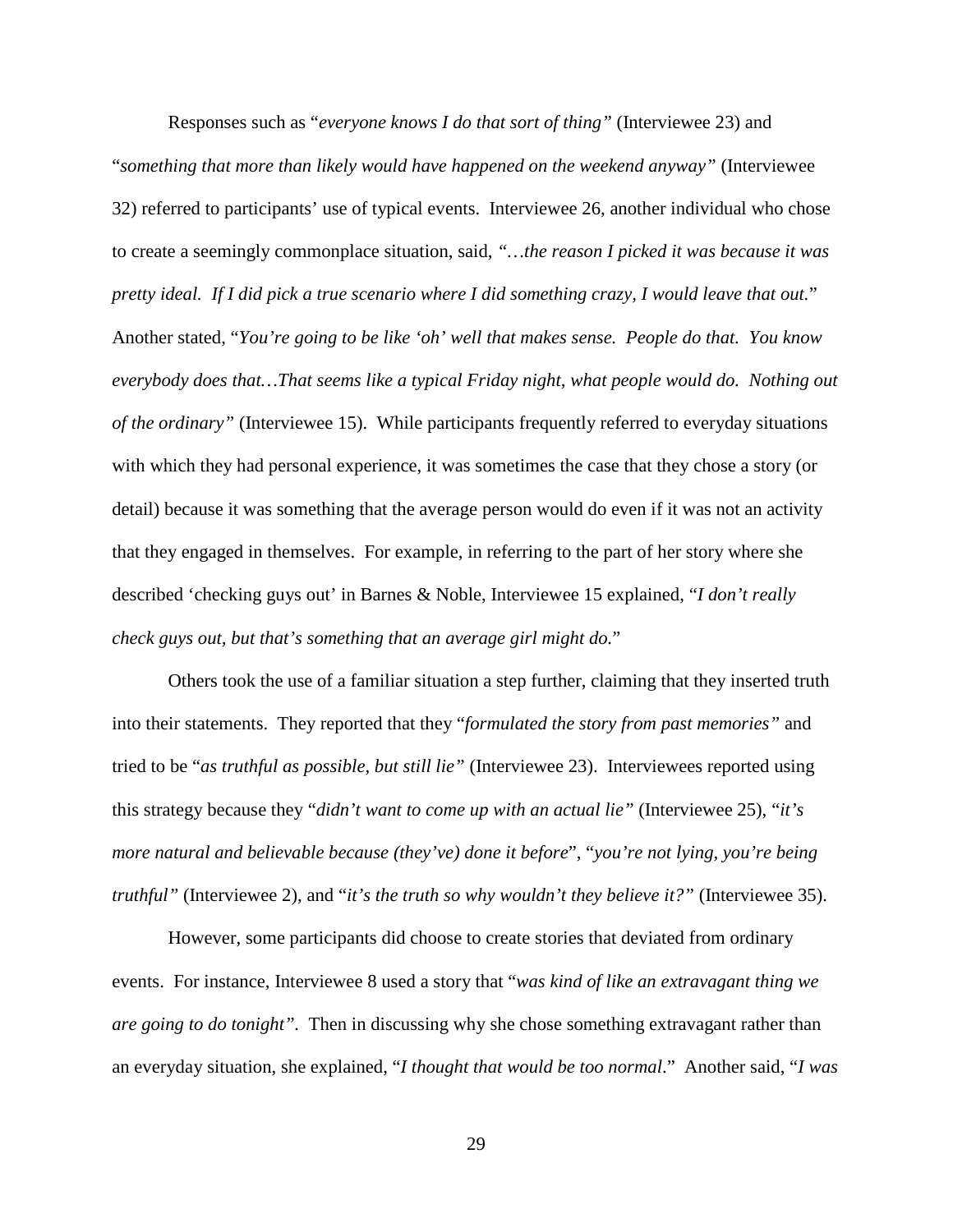Responses such as "*everyone knows I do that sort of thing"* (Interviewee 23) and "*something that more than likely would have happened on the weekend anyway"* (Interviewee 32) referred to participants' use of typical events. Interviewee 26, another individual who chose to create a seemingly commonplace situation, said, *"…the reason I picked it was because it was pretty ideal. If I did pick a true scenario where I did something crazy, I would leave that out.*" Another stated, "*You're going to be like 'oh' well that makes sense. People do that. You know everybody does that…That seems like a typical Friday night, what people would do. Nothing out of the ordinary"* (Interviewee 15). While participants frequently referred to everyday situations with which they had personal experience, it was sometimes the case that they chose a story (or detail) because it was something that the average person would do even if it was not an activity that they engaged in themselves. For example, in referring to the part of her story where she described 'checking guys out' in Barnes & Noble, Interviewee 15 explained, "*I don't really check guys out, but that's something that an average girl might do.*"

Others took the use of a familiar situation a step further, claiming that they inserted truth into their statements. They reported that they "*formulated the story from past memories"* and tried to be "*as truthful as possible, but still lie"* (Interviewee 23). Interviewees reported using this strategy because they "*didn't want to come up with an actual lie"* (Interviewee 25), "*it's more natural and believable because (they've) done it before*", "*you're not lying, you're being truthful"* (Interviewee 2), and "*it's the truth so why wouldn't they believe it?"* (Interviewee 35).

However, some participants did choose to create stories that deviated from ordinary events. For instance, Interviewee 8 used a story that "*was kind of like an extravagant thing we are going to do tonight".* Then in discussing why she chose something extravagant rather than an everyday situation, she explained, "*I thought that would be too normal*." Another said, "*I was*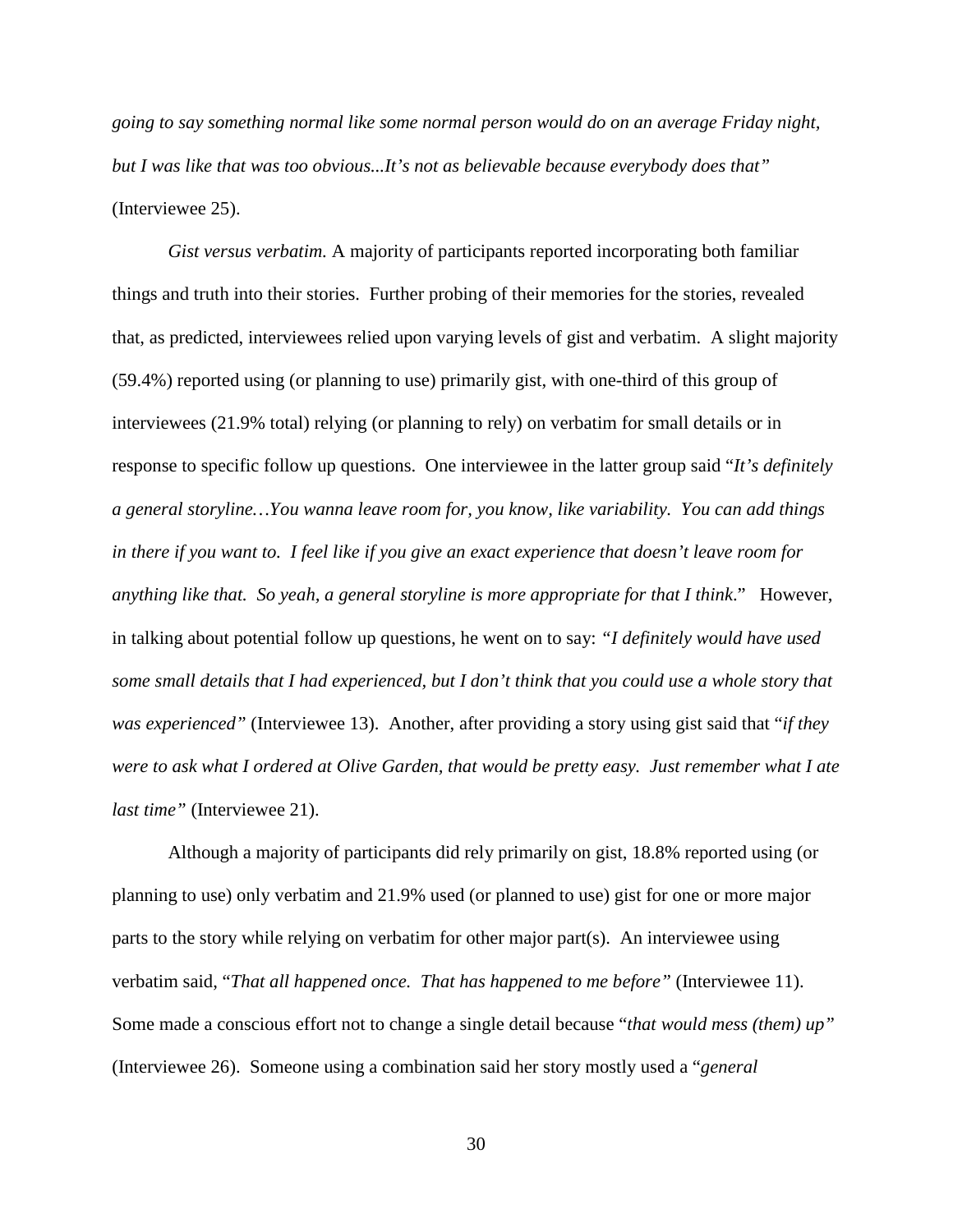*going to say something normal like some normal person would do on an average Friday night, but I was like that was too obvious...It's not as believable because everybody does that"* (Interviewee 25).

*Gist versus verbatim.* A majority of participants reported incorporating both familiar things and truth into their stories. Further probing of their memories for the stories, revealed that, as predicted, interviewees relied upon varying levels of gist and verbatim. A slight majority (59.4%) reported using (or planning to use) primarily gist, with one-third of this group of interviewees (21.9% total) relying (or planning to rely) on verbatim for small details or in response to specific follow up questions. One interviewee in the latter group said "*It's definitely a general storyline…You wanna leave room for, you know, like variability. You can add things in there if you want to. I feel like if you give an exact experience that doesn't leave room for anything like that. So yeah, a general storyline is more appropriate for that I think*." However, in talking about potential follow up questions, he went on to say: *"I definitely would have used some small details that I had experienced, but I don't think that you could use a whole story that was experienced"* (Interviewee 13). Another, after providing a story using gist said that "*if they were to ask what I ordered at Olive Garden, that would be pretty easy. Just remember what I ate last time"* (Interviewee 21).

Although a majority of participants did rely primarily on gist, 18.8% reported using (or planning to use) only verbatim and 21.9% used (or planned to use) gist for one or more major parts to the story while relying on verbatim for other major part(s). An interviewee using verbatim said, "*That all happened once. That has happened to me before"* (Interviewee 11). Some made a conscious effort not to change a single detail because "*that would mess (them) up"* (Interviewee 26). Someone using a combination said her story mostly used a "*general*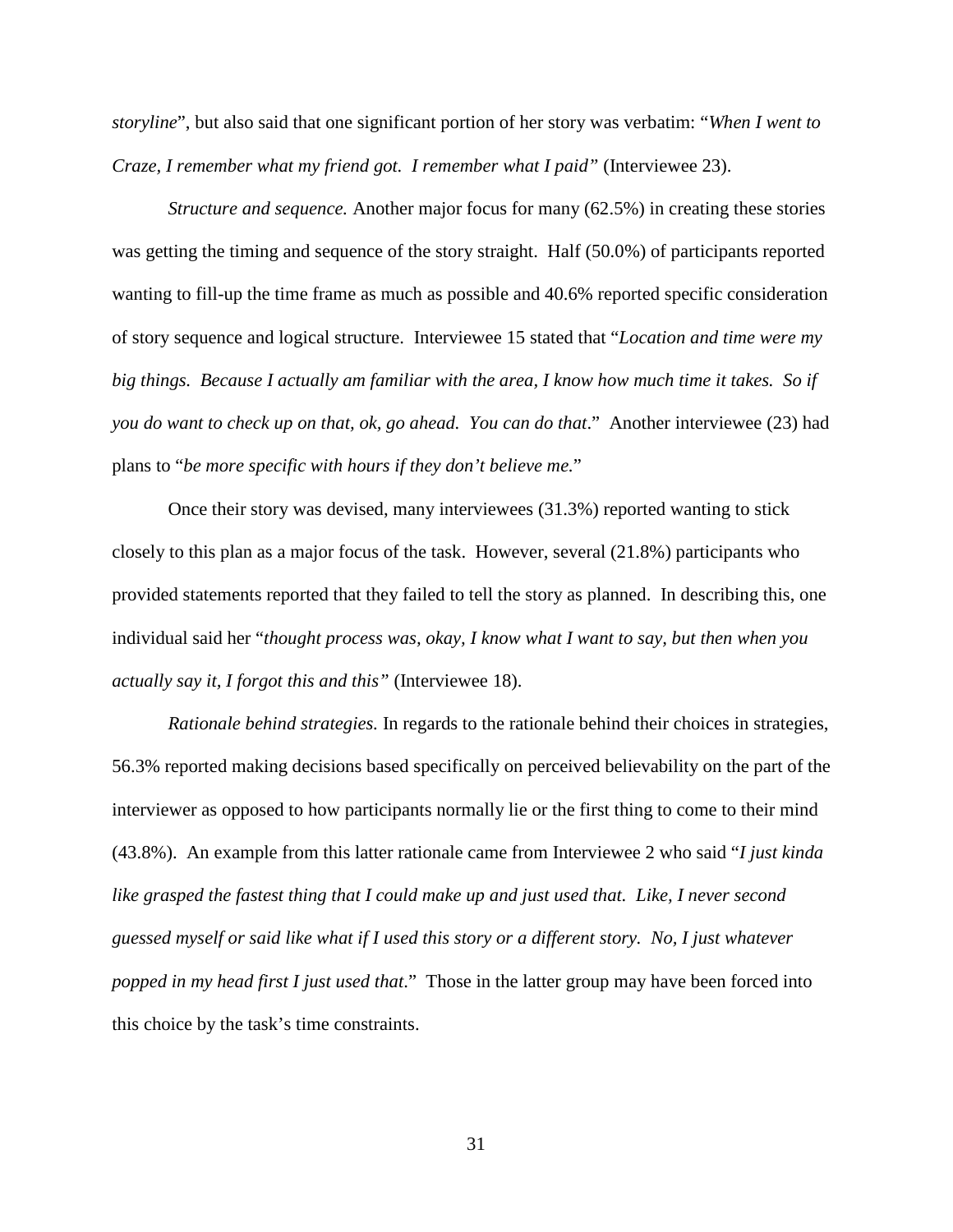*storyline*", but also said that one significant portion of her story was verbatim: "*When I went to Craze, I remember what my friend got. I remember what I paid"* (Interviewee 23).

*Structure and sequence.* Another major focus for many (62.5%) in creating these stories was getting the timing and sequence of the story straight. Half (50.0%) of participants reported wanting to fill-up the time frame as much as possible and 40.6% reported specific consideration of story sequence and logical structure. Interviewee 15 stated that "*Location and time were my big things. Because I actually am familiar with the area, I know how much time it takes. So if you do want to check up on that, ok, go ahead. You can do that*." Another interviewee (23) had plans to "*be more specific with hours if they don't believe me.*"

Once their story was devised, many interviewees (31.3%) reported wanting to stick closely to this plan as a major focus of the task. However, several (21.8%) participants who provided statements reported that they failed to tell the story as planned. In describing this, one individual said her "*thought process was, okay, I know what I want to say, but then when you actually say it, I forgot this and this"* (Interviewee 18).

*Rationale behind strategies.* In regards to the rationale behind their choices in strategies, 56.3% reported making decisions based specifically on perceived believability on the part of the interviewer as opposed to how participants normally lie or the first thing to come to their mind (43.8%). An example from this latter rationale came from Interviewee 2 who said "*I just kinda like grasped the fastest thing that I could make up and just used that. Like, I never second guessed myself or said like what if I used this story or a different story. No, I just whatever popped in my head first I just used that*." Those in the latter group may have been forced into this choice by the task's time constraints.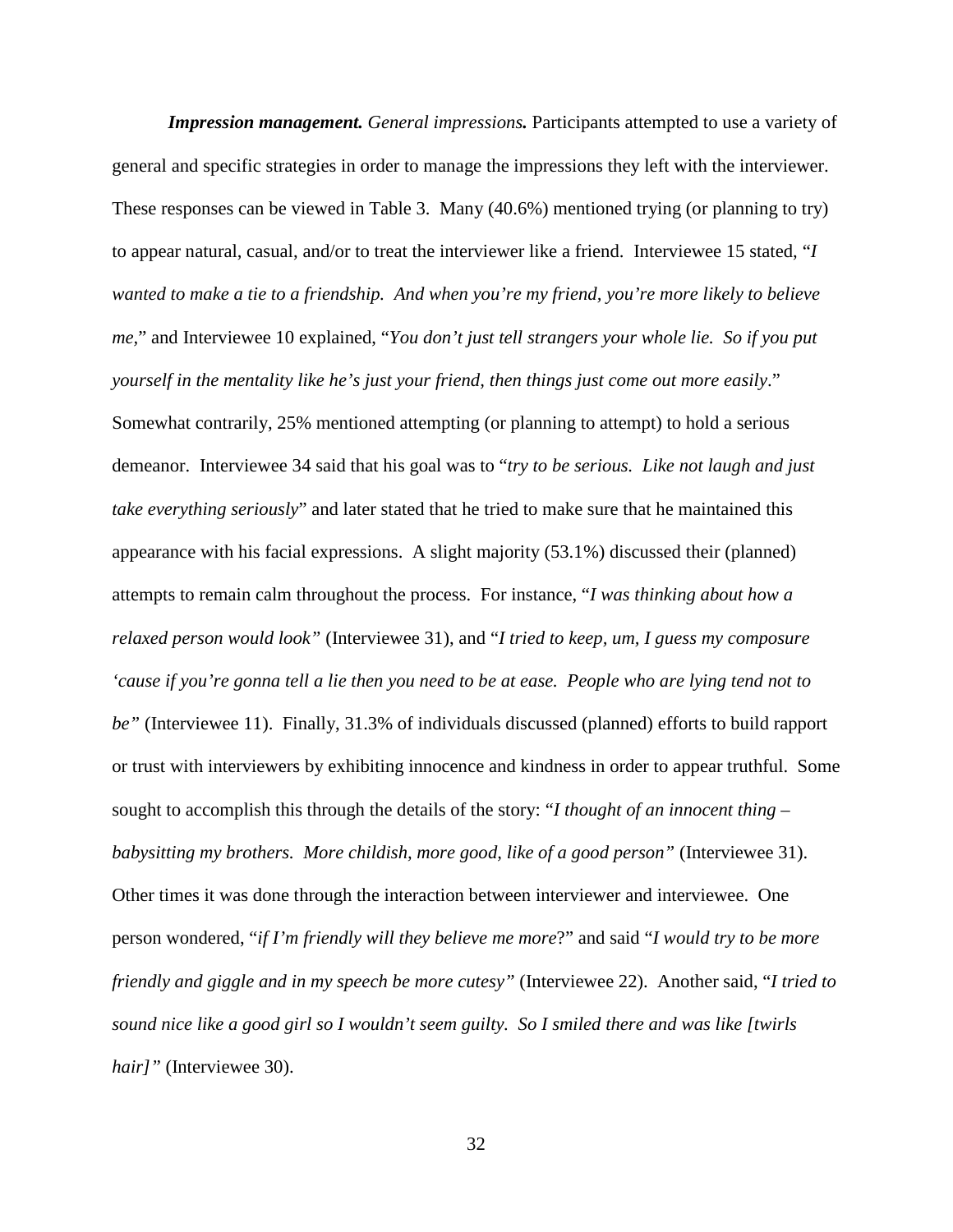*Impression management. General impressions.* Participants attempted to use a variety of general and specific strategies in order to manage the impressions they left with the interviewer. These responses can be viewed in Table 3. Many (40.6%) mentioned trying (or planning to try) to appear natural, casual, and/or to treat the interviewer like a friend. Interviewee 15 stated, "*I wanted to make a tie to a friendship. And when you're my friend, you're more likely to believe me,*" and Interviewee 10 explained, "*You don't just tell strangers your whole lie. So if you put yourself in the mentality like he's just your friend, then things just come out more easily*." Somewhat contrarily, 25% mentioned attempting (or planning to attempt) to hold a serious demeanor. Interviewee 34 said that his goal was to "*try to be serious. Like not laugh and just take everything seriously*" and later stated that he tried to make sure that he maintained this appearance with his facial expressions. A slight majority (53.1%) discussed their (planned) attempts to remain calm throughout the process. For instance, "*I was thinking about how a relaxed person would look"* (Interviewee 31), and "*I tried to keep, um, I guess my composure 'cause if you're gonna tell a lie then you need to be at ease. People who are lying tend not to be"* (Interviewee 11). Finally, 31.3% of individuals discussed (planned) efforts to build rapport or trust with interviewers by exhibiting innocence and kindness in order to appear truthful. Some sought to accomplish this through the details of the story: "*I thought of an innocent thing – babysitting my brothers. More childish, more good, like of a good person"* (Interviewee 31). Other times it was done through the interaction between interviewer and interviewee. One person wondered, "*if I'm friendly will they believe me more*?" and said "*I would try to be more friendly and giggle and in my speech be more cutesy"* (Interviewee 22). Another said, "*I tried to sound nice like a good girl so I wouldn't seem guilty. So I smiled there and was like [twirls hair]"* (Interviewee 30).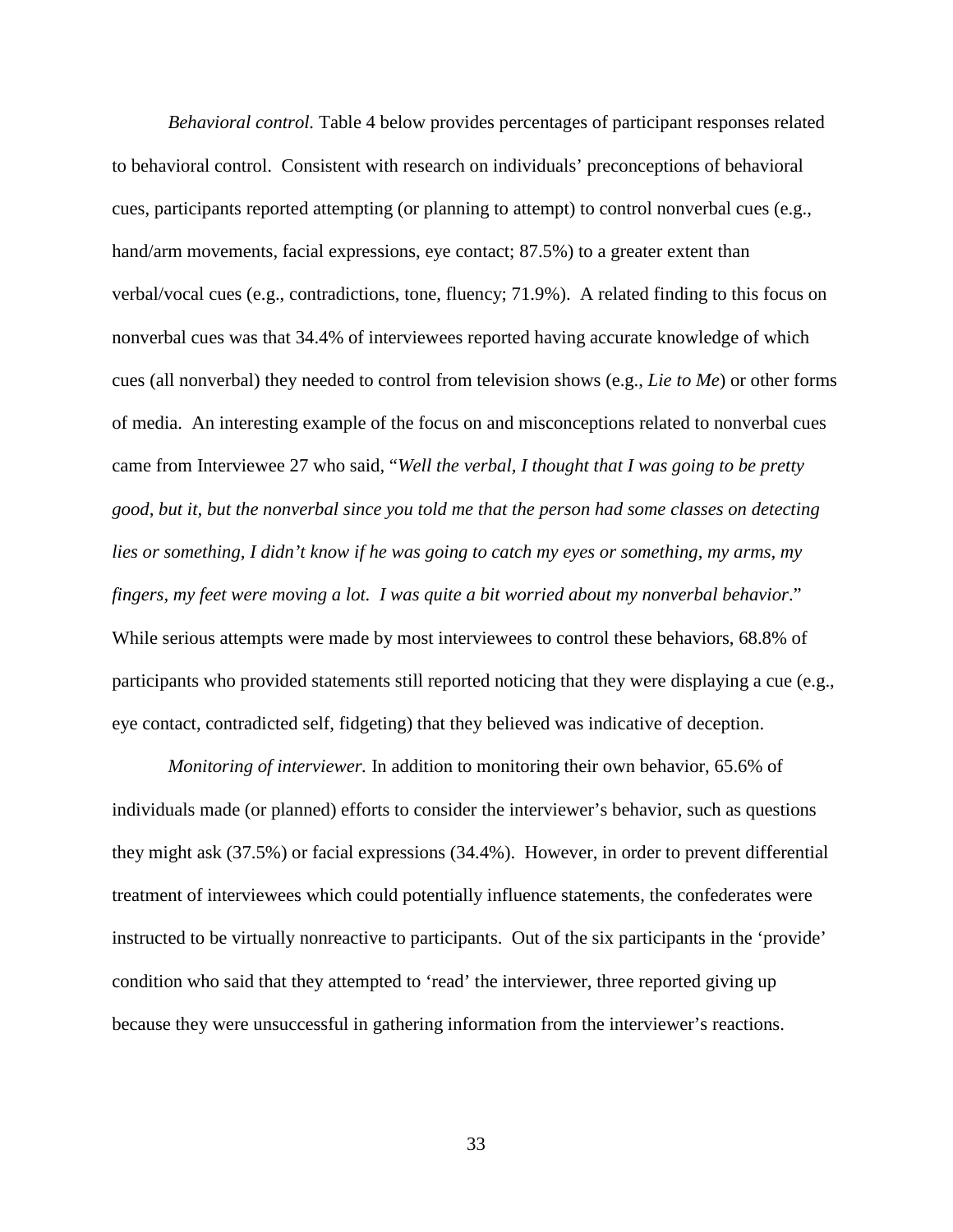*Behavioral control.* Table 4 below provides percentages of participant responses related to behavioral control. Consistent with research on individuals' preconceptions of behavioral cues, participants reported attempting (or planning to attempt) to control nonverbal cues (e.g., hand/arm movements, facial expressions, eye contact; 87.5%) to a greater extent than verbal/vocal cues (e.g., contradictions, tone, fluency; 71.9%). A related finding to this focus on nonverbal cues was that 34.4% of interviewees reported having accurate knowledge of which cues (all nonverbal) they needed to control from television shows (e.g., *Lie to Me*) or other forms of media. An interesting example of the focus on and misconceptions related to nonverbal cues came from Interviewee 27 who said, "*Well the verbal, I thought that I was going to be pretty good, but it, but the nonverbal since you told me that the person had some classes on detecting lies or something, I didn't know if he was going to catch my eyes or something, my arms, my fingers, my feet were moving a lot. I was quite a bit worried about my nonverbal behavior*." While serious attempts were made by most interviewees to control these behaviors, 68.8% of participants who provided statements still reported noticing that they were displaying a cue (e.g., eye contact, contradicted self, fidgeting) that they believed was indicative of deception.

*Monitoring of interviewer.* In addition to monitoring their own behavior, 65.6% of individuals made (or planned) efforts to consider the interviewer's behavior, such as questions they might ask (37.5%) or facial expressions (34.4%). However, in order to prevent differential treatment of interviewees which could potentially influence statements, the confederates were instructed to be virtually nonreactive to participants. Out of the six participants in the 'provide' condition who said that they attempted to 'read' the interviewer, three reported giving up because they were unsuccessful in gathering information from the interviewer's reactions.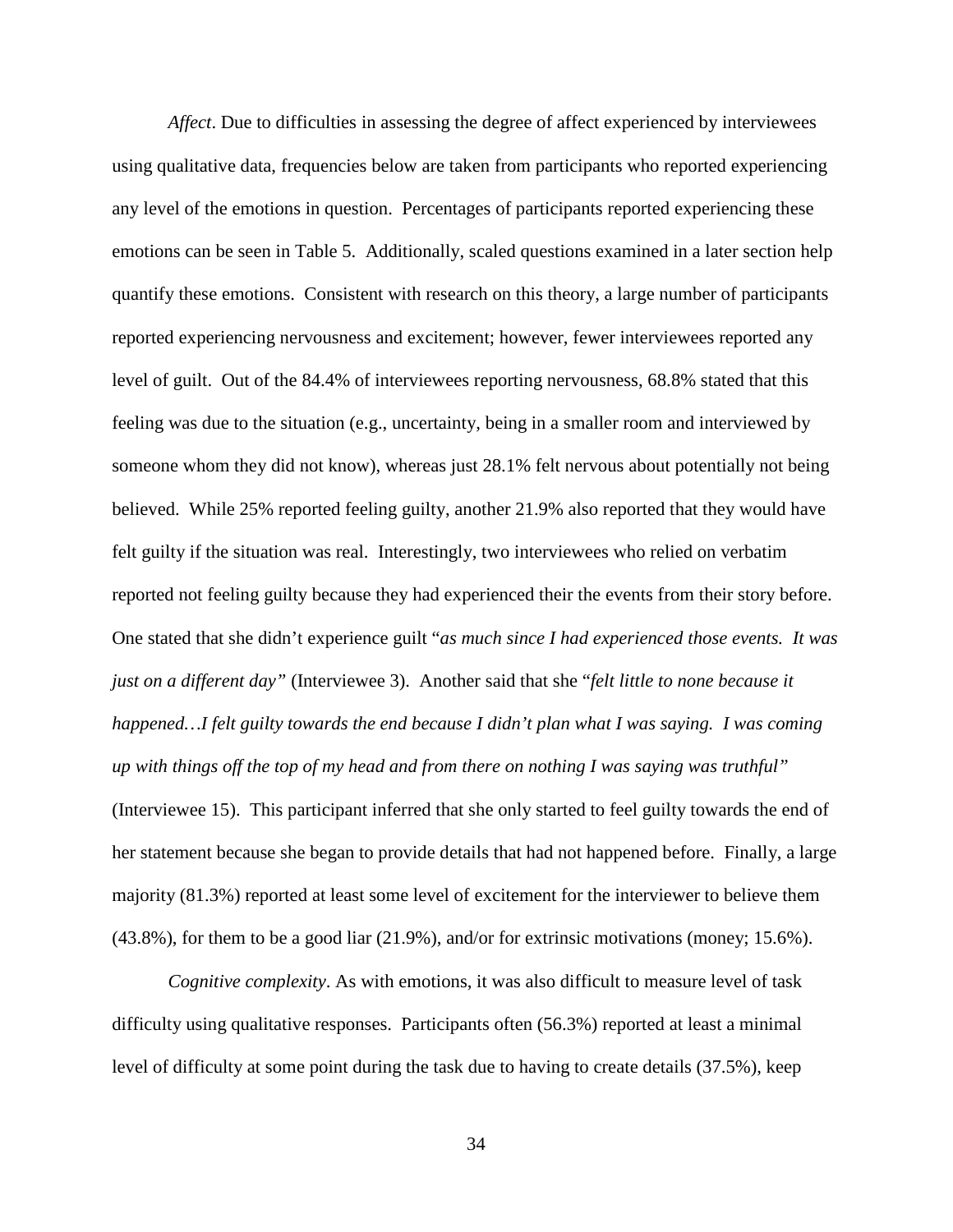*Affect*. Due to difficulties in assessing the degree of affect experienced by interviewees using qualitative data, frequencies below are taken from participants who reported experiencing any level of the emotions in question. Percentages of participants reported experiencing these emotions can be seen in Table 5. Additionally, scaled questions examined in a later section help quantify these emotions. Consistent with research on this theory, a large number of participants reported experiencing nervousness and excitement; however, fewer interviewees reported any level of guilt. Out of the 84.4% of interviewees reporting nervousness, 68.8% stated that this feeling was due to the situation (e.g., uncertainty, being in a smaller room and interviewed by someone whom they did not know), whereas just 28.1% felt nervous about potentially not being believed. While 25% reported feeling guilty, another 21.9% also reported that they would have felt guilty if the situation was real. Interestingly, two interviewees who relied on verbatim reported not feeling guilty because they had experienced their the events from their story before. One stated that she didn't experience guilt "*as much since I had experienced those events. It was just on a different day"* (Interviewee 3). Another said that she "*felt little to none because it happened…I felt guilty towards the end because I didn't plan what I was saying. I was coming up with things off the top of my head and from there on nothing I was saying was truthful"* (Interviewee 15). This participant inferred that she only started to feel guilty towards the end of her statement because she began to provide details that had not happened before. Finally, a large majority (81.3%) reported at least some level of excitement for the interviewer to believe them (43.8%), for them to be a good liar (21.9%), and/or for extrinsic motivations (money; 15.6%).

*Cognitive complexity*. As with emotions, it was also difficult to measure level of task difficulty using qualitative responses. Participants often (56.3%) reported at least a minimal level of difficulty at some point during the task due to having to create details (37.5%), keep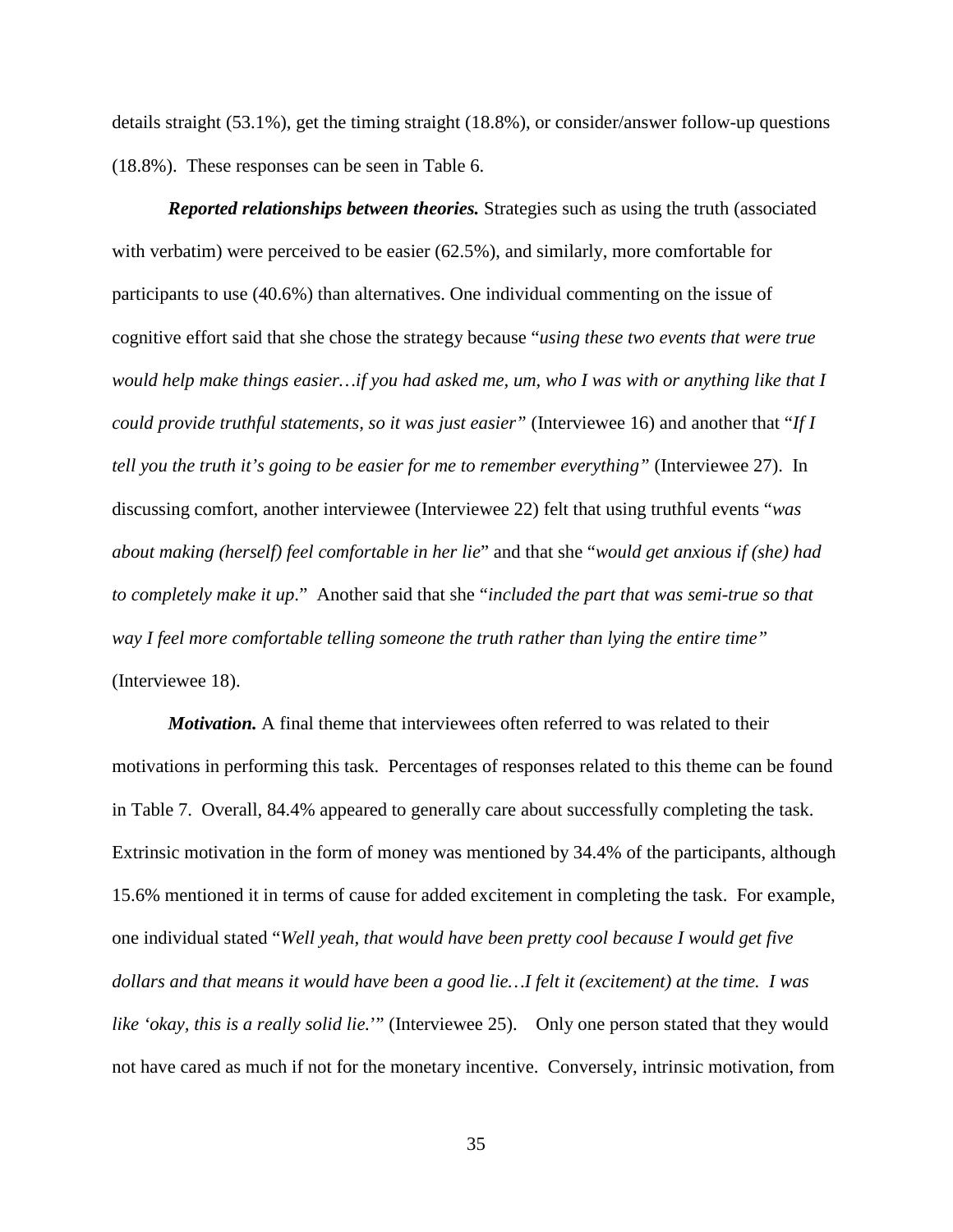details straight (53.1%), get the timing straight (18.8%), or consider/answer follow-up questions (18.8%). These responses can be seen in Table 6.

*Reported relationships between theories.* Strategies such as using the truth (associated with verbatim) were perceived to be easier (62.5%), and similarly, more comfortable for participants to use (40.6%) than alternatives. One individual commenting on the issue of cognitive effort said that she chose the strategy because "*using these two events that were true would help make things easier…if you had asked me, um, who I was with or anything like that I could provide truthful statements, so it was just easier"* (Interviewee 16) and another that "*If I tell you the truth it's going to be easier for me to remember everything"* (Interviewee 27). In discussing comfort, another interviewee (Interviewee 22) felt that using truthful events "*was about making (herself) feel comfortable in her lie*" and that she "*would get anxious if (she) had to completely make it up*." Another said that she "*included the part that was semi-true so that way I feel more comfortable telling someone the truth rather than lying the entire time"* (Interviewee 18).

*Motivation.* A final theme that interviewees often referred to was related to their motivations in performing this task. Percentages of responses related to this theme can be found in Table 7. Overall, 84.4% appeared to generally care about successfully completing the task. Extrinsic motivation in the form of money was mentioned by 34.4% of the participants, although 15.6% mentioned it in terms of cause for added excitement in completing the task. For example, one individual stated "*Well yeah, that would have been pretty cool because I would get five dollars and that means it would have been a good lie…I felt it (excitement) at the time. I was like 'okay, this is a really solid lie.*'" (Interviewee 25). Only one person stated that they would not have cared as much if not for the monetary incentive. Conversely, intrinsic motivation, from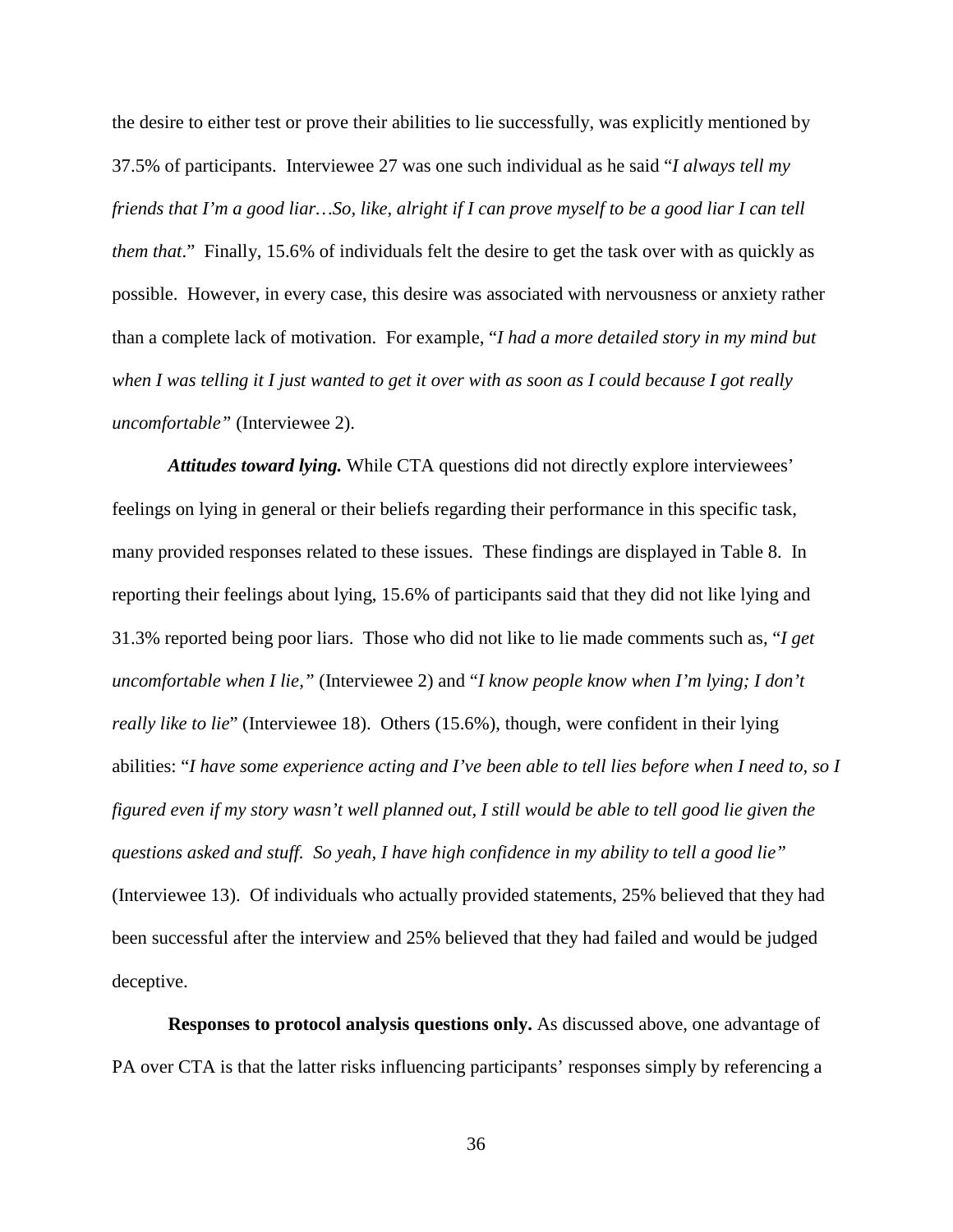the desire to either test or prove their abilities to lie successfully, was explicitly mentioned by 37.5% of participants. Interviewee 27 was one such individual as he said "*I always tell my friends that I'm a good liar…So, like, alright if I can prove myself to be a good liar I can tell them that*." Finally, 15.6% of individuals felt the desire to get the task over with as quickly as possible. However, in every case, this desire was associated with nervousness or anxiety rather than a complete lack of motivation. For example, "*I had a more detailed story in my mind but when I was telling it I just wanted to get it over with as soon as I could because I got really uncomfortable"* (Interviewee 2).

*Attitudes toward lying.* While CTA questions did not directly explore interviewees' feelings on lying in general or their beliefs regarding their performance in this specific task, many provided responses related to these issues. These findings are displayed in Table 8. In reporting their feelings about lying, 15.6% of participants said that they did not like lying and 31.3% reported being poor liars. Those who did not like to lie made comments such as, "*I get uncomfortable when I lie,"* (Interviewee 2) and "*I know people know when I'm lying; I don't really like to lie*" (Interviewee 18). Others (15.6%), though, were confident in their lying abilities: "*I have some experience acting and I've been able to tell lies before when I need to, so I figured even if my story wasn't well planned out, I still would be able to tell good lie given the questions asked and stuff. So yeah, I have high confidence in my ability to tell a good lie"* (Interviewee 13). Of individuals who actually provided statements, 25% believed that they had been successful after the interview and 25% believed that they had failed and would be judged deceptive.

**Responses to protocol analysis questions only.** As discussed above, one advantage of PA over CTA is that the latter risks influencing participants' responses simply by referencing a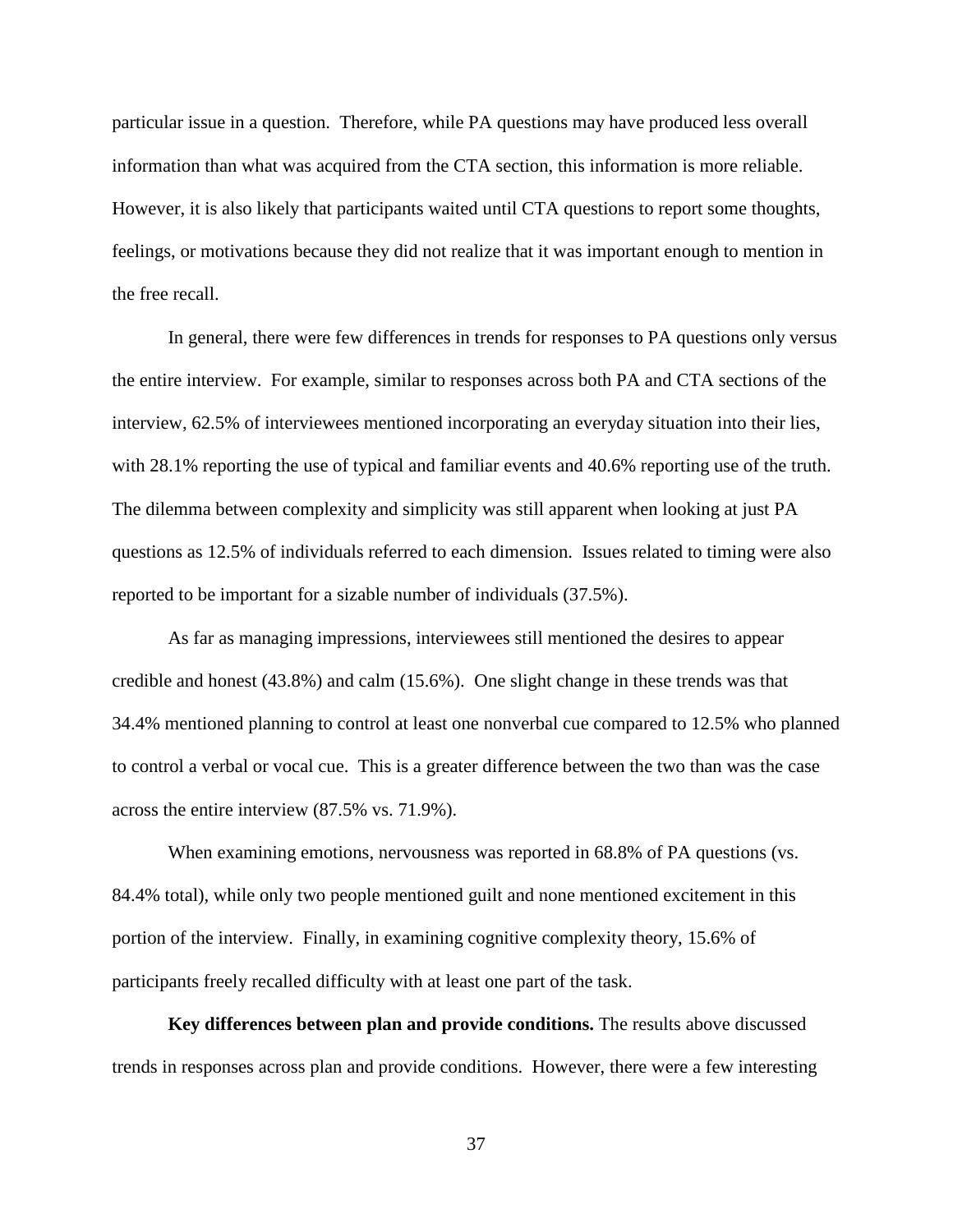particular issue in a question. Therefore, while PA questions may have produced less overall information than what was acquired from the CTA section, this information is more reliable. However, it is also likely that participants waited until CTA questions to report some thoughts, feelings, or motivations because they did not realize that it was important enough to mention in the free recall.

In general, there were few differences in trends for responses to PA questions only versus the entire interview. For example, similar to responses across both PA and CTA sections of the interview, 62.5% of interviewees mentioned incorporating an everyday situation into their lies, with 28.1% reporting the use of typical and familiar events and 40.6% reporting use of the truth. The dilemma between complexity and simplicity was still apparent when looking at just PA questions as 12.5% of individuals referred to each dimension. Issues related to timing were also reported to be important for a sizable number of individuals (37.5%).

As far as managing impressions, interviewees still mentioned the desires to appear credible and honest (43.8%) and calm (15.6%). One slight change in these trends was that 34.4% mentioned planning to control at least one nonverbal cue compared to 12.5% who planned to control a verbal or vocal cue. This is a greater difference between the two than was the case across the entire interview (87.5% vs. 71.9%).

When examining emotions, nervousness was reported in 68.8% of PA questions (vs. 84.4% total), while only two people mentioned guilt and none mentioned excitement in this portion of the interview. Finally, in examining cognitive complexity theory, 15.6% of participants freely recalled difficulty with at least one part of the task.

**Key differences between plan and provide conditions.** The results above discussed trends in responses across plan and provide conditions. However, there were a few interesting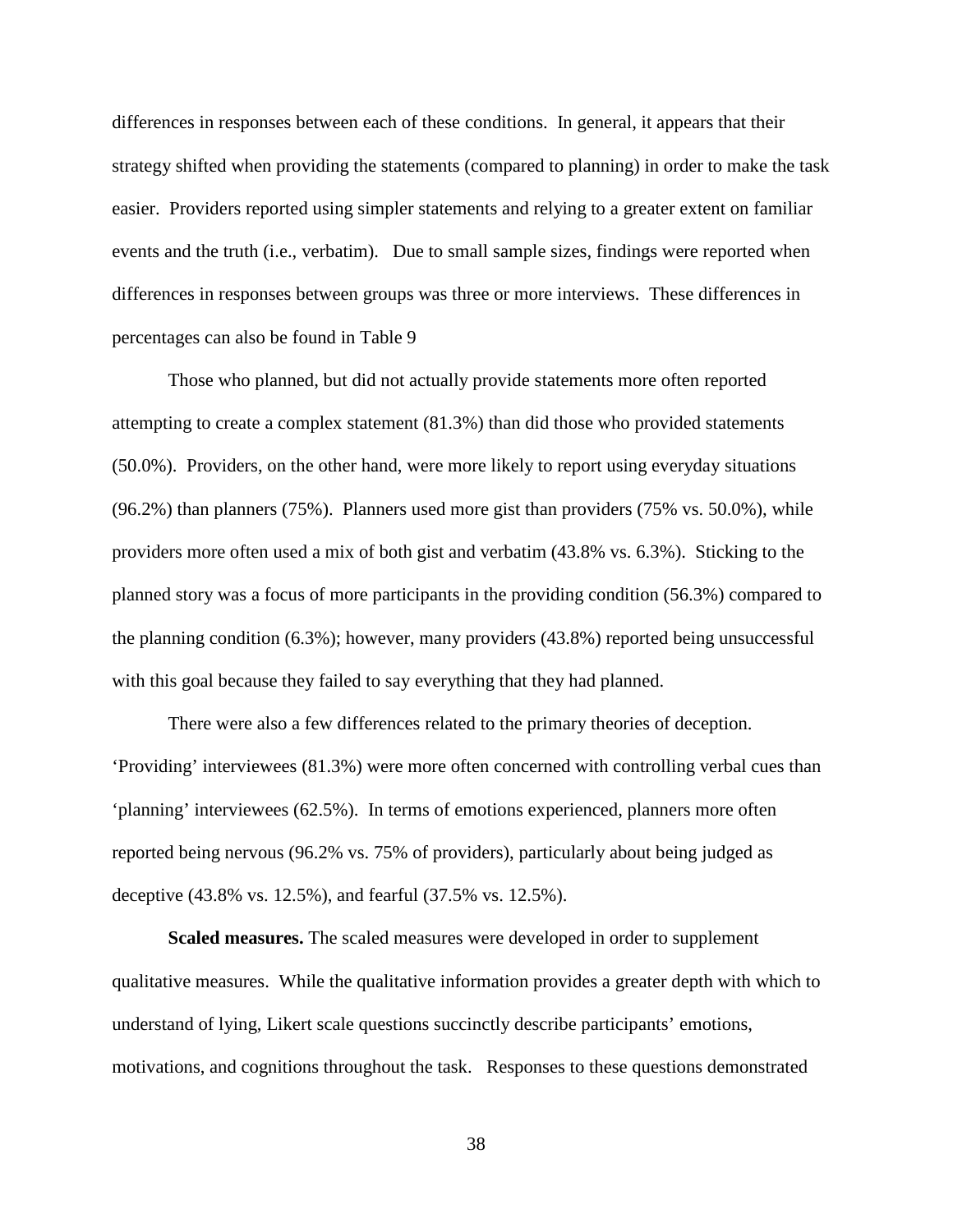differences in responses between each of these conditions. In general, it appears that their strategy shifted when providing the statements (compared to planning) in order to make the task easier. Providers reported using simpler statements and relying to a greater extent on familiar events and the truth (i.e., verbatim). Due to small sample sizes, findings were reported when differences in responses between groups was three or more interviews. These differences in percentages can also be found in Table 9

Those who planned, but did not actually provide statements more often reported attempting to create a complex statement (81.3%) than did those who provided statements (50.0%). Providers, on the other hand, were more likely to report using everyday situations (96.2%) than planners (75%). Planners used more gist than providers (75% vs. 50.0%), while providers more often used a mix of both gist and verbatim (43.8% vs. 6.3%). Sticking to the planned story was a focus of more participants in the providing condition (56.3%) compared to the planning condition (6.3%); however, many providers (43.8%) reported being unsuccessful with this goal because they failed to say everything that they had planned.

There were also a few differences related to the primary theories of deception. 'Providing' interviewees (81.3%) were more often concerned with controlling verbal cues than 'planning' interviewees (62.5%). In terms of emotions experienced, planners more often reported being nervous (96.2% vs. 75% of providers), particularly about being judged as deceptive (43.8% vs. 12.5%), and fearful (37.5% vs. 12.5%).

**Scaled measures.** The scaled measures were developed in order to supplement qualitative measures. While the qualitative information provides a greater depth with which to understand of lying, Likert scale questions succinctly describe participants' emotions, motivations, and cognitions throughout the task. Responses to these questions demonstrated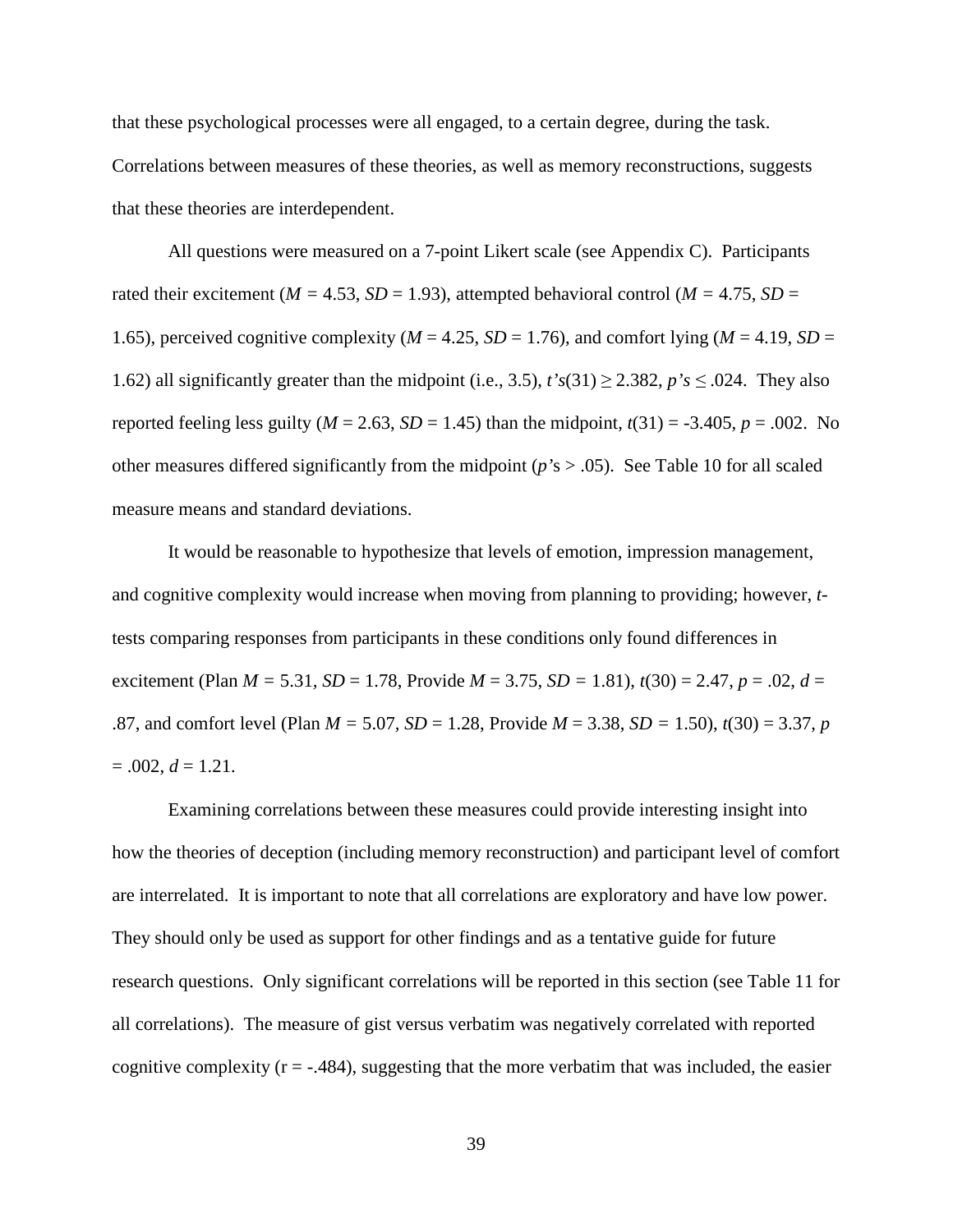that these psychological processes were all engaged, to a certain degree, during the task. Correlations between measures of these theories, as well as memory reconstructions, suggests that these theories are interdependent.

All questions were measured on a 7-point Likert scale (see Appendix C). Participants rated their excitement ( $M = 4.53$ ,  $SD = 1.93$ ), attempted behavioral control ( $M = 4.75$ ,  $SD = 1.93$ ) 1.65), perceived cognitive complexity ( $M = 4.25$ ,  $SD = 1.76$ ), and comfort lying ( $M = 4.19$ ,  $SD =$ 1.62) all significantly greater than the midpoint (i.e., 3.5),  $t's(31) \ge 2.382$ ,  $p's \le 0.024$ . They also reported feeling less guilty ( $M = 2.63$ ,  $SD = 1.45$ ) than the midpoint,  $t(31) = -3.405$ ,  $p = .002$ . No other measures differed significantly from the midpoint (*p'*s > .05). See Table 10 for all scaled measure means and standard deviations.

It would be reasonable to hypothesize that levels of emotion, impression management, and cognitive complexity would increase when moving from planning to providing; however, *t*tests comparing responses from participants in these conditions only found differences in excitement (Plan  $M = 5.31$ ,  $SD = 1.78$ , Provide  $M = 3.75$ ,  $SD = 1.81$ ),  $t(30) = 2.47$ ,  $p = .02$ ,  $d =$ .87, and comfort level (Plan *M =* 5.07*, SD* = 1.28, Provide *M* = 3.38, *SD =* 1.50), *t*(30) = 3.37, *p*  $= .002, d = 1.21.$ 

Examining correlations between these measures could provide interesting insight into how the theories of deception (including memory reconstruction) and participant level of comfort are interrelated. It is important to note that all correlations are exploratory and have low power. They should only be used as support for other findings and as a tentative guide for future research questions. Only significant correlations will be reported in this section (see Table 11 for all correlations). The measure of gist versus verbatim was negatively correlated with reported cognitive complexity  $(r = -.484)$ , suggesting that the more verbatim that was included, the easier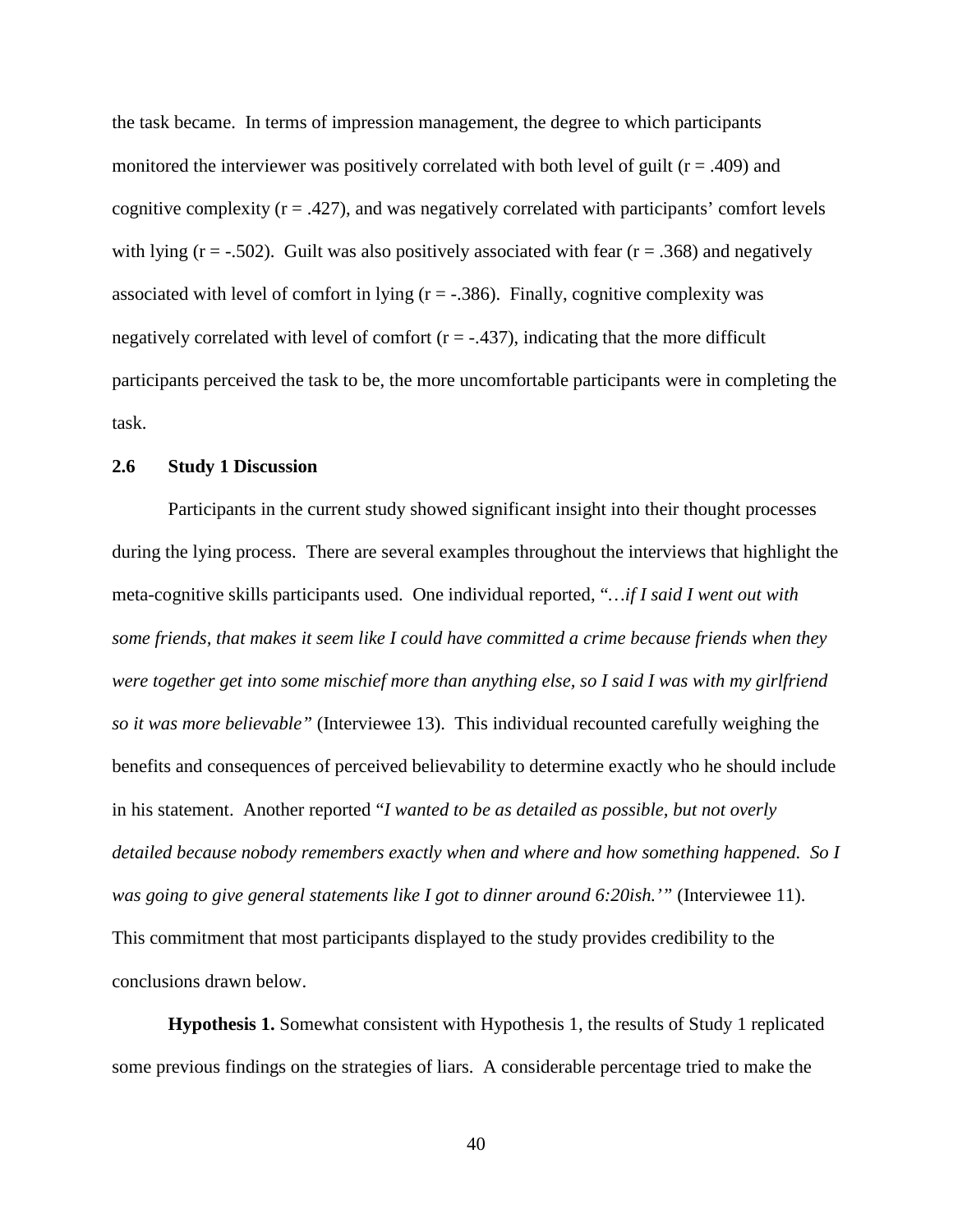the task became. In terms of impression management, the degree to which participants monitored the interviewer was positively correlated with both level of guilt ( $r = .409$ ) and cognitive complexity  $(r = .427)$ , and was negatively correlated with participants' comfort levels with lying ( $r = -.502$ ). Guilt was also positively associated with fear ( $r = .368$ ) and negatively associated with level of comfort in lying  $(r = -0.386)$ . Finally, cognitive complexity was negatively correlated with level of comfort  $(r = -.437)$ , indicating that the more difficult participants perceived the task to be, the more uncomfortable participants were in completing the task.

## **2.6 Study 1 Discussion**

Participants in the current study showed significant insight into their thought processes during the lying process. There are several examples throughout the interviews that highlight the meta-cognitive skills participants used. One individual reported, "*…if I said I went out with some friends, that makes it seem like I could have committed a crime because friends when they were together get into some mischief more than anything else, so I said I was with my girlfriend so it was more believable"* (Interviewee 13). This individual recounted carefully weighing the benefits and consequences of perceived believability to determine exactly who he should include in his statement. Another reported "*I wanted to be as detailed as possible, but not overly detailed because nobody remembers exactly when and where and how something happened. So I was going to give general statements like I got to dinner around 6:20ish.'"* (Interviewee 11). This commitment that most participants displayed to the study provides credibility to the conclusions drawn below.

**Hypothesis 1.** Somewhat consistent with Hypothesis 1, the results of Study 1 replicated some previous findings on the strategies of liars. A considerable percentage tried to make the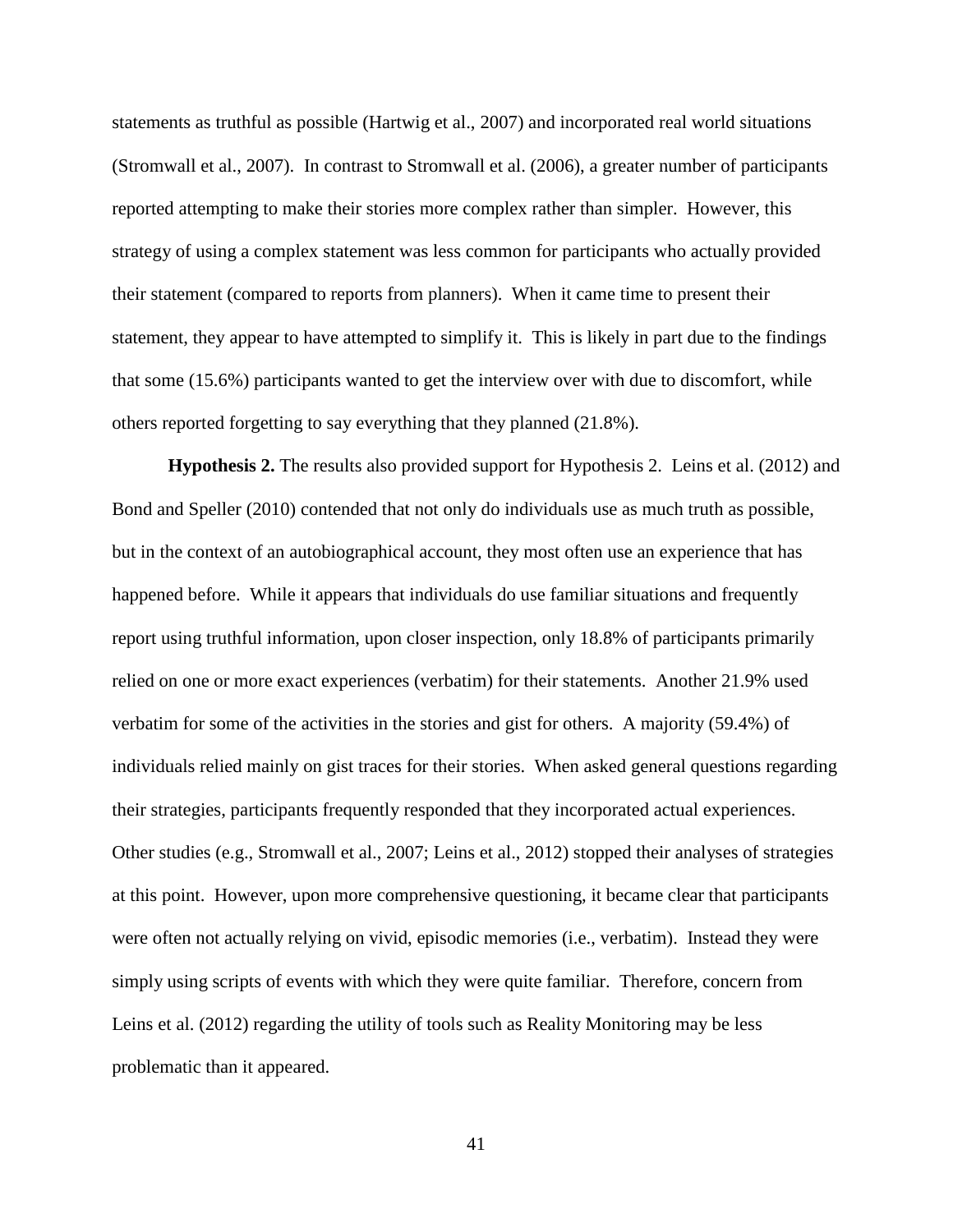statements as truthful as possible (Hartwig et al., 2007) and incorporated real world situations (Stromwall et al., 2007). In contrast to Stromwall et al. (2006), a greater number of participants reported attempting to make their stories more complex rather than simpler. However, this strategy of using a complex statement was less common for participants who actually provided their statement (compared to reports from planners). When it came time to present their statement, they appear to have attempted to simplify it. This is likely in part due to the findings that some (15.6%) participants wanted to get the interview over with due to discomfort, while others reported forgetting to say everything that they planned (21.8%).

**Hypothesis 2.** The results also provided support for Hypothesis 2. Leins et al. (2012) and Bond and Speller (2010) contended that not only do individuals use as much truth as possible, but in the context of an autobiographical account, they most often use an experience that has happened before. While it appears that individuals do use familiar situations and frequently report using truthful information, upon closer inspection, only 18.8% of participants primarily relied on one or more exact experiences (verbatim) for their statements. Another 21.9% used verbatim for some of the activities in the stories and gist for others. A majority (59.4%) of individuals relied mainly on gist traces for their stories. When asked general questions regarding their strategies, participants frequently responded that they incorporated actual experiences. Other studies (e.g., Stromwall et al., 2007; Leins et al., 2012) stopped their analyses of strategies at this point. However, upon more comprehensive questioning, it became clear that participants were often not actually relying on vivid, episodic memories (i.e., verbatim). Instead they were simply using scripts of events with which they were quite familiar. Therefore, concern from Leins et al. (2012) regarding the utility of tools such as Reality Monitoring may be less problematic than it appeared.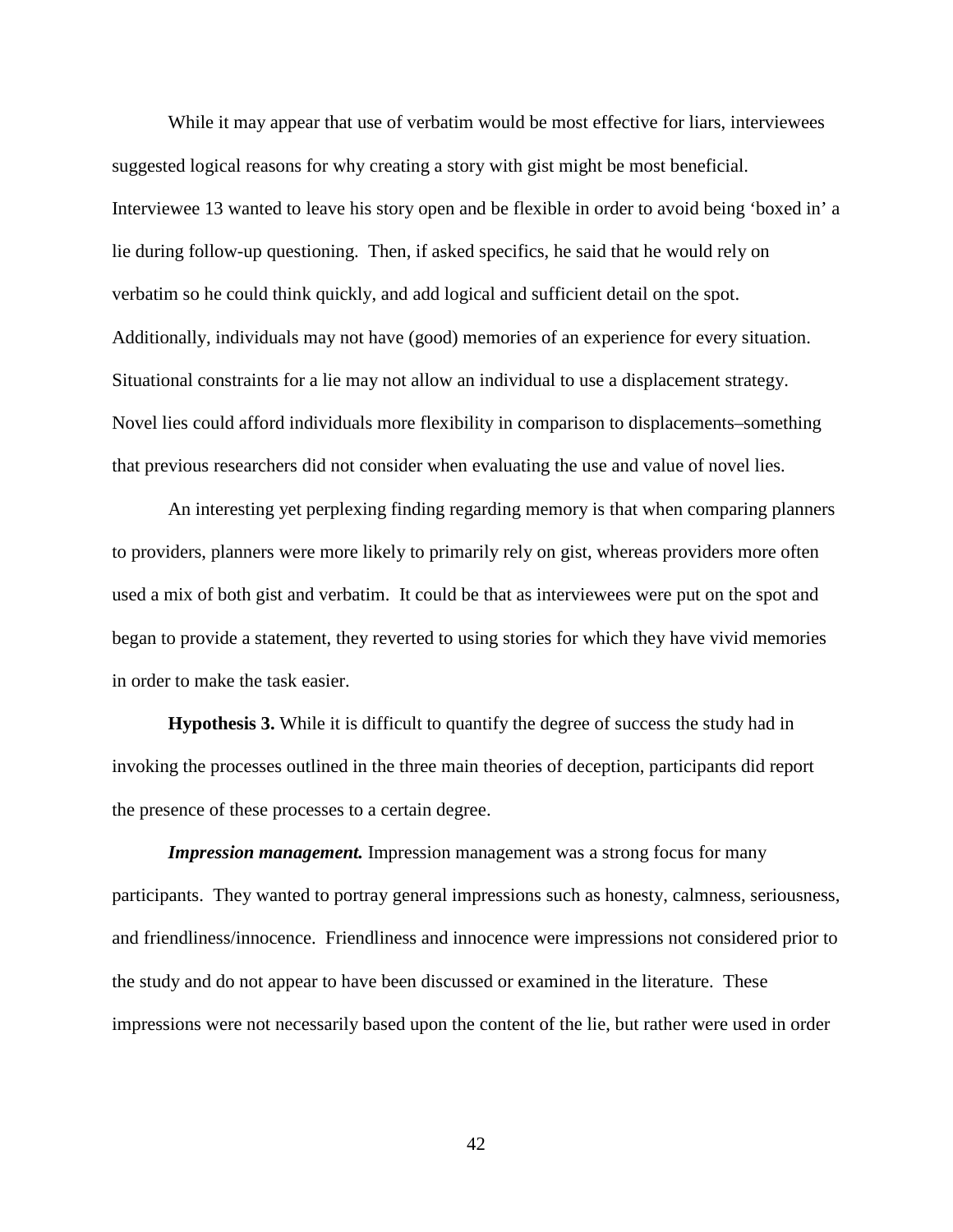While it may appear that use of verbatim would be most effective for liars, interviewees suggested logical reasons for why creating a story with gist might be most beneficial. Interviewee 13 wanted to leave his story open and be flexible in order to avoid being 'boxed in' a lie during follow-up questioning. Then, if asked specifics, he said that he would rely on verbatim so he could think quickly, and add logical and sufficient detail on the spot. Additionally, individuals may not have (good) memories of an experience for every situation. Situational constraints for a lie may not allow an individual to use a displacement strategy. Novel lies could afford individuals more flexibility in comparison to displacements–something that previous researchers did not consider when evaluating the use and value of novel lies.

An interesting yet perplexing finding regarding memory is that when comparing planners to providers, planners were more likely to primarily rely on gist, whereas providers more often used a mix of both gist and verbatim. It could be that as interviewees were put on the spot and began to provide a statement, they reverted to using stories for which they have vivid memories in order to make the task easier.

**Hypothesis 3.** While it is difficult to quantify the degree of success the study had in invoking the processes outlined in the three main theories of deception, participants did report the presence of these processes to a certain degree.

*Impression management.* Impression management was a strong focus for many participants. They wanted to portray general impressions such as honesty, calmness, seriousness, and friendliness/innocence. Friendliness and innocence were impressions not considered prior to the study and do not appear to have been discussed or examined in the literature. These impressions were not necessarily based upon the content of the lie, but rather were used in order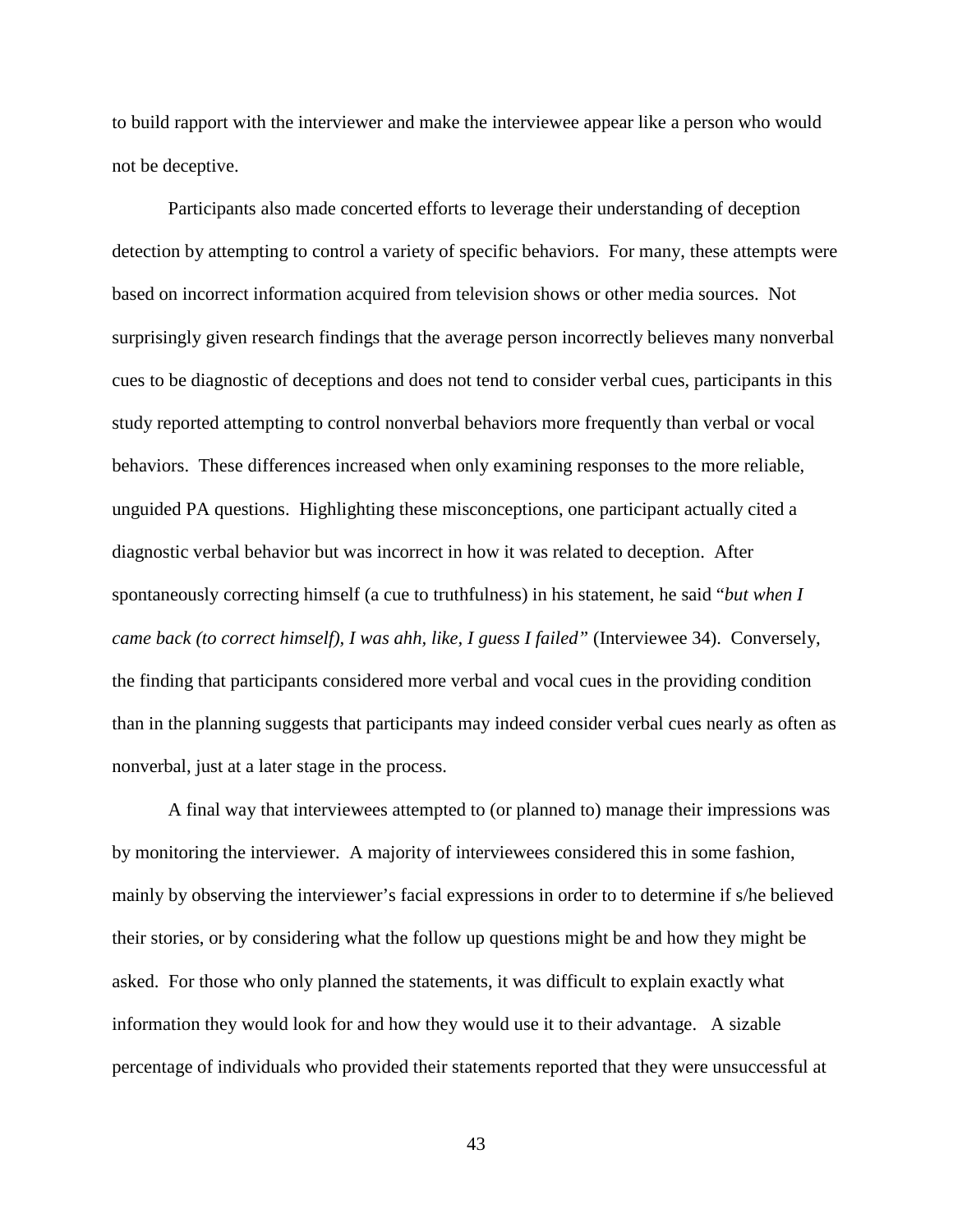to build rapport with the interviewer and make the interviewee appear like a person who would not be deceptive.

Participants also made concerted efforts to leverage their understanding of deception detection by attempting to control a variety of specific behaviors. For many, these attempts were based on incorrect information acquired from television shows or other media sources. Not surprisingly given research findings that the average person incorrectly believes many nonverbal cues to be diagnostic of deceptions and does not tend to consider verbal cues, participants in this study reported attempting to control nonverbal behaviors more frequently than verbal or vocal behaviors. These differences increased when only examining responses to the more reliable, unguided PA questions. Highlighting these misconceptions, one participant actually cited a diagnostic verbal behavior but was incorrect in how it was related to deception. After spontaneously correcting himself (a cue to truthfulness) in his statement, he said "*but when I came back (to correct himself), I was ahh, like, I guess I failed"* (Interviewee 34). Conversely, the finding that participants considered more verbal and vocal cues in the providing condition than in the planning suggests that participants may indeed consider verbal cues nearly as often as nonverbal, just at a later stage in the process.

A final way that interviewees attempted to (or planned to) manage their impressions was by monitoring the interviewer. A majority of interviewees considered this in some fashion, mainly by observing the interviewer's facial expressions in order to to determine if s/he believed their stories, or by considering what the follow up questions might be and how they might be asked. For those who only planned the statements, it was difficult to explain exactly what information they would look for and how they would use it to their advantage. A sizable percentage of individuals who provided their statements reported that they were unsuccessful at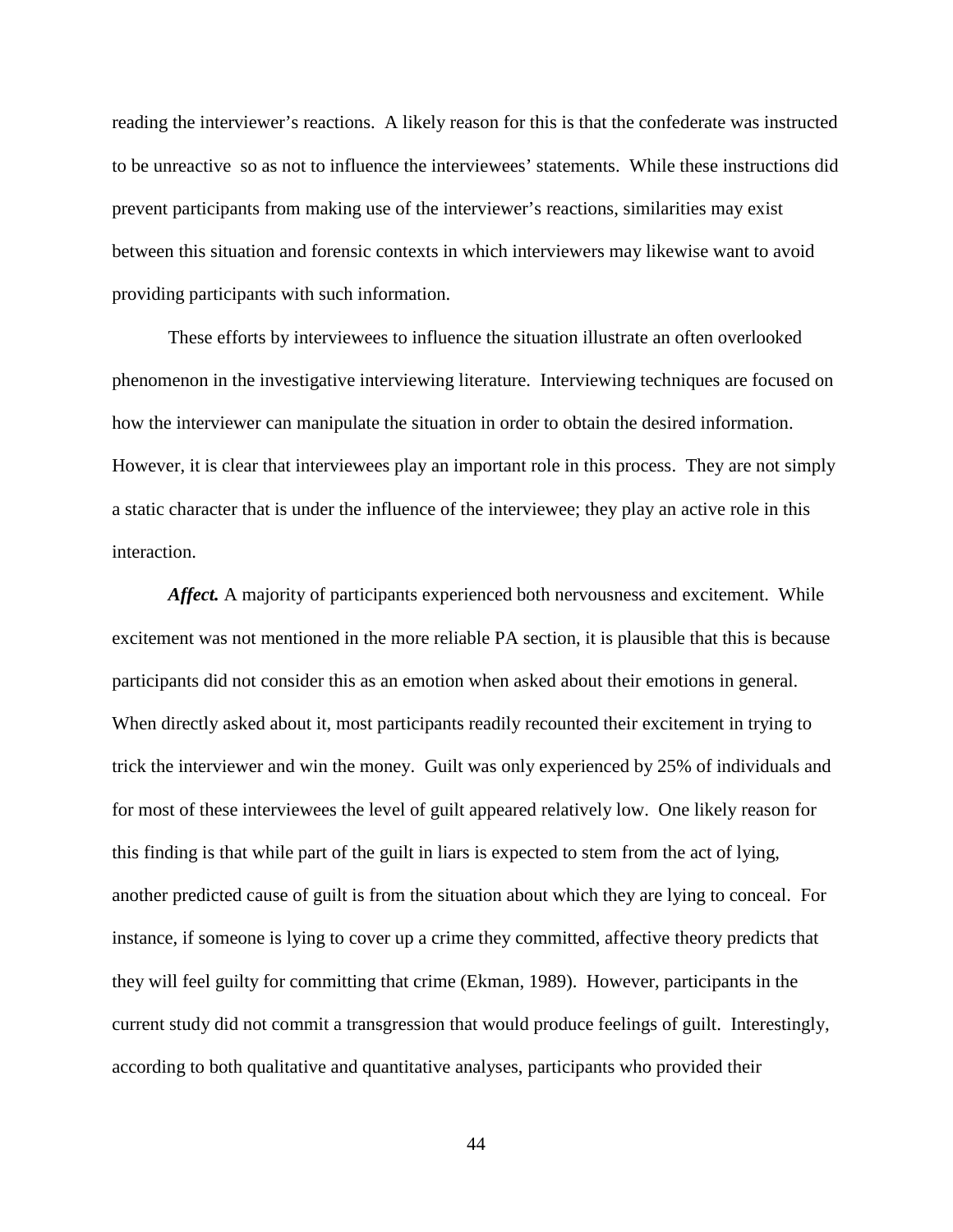reading the interviewer's reactions. A likely reason for this is that the confederate was instructed to be unreactive so as not to influence the interviewees' statements. While these instructions did prevent participants from making use of the interviewer's reactions, similarities may exist between this situation and forensic contexts in which interviewers may likewise want to avoid providing participants with such information.

These efforts by interviewees to influence the situation illustrate an often overlooked phenomenon in the investigative interviewing literature. Interviewing techniques are focused on how the interviewer can manipulate the situation in order to obtain the desired information. However, it is clear that interviewees play an important role in this process. They are not simply a static character that is under the influence of the interviewee; they play an active role in this interaction.

*Affect.* A majority of participants experienced both nervousness and excitement. While excitement was not mentioned in the more reliable PA section, it is plausible that this is because participants did not consider this as an emotion when asked about their emotions in general. When directly asked about it, most participants readily recounted their excitement in trying to trick the interviewer and win the money. Guilt was only experienced by 25% of individuals and for most of these interviewees the level of guilt appeared relatively low. One likely reason for this finding is that while part of the guilt in liars is expected to stem from the act of lying, another predicted cause of guilt is from the situation about which they are lying to conceal. For instance, if someone is lying to cover up a crime they committed, affective theory predicts that they will feel guilty for committing that crime (Ekman, 1989). However, participants in the current study did not commit a transgression that would produce feelings of guilt. Interestingly, according to both qualitative and quantitative analyses, participants who provided their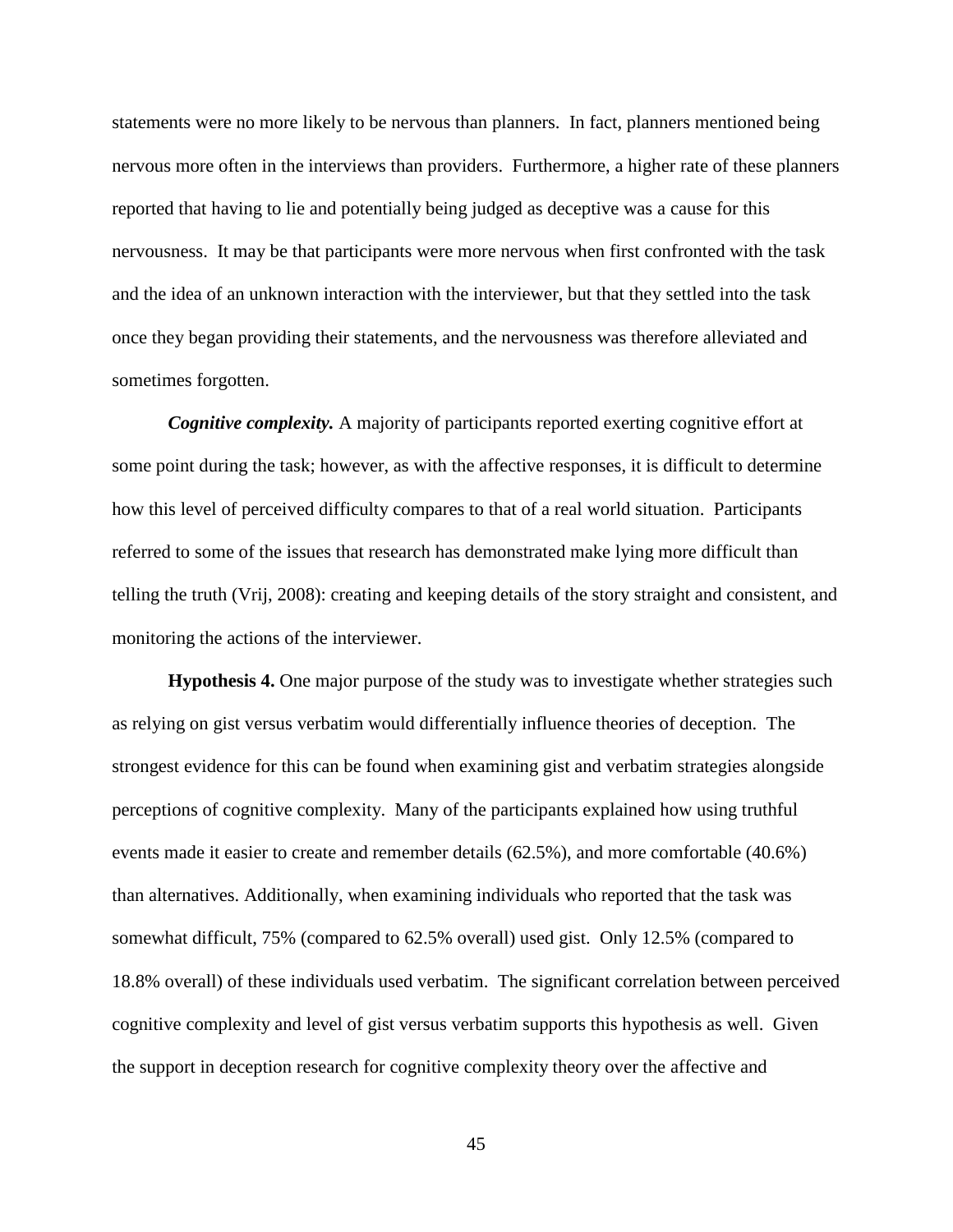statements were no more likely to be nervous than planners. In fact, planners mentioned being nervous more often in the interviews than providers. Furthermore, a higher rate of these planners reported that having to lie and potentially being judged as deceptive was a cause for this nervousness. It may be that participants were more nervous when first confronted with the task and the idea of an unknown interaction with the interviewer, but that they settled into the task once they began providing their statements, and the nervousness was therefore alleviated and sometimes forgotten.

*Cognitive complexity.* A majority of participants reported exerting cognitive effort at some point during the task; however, as with the affective responses, it is difficult to determine how this level of perceived difficulty compares to that of a real world situation. Participants referred to some of the issues that research has demonstrated make lying more difficult than telling the truth (Vrij, 2008): creating and keeping details of the story straight and consistent, and monitoring the actions of the interviewer.

**Hypothesis 4.** One major purpose of the study was to investigate whether strategies such as relying on gist versus verbatim would differentially influence theories of deception. The strongest evidence for this can be found when examining gist and verbatim strategies alongside perceptions of cognitive complexity. Many of the participants explained how using truthful events made it easier to create and remember details (62.5%), and more comfortable (40.6%) than alternatives. Additionally, when examining individuals who reported that the task was somewhat difficult, 75% (compared to 62.5% overall) used gist. Only 12.5% (compared to 18.8% overall) of these individuals used verbatim. The significant correlation between perceived cognitive complexity and level of gist versus verbatim supports this hypothesis as well. Given the support in deception research for cognitive complexity theory over the affective and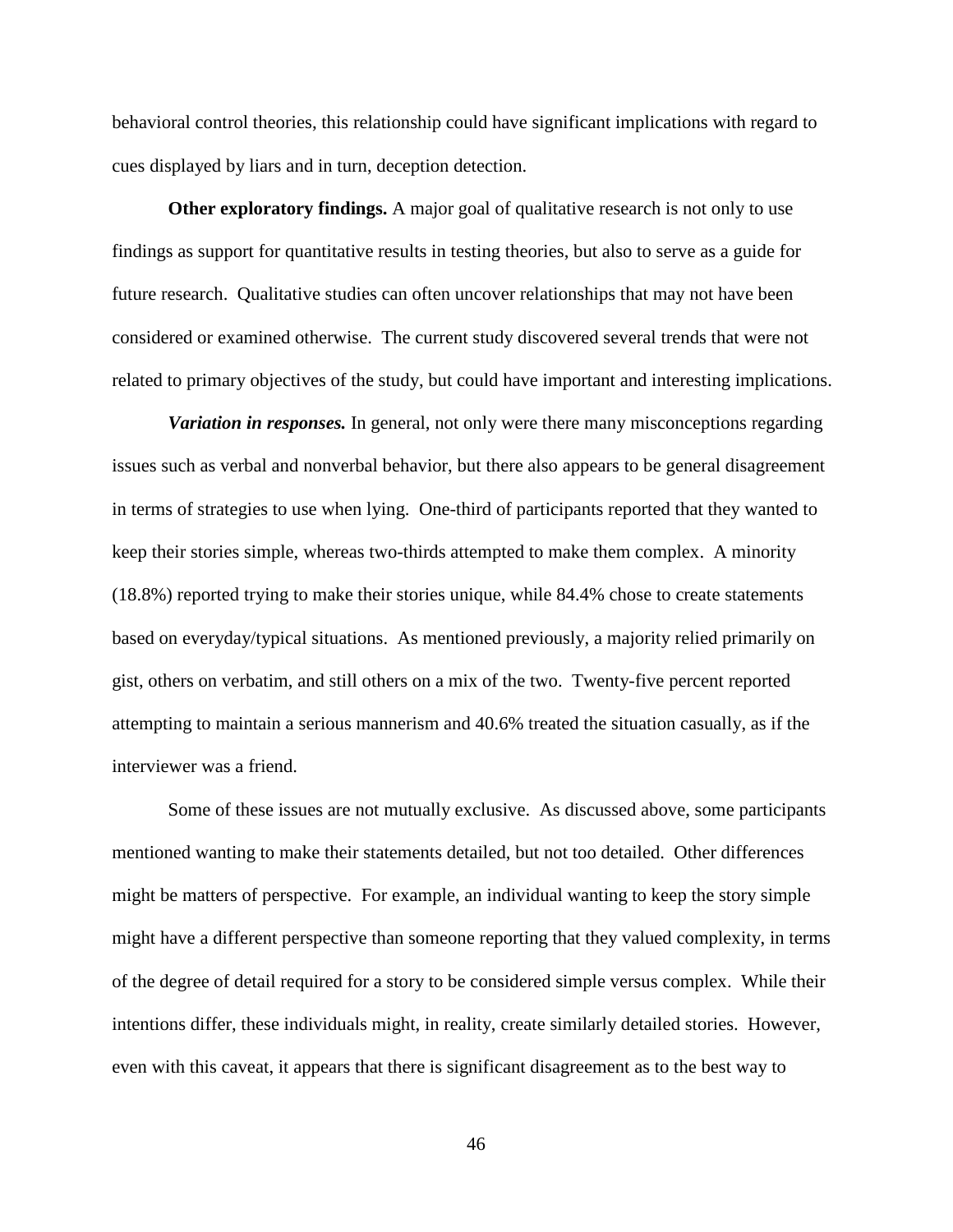behavioral control theories, this relationship could have significant implications with regard to cues displayed by liars and in turn, deception detection.

**Other exploratory findings.** A major goal of qualitative research is not only to use findings as support for quantitative results in testing theories, but also to serve as a guide for future research. Qualitative studies can often uncover relationships that may not have been considered or examined otherwise. The current study discovered several trends that were not related to primary objectives of the study, but could have important and interesting implications.

*Variation in responses.* In general, not only were there many misconceptions regarding issues such as verbal and nonverbal behavior, but there also appears to be general disagreement in terms of strategies to use when lying. One-third of participants reported that they wanted to keep their stories simple, whereas two-thirds attempted to make them complex. A minority (18.8%) reported trying to make their stories unique, while 84.4% chose to create statements based on everyday/typical situations. As mentioned previously, a majority relied primarily on gist, others on verbatim, and still others on a mix of the two. Twenty-five percent reported attempting to maintain a serious mannerism and 40.6% treated the situation casually, as if the interviewer was a friend.

Some of these issues are not mutually exclusive. As discussed above, some participants mentioned wanting to make their statements detailed, but not too detailed. Other differences might be matters of perspective. For example, an individual wanting to keep the story simple might have a different perspective than someone reporting that they valued complexity, in terms of the degree of detail required for a story to be considered simple versus complex. While their intentions differ, these individuals might, in reality, create similarly detailed stories. However, even with this caveat, it appears that there is significant disagreement as to the best way to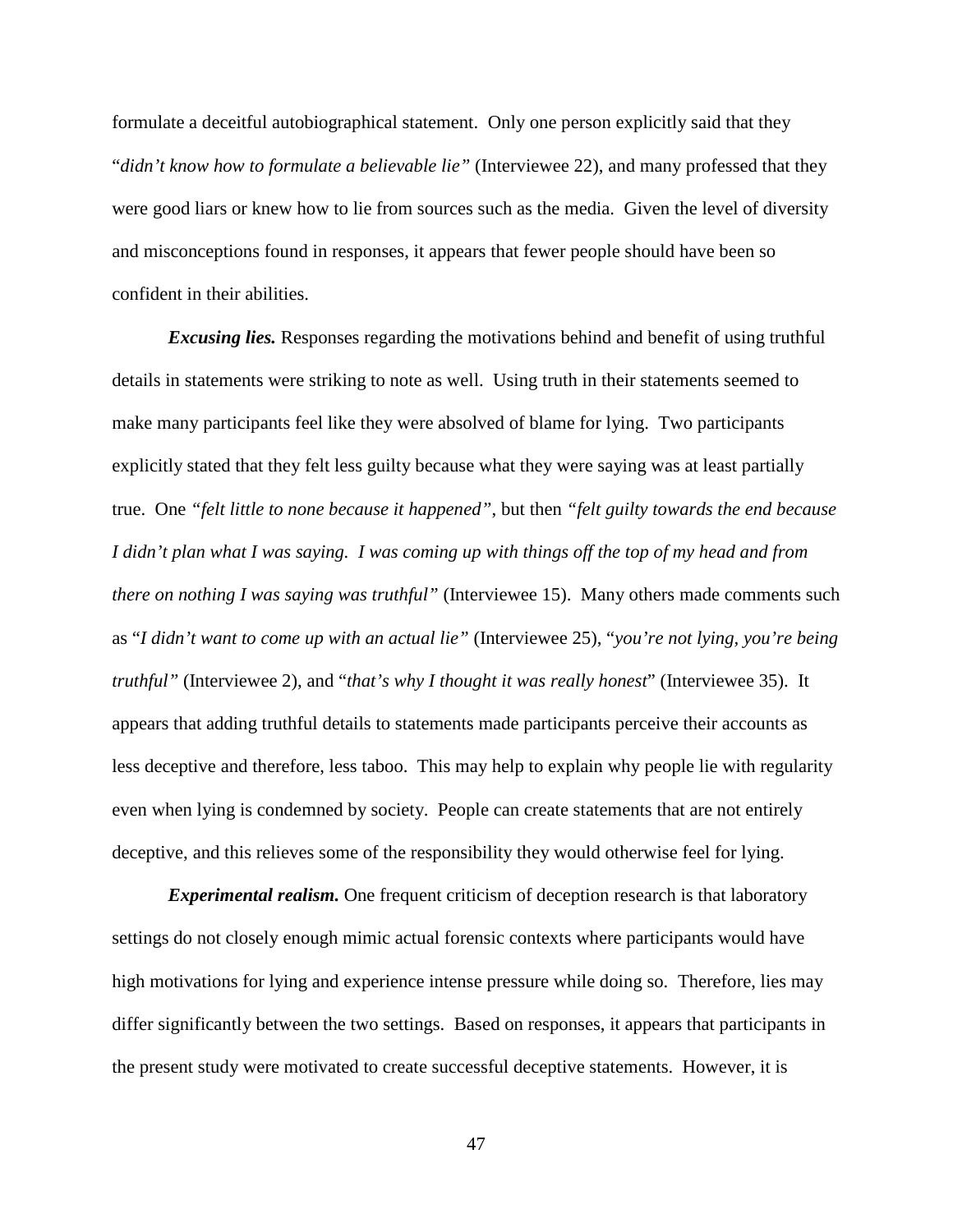formulate a deceitful autobiographical statement. Only one person explicitly said that they "*didn't know how to formulate a believable lie"* (Interviewee 22), and many professed that they were good liars or knew how to lie from sources such as the media. Given the level of diversity and misconceptions found in responses, it appears that fewer people should have been so confident in their abilities.

*Excusing lies.* Responses regarding the motivations behind and benefit of using truthful details in statements were striking to note as well. Using truth in their statements seemed to make many participants feel like they were absolved of blame for lying. Two participants explicitly stated that they felt less guilty because what they were saying was at least partially true. One *"felt little to none because it happened"*, but then *"felt guilty towards the end because I didn't plan what I was saying. I was coming up with things off the top of my head and from there on nothing I was saying was truthful*" (Interviewee 15). Many others made comments such as "*I didn't want to come up with an actual lie"* (Interviewee 25), "*you're not lying, you're being truthful"* (Interviewee 2), and "*that's why I thought it was really honest*" (Interviewee 35). It appears that adding truthful details to statements made participants perceive their accounts as less deceptive and therefore, less taboo. This may help to explain why people lie with regularity even when lying is condemned by society. People can create statements that are not entirely deceptive, and this relieves some of the responsibility they would otherwise feel for lying.

*Experimental realism.* One frequent criticism of deception research is that laboratory settings do not closely enough mimic actual forensic contexts where participants would have high motivations for lying and experience intense pressure while doing so. Therefore, lies may differ significantly between the two settings. Based on responses, it appears that participants in the present study were motivated to create successful deceptive statements. However, it is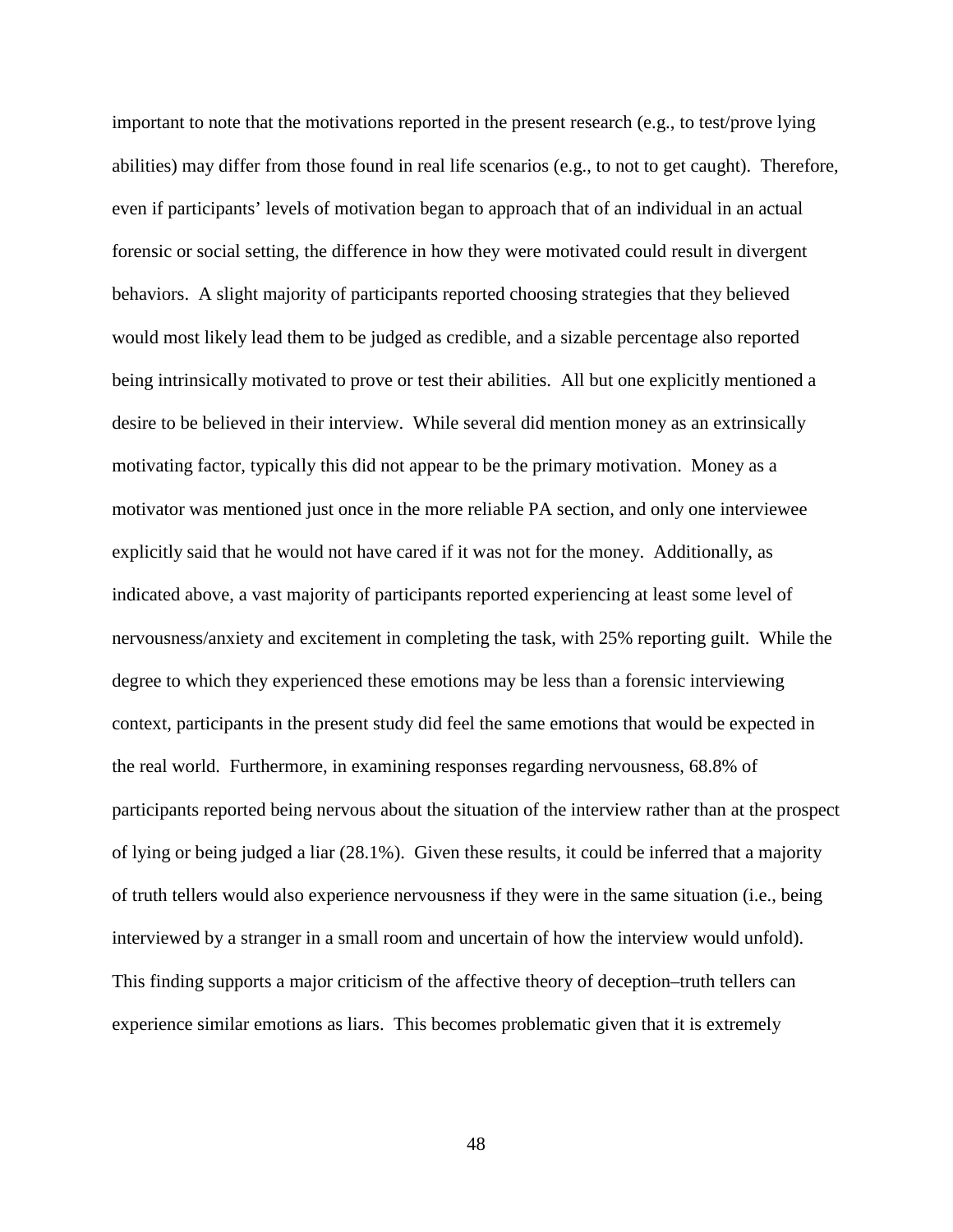important to note that the motivations reported in the present research (e.g., to test/prove lying abilities) may differ from those found in real life scenarios (e.g., to not to get caught). Therefore, even if participants' levels of motivation began to approach that of an individual in an actual forensic or social setting, the difference in how they were motivated could result in divergent behaviors. A slight majority of participants reported choosing strategies that they believed would most likely lead them to be judged as credible, and a sizable percentage also reported being intrinsically motivated to prove or test their abilities. All but one explicitly mentioned a desire to be believed in their interview. While several did mention money as an extrinsically motivating factor, typically this did not appear to be the primary motivation. Money as a motivator was mentioned just once in the more reliable PA section, and only one interviewee explicitly said that he would not have cared if it was not for the money. Additionally, as indicated above, a vast majority of participants reported experiencing at least some level of nervousness/anxiety and excitement in completing the task, with 25% reporting guilt. While the degree to which they experienced these emotions may be less than a forensic interviewing context, participants in the present study did feel the same emotions that would be expected in the real world. Furthermore, in examining responses regarding nervousness, 68.8% of participants reported being nervous about the situation of the interview rather than at the prospect of lying or being judged a liar (28.1%). Given these results, it could be inferred that a majority of truth tellers would also experience nervousness if they were in the same situation (i.e., being interviewed by a stranger in a small room and uncertain of how the interview would unfold). This finding supports a major criticism of the affective theory of deception–truth tellers can experience similar emotions as liars. This becomes problematic given that it is extremely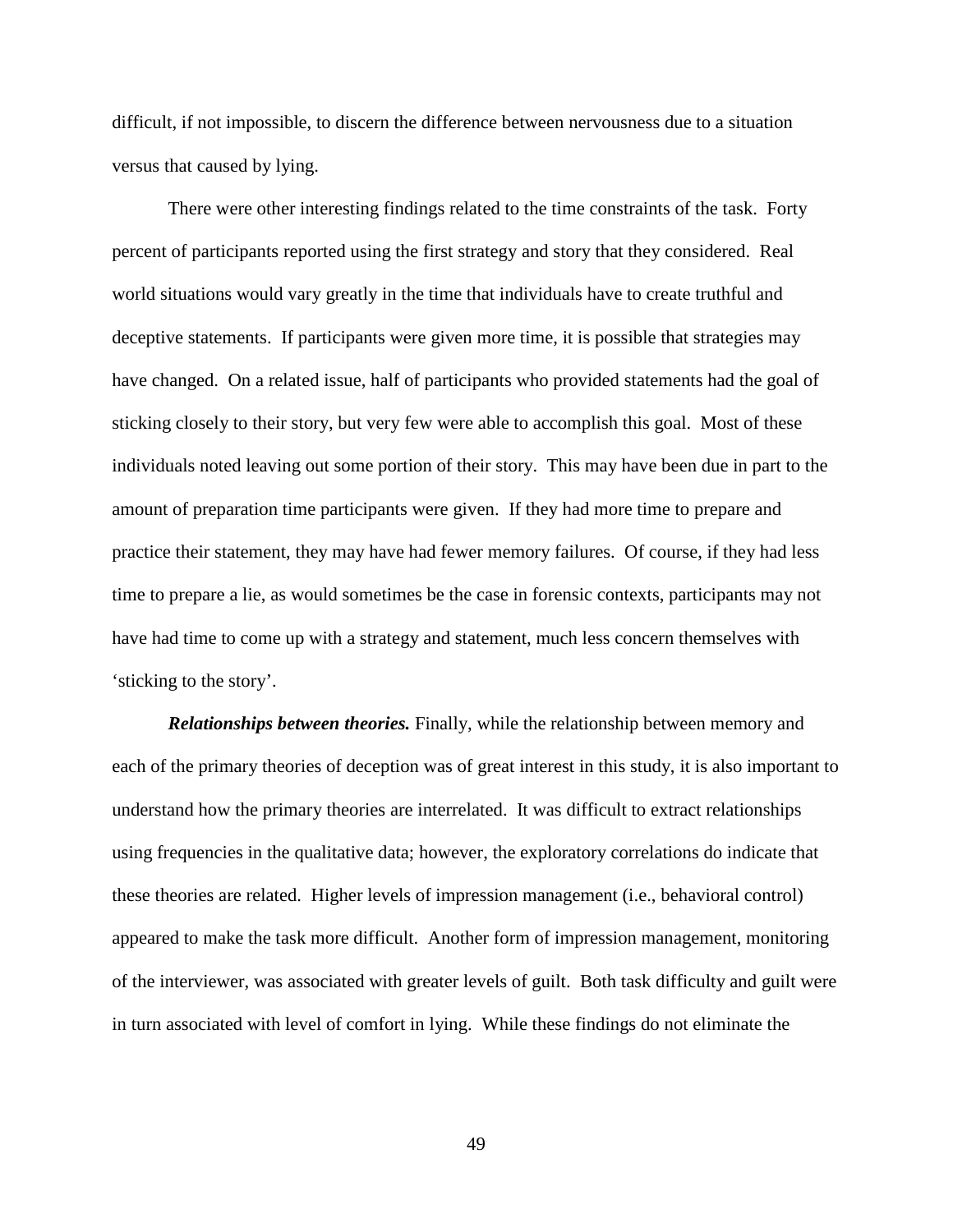difficult, if not impossible, to discern the difference between nervousness due to a situation versus that caused by lying.

There were other interesting findings related to the time constraints of the task. Forty percent of participants reported using the first strategy and story that they considered. Real world situations would vary greatly in the time that individuals have to create truthful and deceptive statements. If participants were given more time, it is possible that strategies may have changed. On a related issue, half of participants who provided statements had the goal of sticking closely to their story, but very few were able to accomplish this goal. Most of these individuals noted leaving out some portion of their story. This may have been due in part to the amount of preparation time participants were given. If they had more time to prepare and practice their statement, they may have had fewer memory failures. Of course, if they had less time to prepare a lie, as would sometimes be the case in forensic contexts, participants may not have had time to come up with a strategy and statement, much less concern themselves with 'sticking to the story'.

*Relationships between theories.* Finally, while the relationship between memory and each of the primary theories of deception was of great interest in this study, it is also important to understand how the primary theories are interrelated. It was difficult to extract relationships using frequencies in the qualitative data; however, the exploratory correlations do indicate that these theories are related. Higher levels of impression management (i.e., behavioral control) appeared to make the task more difficult. Another form of impression management, monitoring of the interviewer, was associated with greater levels of guilt. Both task difficulty and guilt were in turn associated with level of comfort in lying. While these findings do not eliminate the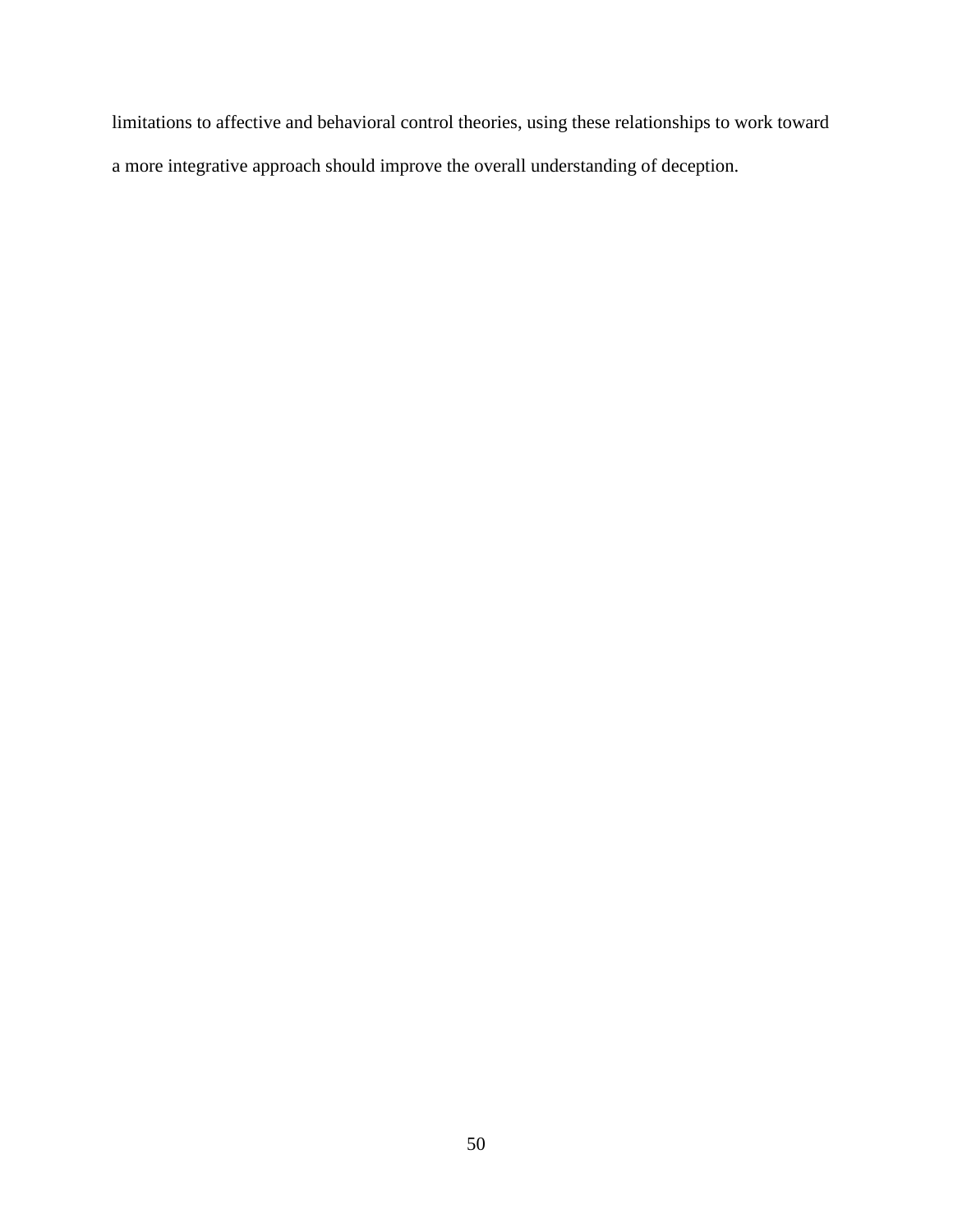limitations to affective and behavioral control theories, using these relationships to work toward a more integrative approach should improve the overall understanding of deception.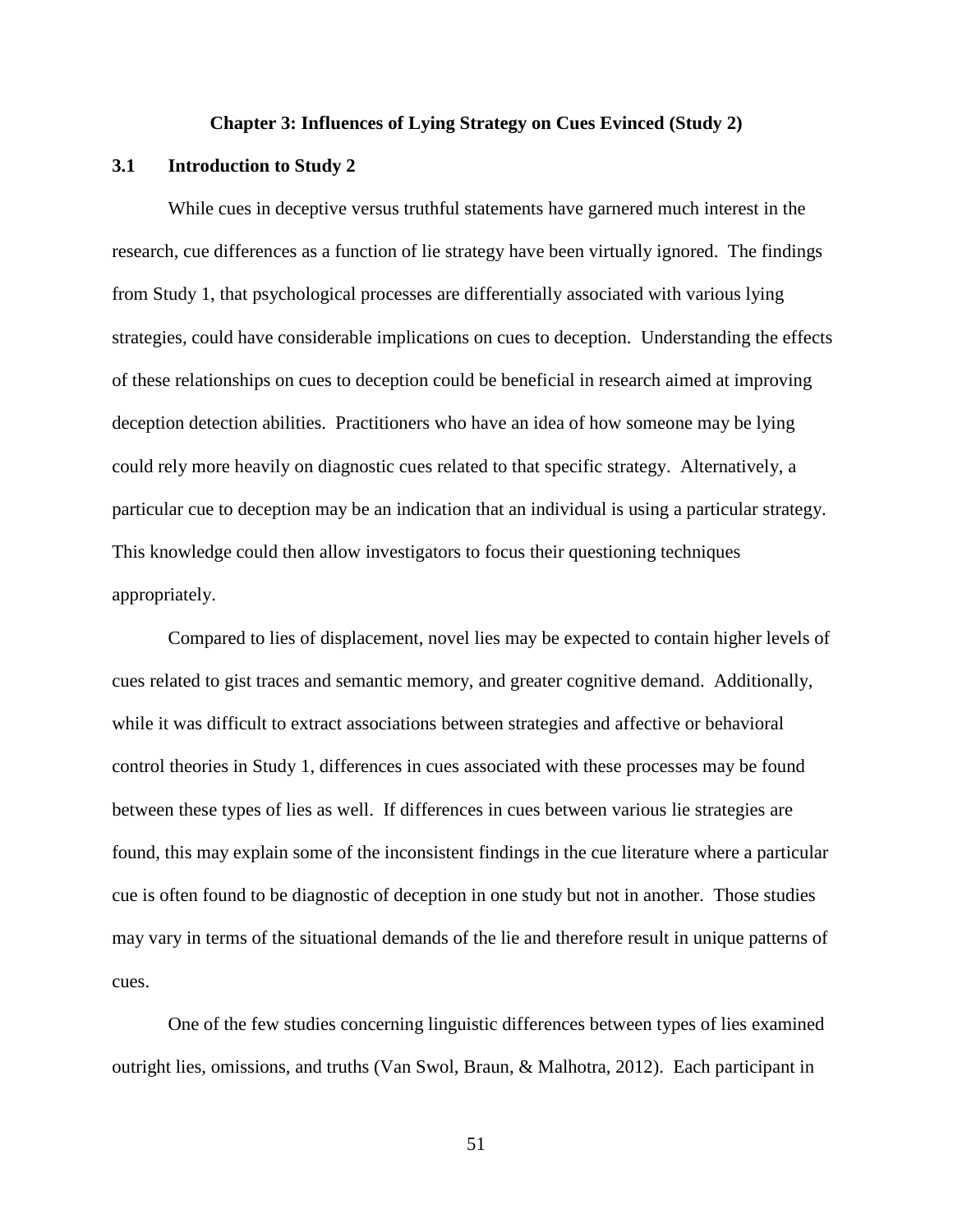## **Chapter 3: Influences of Lying Strategy on Cues Evinced (Study 2)**

## **3.1 Introduction to Study 2**

While cues in deceptive versus truthful statements have garnered much interest in the research, cue differences as a function of lie strategy have been virtually ignored. The findings from Study 1, that psychological processes are differentially associated with various lying strategies, could have considerable implications on cues to deception. Understanding the effects of these relationships on cues to deception could be beneficial in research aimed at improving deception detection abilities. Practitioners who have an idea of how someone may be lying could rely more heavily on diagnostic cues related to that specific strategy. Alternatively, a particular cue to deception may be an indication that an individual is using a particular strategy. This knowledge could then allow investigators to focus their questioning techniques appropriately.

Compared to lies of displacement, novel lies may be expected to contain higher levels of cues related to gist traces and semantic memory, and greater cognitive demand. Additionally, while it was difficult to extract associations between strategies and affective or behavioral control theories in Study 1, differences in cues associated with these processes may be found between these types of lies as well. If differences in cues between various lie strategies are found, this may explain some of the inconsistent findings in the cue literature where a particular cue is often found to be diagnostic of deception in one study but not in another. Those studies may vary in terms of the situational demands of the lie and therefore result in unique patterns of cues.

One of the few studies concerning linguistic differences between types of lies examined outright lies, omissions, and truths (Van Swol, Braun, & Malhotra, 2012). Each participant in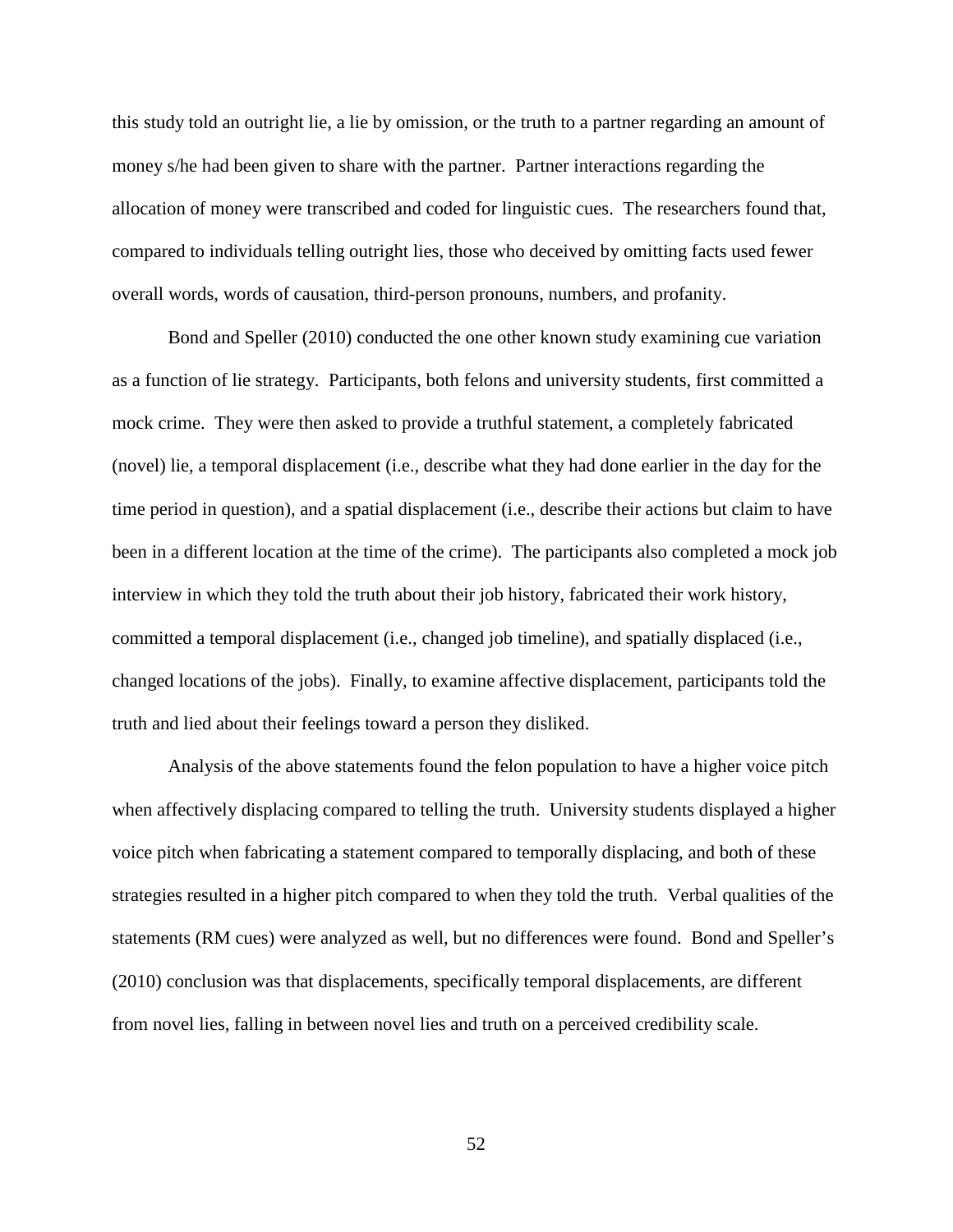this study told an outright lie, a lie by omission, or the truth to a partner regarding an amount of money s/he had been given to share with the partner. Partner interactions regarding the allocation of money were transcribed and coded for linguistic cues. The researchers found that, compared to individuals telling outright lies, those who deceived by omitting facts used fewer overall words, words of causation, third-person pronouns, numbers, and profanity.

Bond and Speller (2010) conducted the one other known study examining cue variation as a function of lie strategy. Participants, both felons and university students, first committed a mock crime. They were then asked to provide a truthful statement, a completely fabricated (novel) lie, a temporal displacement (i.e., describe what they had done earlier in the day for the time period in question), and a spatial displacement (i.e., describe their actions but claim to have been in a different location at the time of the crime). The participants also completed a mock job interview in which they told the truth about their job history, fabricated their work history, committed a temporal displacement (i.e., changed job timeline), and spatially displaced (i.e., changed locations of the jobs). Finally, to examine affective displacement, participants told the truth and lied about their feelings toward a person they disliked.

Analysis of the above statements found the felon population to have a higher voice pitch when affectively displacing compared to telling the truth. University students displayed a higher voice pitch when fabricating a statement compared to temporally displacing, and both of these strategies resulted in a higher pitch compared to when they told the truth. Verbal qualities of the statements (RM cues) were analyzed as well, but no differences were found. Bond and Speller's (2010) conclusion was that displacements, specifically temporal displacements, are different from novel lies, falling in between novel lies and truth on a perceived credibility scale.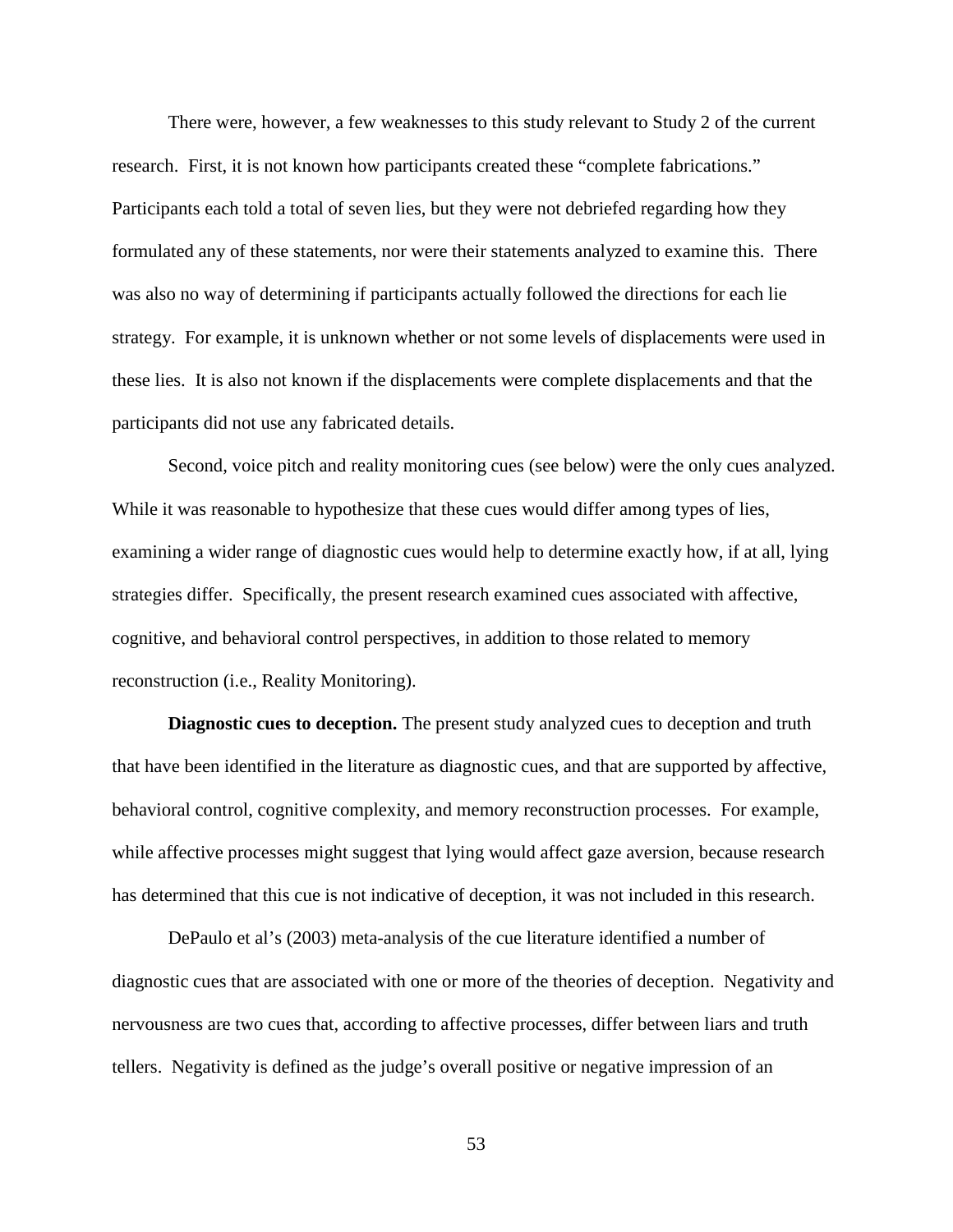There were, however, a few weaknesses to this study relevant to Study 2 of the current research. First, it is not known how participants created these "complete fabrications." Participants each told a total of seven lies, but they were not debriefed regarding how they formulated any of these statements, nor were their statements analyzed to examine this. There was also no way of determining if participants actually followed the directions for each lie strategy. For example, it is unknown whether or not some levels of displacements were used in these lies. It is also not known if the displacements were complete displacements and that the participants did not use any fabricated details.

Second, voice pitch and reality monitoring cues (see below) were the only cues analyzed. While it was reasonable to hypothesize that these cues would differ among types of lies, examining a wider range of diagnostic cues would help to determine exactly how, if at all, lying strategies differ. Specifically, the present research examined cues associated with affective, cognitive, and behavioral control perspectives, in addition to those related to memory reconstruction (i.e., Reality Monitoring).

**Diagnostic cues to deception.** The present study analyzed cues to deception and truth that have been identified in the literature as diagnostic cues, and that are supported by affective, behavioral control, cognitive complexity, and memory reconstruction processes. For example, while affective processes might suggest that lying would affect gaze aversion, because research has determined that this cue is not indicative of deception, it was not included in this research.

DePaulo et al's (2003) meta-analysis of the cue literature identified a number of diagnostic cues that are associated with one or more of the theories of deception. Negativity and nervousness are two cues that, according to affective processes, differ between liars and truth tellers. Negativity is defined as the judge's overall positive or negative impression of an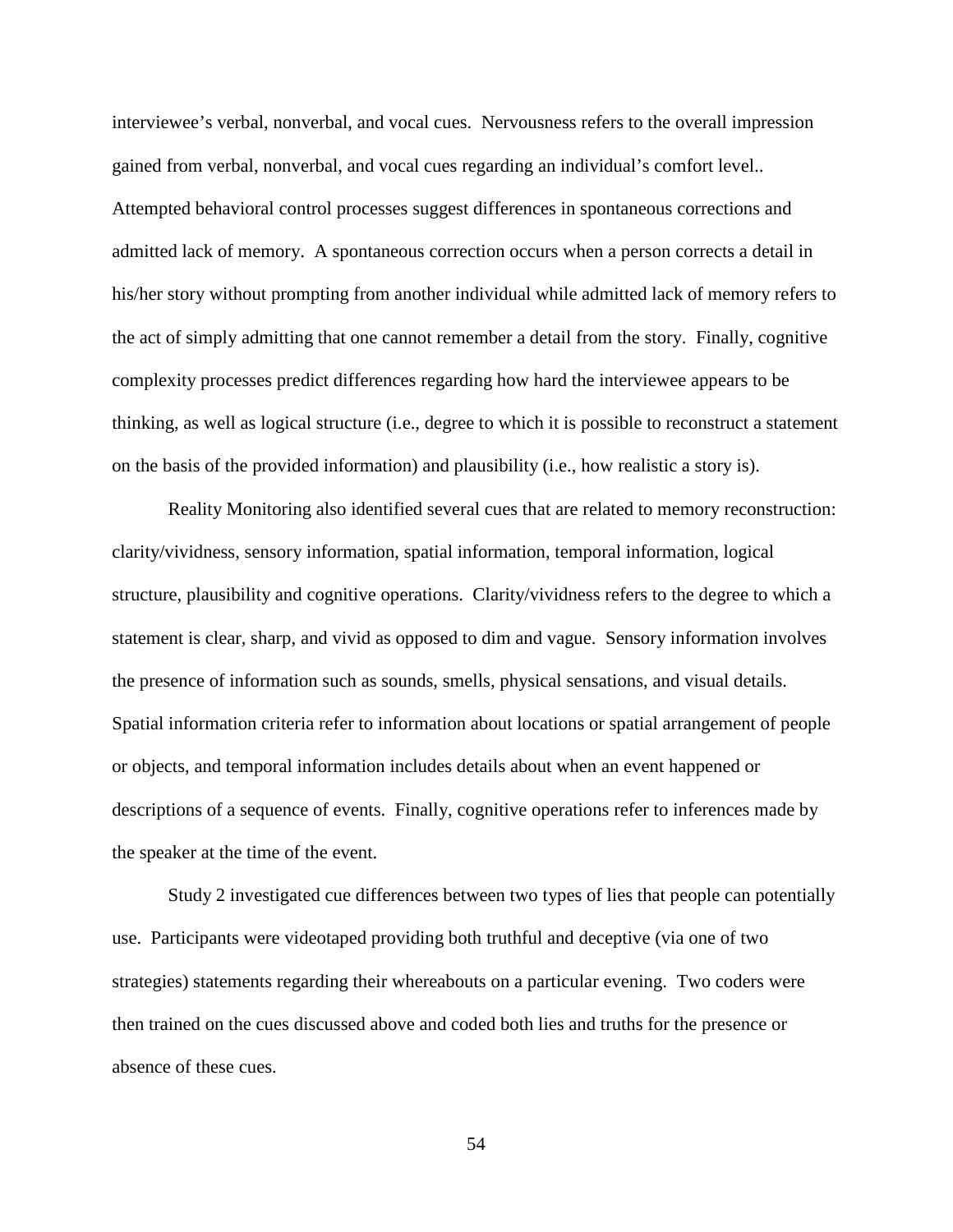interviewee's verbal, nonverbal, and vocal cues. Nervousness refers to the overall impression gained from verbal, nonverbal, and vocal cues regarding an individual's comfort level.. Attempted behavioral control processes suggest differences in spontaneous corrections and admitted lack of memory. A spontaneous correction occurs when a person corrects a detail in his/her story without prompting from another individual while admitted lack of memory refers to the act of simply admitting that one cannot remember a detail from the story. Finally, cognitive complexity processes predict differences regarding how hard the interviewee appears to be thinking, as well as logical structure (i.e., degree to which it is possible to reconstruct a statement on the basis of the provided information) and plausibility (i.e., how realistic a story is).

Reality Monitoring also identified several cues that are related to memory reconstruction: clarity/vividness, sensory information, spatial information, temporal information, logical structure, plausibility and cognitive operations. Clarity/vividness refers to the degree to which a statement is clear, sharp, and vivid as opposed to dim and vague. Sensory information involves the presence of information such as sounds, smells, physical sensations, and visual details. Spatial information criteria refer to information about locations or spatial arrangement of people or objects, and temporal information includes details about when an event happened or descriptions of a sequence of events. Finally, cognitive operations refer to inferences made by the speaker at the time of the event.

Study 2 investigated cue differences between two types of lies that people can potentially use. Participants were videotaped providing both truthful and deceptive (via one of two strategies) statements regarding their whereabouts on a particular evening. Two coders were then trained on the cues discussed above and coded both lies and truths for the presence or absence of these cues.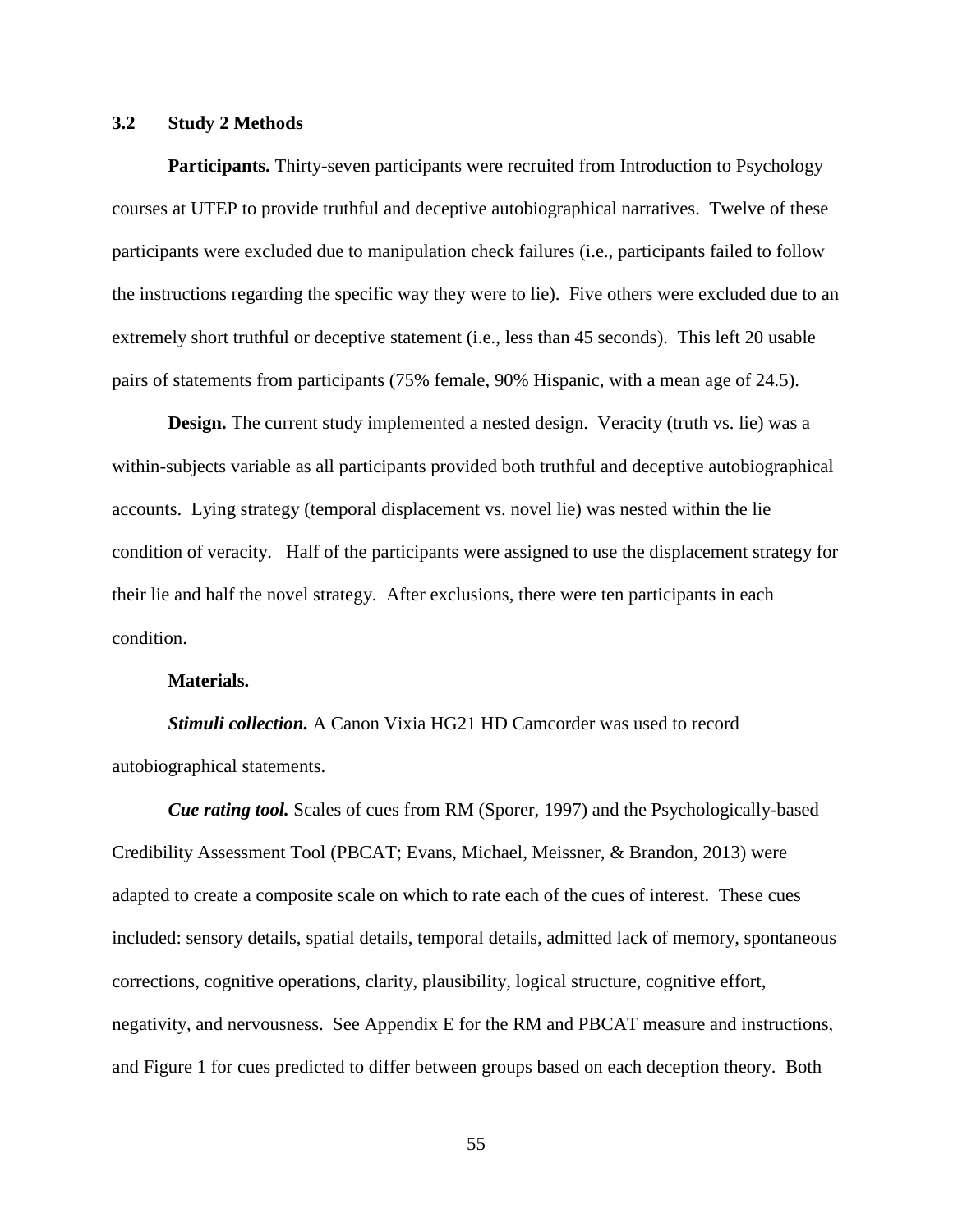# **3.2 Study 2 Methods**

Participants. Thirty-seven participants were recruited from Introduction to Psychology courses at UTEP to provide truthful and deceptive autobiographical narratives. Twelve of these participants were excluded due to manipulation check failures (i.e., participants failed to follow the instructions regarding the specific way they were to lie). Five others were excluded due to an extremely short truthful or deceptive statement (i.e., less than 45 seconds). This left 20 usable pairs of statements from participants (75% female, 90% Hispanic, with a mean age of 24.5).

**Design.** The current study implemented a nested design. Veracity (truth vs. lie) was a within-subjects variable as all participants provided both truthful and deceptive autobiographical accounts. Lying strategy (temporal displacement vs. novel lie) was nested within the lie condition of veracity. Half of the participants were assigned to use the displacement strategy for their lie and half the novel strategy. After exclusions, there were ten participants in each condition.

### **Materials.**

*Stimuli collection.* A Canon Vixia HG21 HD Camcorder was used to record autobiographical statements.

*Cue rating tool.* Scales of cues from RM (Sporer, 1997) and the Psychologically-based Credibility Assessment Tool (PBCAT; Evans, Michael, Meissner, & Brandon, 2013) were adapted to create a composite scale on which to rate each of the cues of interest. These cues included: sensory details, spatial details, temporal details, admitted lack of memory, spontaneous corrections, cognitive operations, clarity, plausibility, logical structure, cognitive effort, negativity, and nervousness. See Appendix E for the RM and PBCAT measure and instructions, and Figure 1 for cues predicted to differ between groups based on each deception theory. Both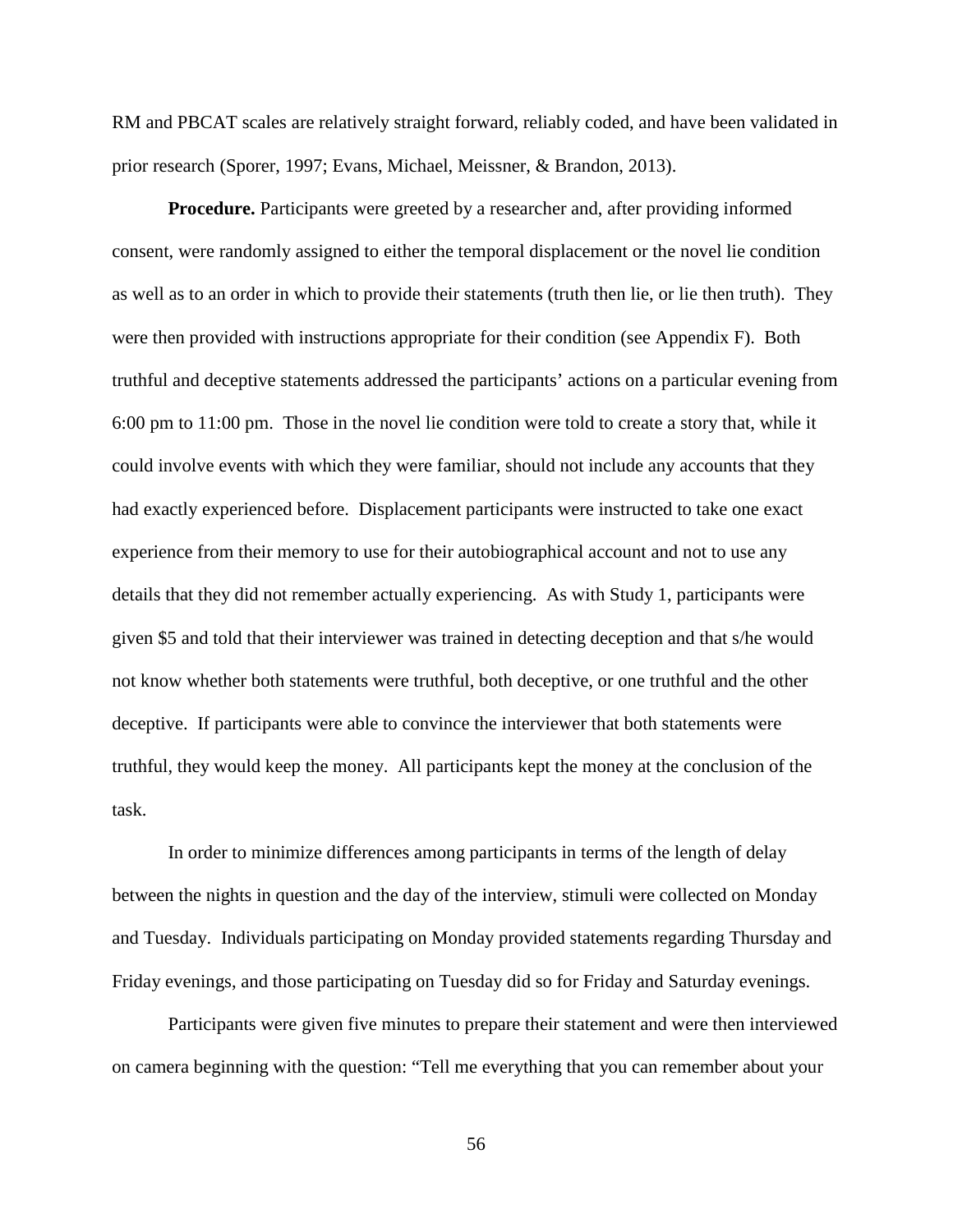RM and PBCAT scales are relatively straight forward, reliably coded, and have been validated in prior research (Sporer, 1997; Evans, Michael, Meissner, & Brandon, 2013).

**Procedure.** Participants were greeted by a researcher and, after providing informed consent, were randomly assigned to either the temporal displacement or the novel lie condition as well as to an order in which to provide their statements (truth then lie, or lie then truth). They were then provided with instructions appropriate for their condition (see Appendix F). Both truthful and deceptive statements addressed the participants' actions on a particular evening from 6:00 pm to 11:00 pm. Those in the novel lie condition were told to create a story that, while it could involve events with which they were familiar, should not include any accounts that they had exactly experienced before. Displacement participants were instructed to take one exact experience from their memory to use for their autobiographical account and not to use any details that they did not remember actually experiencing. As with Study 1, participants were given \$5 and told that their interviewer was trained in detecting deception and that s/he would not know whether both statements were truthful, both deceptive, or one truthful and the other deceptive. If participants were able to convince the interviewer that both statements were truthful, they would keep the money. All participants kept the money at the conclusion of the task.

In order to minimize differences among participants in terms of the length of delay between the nights in question and the day of the interview, stimuli were collected on Monday and Tuesday. Individuals participating on Monday provided statements regarding Thursday and Friday evenings, and those participating on Tuesday did so for Friday and Saturday evenings.

Participants were given five minutes to prepare their statement and were then interviewed on camera beginning with the question: "Tell me everything that you can remember about your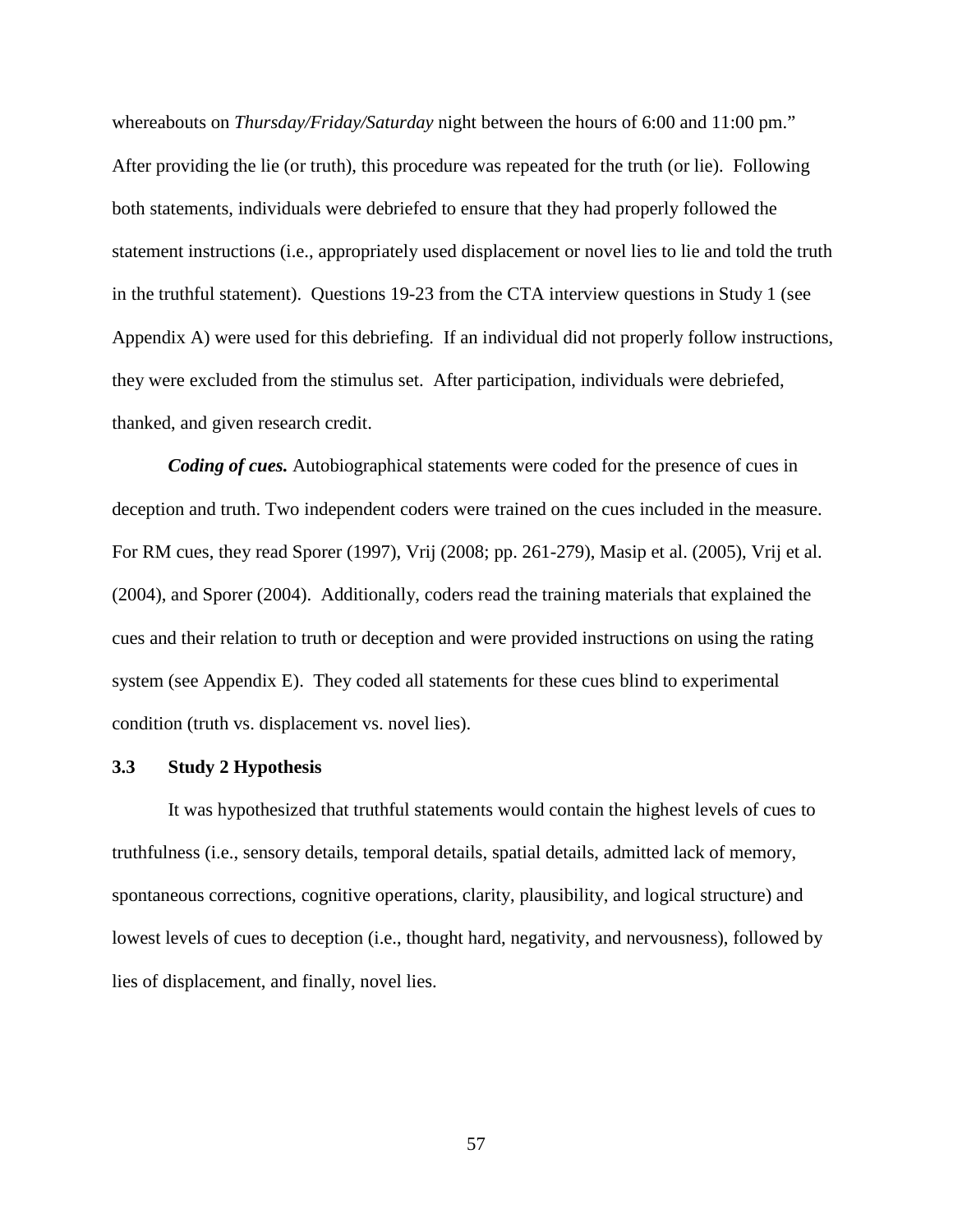whereabouts on *Thursday/Friday/Saturday* night between the hours of 6:00 and 11:00 pm." After providing the lie (or truth), this procedure was repeated for the truth (or lie). Following both statements, individuals were debriefed to ensure that they had properly followed the statement instructions (i.e., appropriately used displacement or novel lies to lie and told the truth in the truthful statement). Questions 19-23 from the CTA interview questions in Study 1 (see Appendix A) were used for this debriefing. If an individual did not properly follow instructions, they were excluded from the stimulus set. After participation, individuals were debriefed, thanked, and given research credit.

*Coding of cues.* Autobiographical statements were coded for the presence of cues in deception and truth. Two independent coders were trained on the cues included in the measure. For RM cues, they read Sporer (1997), Vrij (2008; pp. 261-279), Masip et al. (2005), Vrij et al. (2004), and Sporer (2004). Additionally, coders read the training materials that explained the cues and their relation to truth or deception and were provided instructions on using the rating system (see Appendix E). They coded all statements for these cues blind to experimental condition (truth vs. displacement vs. novel lies).

#### **3.3 Study 2 Hypothesis**

It was hypothesized that truthful statements would contain the highest levels of cues to truthfulness (i.e., sensory details, temporal details, spatial details, admitted lack of memory, spontaneous corrections, cognitive operations, clarity, plausibility, and logical structure) and lowest levels of cues to deception (i.e., thought hard, negativity, and nervousness), followed by lies of displacement, and finally, novel lies.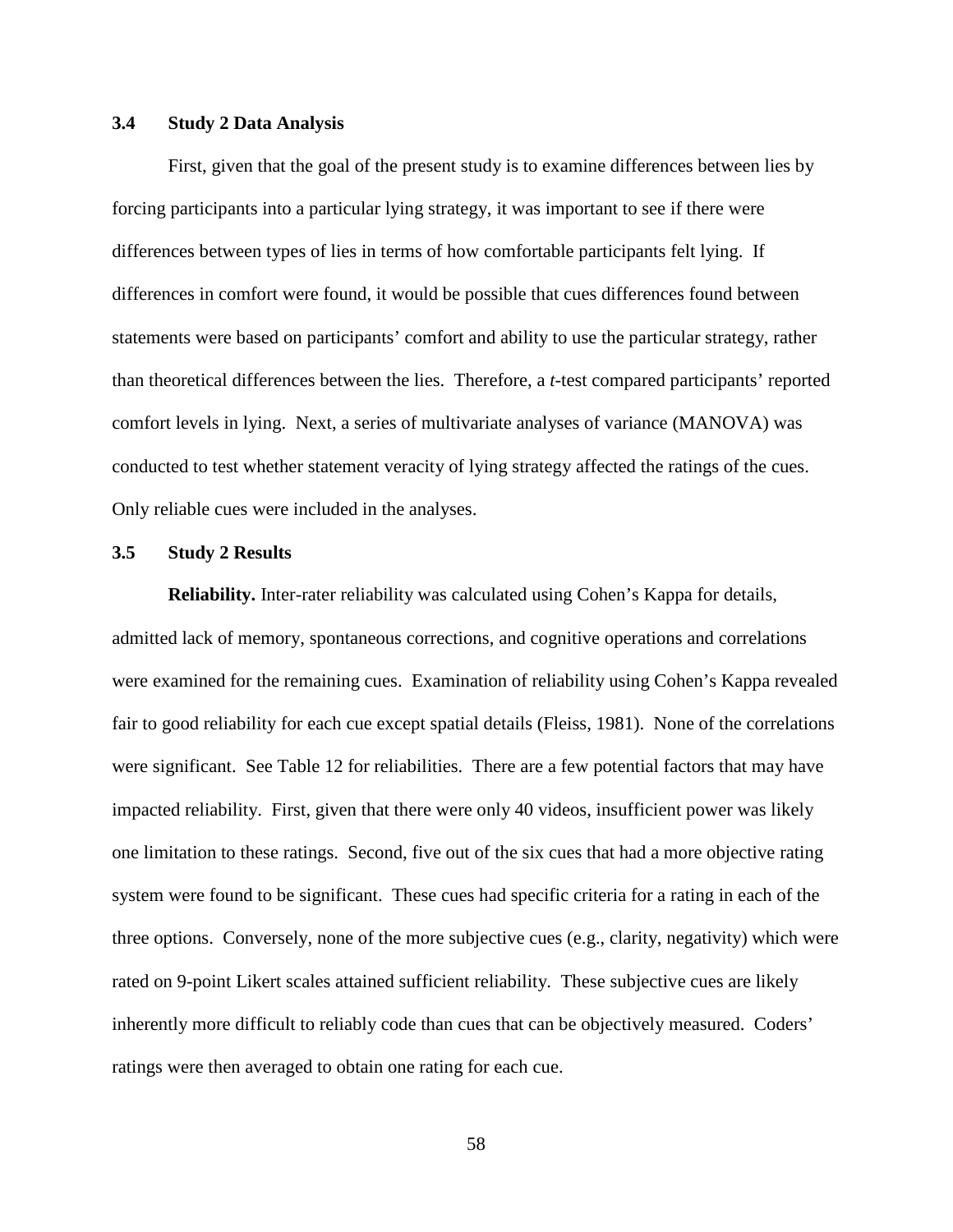# **3.4 Study 2 Data Analysis**

First, given that the goal of the present study is to examine differences between lies by forcing participants into a particular lying strategy, it was important to see if there were differences between types of lies in terms of how comfortable participants felt lying. If differences in comfort were found, it would be possible that cues differences found between statements were based on participants' comfort and ability to use the particular strategy, rather than theoretical differences between the lies. Therefore, a *t*-test compared participants' reported comfort levels in lying. Next, a series of multivariate analyses of variance (MANOVA) was conducted to test whether statement veracity of lying strategy affected the ratings of the cues. Only reliable cues were included in the analyses.

## **3.5 Study 2 Results**

**Reliability.** Inter-rater reliability was calculated using Cohen's Kappa for details, admitted lack of memory, spontaneous corrections, and cognitive operations and correlations were examined for the remaining cues. Examination of reliability using Cohen's Kappa revealed fair to good reliability for each cue except spatial details (Fleiss, 1981). None of the correlations were significant. See Table 12 for reliabilities. There are a few potential factors that may have impacted reliability. First, given that there were only 40 videos, insufficient power was likely one limitation to these ratings. Second, five out of the six cues that had a more objective rating system were found to be significant. These cues had specific criteria for a rating in each of the three options. Conversely, none of the more subjective cues (e.g., clarity, negativity) which were rated on 9-point Likert scales attained sufficient reliability. These subjective cues are likely inherently more difficult to reliably code than cues that can be objectively measured. Coders' ratings were then averaged to obtain one rating for each cue.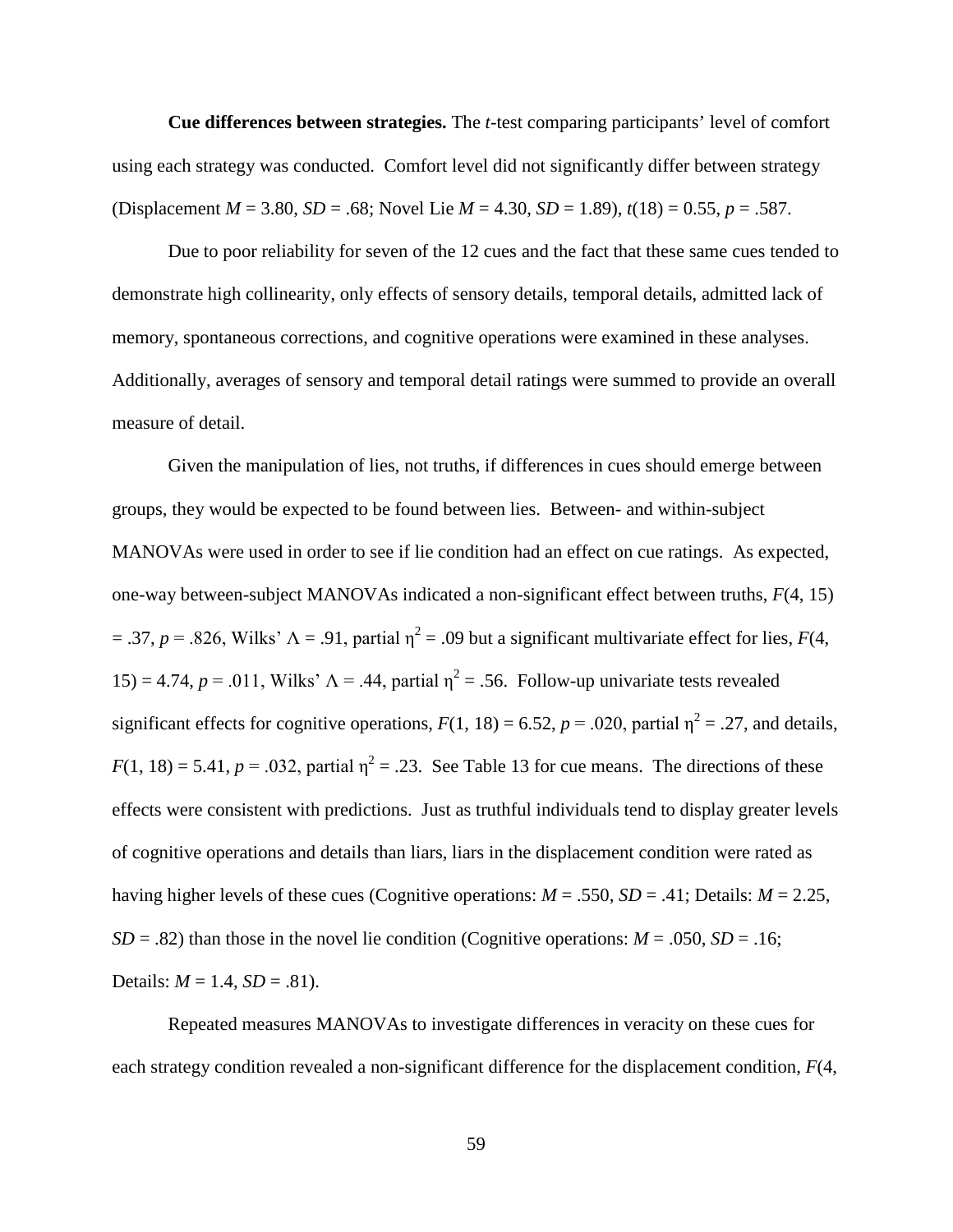**Cue differences between strategies.** The *t*-test comparing participants' level of comfort using each strategy was conducted. Comfort level did not significantly differ between strategy (Displacement *M* = 3.80, *SD* = .68; Novel Lie *M* = 4.30, *SD* = 1.89), *t*(18) = 0.55, *p* = .587.

Due to poor reliability for seven of the 12 cues and the fact that these same cues tended to demonstrate high collinearity, only effects of sensory details, temporal details, admitted lack of memory, spontaneous corrections, and cognitive operations were examined in these analyses. Additionally, averages of sensory and temporal detail ratings were summed to provide an overall measure of detail.

Given the manipulation of lies, not truths, if differences in cues should emerge between groups, they would be expected to be found between lies. Between- and within-subject MANOVAs were used in order to see if lie condition had an effect on cue ratings. As expected, one-way between-subject MANOVAs indicated a non-significant effect between truths, *F*(4, 15) = .37,  $p = 0.826$ , Wilks'  $\Lambda = 0.91$ , partial  $\eta^2 = 0.09$  but a significant multivariate effect for lies,  $F(4, 1)$ 15) = 4.74,  $p = 0.011$ , Wilks'  $\Lambda = .44$ , partial  $\eta^2 = .56$ . Follow-up univariate tests revealed significant effects for cognitive operations,  $F(1, 18) = 6.52$ ,  $p = .020$ , partial  $\eta^2 = .27$ , and details,  $F(1, 18) = 5.41$ ,  $p = .032$ , partial  $\eta^2 = .23$ . See Table 13 for cue means. The directions of these effects were consistent with predictions. Just as truthful individuals tend to display greater levels of cognitive operations and details than liars, liars in the displacement condition were rated as having higher levels of these cues (Cognitive operations: *M* = .550, *SD* = .41; Details: *M* = 2.25, *SD* = .82) than those in the novel lie condition (Cognitive operations:  $M = .050$ ,  $SD = .16$ ; Details:  $M = 1.4$ ,  $SD = .81$ ).

Repeated measures MANOVAs to investigate differences in veracity on these cues for each strategy condition revealed a non-significant difference for the displacement condition, *F*(4,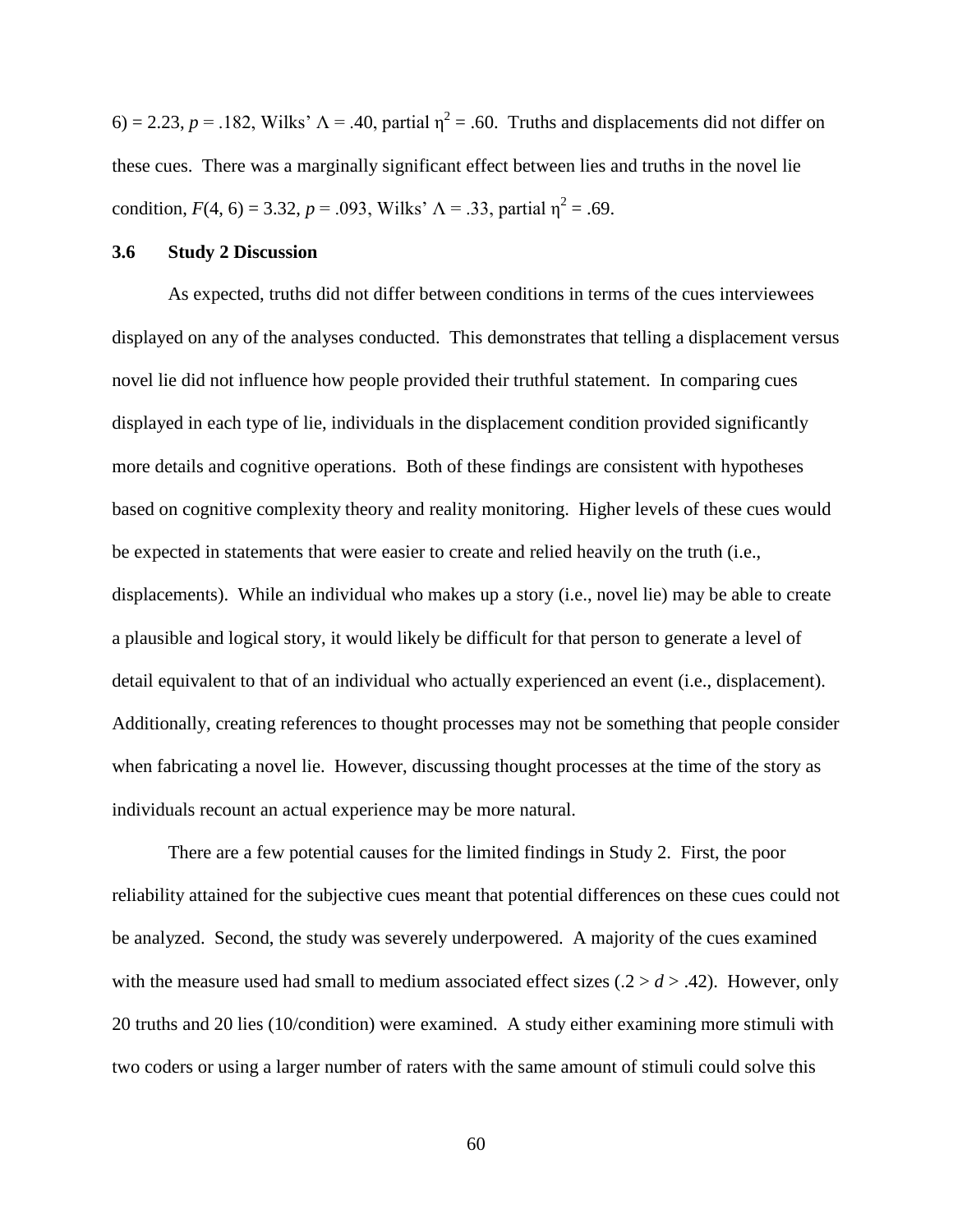6) = 2.23, *p* = .182, Wilks'  $\Lambda$  = .40, partial  $\eta^2$  = .60. Truths and displacements did not differ on these cues. There was a marginally significant effect between lies and truths in the novel lie condition,  $F(4, 6) = 3.32$ ,  $p = .093$ , Wilks'  $\Lambda = .33$ , partial  $\eta^2 = .69$ .

#### **3.6 Study 2 Discussion**

As expected, truths did not differ between conditions in terms of the cues interviewees displayed on any of the analyses conducted. This demonstrates that telling a displacement versus novel lie did not influence how people provided their truthful statement. In comparing cues displayed in each type of lie, individuals in the displacement condition provided significantly more details and cognitive operations. Both of these findings are consistent with hypotheses based on cognitive complexity theory and reality monitoring. Higher levels of these cues would be expected in statements that were easier to create and relied heavily on the truth (i.e., displacements). While an individual who makes up a story (i.e., novel lie) may be able to create a plausible and logical story, it would likely be difficult for that person to generate a level of detail equivalent to that of an individual who actually experienced an event (i.e., displacement). Additionally, creating references to thought processes may not be something that people consider when fabricating a novel lie. However, discussing thought processes at the time of the story as individuals recount an actual experience may be more natural.

There are a few potential causes for the limited findings in Study 2. First, the poor reliability attained for the subjective cues meant that potential differences on these cues could not be analyzed. Second, the study was severely underpowered. A majority of the cues examined with the measure used had small to medium associated effect sizes  $(0.2 > d > 0.42)$ . However, only 20 truths and 20 lies (10/condition) were examined. A study either examining more stimuli with two coders or using a larger number of raters with the same amount of stimuli could solve this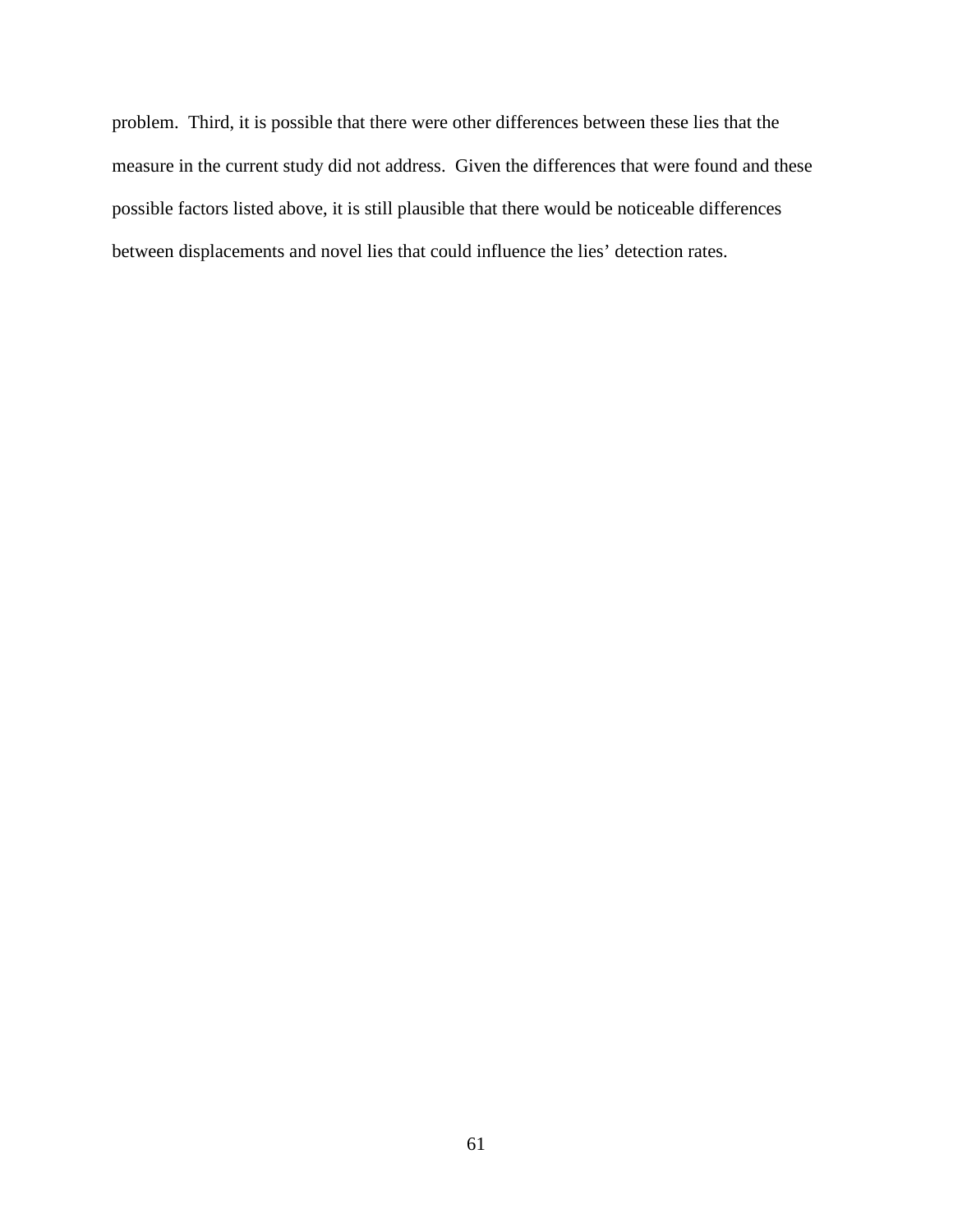problem. Third, it is possible that there were other differences between these lies that the measure in the current study did not address. Given the differences that were found and these possible factors listed above, it is still plausible that there would be noticeable differences between displacements and novel lies that could influence the lies' detection rates.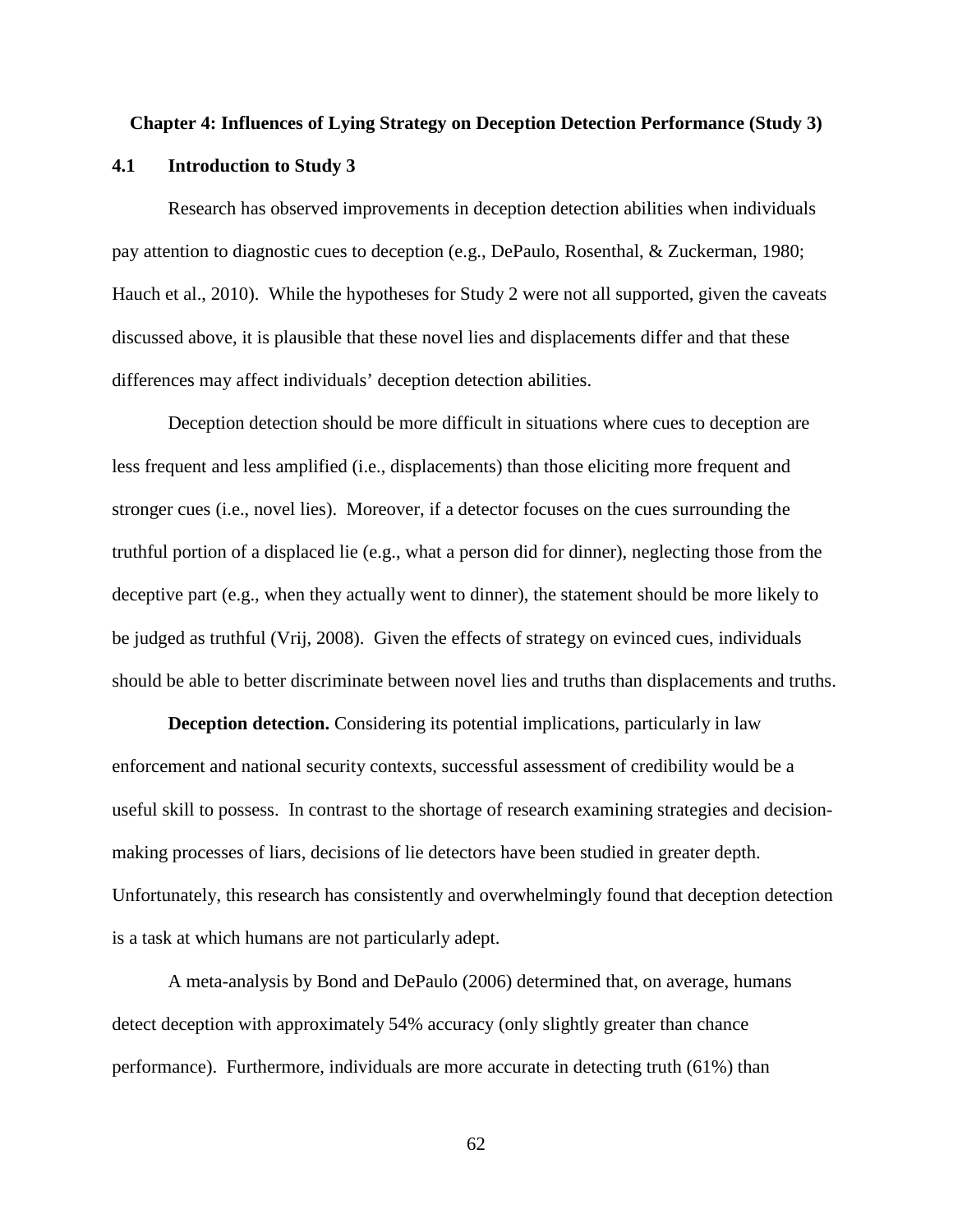### **Chapter 4: Influences of Lying Strategy on Deception Detection Performance (Study 3)**

#### **4.1 Introduction to Study 3**

Research has observed improvements in deception detection abilities when individuals pay attention to diagnostic cues to deception (e.g., DePaulo, Rosenthal, & Zuckerman, 1980; Hauch et al., 2010). While the hypotheses for Study 2 were not all supported, given the caveats discussed above, it is plausible that these novel lies and displacements differ and that these differences may affect individuals' deception detection abilities.

Deception detection should be more difficult in situations where cues to deception are less frequent and less amplified (i.e., displacements) than those eliciting more frequent and stronger cues (i.e., novel lies). Moreover, if a detector focuses on the cues surrounding the truthful portion of a displaced lie (e.g., what a person did for dinner), neglecting those from the deceptive part (e.g., when they actually went to dinner), the statement should be more likely to be judged as truthful (Vrij, 2008). Given the effects of strategy on evinced cues, individuals should be able to better discriminate between novel lies and truths than displacements and truths.

**Deception detection.** Considering its potential implications, particularly in law enforcement and national security contexts, successful assessment of credibility would be a useful skill to possess. In contrast to the shortage of research examining strategies and decisionmaking processes of liars, decisions of lie detectors have been studied in greater depth. Unfortunately, this research has consistently and overwhelmingly found that deception detection is a task at which humans are not particularly adept.

A meta-analysis by Bond and DePaulo (2006) determined that, on average, humans detect deception with approximately 54% accuracy (only slightly greater than chance performance). Furthermore, individuals are more accurate in detecting truth (61%) than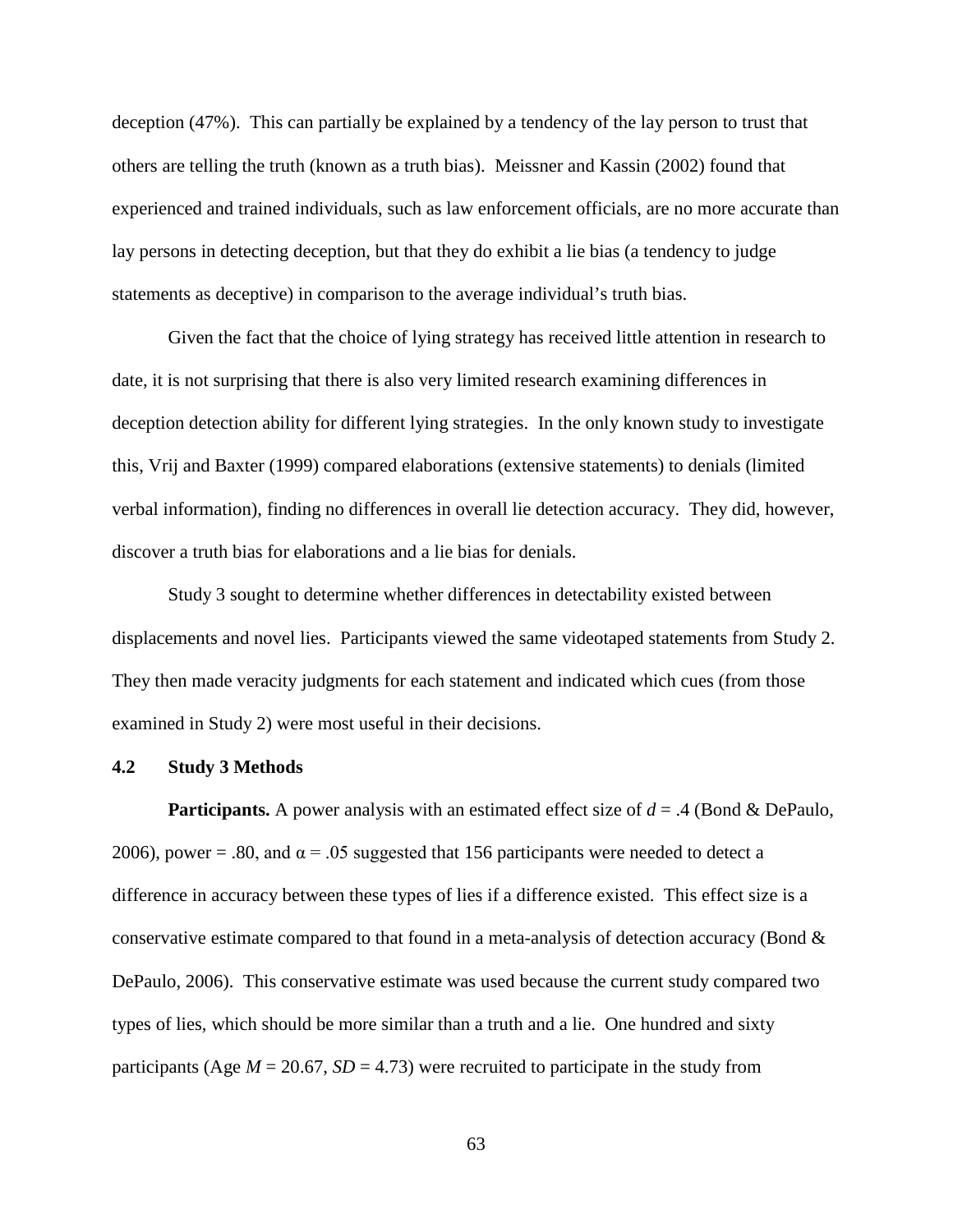deception (47%). This can partially be explained by a tendency of the lay person to trust that others are telling the truth (known as a truth bias). Meissner and Kassin (2002) found that experienced and trained individuals, such as law enforcement officials, are no more accurate than lay persons in detecting deception, but that they do exhibit a lie bias (a tendency to judge statements as deceptive) in comparison to the average individual's truth bias.

Given the fact that the choice of lying strategy has received little attention in research to date, it is not surprising that there is also very limited research examining differences in deception detection ability for different lying strategies. In the only known study to investigate this, Vrij and Baxter (1999) compared elaborations (extensive statements) to denials (limited verbal information), finding no differences in overall lie detection accuracy. They did, however, discover a truth bias for elaborations and a lie bias for denials.

Study 3 sought to determine whether differences in detectability existed between displacements and novel lies. Participants viewed the same videotaped statements from Study 2. They then made veracity judgments for each statement and indicated which cues (from those examined in Study 2) were most useful in their decisions.

### **4.2 Study 3 Methods**

**Participants.** A power analysis with an estimated effect size of *d* = .4 (Bond & DePaulo, 2006), power = .80, and  $\alpha$  = .05 suggested that 156 participants were needed to detect a difference in accuracy between these types of lies if a difference existed. This effect size is a conservative estimate compared to that found in a meta-analysis of detection accuracy (Bond  $\&$ DePaulo, 2006). This conservative estimate was used because the current study compared two types of lies, which should be more similar than a truth and a lie. One hundred and sixty participants (Age  $M = 20.67$ ,  $SD = 4.73$ ) were recruited to participate in the study from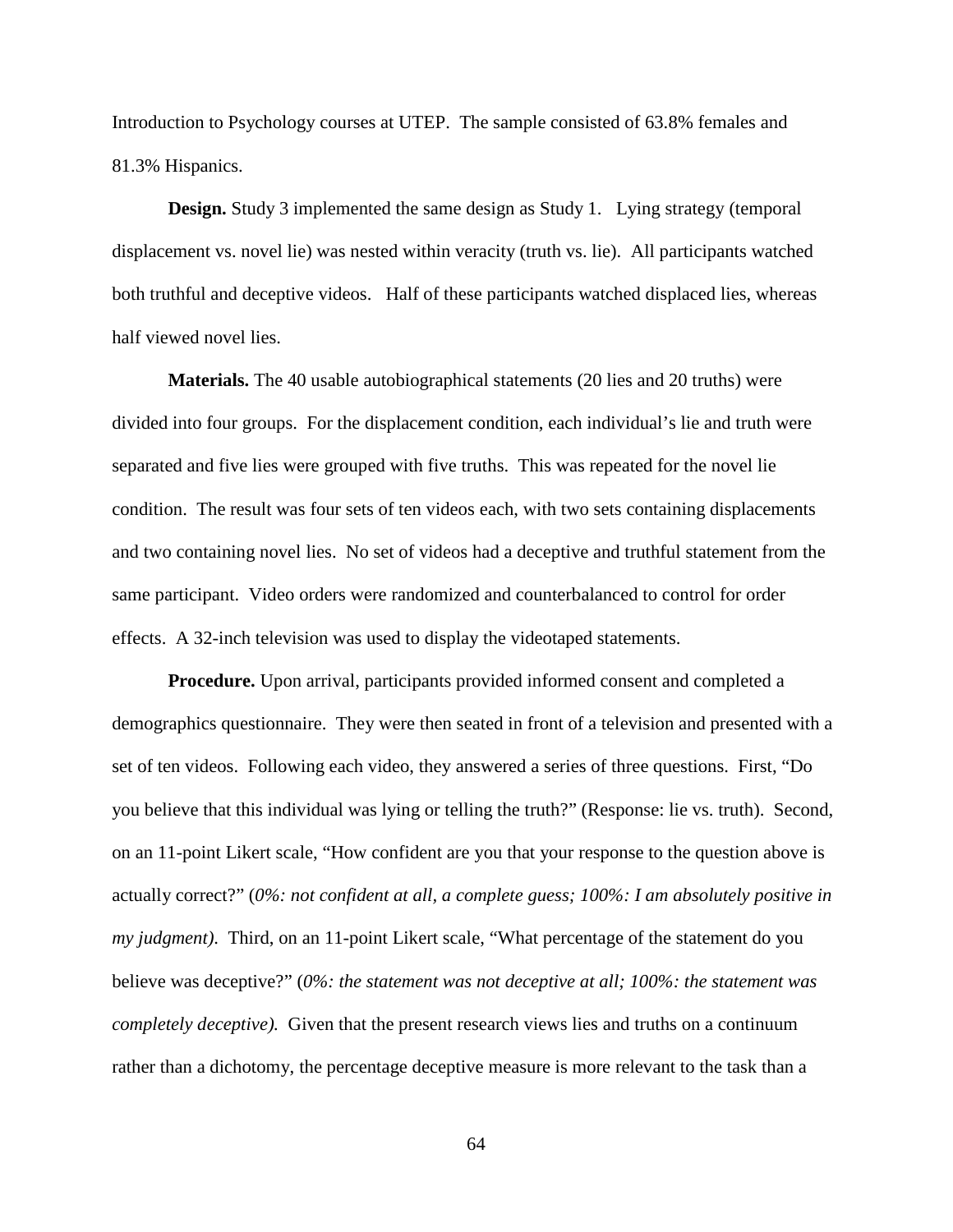Introduction to Psychology courses at UTEP. The sample consisted of 63.8% females and 81.3% Hispanics.

**Design.** Study 3 implemented the same design as Study 1. Lying strategy (temporal displacement vs. novel lie) was nested within veracity (truth vs. lie). All participants watched both truthful and deceptive videos. Half of these participants watched displaced lies, whereas half viewed novel lies.

**Materials.** The 40 usable autobiographical statements (20 lies and 20 truths) were divided into four groups. For the displacement condition, each individual's lie and truth were separated and five lies were grouped with five truths. This was repeated for the novel lie condition. The result was four sets of ten videos each, with two sets containing displacements and two containing novel lies. No set of videos had a deceptive and truthful statement from the same participant. Video orders were randomized and counterbalanced to control for order effects. A 32-inch television was used to display the videotaped statements.

**Procedure.** Upon arrival, participants provided informed consent and completed a demographics questionnaire. They were then seated in front of a television and presented with a set of ten videos. Following each video, they answered a series of three questions. First, "Do you believe that this individual was lying or telling the truth?" (Response: lie vs. truth). Second, on an 11-point Likert scale, "How confident are you that your response to the question above is actually correct?" (*0%: not confident at all, a complete guess; 100%: I am absolutely positive in my judgment)*. Third, on an 11-point Likert scale, "What percentage of the statement do you believe was deceptive?" (*0%: the statement was not deceptive at all; 100%: the statement was completely deceptive).* Given that the present research views lies and truths on a continuum rather than a dichotomy, the percentage deceptive measure is more relevant to the task than a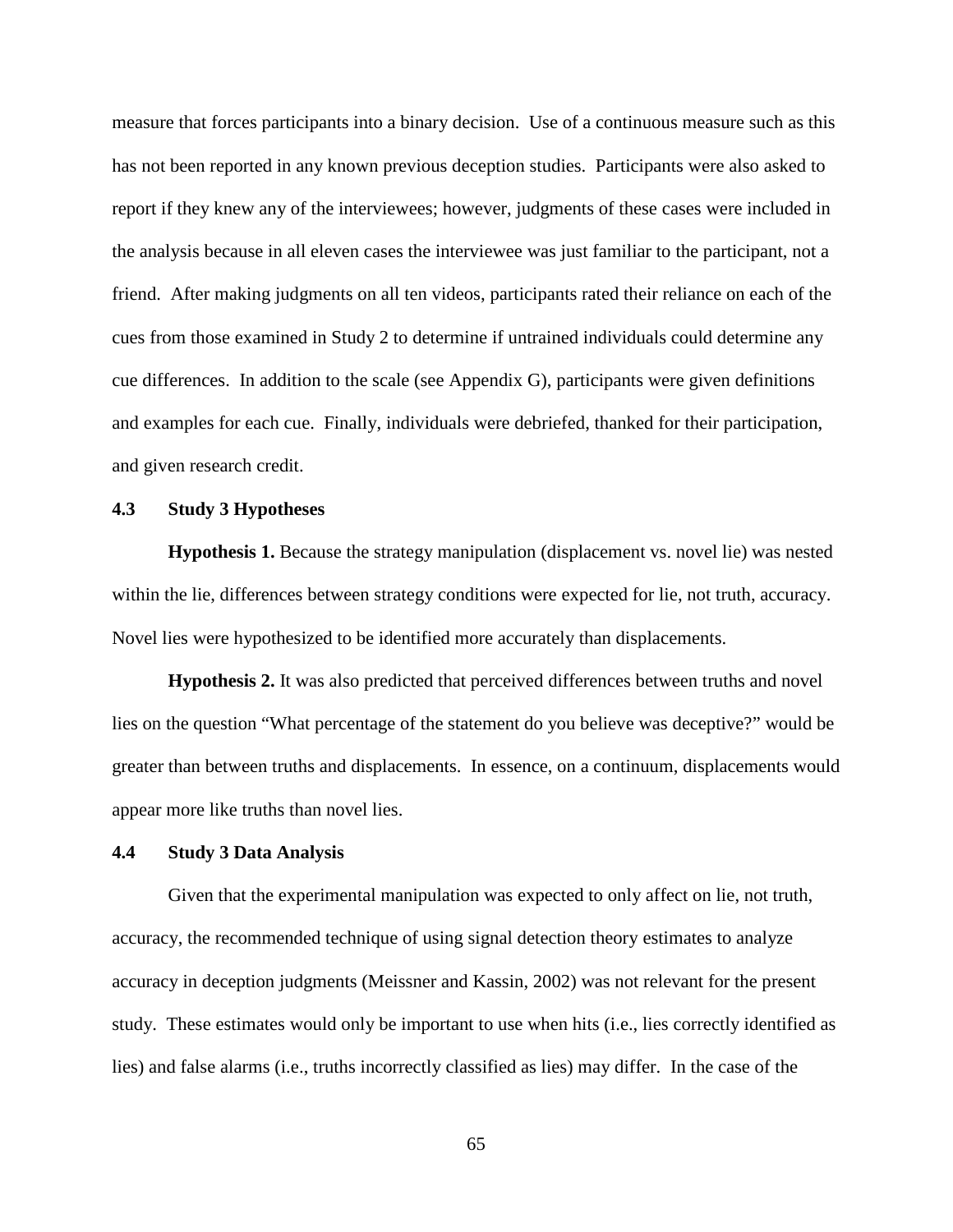measure that forces participants into a binary decision. Use of a continuous measure such as this has not been reported in any known previous deception studies.Participants were also asked to report if they knew any of the interviewees; however, judgments of these cases were included in the analysis because in all eleven cases the interviewee was just familiar to the participant, not a friend. After making judgments on all ten videos, participants rated their reliance on each of the cues from those examined in Study 2 to determine if untrained individuals could determine any cue differences. In addition to the scale (see Appendix G), participants were given definitions and examples for each cue. Finally, individuals were debriefed, thanked for their participation, and given research credit.

### **4.3 Study 3 Hypotheses**

**Hypothesis 1.** Because the strategy manipulation (displacement vs. novel lie) was nested within the lie, differences between strategy conditions were expected for lie, not truth, accuracy. Novel lies were hypothesized to be identified more accurately than displacements.

**Hypothesis 2.** It was also predicted that perceived differences between truths and novel lies on the question "What percentage of the statement do you believe was deceptive?" would be greater than between truths and displacements. In essence, on a continuum, displacements would appear more like truths than novel lies.

### **4.4 Study 3 Data Analysis**

Given that the experimental manipulation was expected to only affect on lie, not truth, accuracy, the recommended technique of using signal detection theory estimates to analyze accuracy in deception judgments (Meissner and Kassin, 2002) was not relevant for the present study. These estimates would only be important to use when hits (i.e., lies correctly identified as lies) and false alarms (i.e., truths incorrectly classified as lies) may differ. In the case of the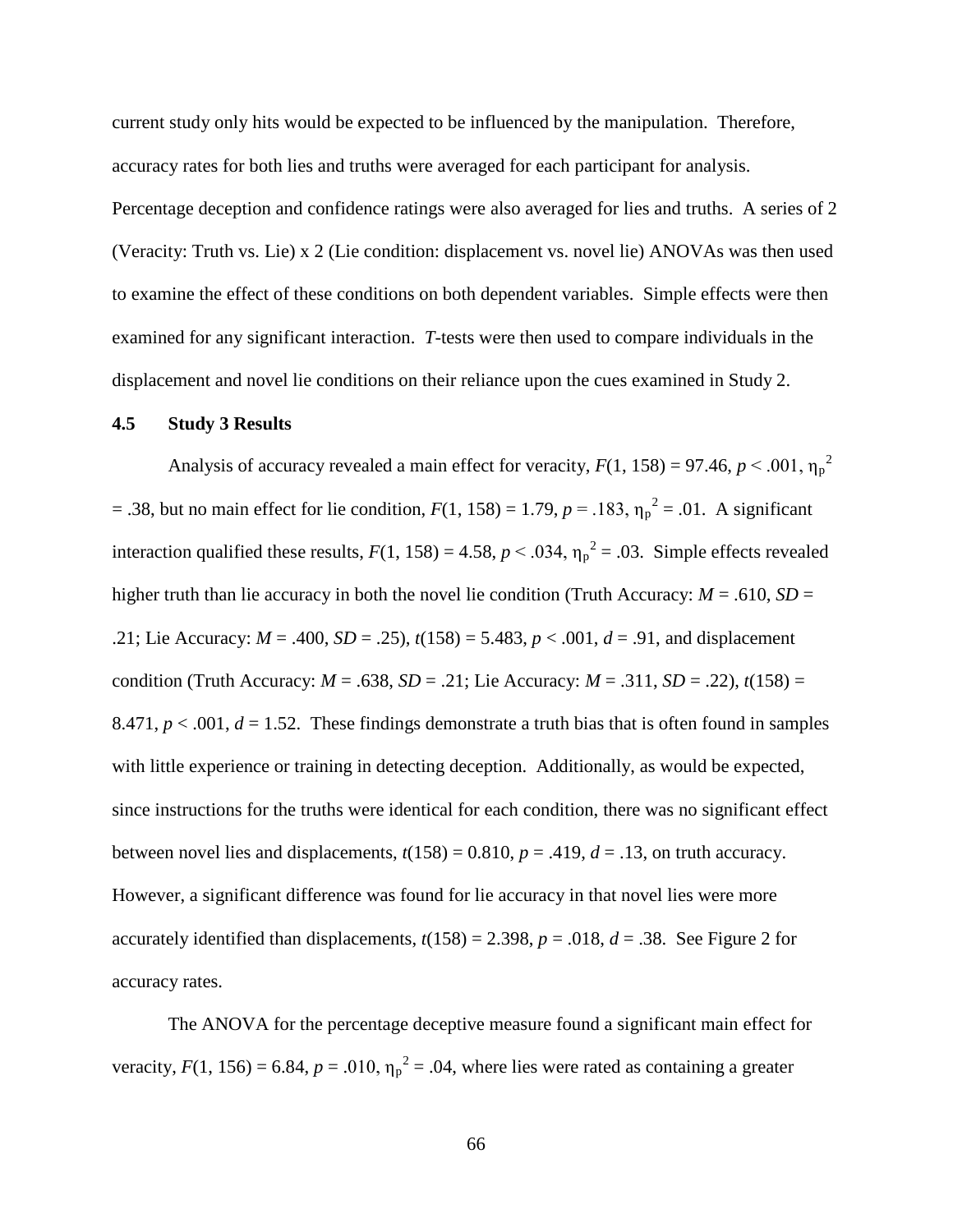current study only hits would be expected to be influenced by the manipulation. Therefore, accuracy rates for both lies and truths were averaged for each participant for analysis.

Percentage deception and confidence ratings were also averaged for lies and truths. A series of 2 (Veracity: Truth vs. Lie) x 2 (Lie condition: displacement vs. novel lie) ANOVAs was then used to examine the effect of these conditions on both dependent variables. Simple effects were then examined for any significant interaction. *T*-tests were then used to compare individuals in the displacement and novel lie conditions on their reliance upon the cues examined in Study 2.

### **4.5 Study 3 Results**

Analysis of accuracy revealed a main effect for veracity,  $F(1, 158) = 97.46$ ,  $p < .001$ ,  $\eta_p^2$ = .38, but no main effect for lie condition,  $F(1, 158) = 1.79$ ,  $p = .183$ ,  $\eta_p^2 = .01$ . A significant interaction qualified these results,  $F(1, 158) = 4.58$ ,  $p < .034$ ,  $\eta_p^2 = .03$ . Simple effects revealed higher truth than lie accuracy in both the novel lie condition (Truth Accuracy:  $M = .610$ ,  $SD =$ .21; Lie Accuracy: *M* = .400, *SD* = .25), *t*(158) = 5.483, *p* < .001, *d* = .91, and displacement condition (Truth Accuracy:  $M = .638$ ,  $SD = .21$ ; Lie Accuracy:  $M = .311$ ,  $SD = .22$ ),  $t(158) =$ 8.471,  $p < .001$ ,  $d = 1.52$ . These findings demonstrate a truth bias that is often found in samples with little experience or training in detecting deception. Additionally, as would be expected, since instructions for the truths were identical for each condition, there was no significant effect between novel lies and displacements,  $t(158) = 0.810$ ,  $p = .419$ ,  $d = .13$ , on truth accuracy. However, a significant difference was found for lie accuracy in that novel lies were more accurately identified than displacements,  $t(158) = 2.398$ ,  $p = .018$ ,  $d = .38$ . See Figure 2 for accuracy rates.

The ANOVA for the percentage deceptive measure found a significant main effect for veracity,  $F(1, 156) = 6.84$ ,  $p = .010$ ,  $\eta_p^2 = .04$ , where lies were rated as containing a greater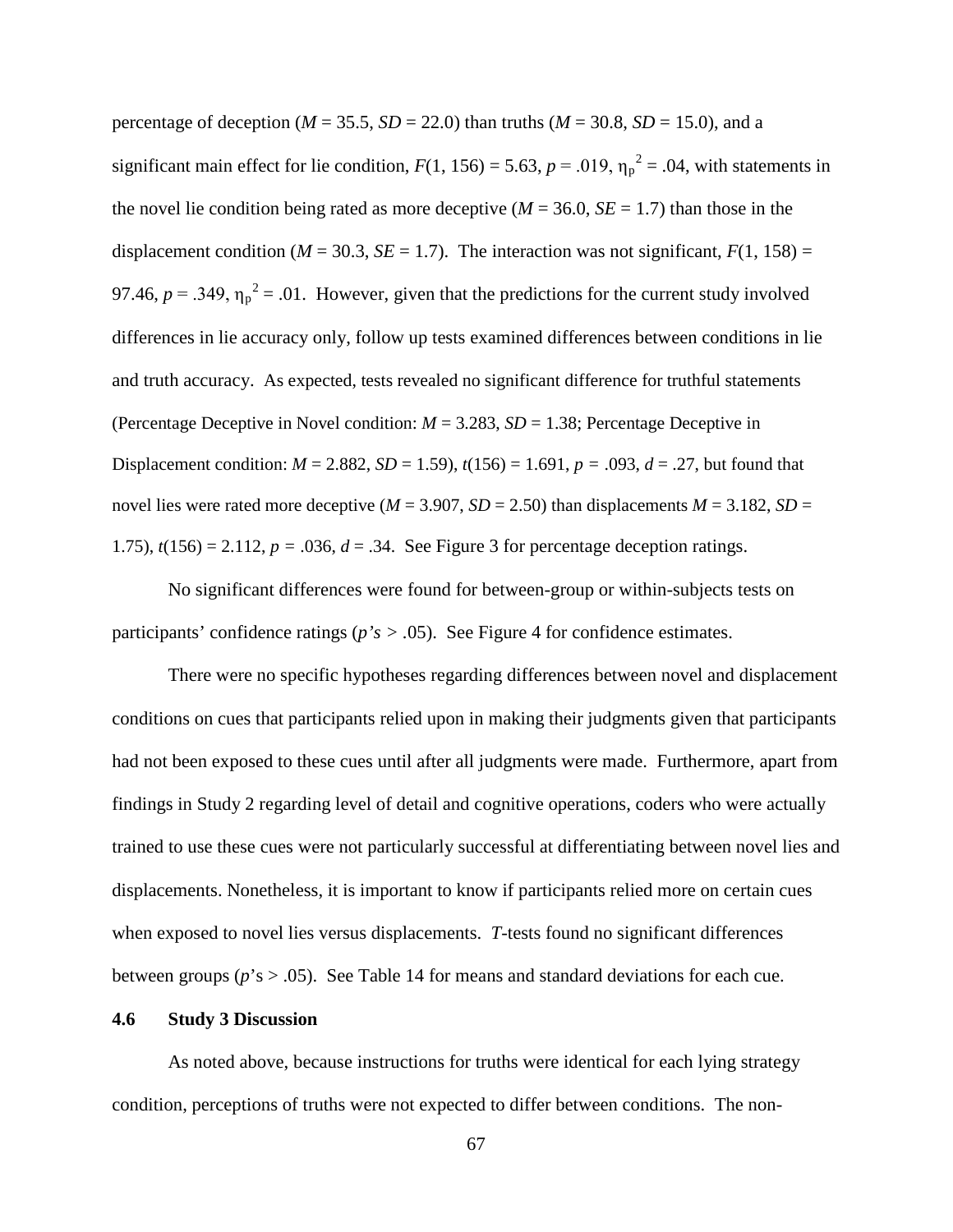percentage of deception ( $M = 35.5$ ,  $SD = 22.0$ ) than truths ( $M = 30.8$ ,  $SD = 15.0$ ), and a significant main effect for lie condition,  $F(1, 156) = 5.63$ ,  $p = .019$ ,  $\eta_p^2 = .04$ , with statements in the novel lie condition being rated as more deceptive  $(M = 36.0, SE = 1.7)$  than those in the displacement condition ( $M = 30.3$ ,  $SE = 1.7$ ). The interaction was not significant,  $F(1, 158) =$ 97.46,  $p = 0.349$ ,  $\eta_p^2 = 0.01$ . However, given that the predictions for the current study involved differences in lie accuracy only, follow up tests examined differences between conditions in lie and truth accuracy. As expected, tests revealed no significant difference for truthful statements (Percentage Deceptive in Novel condition:  $M = 3.283$ ,  $SD = 1.38$ ; Percentage Deceptive in Displacement condition:  $M = 2.882$ ,  $SD = 1.59$ ,  $t(156) = 1.691$ ,  $p = .093$ ,  $d = .27$ , but found that novel lies were rated more deceptive ( $M = 3.907$ ,  $SD = 2.50$ ) than displacements  $M = 3.182$ ,  $SD =$ 1.75),  $t(156) = 2.112$ ,  $p = .036$ ,  $d = .34$ . See Figure 3 for percentage deception ratings.

No significant differences were found for between-group or within-subjects tests on participants' confidence ratings (*p's > .*05). See Figure 4 for confidence estimates.

There were no specific hypotheses regarding differences between novel and displacement conditions on cues that participants relied upon in making their judgments given that participants had not been exposed to these cues until after all judgments were made. Furthermore, apart from findings in Study 2 regarding level of detail and cognitive operations, coders who were actually trained to use these cues were not particularly successful at differentiating between novel lies and displacements. Nonetheless, it is important to know if participants relied more on certain cues when exposed to novel lies versus displacements. *T*-tests found no significant differences between groups ( $p$ 's  $> 0.05$ ). See Table 14 for means and standard deviations for each cue.

### **4.6 Study 3 Discussion**

As noted above, because instructions for truths were identical for each lying strategy condition, perceptions of truths were not expected to differ between conditions. The non-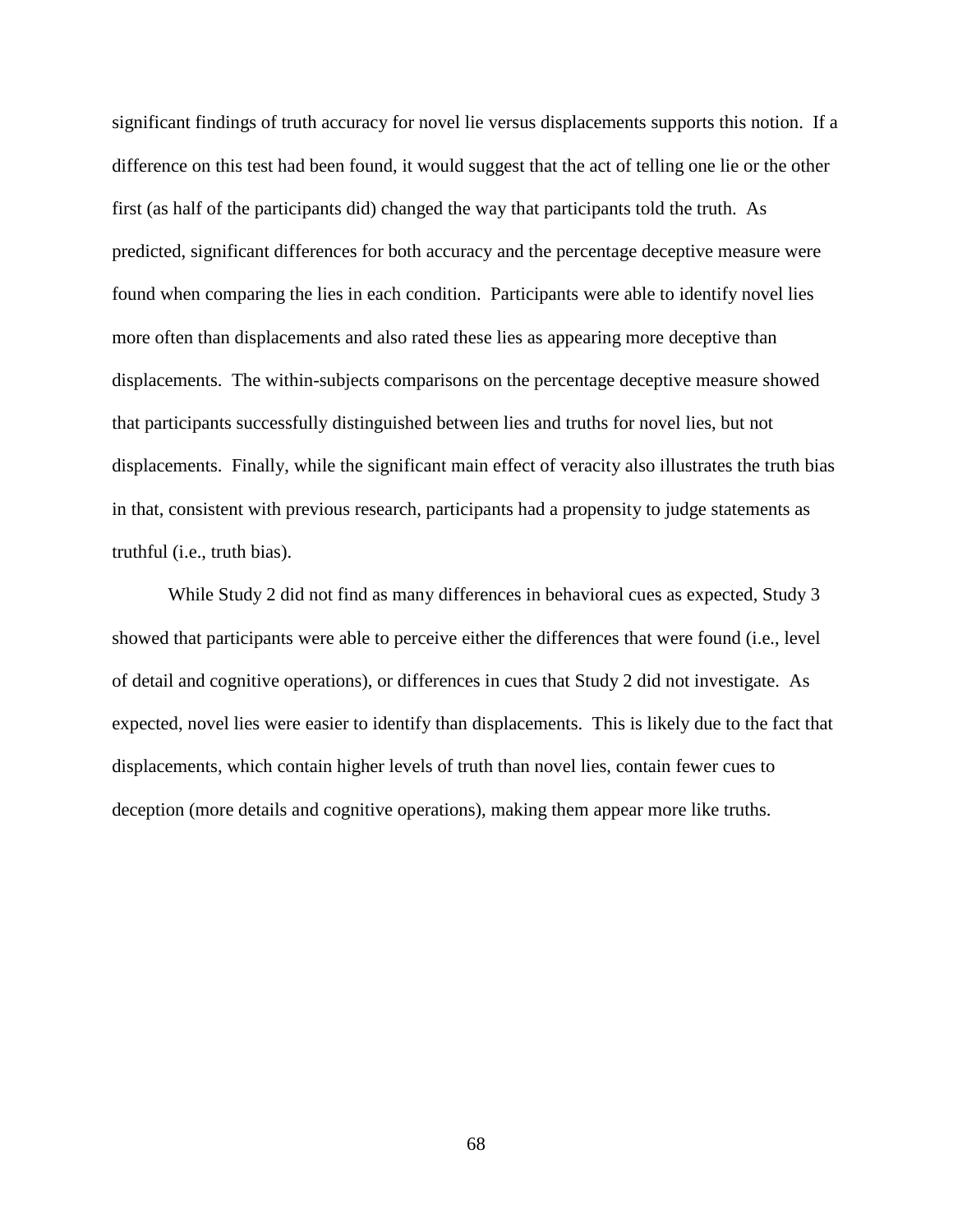significant findings of truth accuracy for novel lie versus displacements supports this notion. If a difference on this test had been found, it would suggest that the act of telling one lie or the other first (as half of the participants did) changed the way that participants told the truth. As predicted, significant differences for both accuracy and the percentage deceptive measure were found when comparing the lies in each condition. Participants were able to identify novel lies more often than displacements and also rated these lies as appearing more deceptive than displacements. The within-subjects comparisons on the percentage deceptive measure showed that participants successfully distinguished between lies and truths for novel lies, but not displacements. Finally, while the significant main effect of veracity also illustrates the truth bias in that, consistent with previous research, participants had a propensity to judge statements as truthful (i.e., truth bias).

While Study 2 did not find as many differences in behavioral cues as expected, Study 3 showed that participants were able to perceive either the differences that were found (i.e., level of detail and cognitive operations), or differences in cues that Study 2 did not investigate. As expected, novel lies were easier to identify than displacements. This is likely due to the fact that displacements, which contain higher levels of truth than novel lies, contain fewer cues to deception (more details and cognitive operations), making them appear more like truths.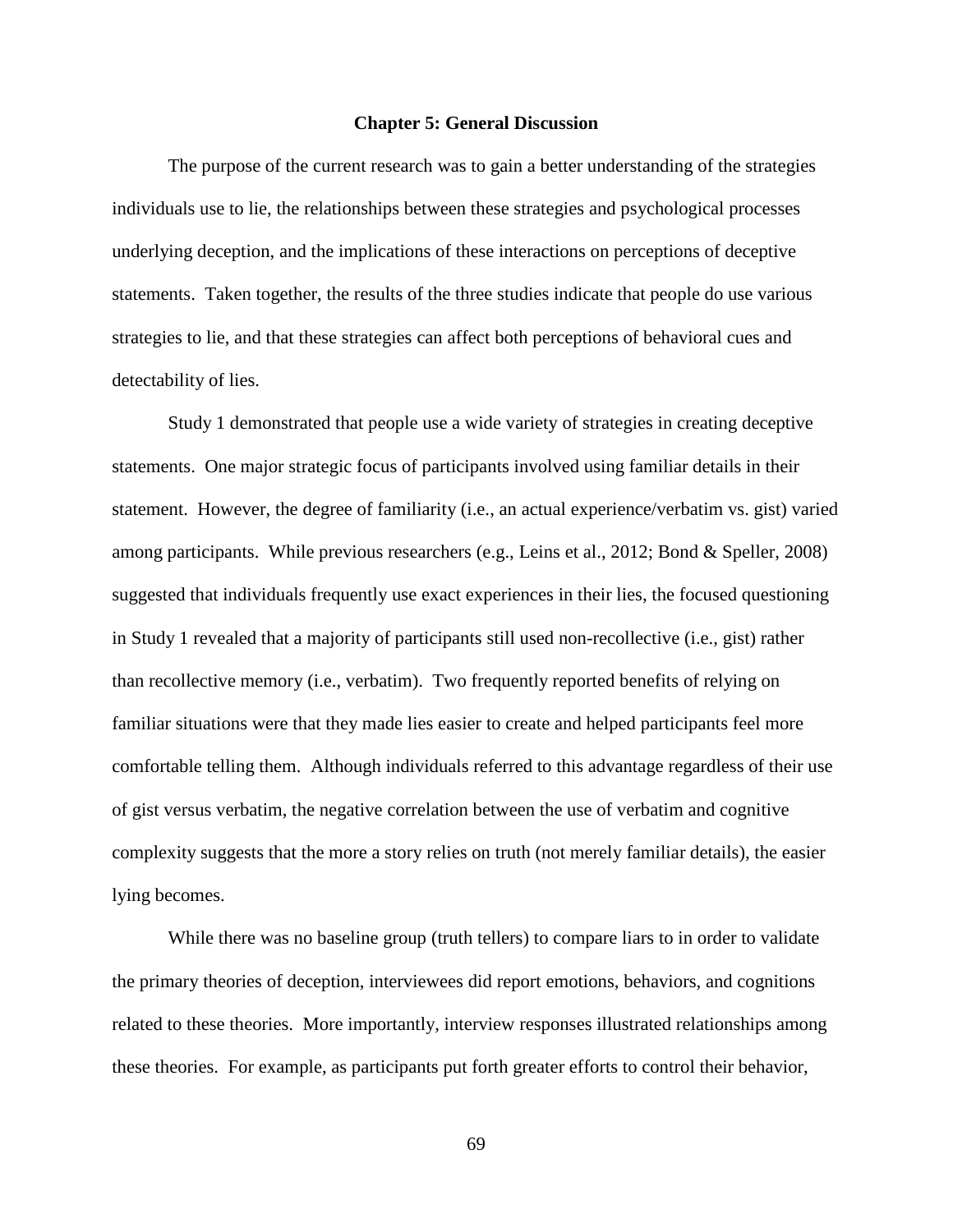#### **Chapter 5: General Discussion**

The purpose of the current research was to gain a better understanding of the strategies individuals use to lie, the relationships between these strategies and psychological processes underlying deception, and the implications of these interactions on perceptions of deceptive statements. Taken together, the results of the three studies indicate that people do use various strategies to lie, and that these strategies can affect both perceptions of behavioral cues and detectability of lies.

Study 1 demonstrated that people use a wide variety of strategies in creating deceptive statements. One major strategic focus of participants involved using familiar details in their statement. However, the degree of familiarity (i.e., an actual experience/verbatim vs. gist) varied among participants. While previous researchers (e.g., Leins et al., 2012; Bond & Speller, 2008) suggested that individuals frequently use exact experiences in their lies, the focused questioning in Study 1 revealed that a majority of participants still used non-recollective (i.e., gist) rather than recollective memory (i.e., verbatim). Two frequently reported benefits of relying on familiar situations were that they made lies easier to create and helped participants feel more comfortable telling them. Although individuals referred to this advantage regardless of their use of gist versus verbatim, the negative correlation between the use of verbatim and cognitive complexity suggests that the more a story relies on truth (not merely familiar details), the easier lying becomes.

While there was no baseline group (truth tellers) to compare liars to in order to validate the primary theories of deception, interviewees did report emotions, behaviors, and cognitions related to these theories. More importantly, interview responses illustrated relationships among these theories. For example, as participants put forth greater efforts to control their behavior,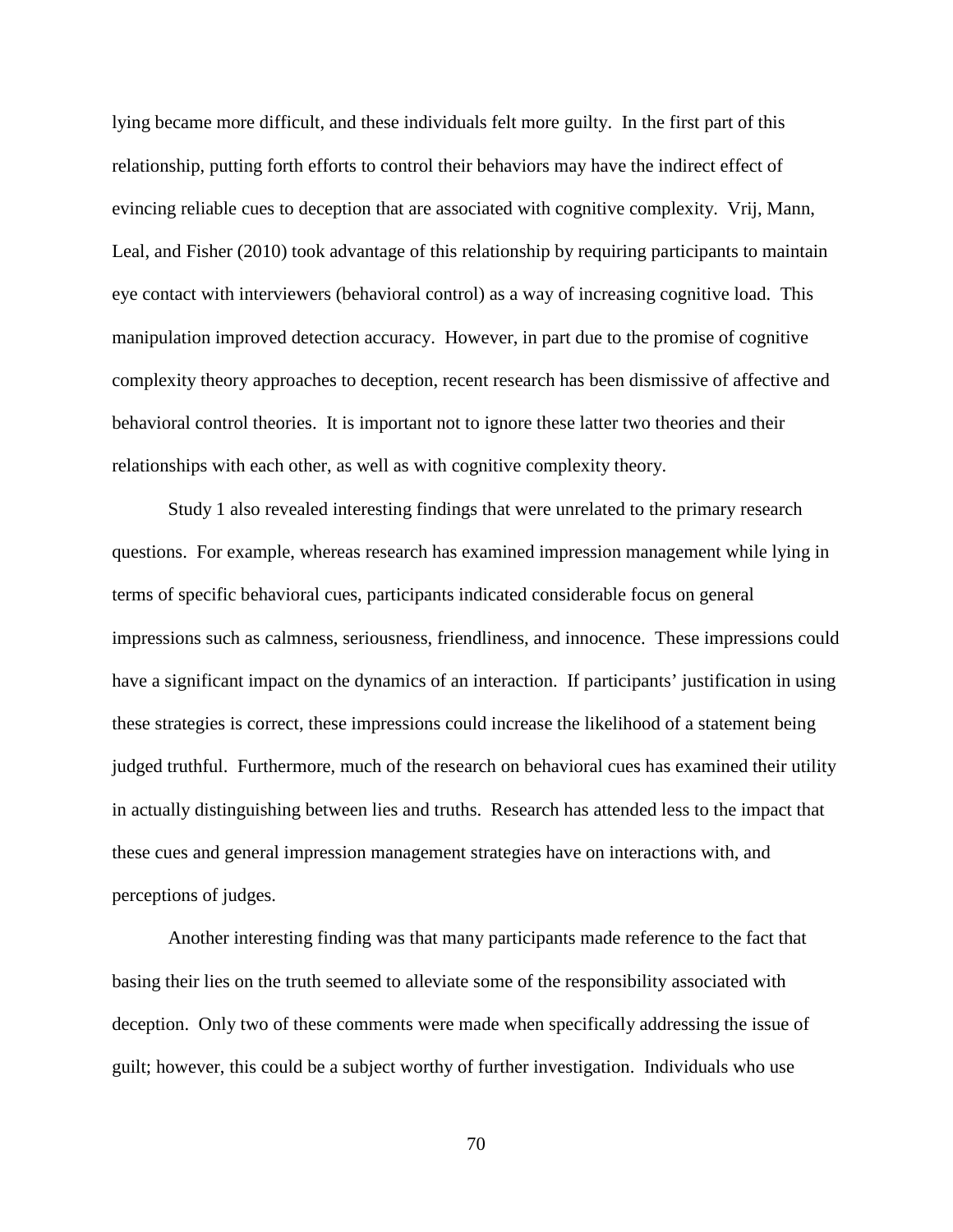lying became more difficult, and these individuals felt more guilty. In the first part of this relationship, putting forth efforts to control their behaviors may have the indirect effect of evincing reliable cues to deception that are associated with cognitive complexity. Vrij, Mann, Leal, and Fisher (2010) took advantage of this relationship by requiring participants to maintain eye contact with interviewers (behavioral control) as a way of increasing cognitive load. This manipulation improved detection accuracy. However, in part due to the promise of cognitive complexity theory approaches to deception, recent research has been dismissive of affective and behavioral control theories. It is important not to ignore these latter two theories and their relationships with each other, as well as with cognitive complexity theory.

Study 1 also revealed interesting findings that were unrelated to the primary research questions. For example, whereas research has examined impression management while lying in terms of specific behavioral cues, participants indicated considerable focus on general impressions such as calmness, seriousness, friendliness, and innocence. These impressions could have a significant impact on the dynamics of an interaction. If participants' justification in using these strategies is correct, these impressions could increase the likelihood of a statement being judged truthful. Furthermore, much of the research on behavioral cues has examined their utility in actually distinguishing between lies and truths. Research has attended less to the impact that these cues and general impression management strategies have on interactions with, and perceptions of judges.

Another interesting finding was that many participants made reference to the fact that basing their lies on the truth seemed to alleviate some of the responsibility associated with deception. Only two of these comments were made when specifically addressing the issue of guilt; however, this could be a subject worthy of further investigation. Individuals who use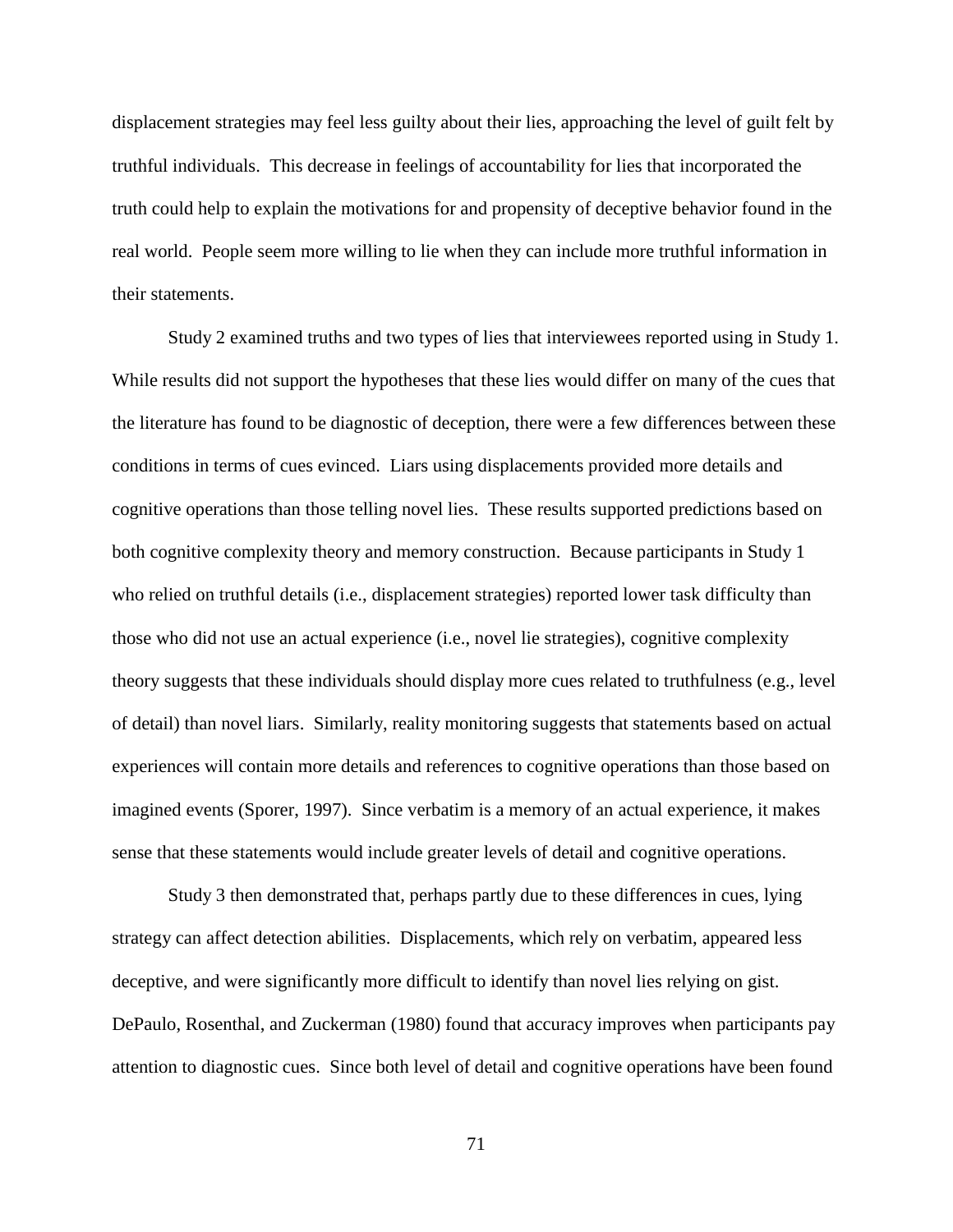displacement strategies may feel less guilty about their lies, approaching the level of guilt felt by truthful individuals. This decrease in feelings of accountability for lies that incorporated the truth could help to explain the motivations for and propensity of deceptive behavior found in the real world. People seem more willing to lie when they can include more truthful information in their statements.

Study 2 examined truths and two types of lies that interviewees reported using in Study 1. While results did not support the hypotheses that these lies would differ on many of the cues that the literature has found to be diagnostic of deception, there were a few differences between these conditions in terms of cues evinced. Liars using displacements provided more details and cognitive operations than those telling novel lies. These results supported predictions based on both cognitive complexity theory and memory construction. Because participants in Study 1 who relied on truthful details (i.e., displacement strategies) reported lower task difficulty than those who did not use an actual experience (i.e., novel lie strategies), cognitive complexity theory suggests that these individuals should display more cues related to truthfulness (e.g., level of detail) than novel liars. Similarly, reality monitoring suggests that statements based on actual experiences will contain more details and references to cognitive operations than those based on imagined events (Sporer, 1997). Since verbatim is a memory of an actual experience, it makes sense that these statements would include greater levels of detail and cognitive operations.

Study 3 then demonstrated that, perhaps partly due to these differences in cues, lying strategy can affect detection abilities. Displacements, which rely on verbatim, appeared less deceptive, and were significantly more difficult to identify than novel lies relying on gist. DePaulo, Rosenthal, and Zuckerman (1980) found that accuracy improves when participants pay attention to diagnostic cues. Since both level of detail and cognitive operations have been found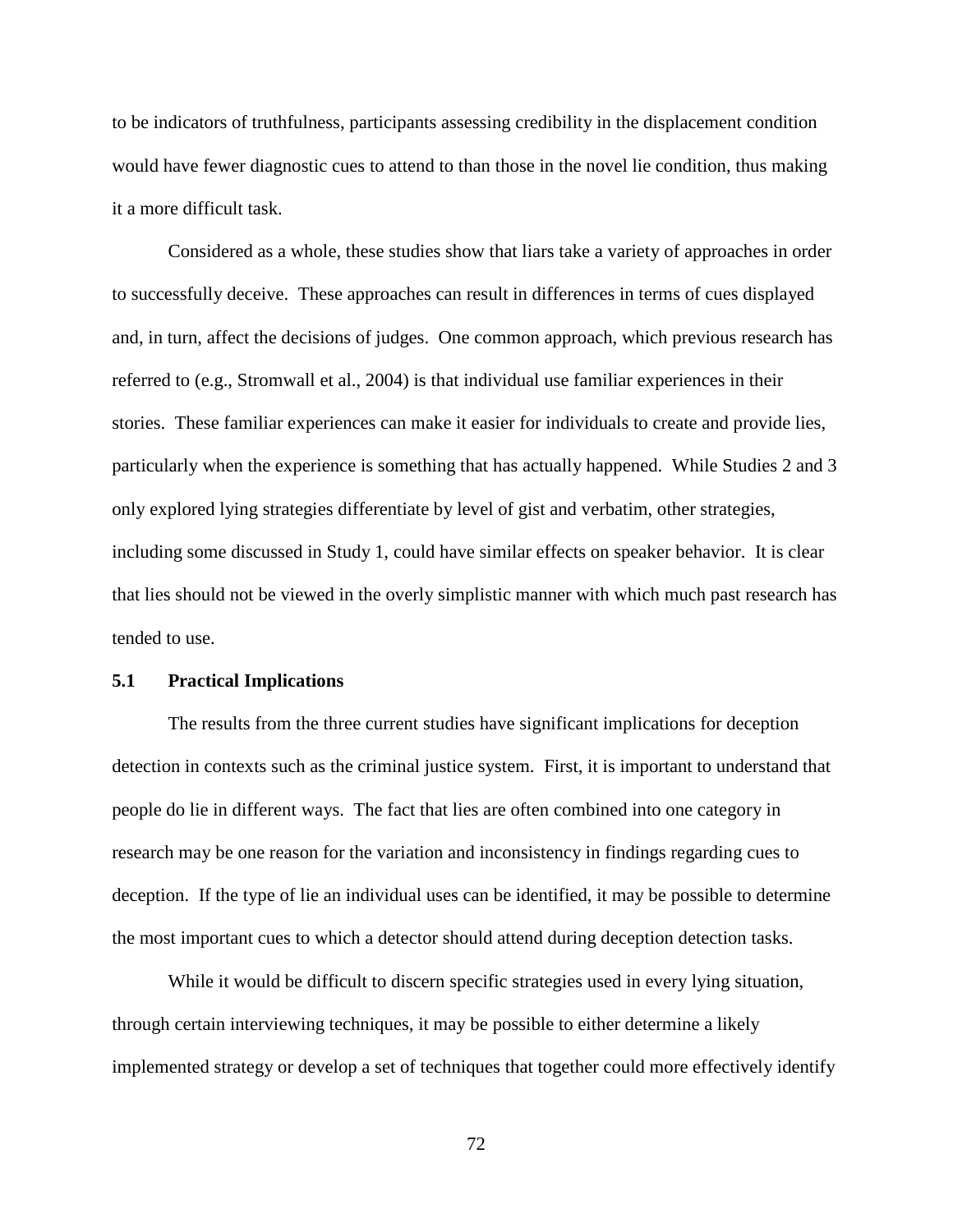to be indicators of truthfulness, participants assessing credibility in the displacement condition would have fewer diagnostic cues to attend to than those in the novel lie condition, thus making it a more difficult task.

Considered as a whole, these studies show that liars take a variety of approaches in order to successfully deceive. These approaches can result in differences in terms of cues displayed and, in turn, affect the decisions of judges. One common approach, which previous research has referred to (e.g., Stromwall et al., 2004) is that individual use familiar experiences in their stories. These familiar experiences can make it easier for individuals to create and provide lies, particularly when the experience is something that has actually happened. While Studies 2 and 3 only explored lying strategies differentiate by level of gist and verbatim, other strategies, including some discussed in Study 1, could have similar effects on speaker behavior. It is clear that lies should not be viewed in the overly simplistic manner with which much past research has tended to use.

### **5.1 Practical Implications**

The results from the three current studies have significant implications for deception detection in contexts such as the criminal justice system. First, it is important to understand that people do lie in different ways. The fact that lies are often combined into one category in research may be one reason for the variation and inconsistency in findings regarding cues to deception. If the type of lie an individual uses can be identified, it may be possible to determine the most important cues to which a detector should attend during deception detection tasks.

While it would be difficult to discern specific strategies used in every lying situation, through certain interviewing techniques, it may be possible to either determine a likely implemented strategy or develop a set of techniques that together could more effectively identify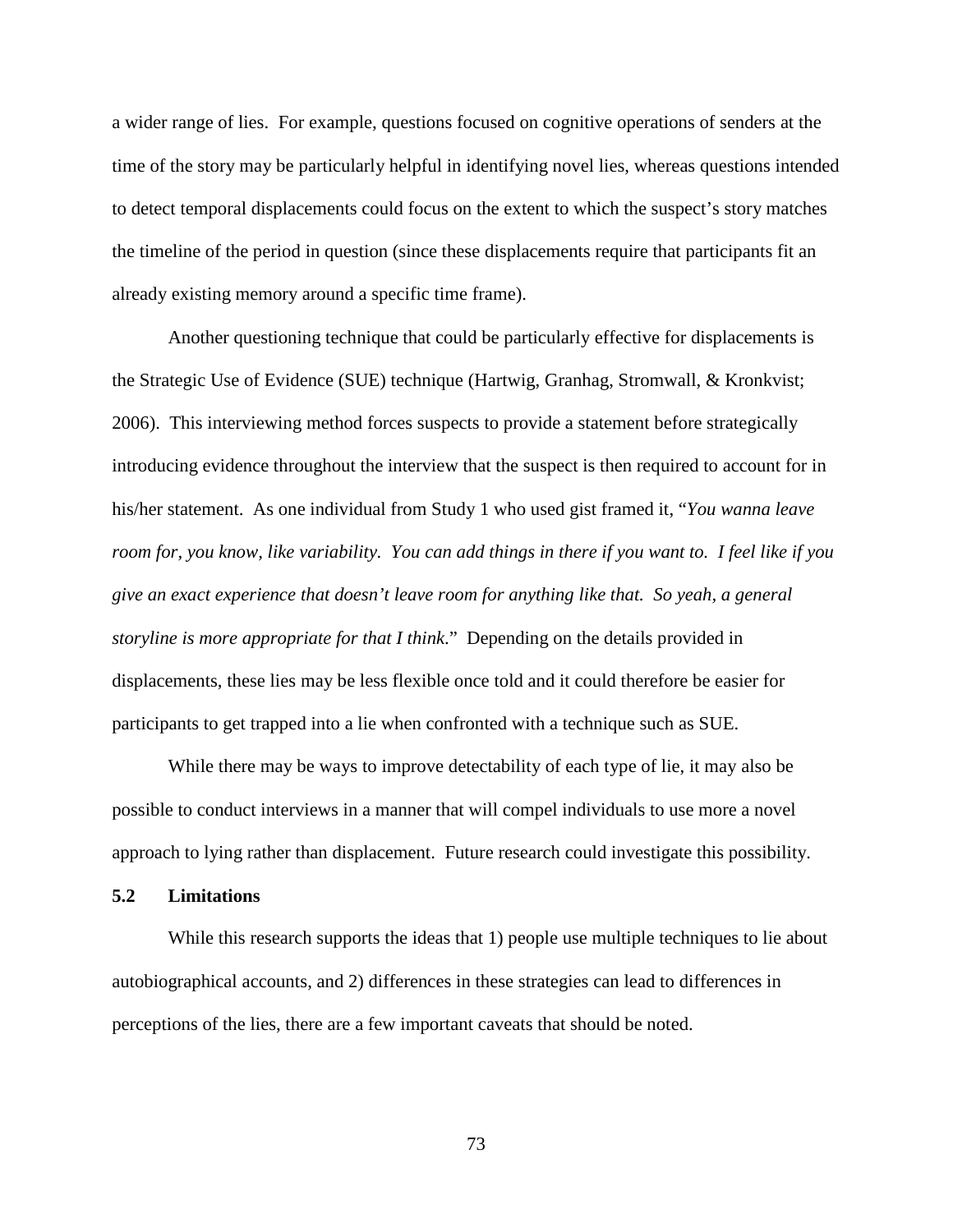a wider range of lies. For example, questions focused on cognitive operations of senders at the time of the story may be particularly helpful in identifying novel lies, whereas questions intended to detect temporal displacements could focus on the extent to which the suspect's story matches the timeline of the period in question (since these displacements require that participants fit an already existing memory around a specific time frame).

Another questioning technique that could be particularly effective for displacements is the Strategic Use of Evidence (SUE) technique (Hartwig, Granhag, Stromwall, & Kronkvist; 2006). This interviewing method forces suspects to provide a statement before strategically introducing evidence throughout the interview that the suspect is then required to account for in his/her statement. As one individual from Study 1 who used gist framed it, "*You wanna leave room for, you know, like variability. You can add things in there if you want to. I feel like if you give an exact experience that doesn't leave room for anything like that. So yeah, a general storyline is more appropriate for that I think*." Depending on the details provided in displacements, these lies may be less flexible once told and it could therefore be easier for participants to get trapped into a lie when confronted with a technique such as SUE.

While there may be ways to improve detectability of each type of lie, it may also be possible to conduct interviews in a manner that will compel individuals to use more a novel approach to lying rather than displacement. Future research could investigate this possibility.

### **5.2 Limitations**

While this research supports the ideas that 1) people use multiple techniques to lie about autobiographical accounts, and 2) differences in these strategies can lead to differences in perceptions of the lies, there are a few important caveats that should be noted.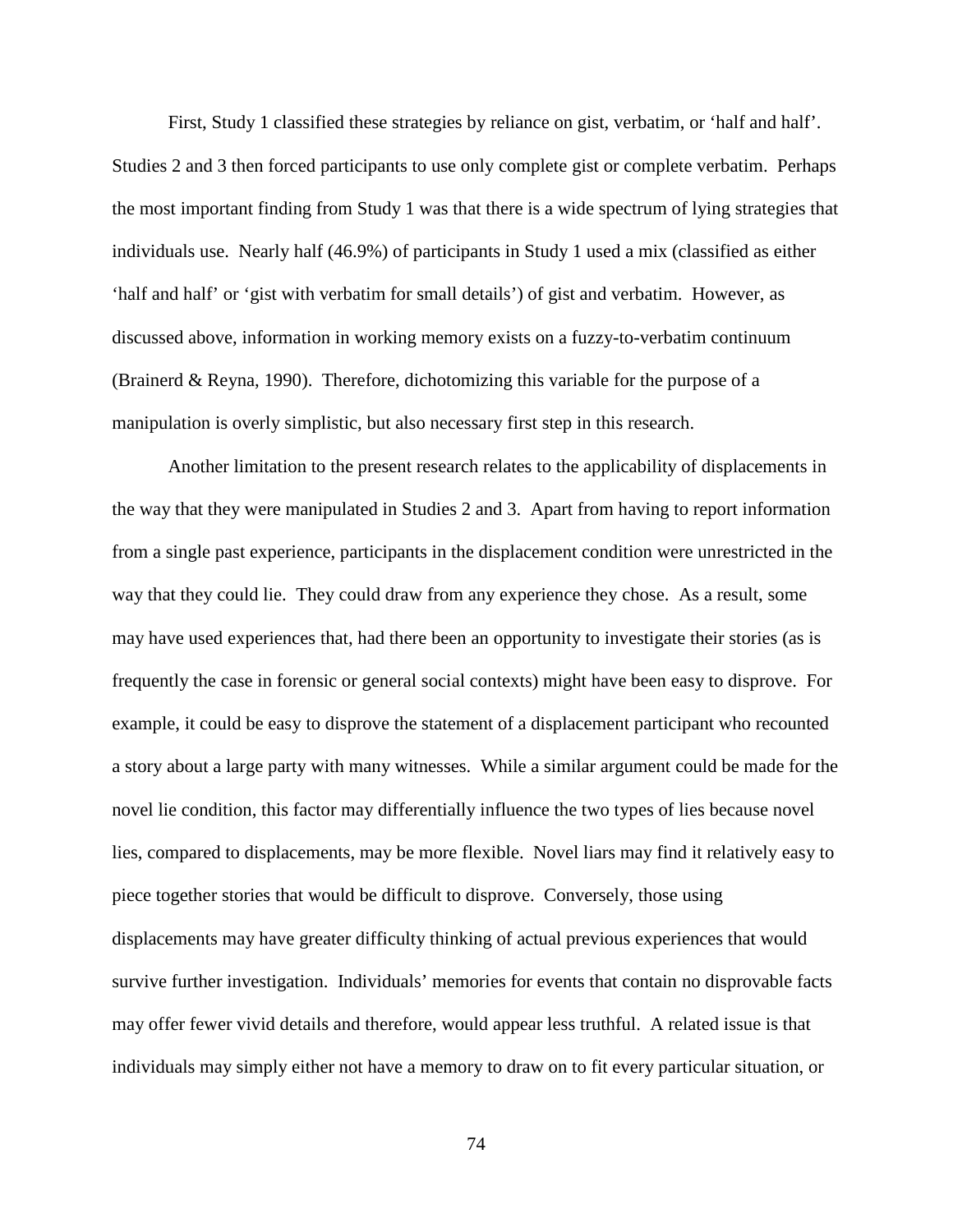First, Study 1 classified these strategies by reliance on gist, verbatim, or 'half and half'. Studies 2 and 3 then forced participants to use only complete gist or complete verbatim. Perhaps the most important finding from Study 1 was that there is a wide spectrum of lying strategies that individuals use. Nearly half (46.9%) of participants in Study 1 used a mix (classified as either 'half and half' or 'gist with verbatim for small details') of gist and verbatim. However, as discussed above, information in working memory exists on a fuzzy-to-verbatim continuum (Brainerd & Reyna, 1990). Therefore, dichotomizing this variable for the purpose of a manipulation is overly simplistic, but also necessary first step in this research.

Another limitation to the present research relates to the applicability of displacements in the way that they were manipulated in Studies 2 and 3. Apart from having to report information from a single past experience, participants in the displacement condition were unrestricted in the way that they could lie. They could draw from any experience they chose. As a result, some may have used experiences that, had there been an opportunity to investigate their stories (as is frequently the case in forensic or general social contexts) might have been easy to disprove. For example, it could be easy to disprove the statement of a displacement participant who recounted a story about a large party with many witnesses. While a similar argument could be made for the novel lie condition, this factor may differentially influence the two types of lies because novel lies, compared to displacements, may be more flexible. Novel liars may find it relatively easy to piece together stories that would be difficult to disprove. Conversely, those using displacements may have greater difficulty thinking of actual previous experiences that would survive further investigation. Individuals' memories for events that contain no disprovable facts may offer fewer vivid details and therefore, would appear less truthful. A related issue is that individuals may simply either not have a memory to draw on to fit every particular situation, or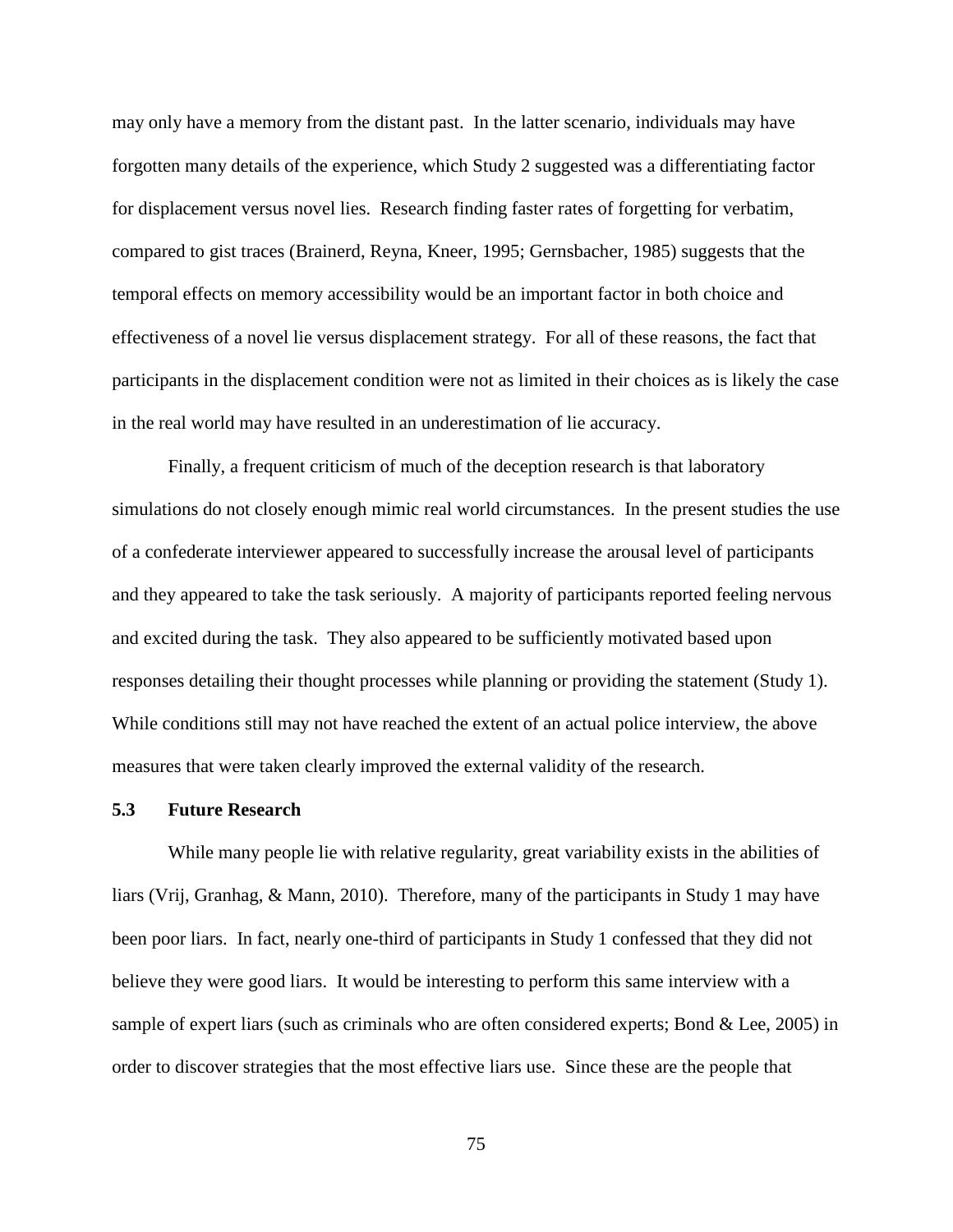may only have a memory from the distant past. In the latter scenario, individuals may have forgotten many details of the experience, which Study 2 suggested was a differentiating factor for displacement versus novel lies. Research finding faster rates of forgetting for verbatim, compared to gist traces (Brainerd, Reyna, Kneer, 1995; Gernsbacher, 1985) suggests that the temporal effects on memory accessibility would be an important factor in both choice and effectiveness of a novel lie versus displacement strategy. For all of these reasons, the fact that participants in the displacement condition were not as limited in their choices as is likely the case in the real world may have resulted in an underestimation of lie accuracy.

Finally, a frequent criticism of much of the deception research is that laboratory simulations do not closely enough mimic real world circumstances. In the present studies the use of a confederate interviewer appeared to successfully increase the arousal level of participants and they appeared to take the task seriously. A majority of participants reported feeling nervous and excited during the task. They also appeared to be sufficiently motivated based upon responses detailing their thought processes while planning or providing the statement (Study 1). While conditions still may not have reached the extent of an actual police interview, the above measures that were taken clearly improved the external validity of the research.

#### **5.3 Future Research**

While many people lie with relative regularity, great variability exists in the abilities of liars (Vrij, Granhag, & Mann, 2010). Therefore, many of the participants in Study 1 may have been poor liars. In fact, nearly one-third of participants in Study 1 confessed that they did not believe they were good liars. It would be interesting to perform this same interview with a sample of expert liars (such as criminals who are often considered experts; Bond & Lee, 2005) in order to discover strategies that the most effective liars use. Since these are the people that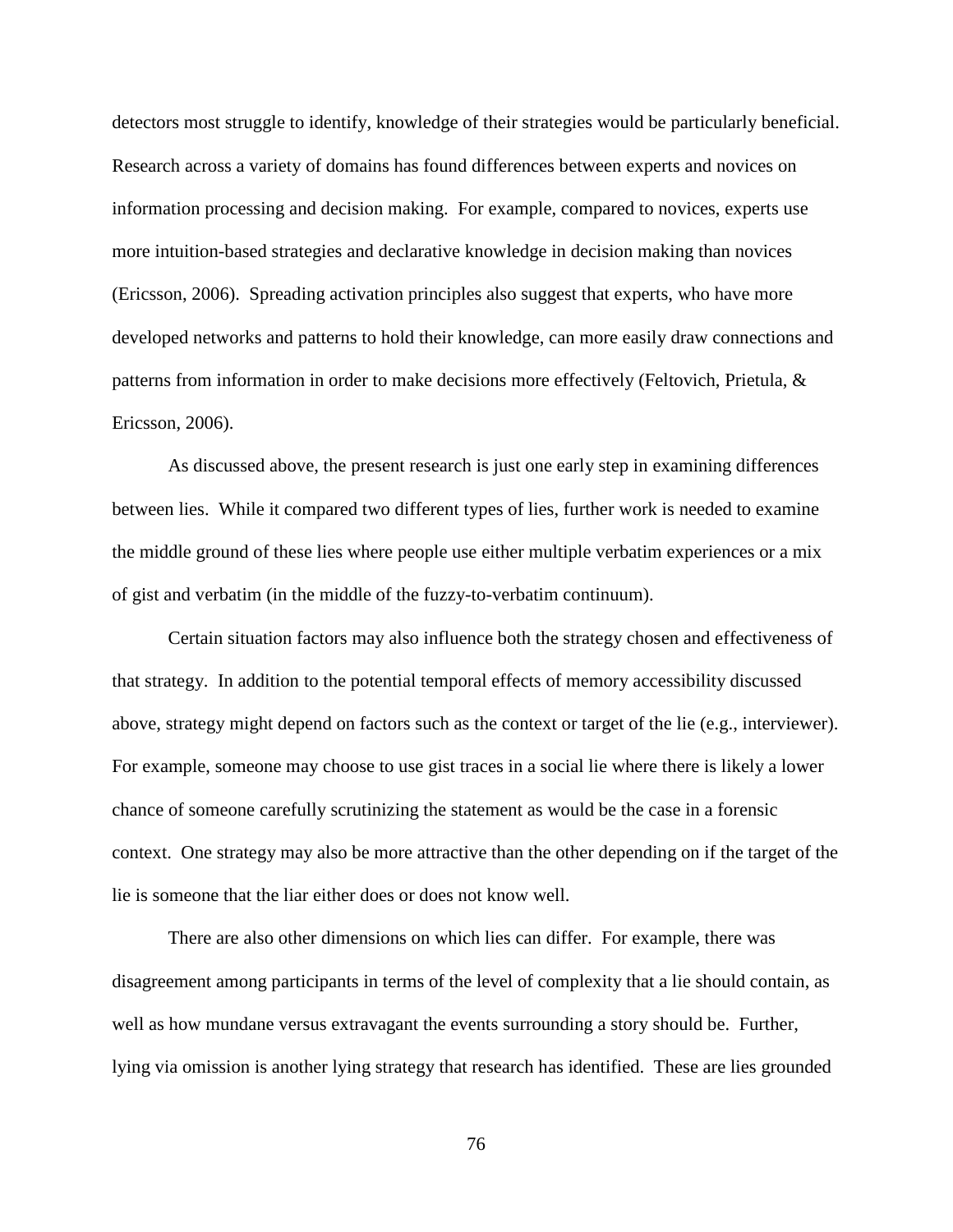detectors most struggle to identify, knowledge of their strategies would be particularly beneficial. Research across a variety of domains has found differences between experts and novices on information processing and decision making. For example, compared to novices, experts use more intuition-based strategies and declarative knowledge in decision making than novices (Ericsson, 2006). Spreading activation principles also suggest that experts, who have more developed networks and patterns to hold their knowledge, can more easily draw connections and patterns from information in order to make decisions more effectively (Feltovich, Prietula, & Ericsson, 2006).

As discussed above, the present research is just one early step in examining differences between lies. While it compared two different types of lies, further work is needed to examine the middle ground of these lies where people use either multiple verbatim experiences or a mix of gist and verbatim (in the middle of the fuzzy-to-verbatim continuum).

Certain situation factors may also influence both the strategy chosen and effectiveness of that strategy. In addition to the potential temporal effects of memory accessibility discussed above, strategy might depend on factors such as the context or target of the lie (e.g., interviewer). For example, someone may choose to use gist traces in a social lie where there is likely a lower chance of someone carefully scrutinizing the statement as would be the case in a forensic context. One strategy may also be more attractive than the other depending on if the target of the lie is someone that the liar either does or does not know well.

There are also other dimensions on which lies can differ. For example, there was disagreement among participants in terms of the level of complexity that a lie should contain, as well as how mundane versus extravagant the events surrounding a story should be. Further, lying via omission is another lying strategy that research has identified. These are lies grounded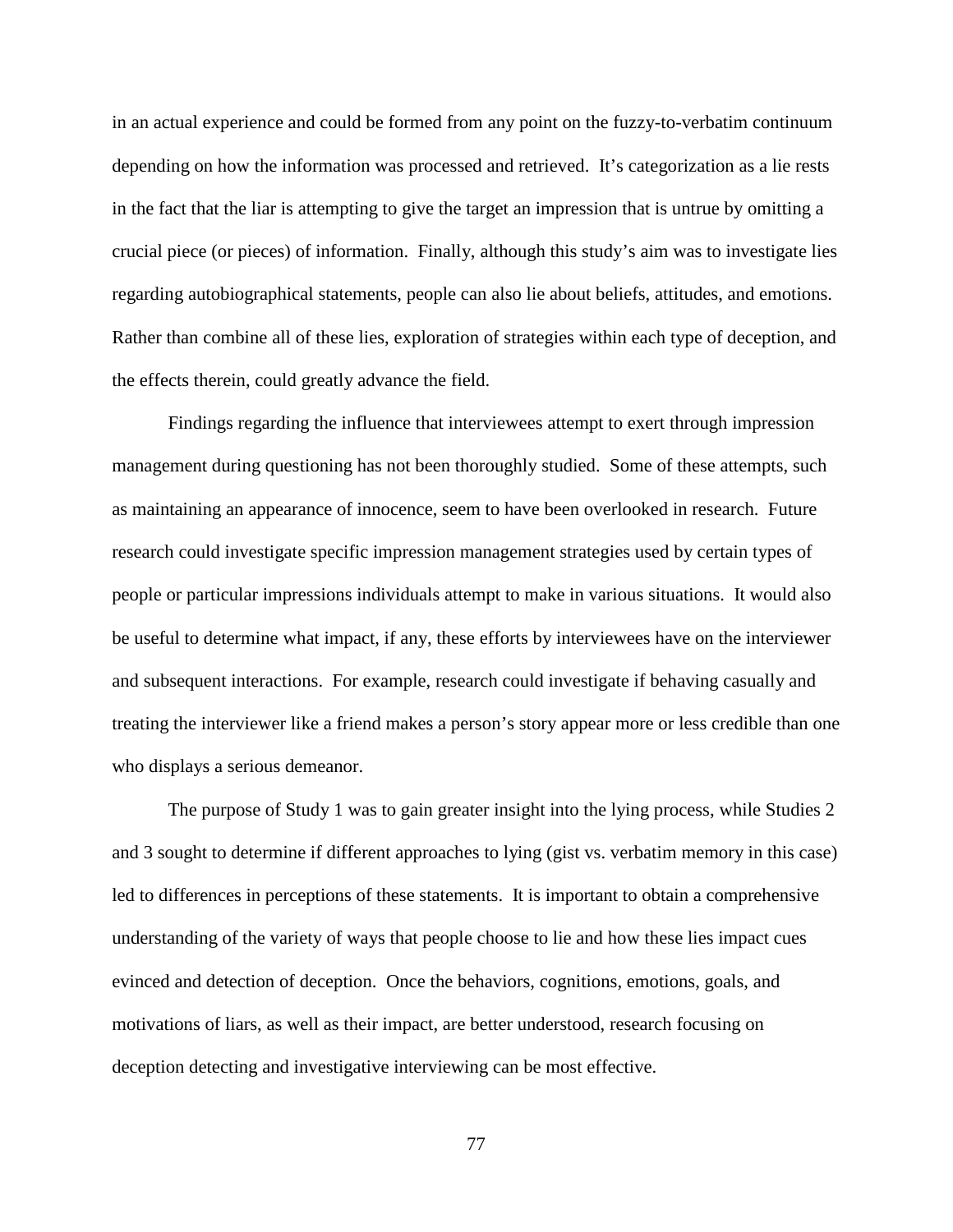in an actual experience and could be formed from any point on the fuzzy-to-verbatim continuum depending on how the information was processed and retrieved. It's categorization as a lie rests in the fact that the liar is attempting to give the target an impression that is untrue by omitting a crucial piece (or pieces) of information. Finally, although this study's aim was to investigate lies regarding autobiographical statements, people can also lie about beliefs, attitudes, and emotions. Rather than combine all of these lies, exploration of strategies within each type of deception, and the effects therein, could greatly advance the field.

Findings regarding the influence that interviewees attempt to exert through impression management during questioning has not been thoroughly studied. Some of these attempts, such as maintaining an appearance of innocence, seem to have been overlooked in research. Future research could investigate specific impression management strategies used by certain types of people or particular impressions individuals attempt to make in various situations. It would also be useful to determine what impact, if any, these efforts by interviewees have on the interviewer and subsequent interactions. For example, research could investigate if behaving casually and treating the interviewer like a friend makes a person's story appear more or less credible than one who displays a serious demeanor.

The purpose of Study 1 was to gain greater insight into the lying process, while Studies 2 and 3 sought to determine if different approaches to lying (gist vs. verbatim memory in this case) led to differences in perceptions of these statements. It is important to obtain a comprehensive understanding of the variety of ways that people choose to lie and how these lies impact cues evinced and detection of deception. Once the behaviors, cognitions, emotions, goals, and motivations of liars, as well as their impact, are better understood, research focusing on deception detecting and investigative interviewing can be most effective.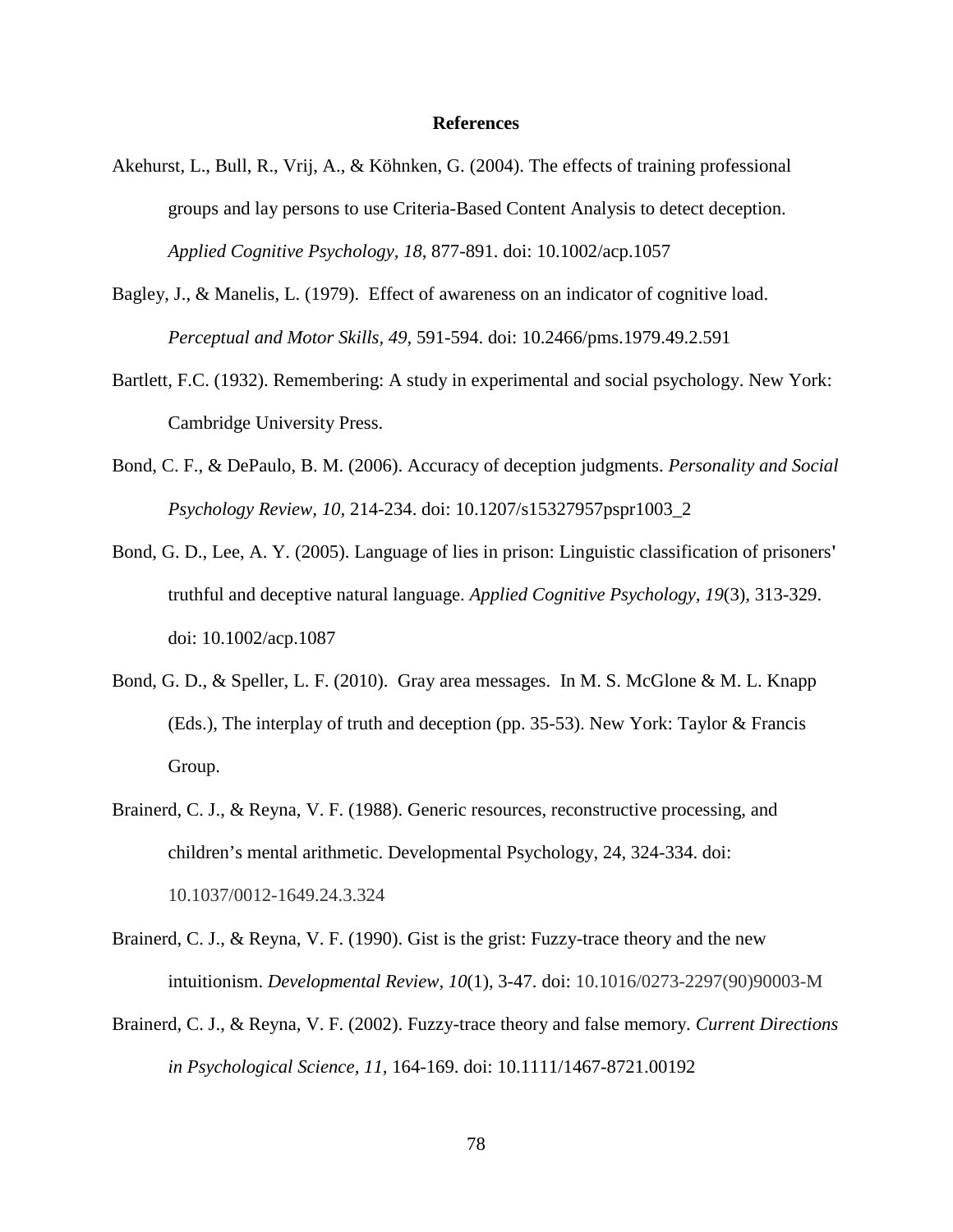#### **References**

- Akehurst, L., Bull, R., Vrij, A., & Köhnken, G. (2004). The effects of training professional groups and lay persons to use Criteria-Based Content Analysis to detect deception. *Applied Cognitive Psychology, 18*, 877-891. doi: 10.1002/acp.1057
- Bagley, J., & Manelis, L. (1979). Effect of awareness on an indicator of cognitive load. *Perceptual and Motor Skills, 49,* 591-594. doi: 10.2466/pms.1979.49.2.591
- Bartlett, F.C. (1932). Remembering: A study in experimental and social psychology. New York: Cambridge University Press.
- Bond, C. F., & DePaulo, B. M. (2006). Accuracy of deception judgments. *Personality and Social Psychology Review, 10*, 214-234. doi: 10.1207/s15327957pspr1003\_2
- Bond, G. D., Lee, A. Y. (2005). Language of lies in prison: Linguistic classification of prisoners**'** truthful and deceptive natural language. *Applied Cognitive Psychology, 19*(3), 313-329. doi: 10.1002/acp.1087
- Bond, G. D., & Speller, L. F. (2010). Gray area messages. In M. S. McGlone & M. L. Knapp (Eds.), The interplay of truth and deception (pp. 35-53). New York: Taylor & Francis Group.
- Brainerd, C. J., & Reyna, V. F. (1988). Generic resources, reconstructive processing, and children's mental arithmetic. Developmental Psychology, 24, 324-334. doi: 10.1037/0012-1649.24.3.324
- Brainerd, C. J., & Reyna, V. F. (1990). Gist is the grist: Fuzzy-trace theory and the new intuitionism. *Developmental Review, 10*(1), 3-47. doi: 10.1016/0273-2297(90)90003-M
- Brainerd, C. J., & Reyna, V. F. (2002). Fuzzy-trace theory and false memory. *Current Directions in Psychological Science, 11,* 164-169. doi: 10.1111/1467-8721.00192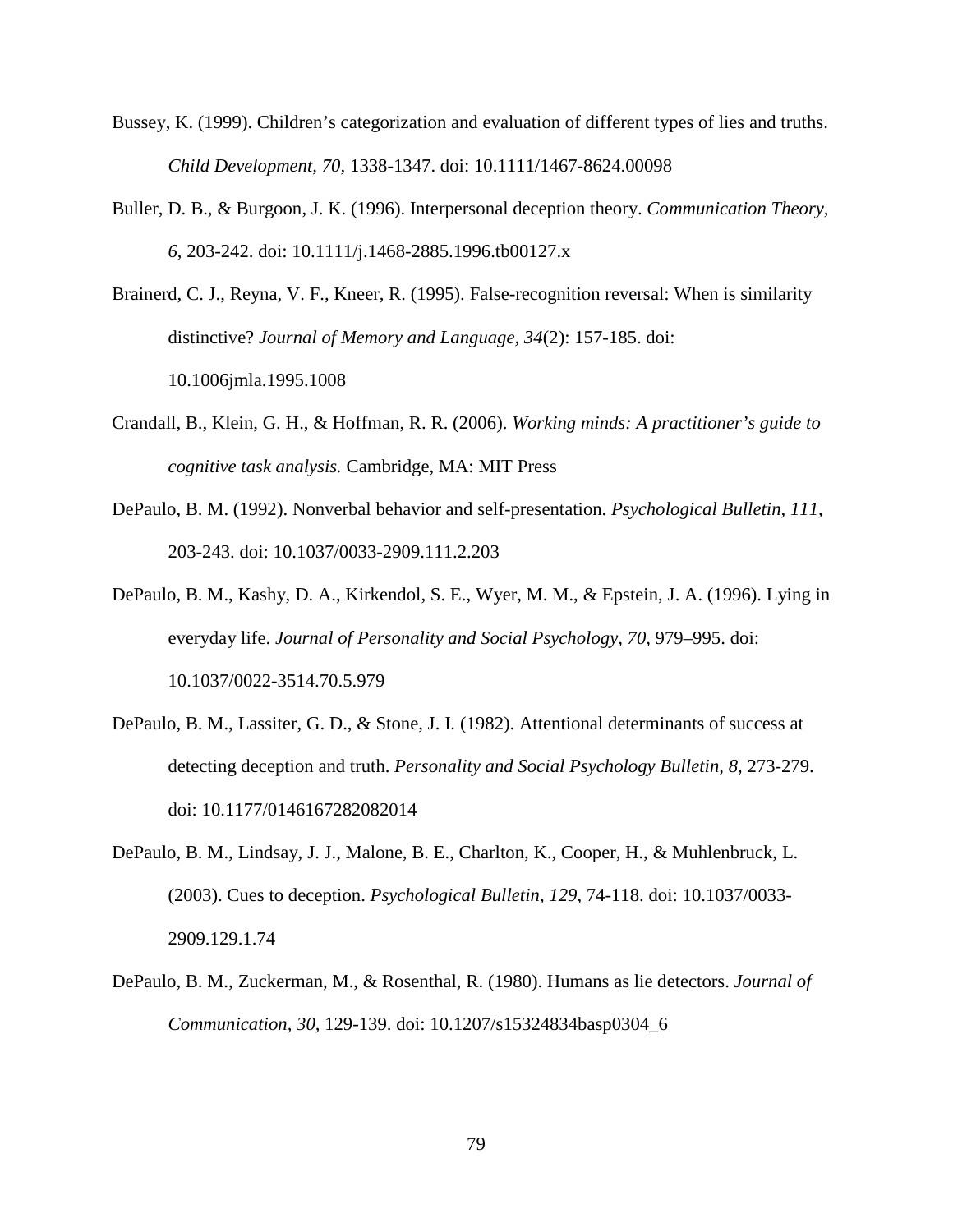- Bussey, K. (1999). Children's categorization and evaluation of different types of lies and truths. *Child Development, 70,* 1338-1347. doi: 10.1111/1467-8624.00098
- Buller, D. B., & Burgoon, J. K. (1996). Interpersonal deception theory. *Communication Theory, 6*, 203-242. doi: 10.1111/j.1468-2885.1996.tb00127.x

Brainerd, C. J., Reyna, V. F., Kneer, R. (1995). False-recognition reversal: When is similarity distinctive? *Journal of Memory and Language, 34*(2): 157-185. doi: 10.1006jmla.1995.1008

- Crandall, B., Klein, G. H., & Hoffman, R. R. (2006). *Working minds: A practitioner's guide to cognitive task analysis.* Cambridge, MA: MIT Press
- DePaulo, B. M. (1992). Nonverbal behavior and self-presentation. *Psychological Bulletin, 111,*  203-243. doi: 10.1037/0033-2909.111.2.203
- DePaulo, B. M., Kashy, D. A., Kirkendol, S. E., Wyer, M. M., & Epstein, J. A. (1996). Lying in everyday life. *Journal of Personality and Social Psychology, 70, 979–995.* doi: 10.1037/0022-3514.70.5.979
- DePaulo, B. M., Lassiter, G. D., & Stone, J. I. (1982). Attentional determinants of success at detecting deception and truth. *Personality and Social Psychology Bulletin, 8*, 273-279. doi: 10.1177/0146167282082014
- DePaulo, B. M., Lindsay, J. J., Malone, B. E., Charlton, K., Cooper, H., & Muhlenbruck, L. (2003). Cues to deception. *Psychological Bulletin, 129*, 74-118. doi: 10.1037/0033- 2909.129.1.74
- DePaulo, B. M., Zuckerman, M., & Rosenthal, R. (1980). Humans as lie detectors. *Journal of Communication, 30,* 129-139. doi: 10.1207/s15324834basp0304\_6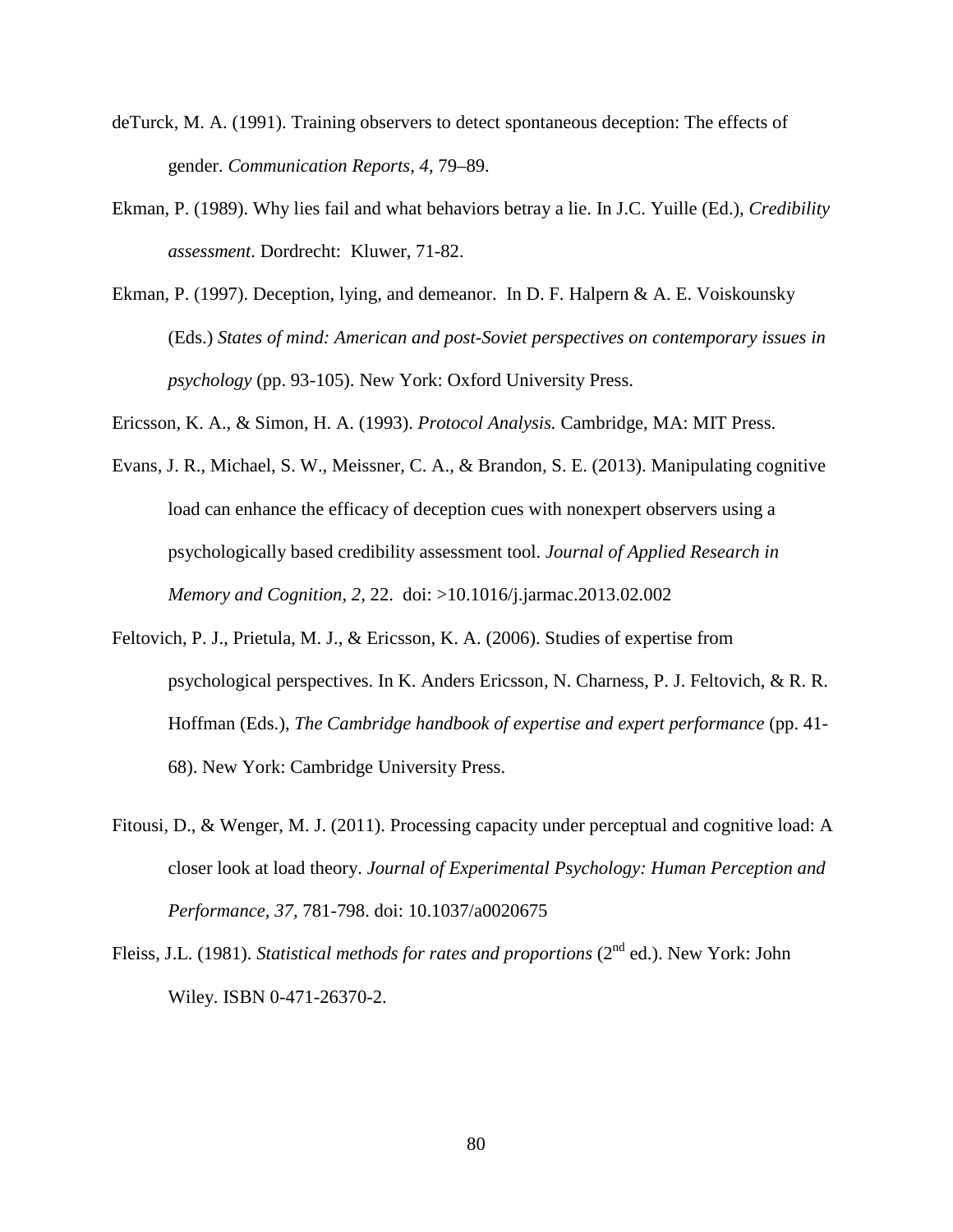- deTurck, M. A. (1991). Training observers to detect spontaneous deception: The effects of gender. *Communication Reports, 4,* 79–89.
- Ekman, P. (1989). Why lies fail and what behaviors betray a lie. In J.C. Yuille (Ed.), *Credibility assessment*. Dordrecht: Kluwer, 71-82.
- Ekman, P. (1997). Deception, lying, and demeanor. In D. F. Halpern & A. E. Voiskounsky (Eds.) *States of mind: American and post-Soviet perspectives on contemporary issues in psychology* (pp. 93-105). New York: Oxford University Press.

Ericsson, K. A., & Simon, H. A. (1993). *Protocol Analysis.* Cambridge, MA: MIT Press.

- Evans, J. R., Michael, S. W., Meissner, C. A., & Brandon, S. E. (2013). Manipulating cognitive load can enhance the efficacy of deception cues with nonexpert observers using a psychologically based credibility assessment tool. *Journal of Applied Research in Memory and Cognition, 2,* 22. doi: >10.1016/j.jarmac.2013.02.002
- Feltovich, P. J., Prietula, M. J., & Ericsson, K. A. (2006). Studies of expertise from psychological perspectives. In K. Anders Ericsson, N. Charness, P. J. Feltovich, & R. R. Hoffman (Eds.), *The Cambridge handbook of expertise and expert performance* (pp. 41- 68). New York: Cambridge University Press.
- Fitousi, D., & Wenger, M. J. (2011). Processing capacity under perceptual and cognitive load: A closer look at load theory. *Journal of Experimental Psychology: Human Perception and Performance, 37,* 781-798. doi: [10.1037/a0020675](javascript:__doLinkPostBack()
- Fleiss, J.L. (1981). *Statistical methods for rates and proportions* (2<sup>nd</sup> ed.). New York: John Wiley. [ISBN](http://en.wikipedia.org/wiki/International_Standard_Book_Number) [0-471-26370-2.](http://en.wikipedia.org/wiki/Special:BookSources/0-471-26370-2)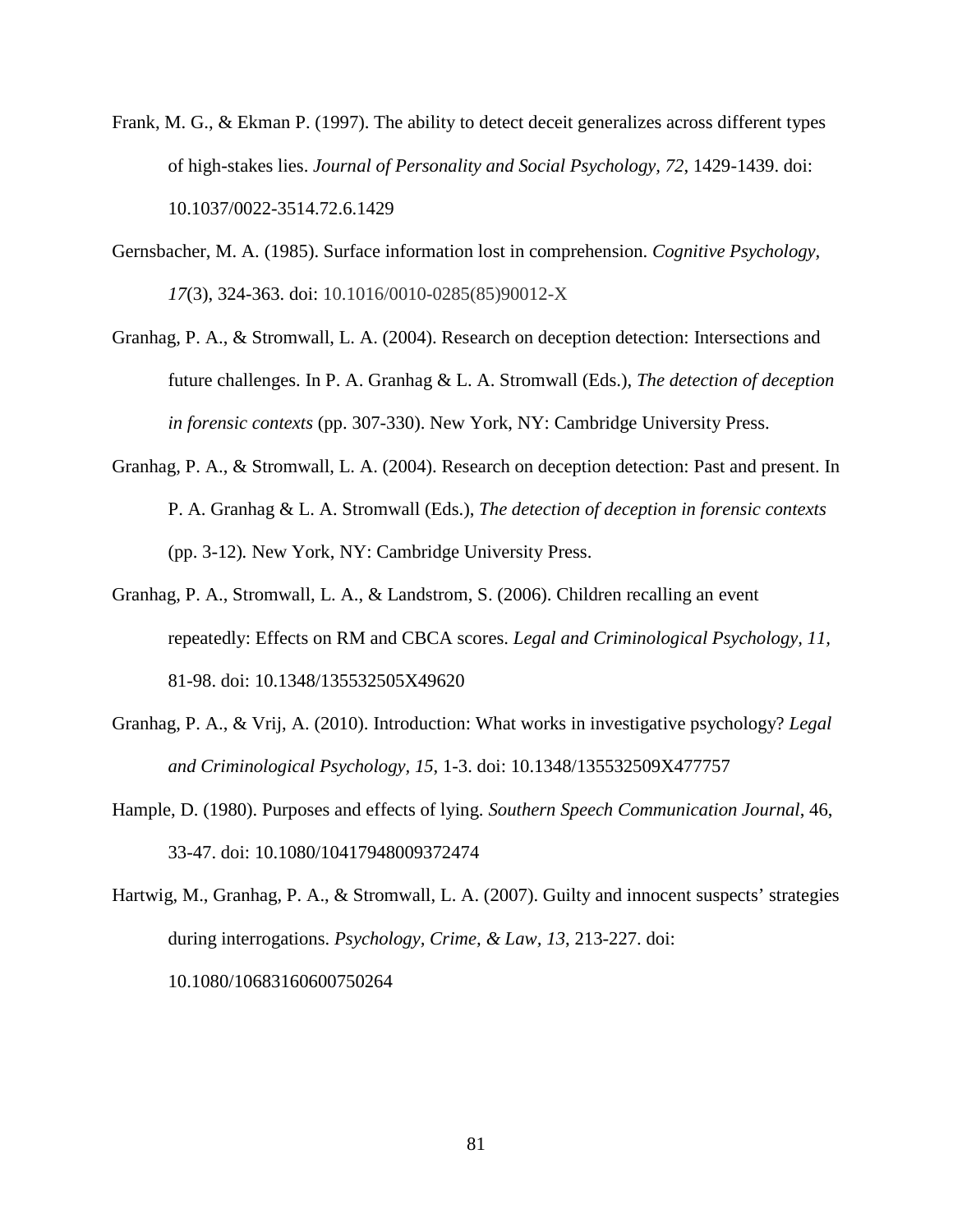- Frank, M. G., & Ekman P. (1997). The ability to detect deceit generalizes across different types of high-stakes lies. *Journal of Personality and Social Psychology, 72*, 1429-1439. doi: 10.1037/0022-3514.72.6.1429
- Gernsbacher, M. A. (1985). Surface information lost in comprehension. *Cognitive Psychology, 17*(3), 324-363. doi: 10.1016/0010-0285(85)90012-X
- Granhag, P. A., & Stromwall, L. A. (2004). Research on deception detection: Intersections and future challenges. In P. A. Granhag & L. A. Stromwall (Eds.), *The detection of deception in forensic contexts* (pp. 307-330). New York, NY: Cambridge University Press.
- Granhag, P. A., & Stromwall, L. A. (2004). Research on deception detection: Past and present. In P. A. Granhag & L. A. Stromwall (Eds.), *The detection of deception in forensic contexts* (pp. 3-12)*.* New York, NY: Cambridge University Press.
- Granhag, P. A., Stromwall, L. A., & Landstrom, S. (2006). Children recalling an event repeatedly: Effects on RM and CBCA scores. *Legal and Criminological Psychology, 11,*  81-98. doi: 10.1348/135532505X49620
- Granhag, P. A., & Vrij, A. (2010). Introduction: What works in investigative psychology? *Legal and Criminological Psychology, 15*, 1-3. doi: 10.1348/135532509X477757
- Hample, D. (1980). Purposes and effects of lying. *Southern Speech Communication Journal*, 46, 33-47. doi: 10.1080/10417948009372474
- Hartwig, M., Granhag, P. A., & Stromwall, L. A. (2007). Guilty and innocent suspects' strategies during interrogations. *Psychology, Crime, & Law, 13*, 213-227. doi: 10.1080/10683160600750264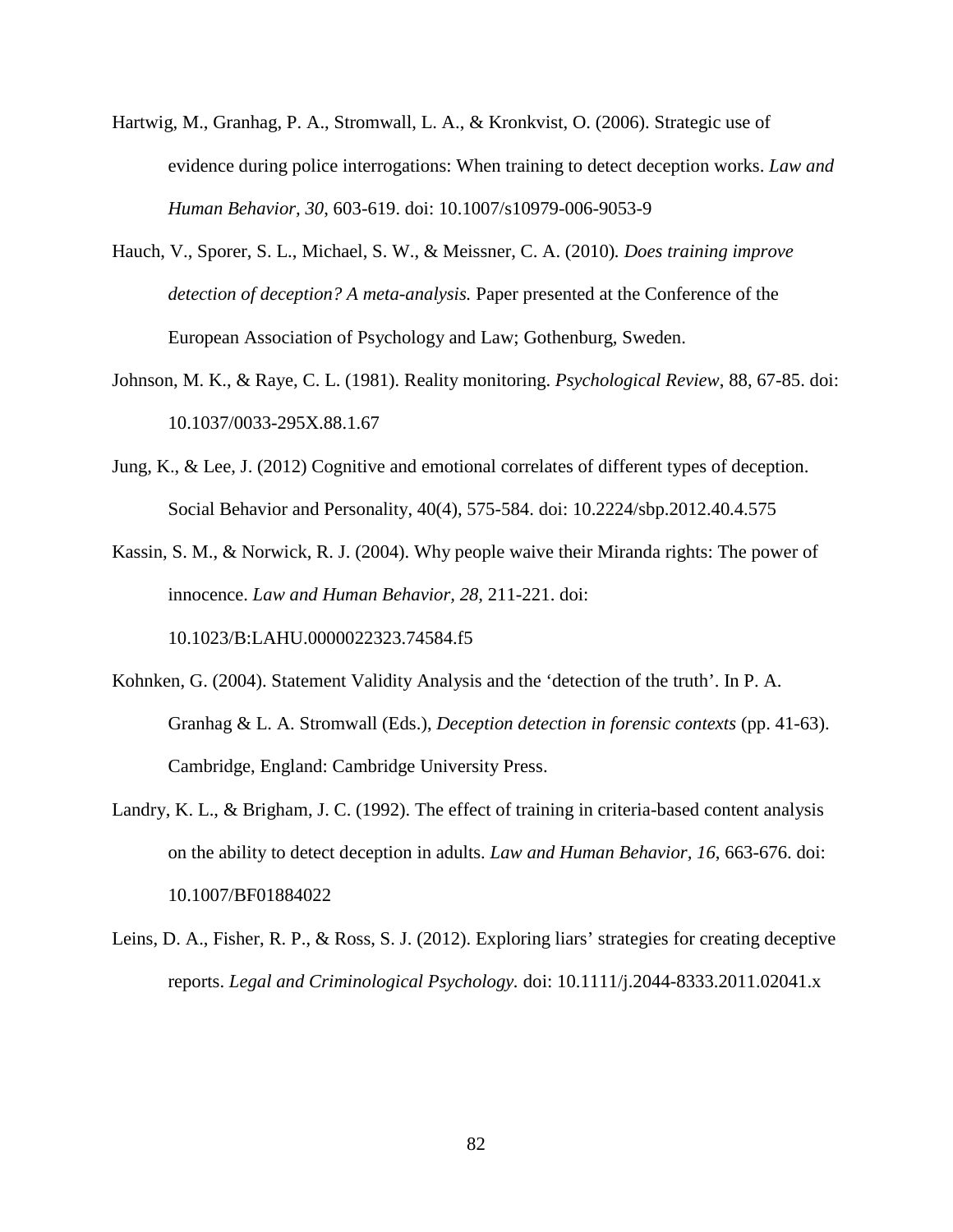- Hartwig, M., Granhag, P. A., Stromwall, L. A., & Kronkvist, O. (2006). Strategic use of evidence during police interrogations: When training to detect deception works. *Law and Human Behavior, 30*, 603-619. doi: 10.1007/s10979-006-9053-9
- Hauch, V., Sporer, S. L., Michael, S. W., & Meissner, C. A. (2010)*. Does training improve detection of deception? A meta-analysis.* Paper presented at the Conference of the European Association of Psychology and Law; Gothenburg, Sweden.
- Johnson, M. K., & Raye, C. L. (1981). Reality monitoring. *Psychological Review*, 88, 67-85. doi: 10.1037/0033-295X.88.1.67
- Jung, K., & Lee, J. (2012) Cognitive and emotional correlates of different types of deception. Social Behavior and Personality, 40(4), 575-584. doi: 10.2224/sbp.2012.40.4.575

Kassin, S. M., & Norwick, R. J. (2004). Why people waive their Miranda rights: The power of innocence. *Law and Human Behavior, 28,* 211-221. doi: 10.1023/B:LAHU.0000022323.74584.f5

- Kohnken, G. (2004). Statement Validity Analysis and the 'detection of the truth'. In P. A. Granhag & L. A. Stromwall (Eds.), *Deception detection in forensic contexts* (pp. 41-63). Cambridge, England: Cambridge University Press.
- Landry, K. L., & Brigham, J. C. (1992). The effect of training in criteria-based content analysis on the ability to detect deception in adults. *Law and Human Behavior, 16*, 663-676. doi: 10.1007/BF01884022
- Leins, D. A., Fisher, R. P., & Ross, S. J. (2012). Exploring liars' strategies for creating deceptive reports. *Legal and Criminological Psychology.* doi: 10.1111/j.2044-8333.2011.02041.x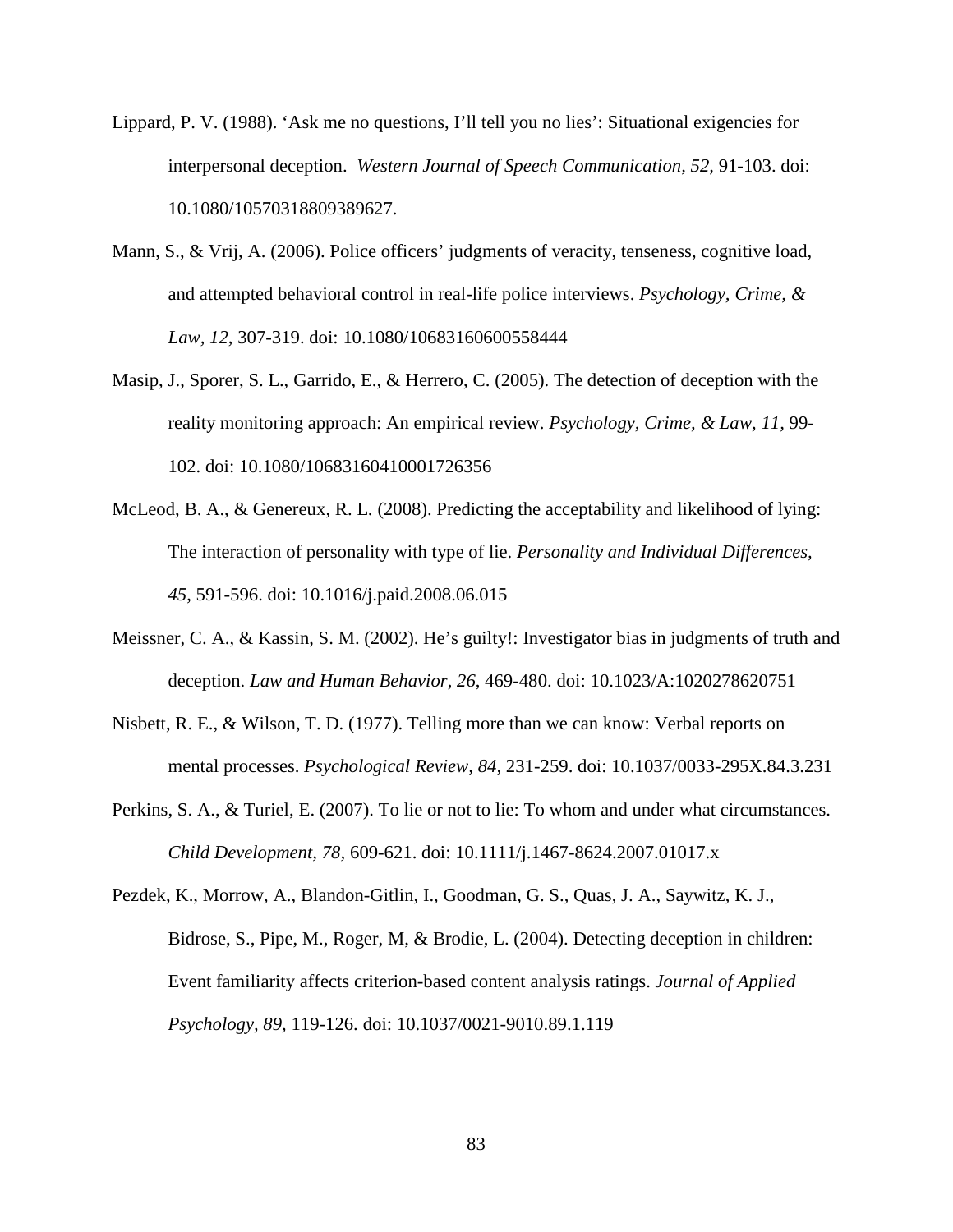- Lippard, P. V. (1988). 'Ask me no questions, I'll tell you no lies': Situational exigencies for interpersonal deception. *Western Journal of Speech Communication, 52,* 91-103. doi: 10.1080/10570318809389627.
- Mann, S., & Vrij, A. (2006). Police officers' judgments of veracity, tenseness, cognitive load, and attempted behavioral control in real-life police interviews. *Psychology, Crime, & Law, 12*, 307-319. doi: 10.1080/10683160600558444
- Masip, J., Sporer, S. L., Garrido, E., & Herrero, C. (2005). The detection of deception with the reality monitoring approach: An empirical review. *Psychology, Crime, & Law, 11,* 99- 102. doi: 10.1080/10683160410001726356
- McLeod, B. A., & Genereux, R. L. (2008). Predicting the acceptability and likelihood of lying: The interaction of personality with type of lie. *Personality and Individual Differences, 45*, 591-596. doi: 10.1016/j.paid.2008.06.015
- Meissner, C. A., & Kassin, S. M. (2002). He's guilty!: Investigator bias in judgments of truth and deception. *Law and Human Behavior, 26*, 469-480. doi: 10.1023/A:1020278620751
- Nisbett, R. E., & Wilson, T. D. (1977). Telling more than we can know: Verbal reports on mental processes. *Psychological Review, 84,* 231-259. doi: 10.1037/0033-295X.84.3.231
- Perkins, S. A., & Turiel, E. (2007). To lie or not to lie: To whom and under what circumstances. *Child Development, 78,* 609-621. doi: 10.1111/j.1467-8624.2007.01017.x
- Pezdek, K., Morrow, A., Blandon-Gitlin, I., Goodman, G. S., Quas, J. A., Saywitz, K. J., Bidrose, S., Pipe, M., Roger, M, & Brodie, L. (2004). Detecting deception in children: Event familiarity affects criterion-based content analysis ratings. *Journal of Applied Psychology, 89,* 119-126. doi: 10.1037/0021-9010.89.1.119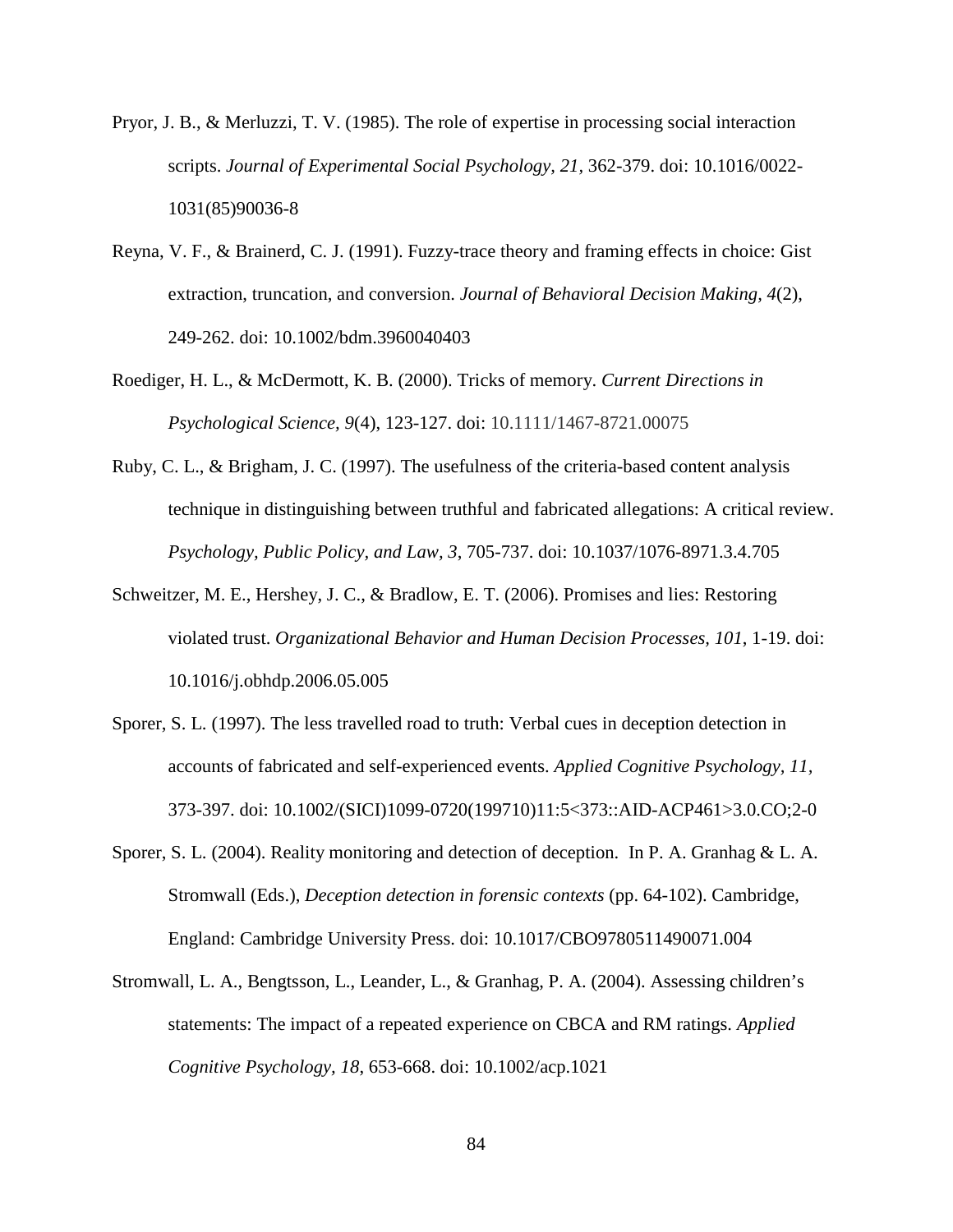- Pryor, J. B., & Merluzzi, T. V. (1985). The role of expertise in processing social interaction scripts. *Journal of Experimental Social Psychology, 21,* 362-379. doi: 10.1016/0022- 1031(85)90036-8
- Reyna, V. F., & Brainerd, C. J. (1991). Fuzzy-trace theory and framing effects in choice: Gist extraction, truncation, and conversion. *Journal of Behavioral Decision Making, 4*(2), 249-262. doi: 10.1002/bdm.3960040403
- Roediger, H. L., & McDermott, K. B. (2000). Tricks of memory. *Current Directions in Psychological Science, 9*(4), 123-127. doi: 10.1111/1467-8721.00075
- Ruby, C. L., & Brigham, J. C. (1997). The usefulness of the criteria-based content analysis technique in distinguishing between truthful and fabricated allegations: A critical review. *Psychology, Public Policy, and Law, 3*, 705-737. doi: 10.1037/1076-8971.3.4.705
- Schweitzer, M. E., Hershey, J. C., & Bradlow, E. T. (2006). Promises and lies: Restoring violated trust. *Organizational Behavior and Human Decision Processes, 101*, 1-19. doi: 10.1016/j.obhdp.2006.05.005
- Sporer, S. L. (1997). The less travelled road to truth: Verbal cues in deception detection in accounts of fabricated and self-experienced events. *Applied Cognitive Psychology, 11,*  373-397. doi: 10.1002/(SICI)1099-0720(199710)11:5<373::AID-ACP461>3.0.CO;2-0
- Sporer, S. L. (2004). Reality monitoring and detection of deception. In P. A. Granhag & L. A. Stromwall (Eds.), *Deception detection in forensic contexts* (pp. 64-102). Cambridge, England: Cambridge University Press. doi: 10.1017/CBO9780511490071.004
- Stromwall, L. A., Bengtsson, L., Leander, L., & Granhag, P. A. (2004). Assessing children's statements: The impact of a repeated experience on CBCA and RM ratings. *Applied Cognitive Psychology, 18*, 653-668. doi: 10.1002/acp.1021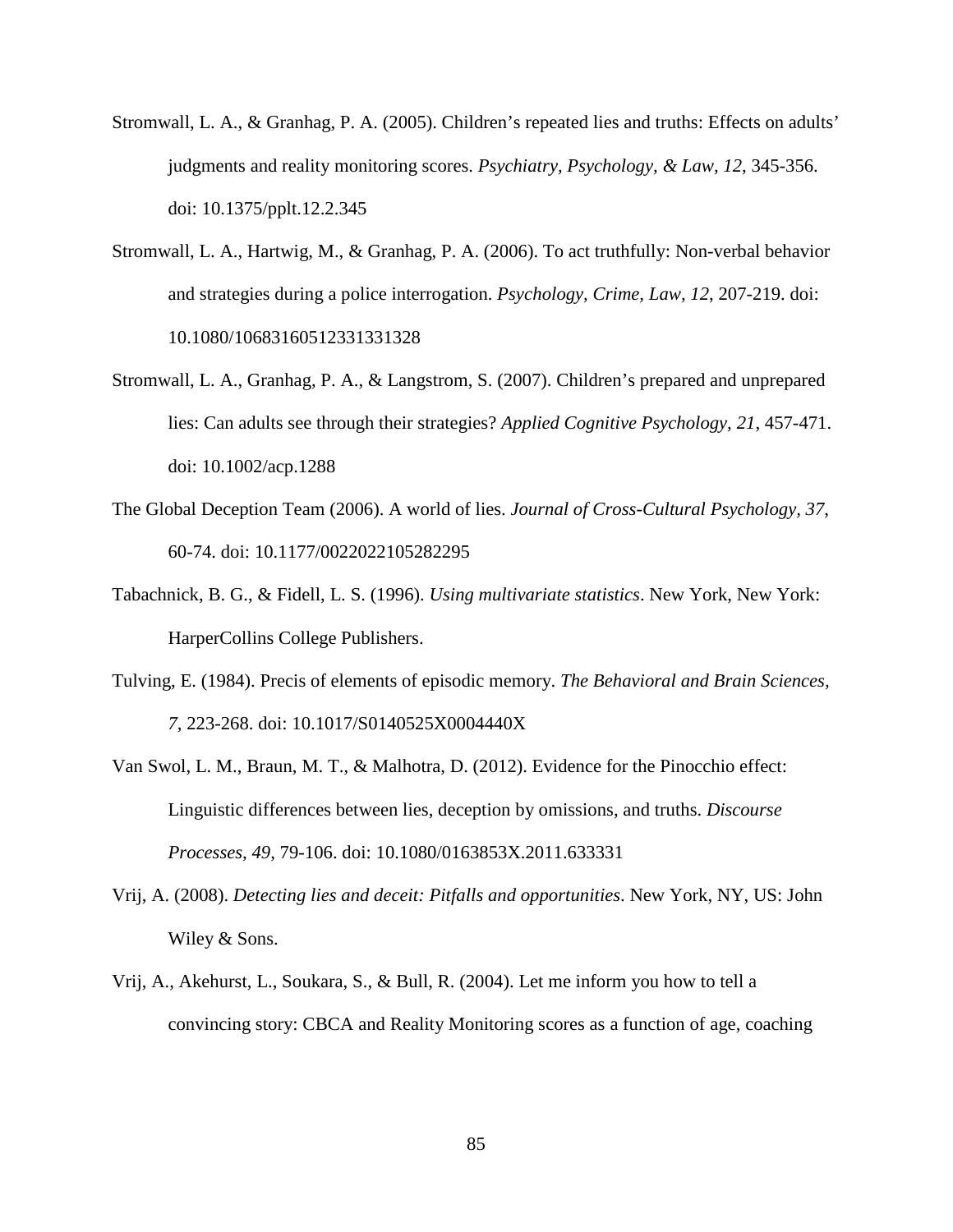- Stromwall, L. A., & Granhag, P. A. (2005). Children's repeated lies and truths: Effects on adults' judgments and reality monitoring scores. *Psychiatry, Psychology, & Law, 12*, 345-356. doi: 10.1375/pplt.12.2.345
- Stromwall, L. A., Hartwig, M., & Granhag, P. A. (2006). To act truthfully: Non-verbal behavior and strategies during a police interrogation. *Psychology, Crime, Law, 12*, 207-219. doi: 10.1080/10683160512331331328
- Stromwall, L. A., Granhag, P. A., & Langstrom, S. (2007). Children's prepared and unprepared lies: Can adults see through their strategies? *Applied Cognitive Psychology, 21*, 457-471. doi: 10.1002/acp.1288
- The Global Deception Team (2006). A world of lies. *Journal of Cross-Cultural Psychology, 37*, 60-74. doi: 10.1177/0022022105282295
- Tabachnick, B. G., & Fidell, L. S. (1996). *Using multivariate statistics*. New York, New York: HarperCollins College Publishers.
- Tulving, E. (1984). Precis of elements of episodic memory. *The Behavioral and Brain Sciences, 7,* 223-268. doi: 10.1017/S0140525X0004440X
- Van Swol, L. M., Braun, M. T., & Malhotra, D. (2012). Evidence for the Pinocchio effect: Linguistic differences between lies, deception by omissions, and truths. *Discourse Processes, 49,* 79-106. doi: 10.1080/0163853X.2011.633331
- Vrij, A. (2008). *Detecting lies and deceit: Pitfalls and opportunities*. New York, NY, US: John Wiley & Sons.
- Vrij, A., Akehurst, L., Soukara, S., & Bull, R. (2004). Let me inform you how to tell a convincing story: CBCA and Reality Monitoring scores as a function of age, coaching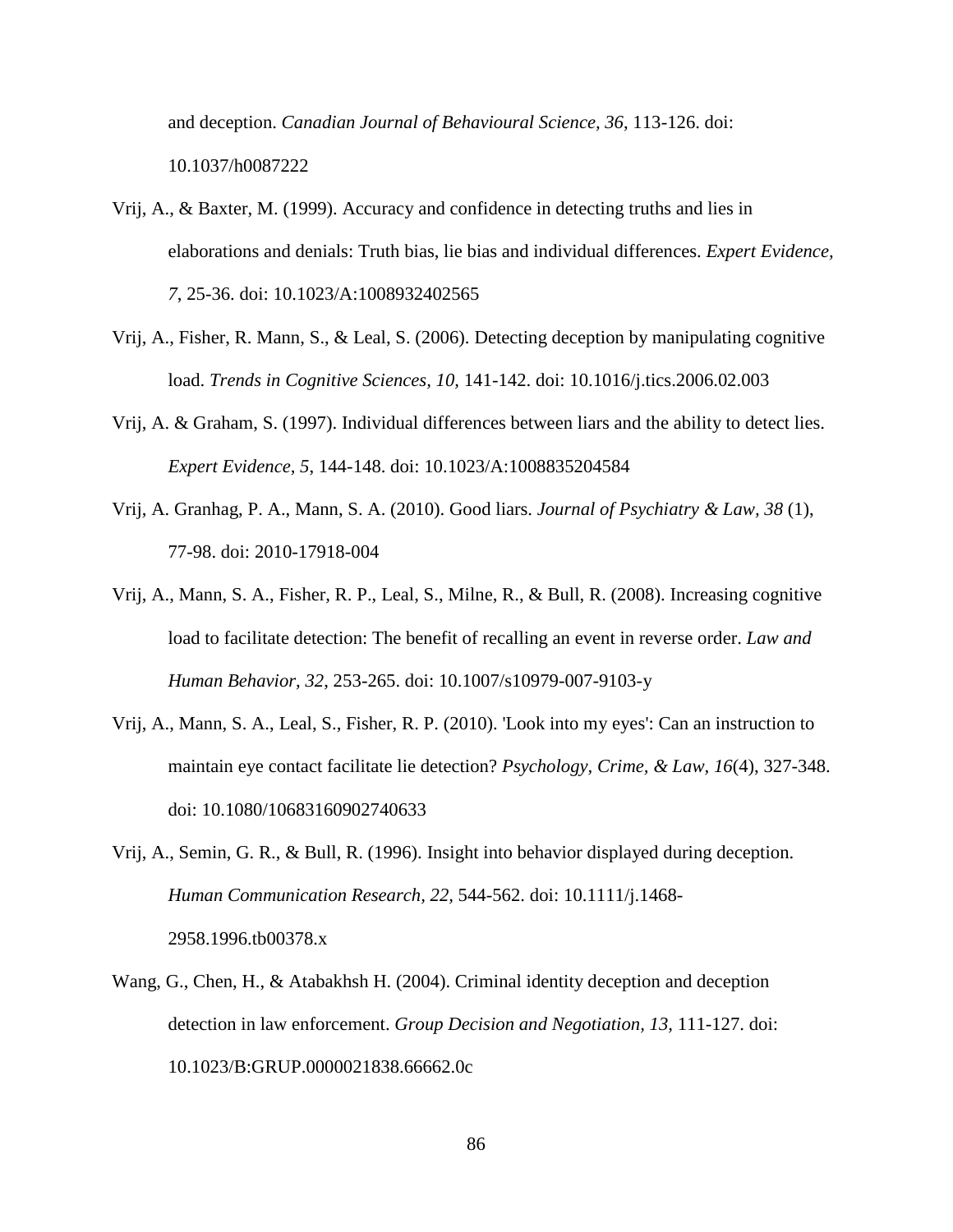and deception. *Canadian Journal of Behavioural Science, 36*, 113-126. doi: 10.1037/h0087222

- Vrij, A., & Baxter, M. (1999). Accuracy and confidence in detecting truths and lies in elaborations and denials: Truth bias, lie bias and individual differences. *Expert Evidence, 7*, 25-36. doi: 10.1023/A:1008932402565
- Vrij, A., Fisher, R. Mann, S., & Leal, S. (2006). Detecting deception by manipulating cognitive load. *Trends in Cognitive Sciences, 10,* 141-142. doi: 10.1016/j.tics.2006.02.003
- Vrij, A. & Graham, S. (1997). Individual differences between liars and the ability to detect lies. *Expert Evidence, 5*, 144-148. doi: 10.1023/A:1008835204584
- Vrij, A. Granhag, P. A., Mann, S. A. (2010). Good liars. *Journal of Psychiatry & Law, 38* (1), 77-98. doi: 2010-17918-004
- Vrij, A., Mann, S. A., Fisher, R. P., Leal, S., Milne, R., & Bull, R. (2008). Increasing cognitive load to facilitate detection: The benefit of recalling an event in reverse order. *Law and Human Behavior, 32*, 253-265. doi: 10.1007/s10979-007-9103-y
- Vrij, A., Mann, S. A., Leal, S., Fisher, R. P. (2010). 'Look into my eyes': Can an instruction to maintain eye contact facilitate lie detection? *Psychology, Crime, & Law, 16*(4), 327-348. doi: 10.1080/10683160902740633
- Vrij, A., Semin, G. R., & Bull, R. (1996). Insight into behavior displayed during deception. *Human Communication Research, 22,* 544-562. doi: 10.1111/j.1468- 2958.1996.tb00378.x
- Wang, G., Chen, H., & Atabakhsh H. (2004). Criminal identity deception and deception detection in law enforcement. *Group Decision and Negotiation, 13,* 111-127. doi: 10.1023/B:GRUP.0000021838.66662.0c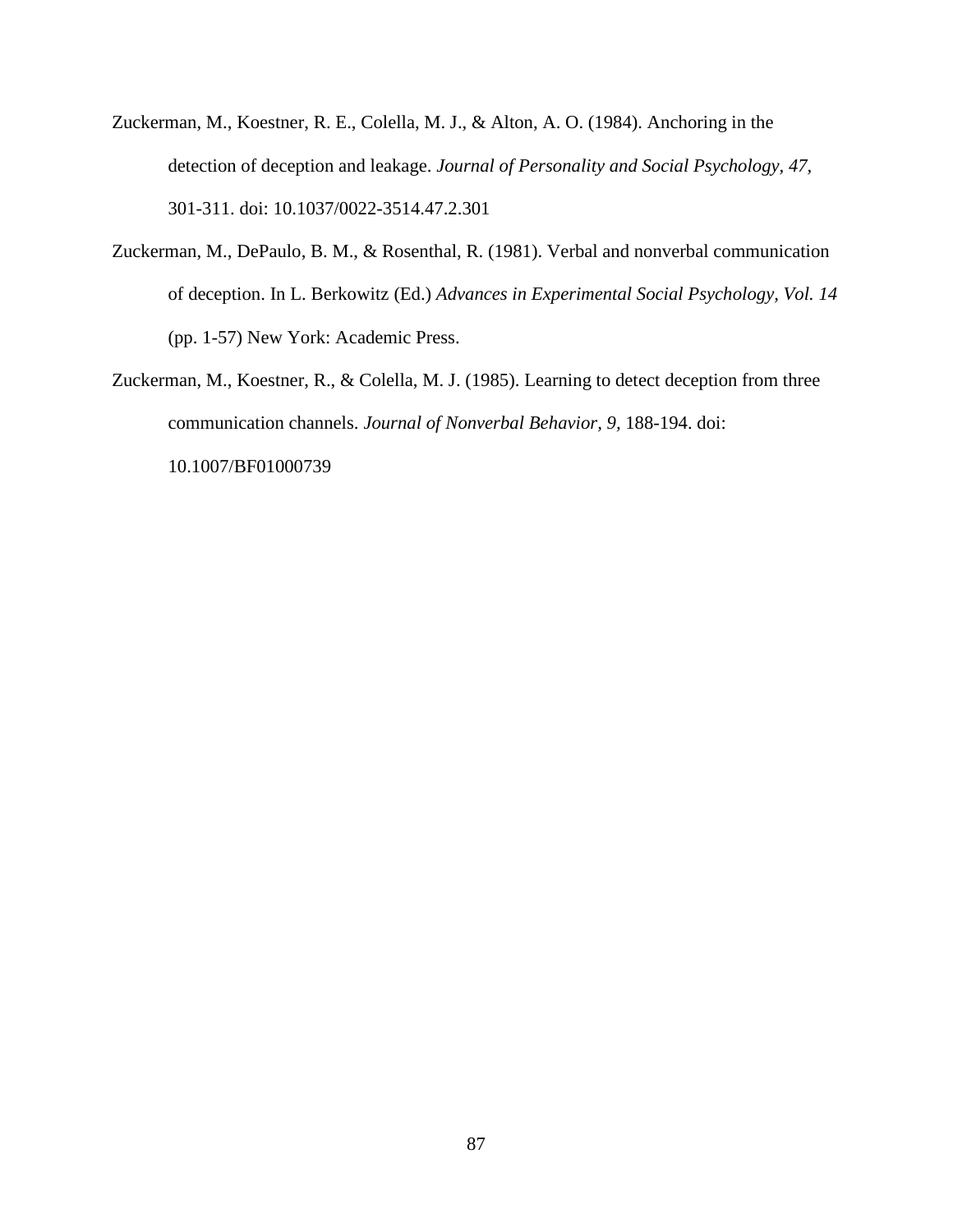- Zuckerman, M., Koestner, R. E., Colella, M. J., & Alton, A. O. (1984). Anchoring in the detection of deception and leakage. *Journal of Personality and Social Psychology, 47,*  301-311. doi: 10.1037/0022-3514.47.2.301
- Zuckerman, M., DePaulo, B. M., & Rosenthal, R. (1981). Verbal and nonverbal communication of deception. In L. Berkowitz (Ed.) *Advances in Experimental Social Psychology, Vol. 14* (pp. 1-57) New York: Academic Press.
- Zuckerman, M., Koestner, R., & Colella, M. J. (1985). Learning to detect deception from three communication channels. *Journal of Nonverbal Behavior, 9,* 188-194. doi: 10.1007/BF01000739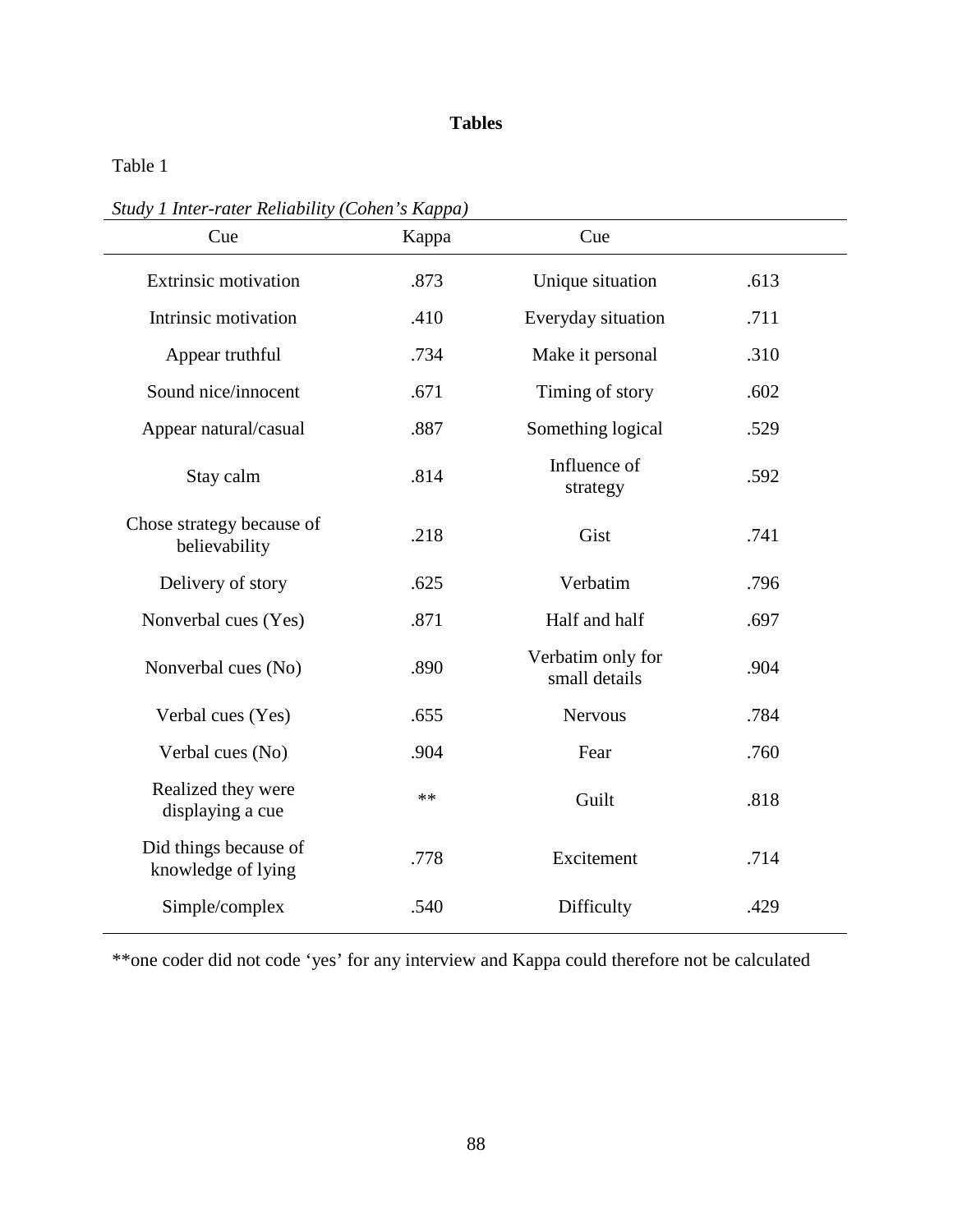Table 1

*Study 1 Inter-rater Reliability (Cohen's Kappa)*

| Cue                                         | Kappa | Cue                                |      |
|---------------------------------------------|-------|------------------------------------|------|
| <b>Extrinsic motivation</b>                 | .873  | Unique situation                   | .613 |
| Intrinsic motivation                        | .410  | Everyday situation                 | .711 |
| Appear truthful                             | .734  | Make it personal                   | .310 |
| Sound nice/innocent                         | .671  | Timing of story                    | .602 |
| Appear natural/casual                       | .887  | Something logical                  | .529 |
| Stay calm                                   | .814  | Influence of<br>strategy           | .592 |
| Chose strategy because of<br>believability  | .218  | Gist                               | .741 |
| Delivery of story                           | .625  | Verbatim                           | .796 |
| Nonverbal cues (Yes)                        | .871  | Half and half                      | .697 |
| Nonverbal cues (No)                         | .890  | Verbatim only for<br>small details | .904 |
| Verbal cues (Yes)                           | .655  | <b>Nervous</b>                     | .784 |
| Verbal cues (No)                            | .904  | Fear                               | .760 |
| Realized they were<br>displaying a cue      | $**$  | Guilt                              | .818 |
| Did things because of<br>knowledge of lying | .778  | Excitement                         | .714 |
| Simple/complex                              | .540  | Difficulty                         | .429 |

\*\*one coder did not code 'yes' for any interview and Kappa could therefore not be calculated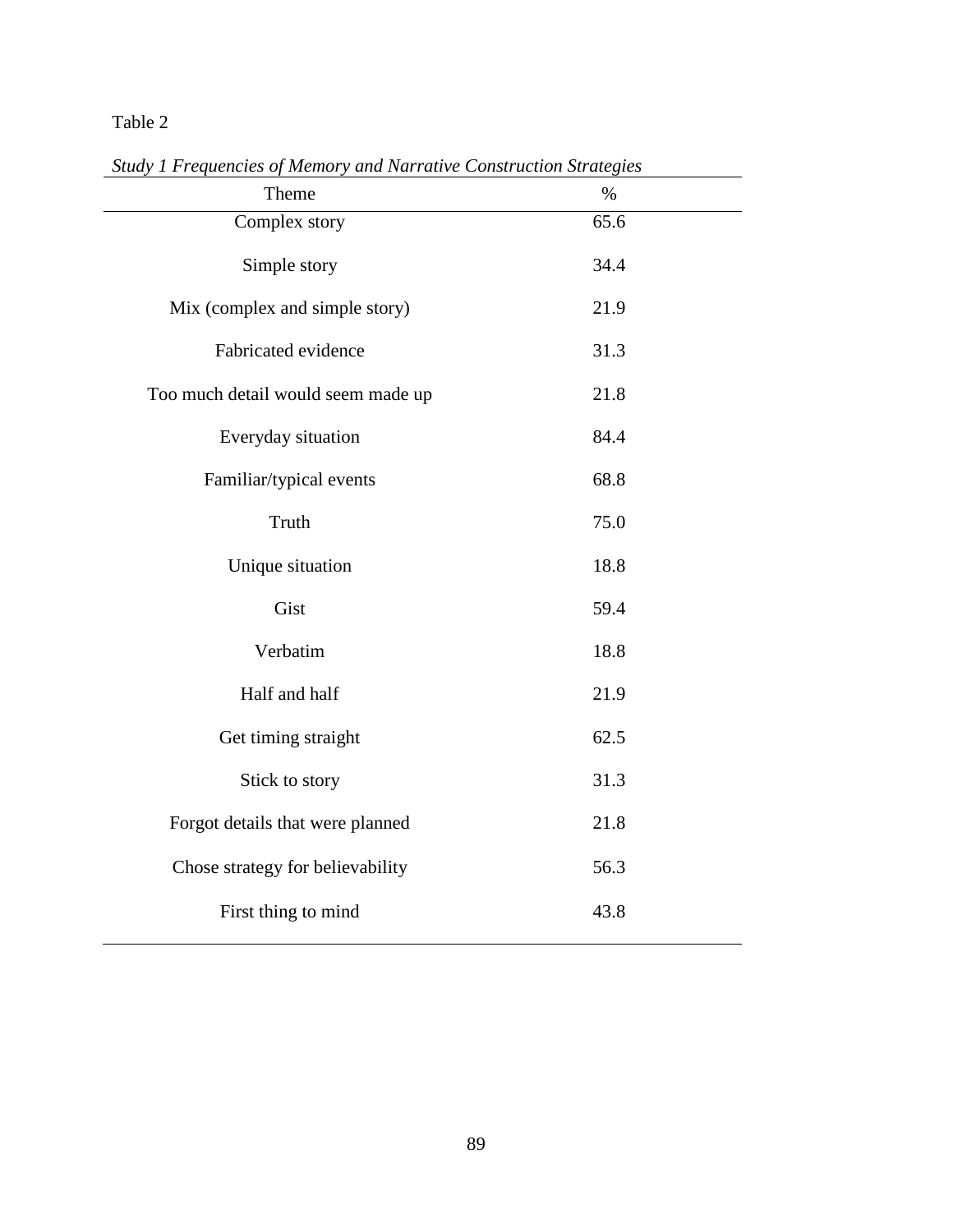| Theme                              | $\%$ |
|------------------------------------|------|
| Complex story                      | 65.6 |
| Simple story                       | 34.4 |
| Mix (complex and simple story)     | 21.9 |
| Fabricated evidence                | 31.3 |
| Too much detail would seem made up | 21.8 |
| Everyday situation                 | 84.4 |
| Familiar/typical events            | 68.8 |
| Truth                              | 75.0 |
| Unique situation                   | 18.8 |
| Gist                               | 59.4 |
| Verbatim                           | 18.8 |
| Half and half                      | 21.9 |
| Get timing straight                | 62.5 |
| Stick to story                     | 31.3 |
| Forgot details that were planned   | 21.8 |
| Chose strategy for believability   | 56.3 |
| First thing to mind                | 43.8 |

*Study 1 Frequencies of Memory and Narrative Construction Strategies*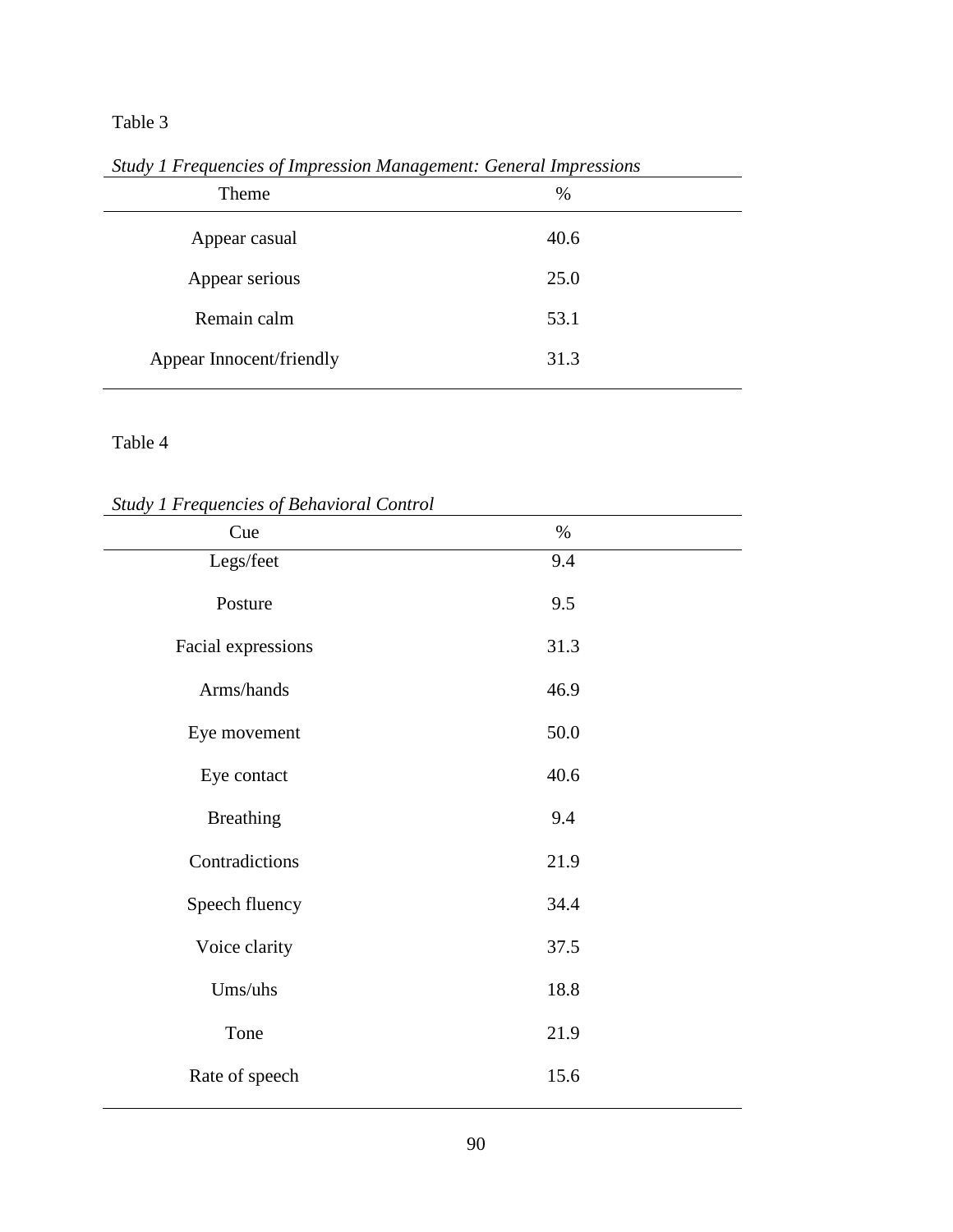|                          | ം പ  |  |
|--------------------------|------|--|
| Theme                    | $\%$ |  |
| Appear casual            | 40.6 |  |
| Appear serious           | 25.0 |  |
| Remain calm              | 53.1 |  |
| Appear Innocent/friendly | 31.3 |  |
|                          |      |  |

*Study 1 Frequencies of Impression Management: General Impressions*

*Study 1 Frequencies of Behavioral Control*

| Sinay I Frequencies of Benavioral Control<br>Cue | $\%$ |  |
|--------------------------------------------------|------|--|
|                                                  |      |  |
| Legs/feet                                        | 9.4  |  |
|                                                  |      |  |
| Posture                                          | 9.5  |  |
|                                                  |      |  |
| Facial expressions                               | 31.3 |  |
|                                                  |      |  |
| Arms/hands                                       | 46.9 |  |
|                                                  |      |  |
|                                                  | 50.0 |  |
| Eye movement                                     |      |  |
|                                                  |      |  |
| Eye contact                                      | 40.6 |  |
|                                                  |      |  |
| <b>Breathing</b>                                 | 9.4  |  |
|                                                  |      |  |
| Contradictions                                   | 21.9 |  |
|                                                  |      |  |
| Speech fluency                                   | 34.4 |  |
|                                                  |      |  |
| Voice clarity                                    | 37.5 |  |
|                                                  |      |  |
| Ums/uhs                                          | 18.8 |  |
|                                                  |      |  |
| Tone                                             | 21.9 |  |
|                                                  |      |  |
|                                                  |      |  |
| Rate of speech                                   | 15.6 |  |
|                                                  |      |  |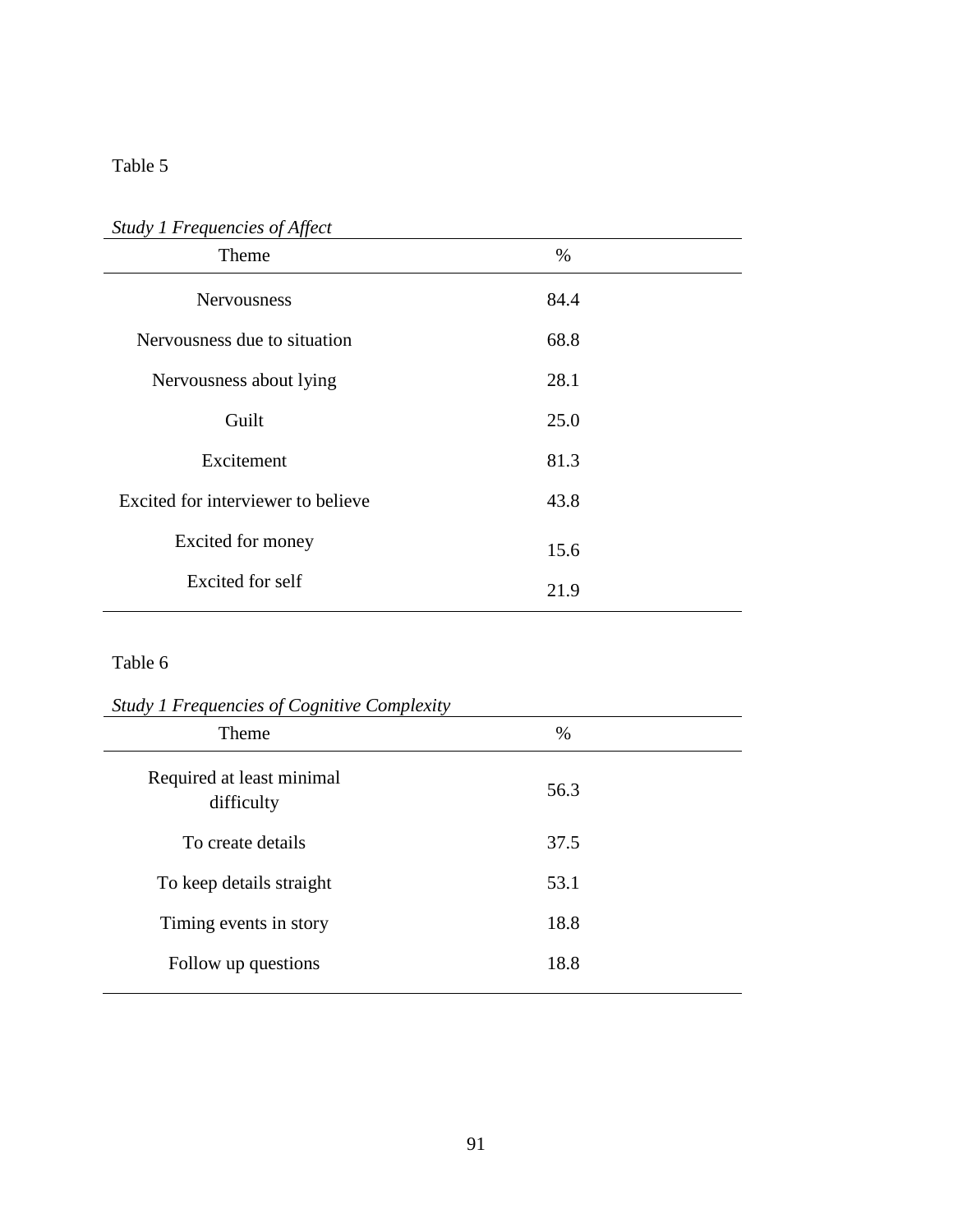| Theme                              | $\%$ |  |
|------------------------------------|------|--|
| <b>Nervousness</b>                 | 84.4 |  |
| Nervousness due to situation       | 68.8 |  |
| Nervousness about lying            | 28.1 |  |
| Guilt                              | 25.0 |  |
| Excitement                         | 81.3 |  |
| Excited for interviewer to believe | 43.8 |  |
| Excited for money                  | 15.6 |  |
| Excited for self                   | 21.9 |  |

### *Study 1 Frequencies of Affect*

| <b>Study 1 Frequencies of Cognitive Complexity</b> |  |  |  |  |
|----------------------------------------------------|--|--|--|--|
| $\%$                                               |  |  |  |  |
| 56.3                                               |  |  |  |  |
| 37.5                                               |  |  |  |  |
| 53.1                                               |  |  |  |  |
| 18.8                                               |  |  |  |  |
| 18.8                                               |  |  |  |  |
|                                                    |  |  |  |  |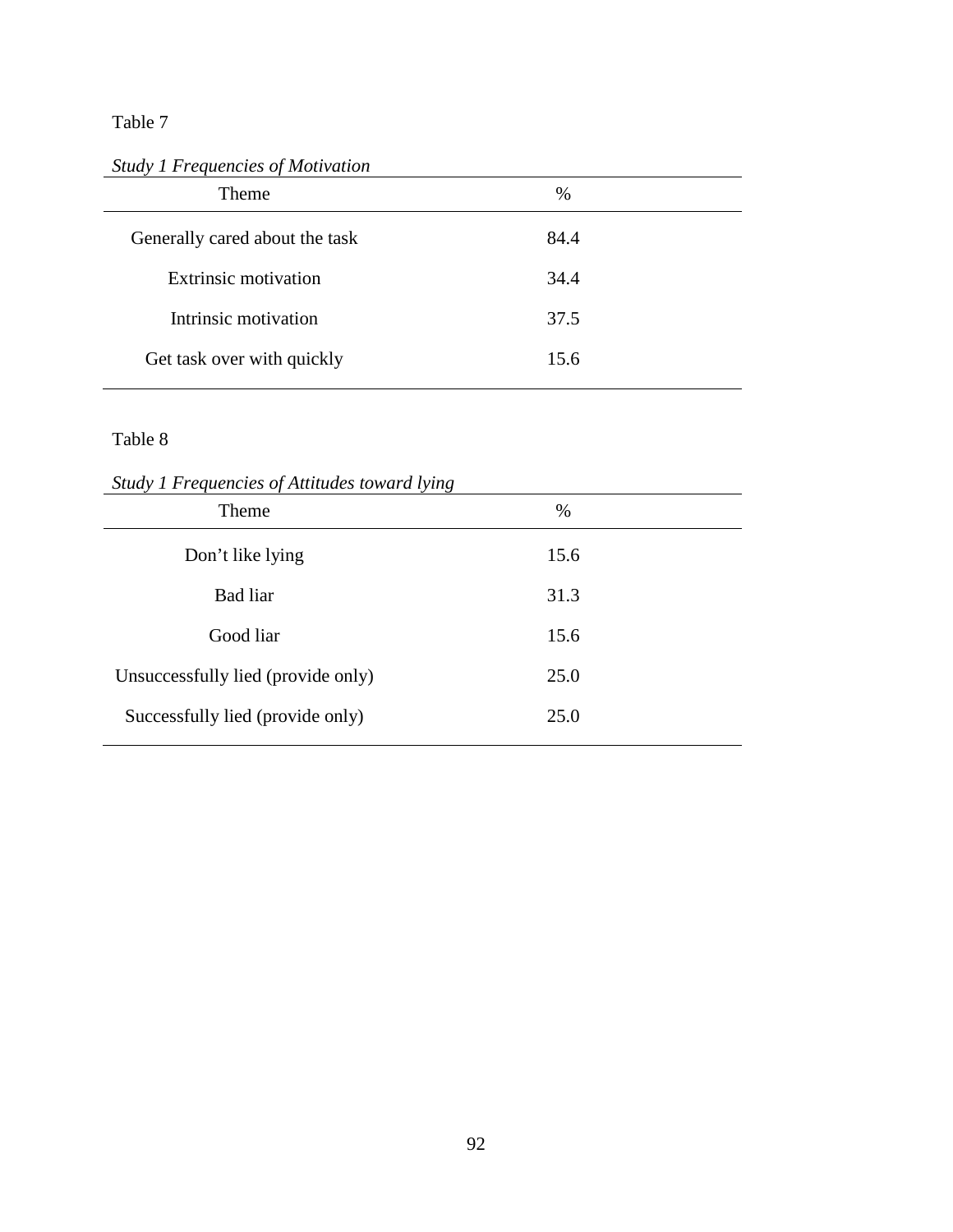*Study 1 Frequencies of Motivation*

| %    |  |
|------|--|
| 84.4 |  |
| 34.4 |  |
| 37.5 |  |
| 15.6 |  |
|      |  |

*Study 1 Frequencies of Attitudes toward lying*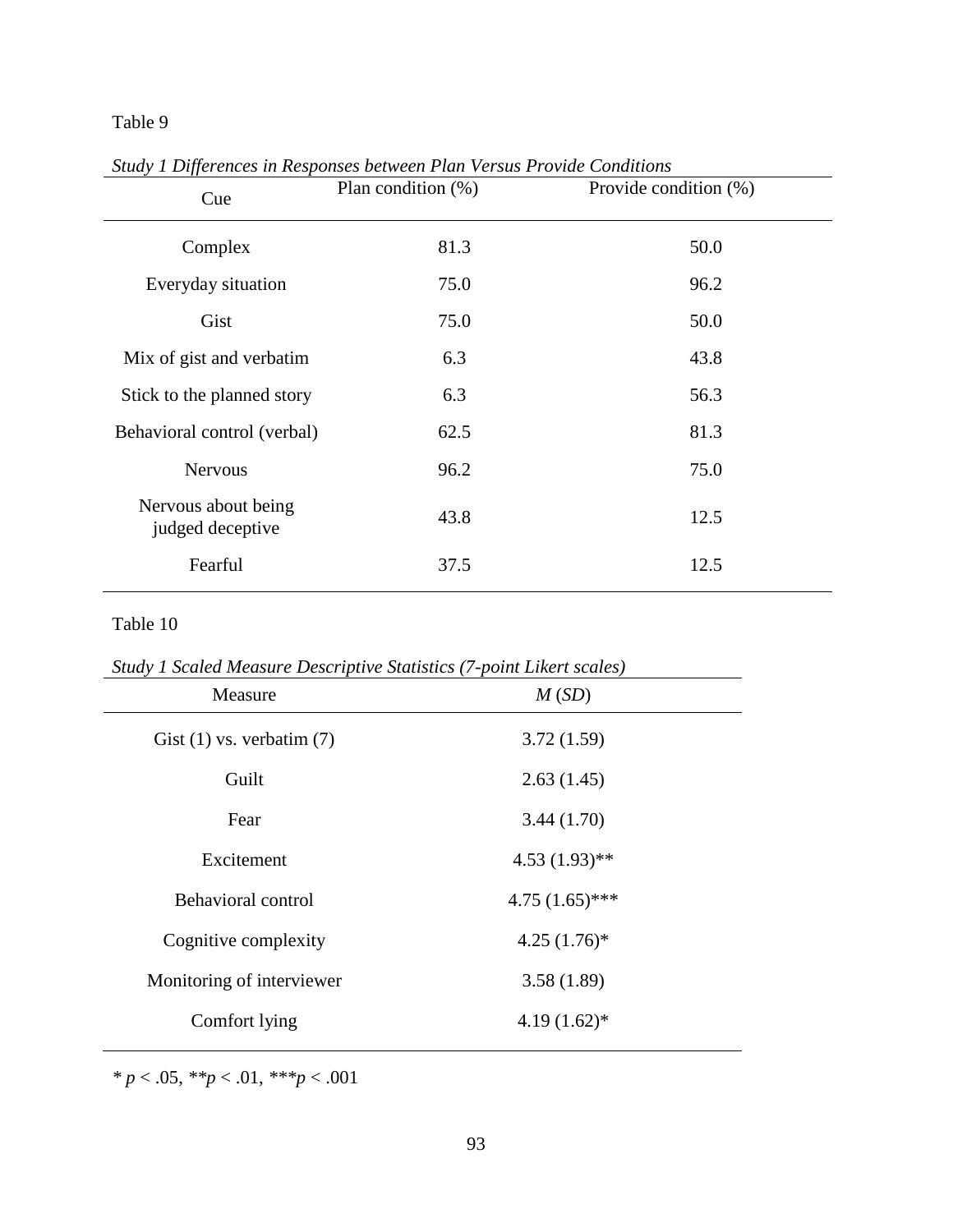| IJJ<br>Cue                              | Plan condition $(\%)$ | Provide condition (%) |
|-----------------------------------------|-----------------------|-----------------------|
| Complex                                 | 81.3                  | 50.0                  |
| Everyday situation                      | 75.0                  | 96.2                  |
| Gist                                    | 75.0                  | 50.0                  |
| Mix of gist and verbatim                | 6.3                   | 43.8                  |
| Stick to the planned story              | 6.3                   | 56.3                  |
| Behavioral control (verbal)             | 62.5                  | 81.3                  |
| <b>Nervous</b>                          | 96.2                  | 75.0                  |
| Nervous about being<br>judged deceptive | 43.8                  | 12.5                  |
| Fearful                                 | 37.5                  | 12.5                  |

*Study 1 Differences in Responses between Plan Versus Provide Conditions* 

### Table 10

*Study 1 Scaled Measure Descriptive Statistics (7-point Likert scales)*

| Measure                       | M(SD)            |  |  |
|-------------------------------|------------------|--|--|
| Gist $(1)$ vs. verbatim $(7)$ | 3.72(1.59)       |  |  |
| Guilt                         | 2.63(1.45)       |  |  |
| Fear                          | 3.44(1.70)       |  |  |
| Excitement                    | $4.53(1.93)$ **  |  |  |
| Behavioral control            | $4.75(1.65)$ *** |  |  |
| Cognitive complexity          | $4.25(1.76)^*$   |  |  |
| Monitoring of interviewer     | 3.58(1.89)       |  |  |
| Comfort lying                 | $4.19(1.62)$ *   |  |  |

*\* p* < .05, *\*\*p* < .01, *\*\*\*p* < .001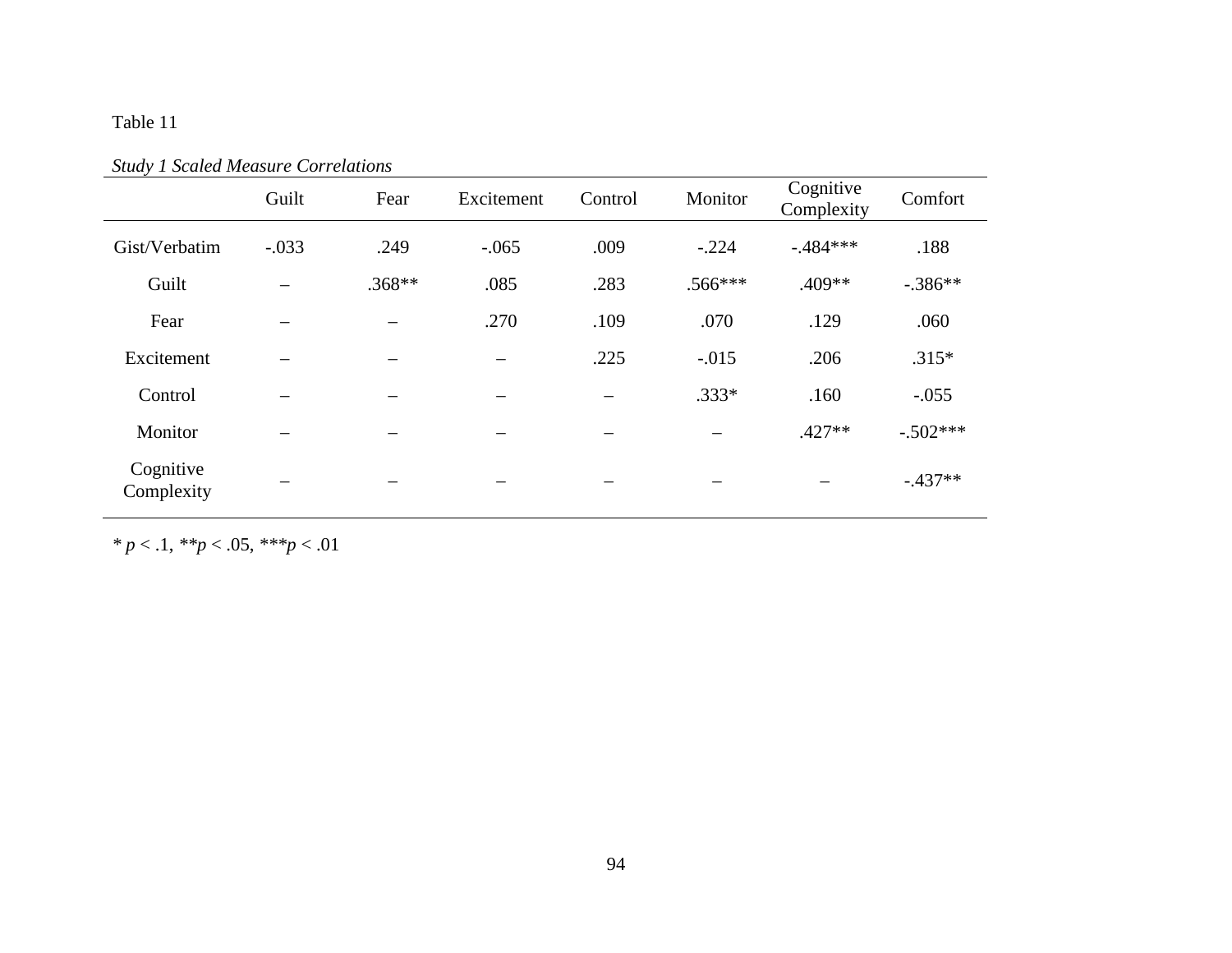| shaaf I scanca measan correnansis |         |                          |            |         |                          |                         |            |
|-----------------------------------|---------|--------------------------|------------|---------|--------------------------|-------------------------|------------|
|                                   | Guilt   | Fear                     | Excitement | Control | Monitor                  | Cognitive<br>Complexity | Comfort    |
| Gist/Verbatim                     | $-.033$ | .249                     | $-.065$    | .009    | $-.224$                  | $-.484***$              | .188       |
| Guilt                             |         | $.368**$                 | .085       | .283    | $.566***$                | .409**                  | $-.386**$  |
| Fear                              |         | $\overline{\phantom{0}}$ | .270       | .109    | .070                     | .129                    | .060       |
| Excitement                        |         |                          |            | .225    | $-.015$                  | .206                    | $.315*$    |
| Control                           |         |                          |            |         | $.333*$                  | .160                    | $-.055$    |
| Monitor                           |         | -                        | -          | -       | $\overline{\phantom{m}}$ | $.427**$                | $-.502***$ |
| Cognitive<br>Complexity           |         |                          |            |         |                          |                         | $-.437**$  |

*Study 1 Scaled Measure Correlations*

*\* p* < .1, *\*\*p* < .05, *\*\*\*p* < .01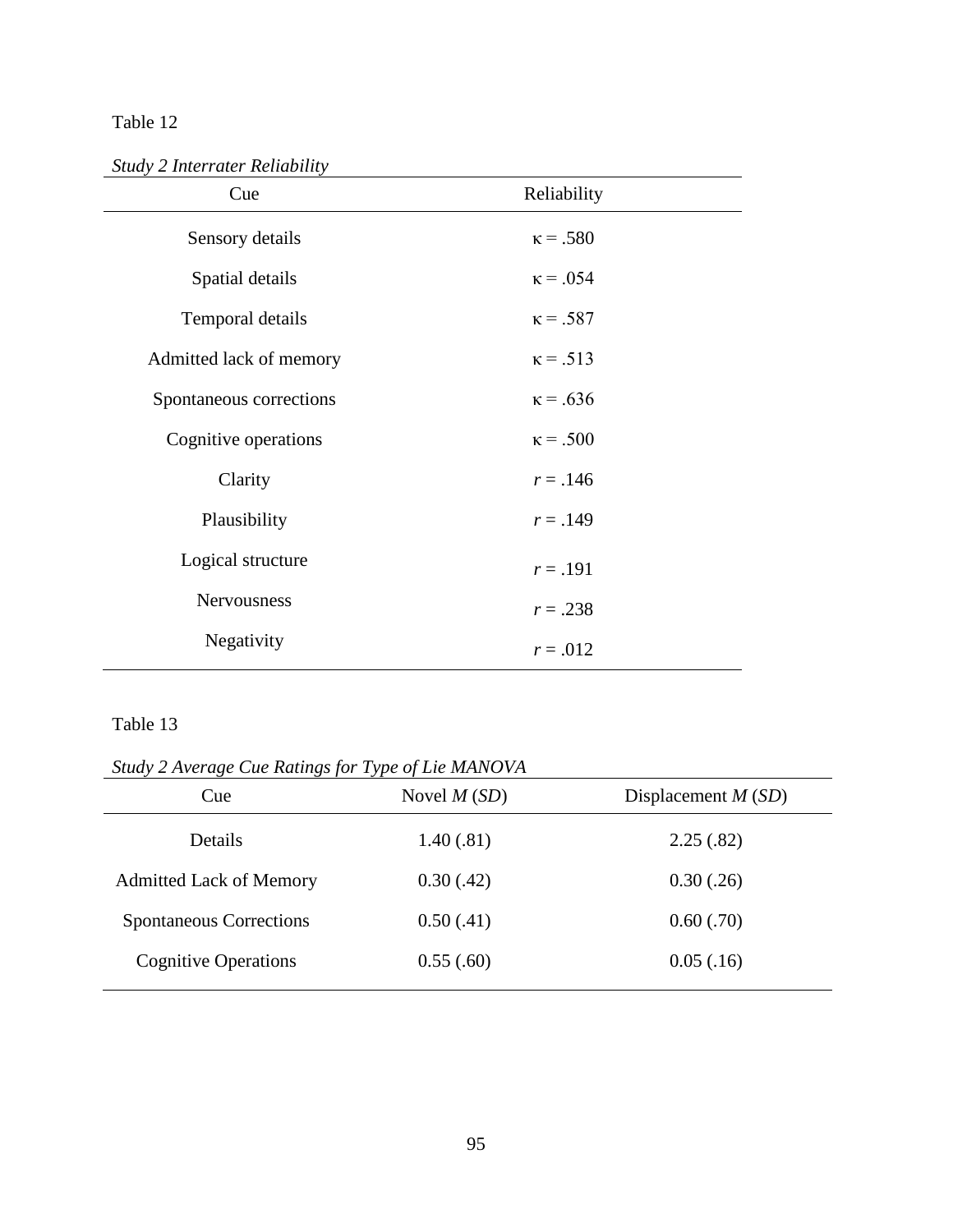*Study 2 Interrater Reliability* 

| Cue                     | Reliability     |
|-------------------------|-----------------|
| Sensory details         | $\kappa = .580$ |
| Spatial details         | $\kappa = .054$ |
| Temporal details        | $\kappa = .587$ |
| Admitted lack of memory | $\kappa = .513$ |
| Spontaneous corrections | $\kappa = .636$ |
| Cognitive operations    | $\kappa$ = .500 |
| Clarity                 | $r = .146$      |
| Plausibility            | $r = .149$      |
| Logical structure       | $r = .191$      |
| Nervousness             | $r = .238$      |
| Negativity              | $r = .012$      |
|                         |                 |

*Study 2 Average Cue Ratings for Type of Lie MANOVA*

| $max$ $2$ Trenge can having for Type of the metro $nT$<br>Cue | Novel $M(SD)$ | Displacement $M(SD)$ |
|---------------------------------------------------------------|---------------|----------------------|
| Details                                                       | 1.40(0.81)    | 2.25(.82)            |
| <b>Admitted Lack of Memory</b>                                | 0.30(.42)     | 0.30(.26)            |
| <b>Spontaneous Corrections</b>                                | 0.50(.41)     | 0.60(.70)            |
| <b>Cognitive Operations</b>                                   | 0.55(.60)     | 0.05(.16)            |
|                                                               |               |                      |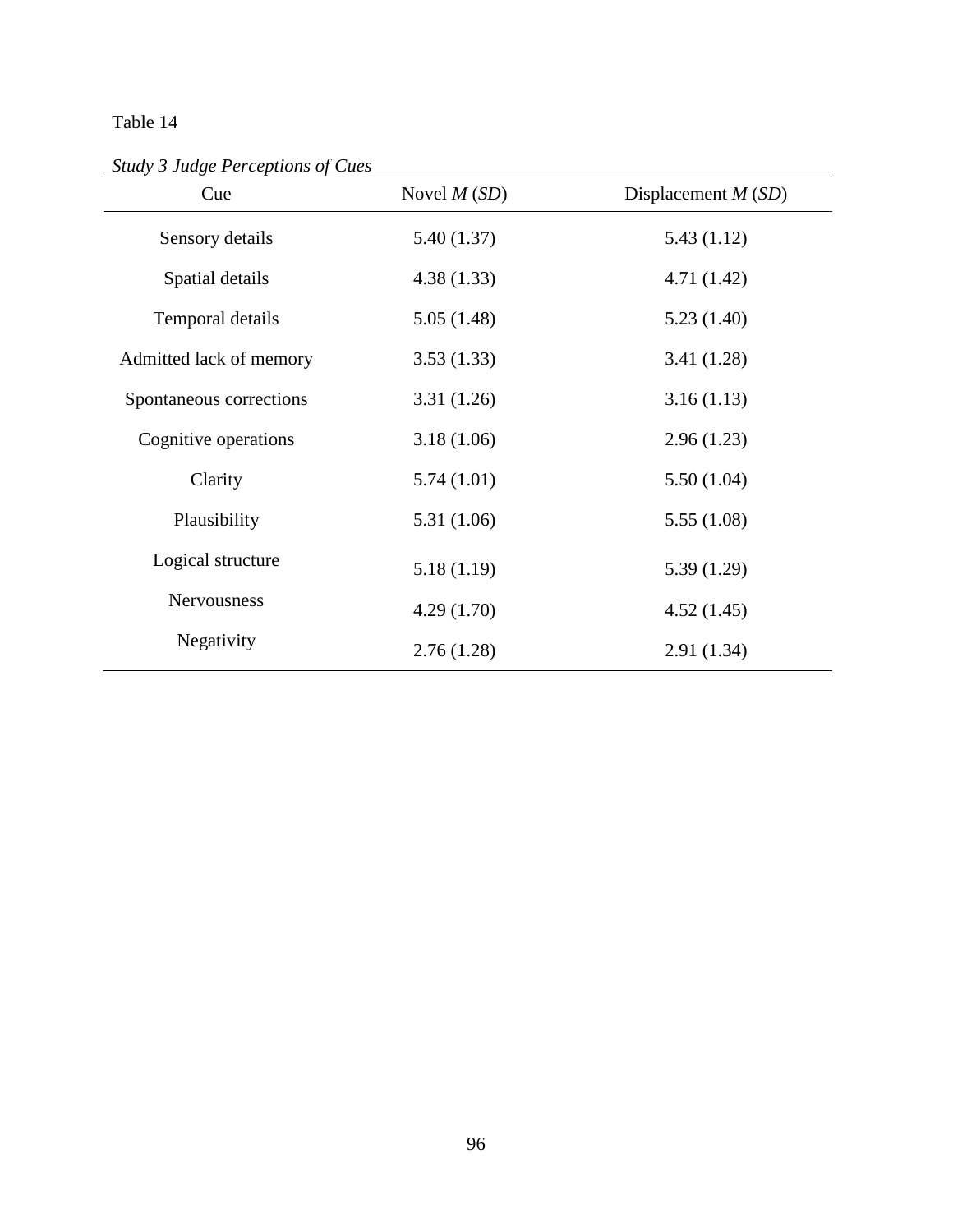*Study 3 Judge Perceptions of Cues*

| Cue                     | Novel $M(SD)$ | Displacement $M(SD)$ |
|-------------------------|---------------|----------------------|
| Sensory details         | 5.40(1.37)    | 5.43(1.12)           |
| Spatial details         | 4.38(1.33)    | 4.71(1.42)           |
| Temporal details        | 5.05(1.48)    | 5.23(1.40)           |
| Admitted lack of memory | 3.53(1.33)    | 3.41 (1.28)          |
| Spontaneous corrections | 3.31(1.26)    | 3.16(1.13)           |
| Cognitive operations    | 3.18(1.06)    | 2.96(1.23)           |
| Clarity                 | 5.74(1.01)    | 5.50(1.04)           |
| Plausibility            | 5.31 (1.06)   | 5.55(1.08)           |
| Logical structure       | 5.18(1.19)    | 5.39(1.29)           |
| Nervousness             | 4.29(1.70)    | 4.52(1.45)           |
| Negativity              | 2.76(1.28)    | 2.91(1.34)           |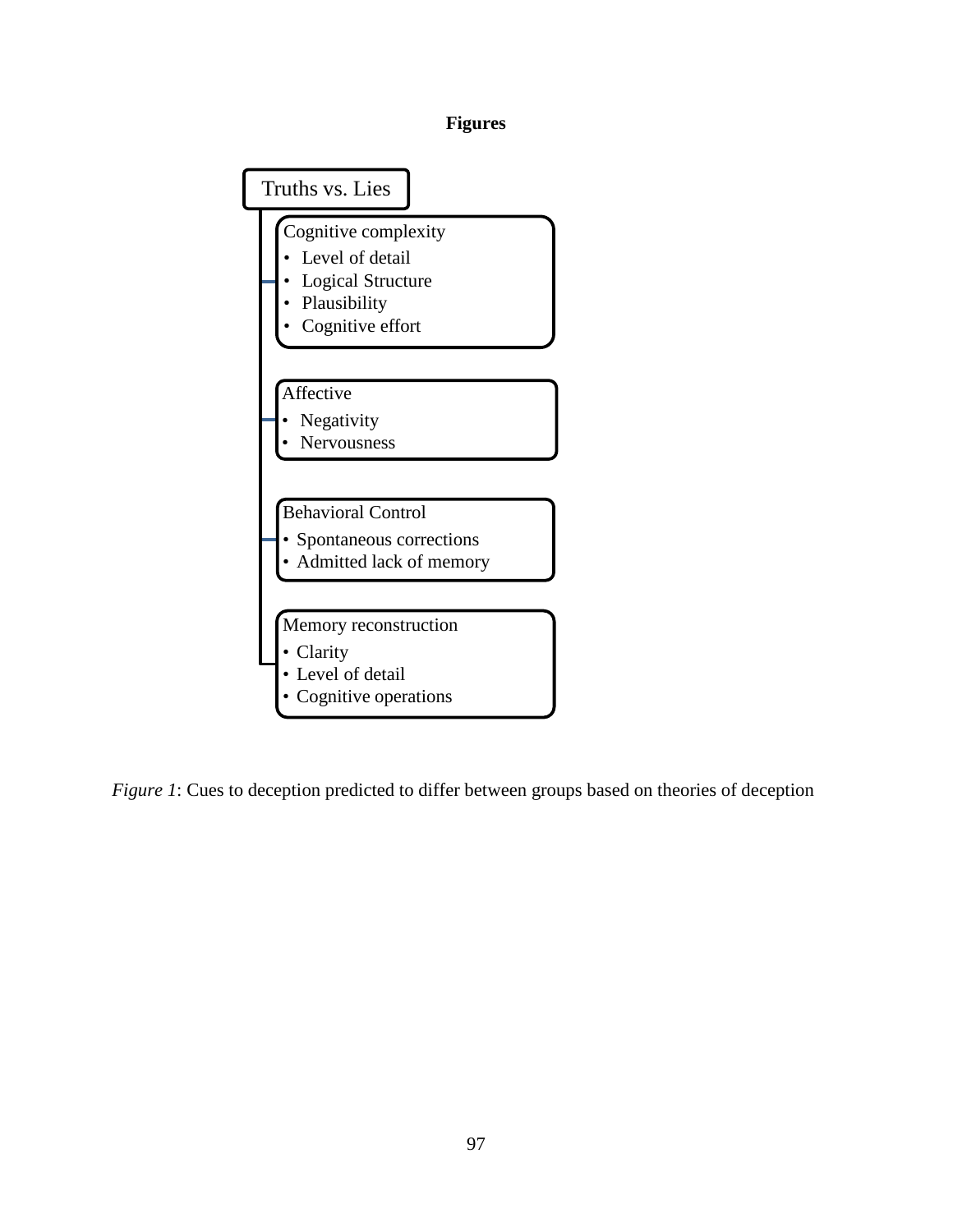## **Figures**



*Figure 1*: Cues to deception predicted to differ between groups based on theories of deception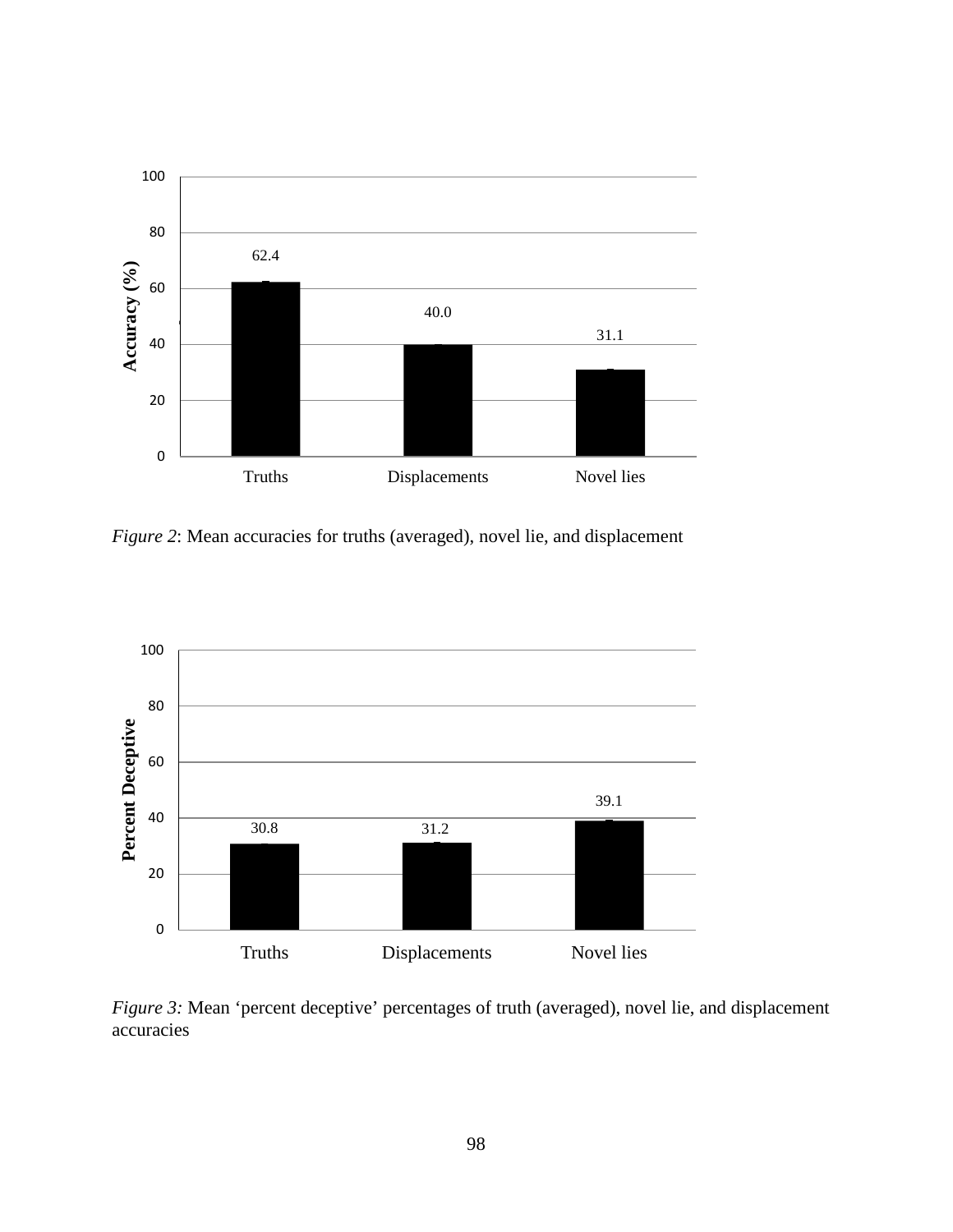

*Figure 2*: Mean accuracies for truths (averaged), novel lie, and displacement



*Figure 3:* Mean 'percent deceptive' percentages of truth (averaged), novel lie, and displacement accuracies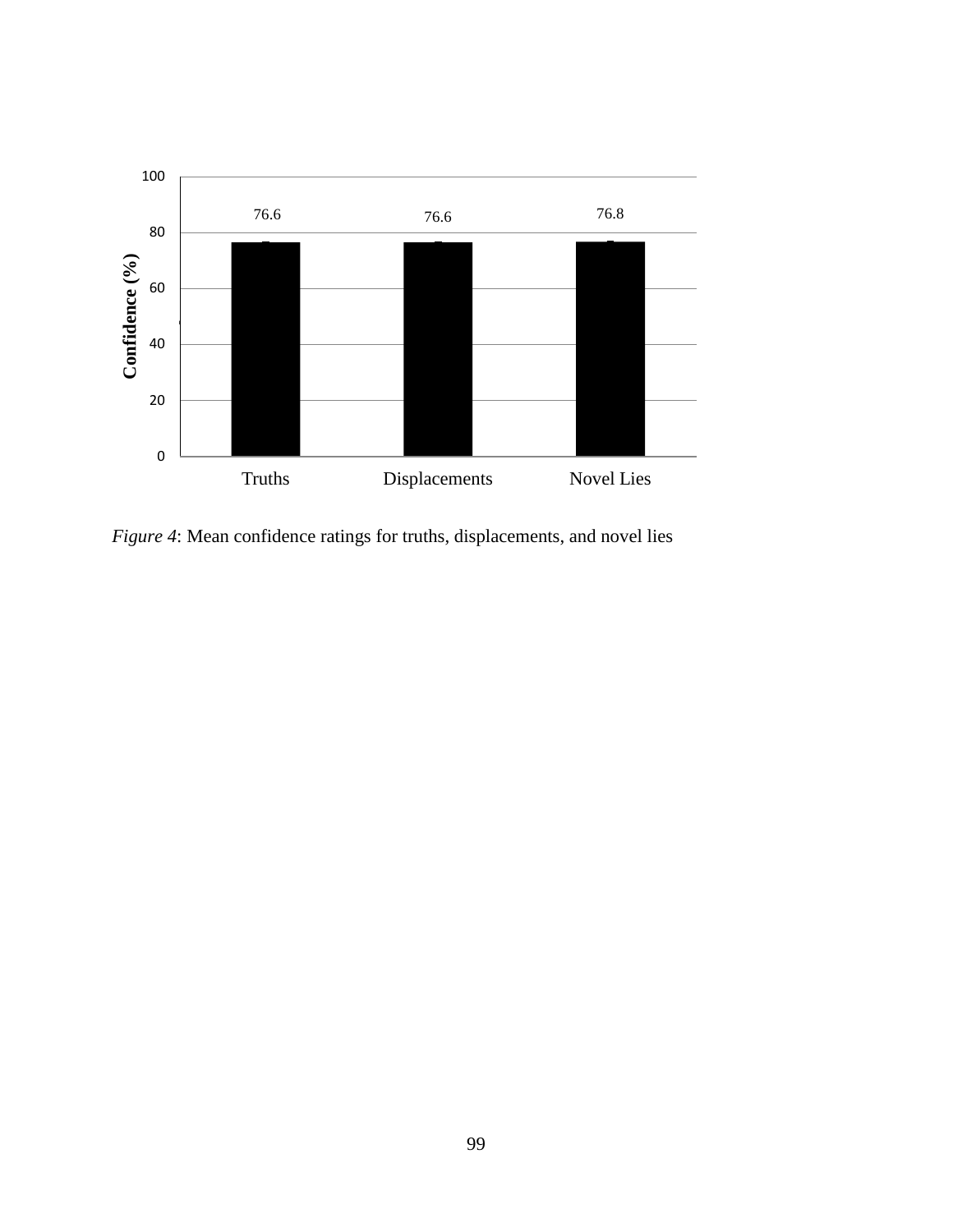

*Figure 4*: Mean confidence ratings for truths, displacements, and novel lies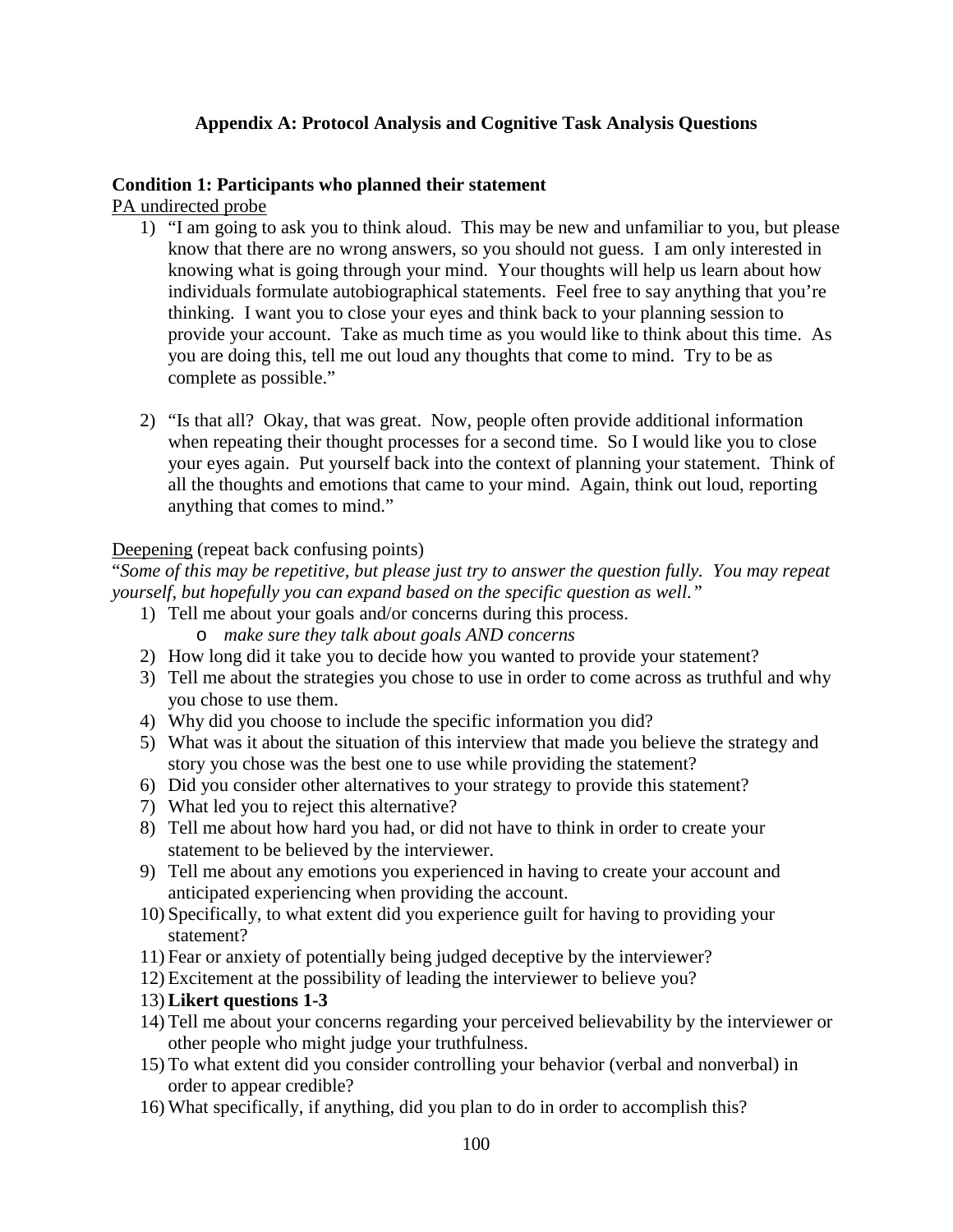### **Appendix A: Protocol Analysis and Cognitive Task Analysis Questions**

#### **Condition 1: Participants who planned their statement**

PA undirected probe

- 1) "I am going to ask you to think aloud. This may be new and unfamiliar to you, but please know that there are no wrong answers, so you should not guess. I am only interested in knowing what is going through your mind. Your thoughts will help us learn about how individuals formulate autobiographical statements. Feel free to say anything that you're thinking. I want you to close your eyes and think back to your planning session to provide your account. Take as much time as you would like to think about this time. As you are doing this, tell me out loud any thoughts that come to mind. Try to be as complete as possible."
- 2) "Is that all? Okay, that was great. Now, people often provide additional information when repeating their thought processes for a second time. So I would like you to close your eyes again. Put yourself back into the context of planning your statement. Think of all the thoughts and emotions that came to your mind. Again, think out loud, reporting anything that comes to mind."

#### Deepening (repeat back confusing points)

"*Some of this may be repetitive, but please just try to answer the question fully. You may repeat yourself, but hopefully you can expand based on the specific question as well."*

- 1) Tell me about your goals and/or concerns during this process.
	- o *make sure they talk about goals AND concerns*
- 2) How long did it take you to decide how you wanted to provide your statement?
- 3) Tell me about the strategies you chose to use in order to come across as truthful and why you chose to use them.
- 4) Why did you choose to include the specific information you did?
- 5) What was it about the situation of this interview that made you believe the strategy and story you chose was the best one to use while providing the statement?
- 6) Did you consider other alternatives to your strategy to provide this statement?
- 7) What led you to reject this alternative?
- 8) Tell me about how hard you had, or did not have to think in order to create your statement to be believed by the interviewer.
- 9) Tell me about any emotions you experienced in having to create your account and anticipated experiencing when providing the account.
- 10) Specifically, to what extent did you experience guilt for having to providing your statement?
- 11) Fear or anxiety of potentially being judged deceptive by the interviewer?
- 12) Excitement at the possibility of leading the interviewer to believe you?
- 13) **Likert questions 1-3**
- 14) Tell me about your concerns regarding your perceived believability by the interviewer or other people who might judge your truthfulness.
- 15) To what extent did you consider controlling your behavior (verbal and nonverbal) in order to appear credible?
- 16) What specifically, if anything, did you plan to do in order to accomplish this?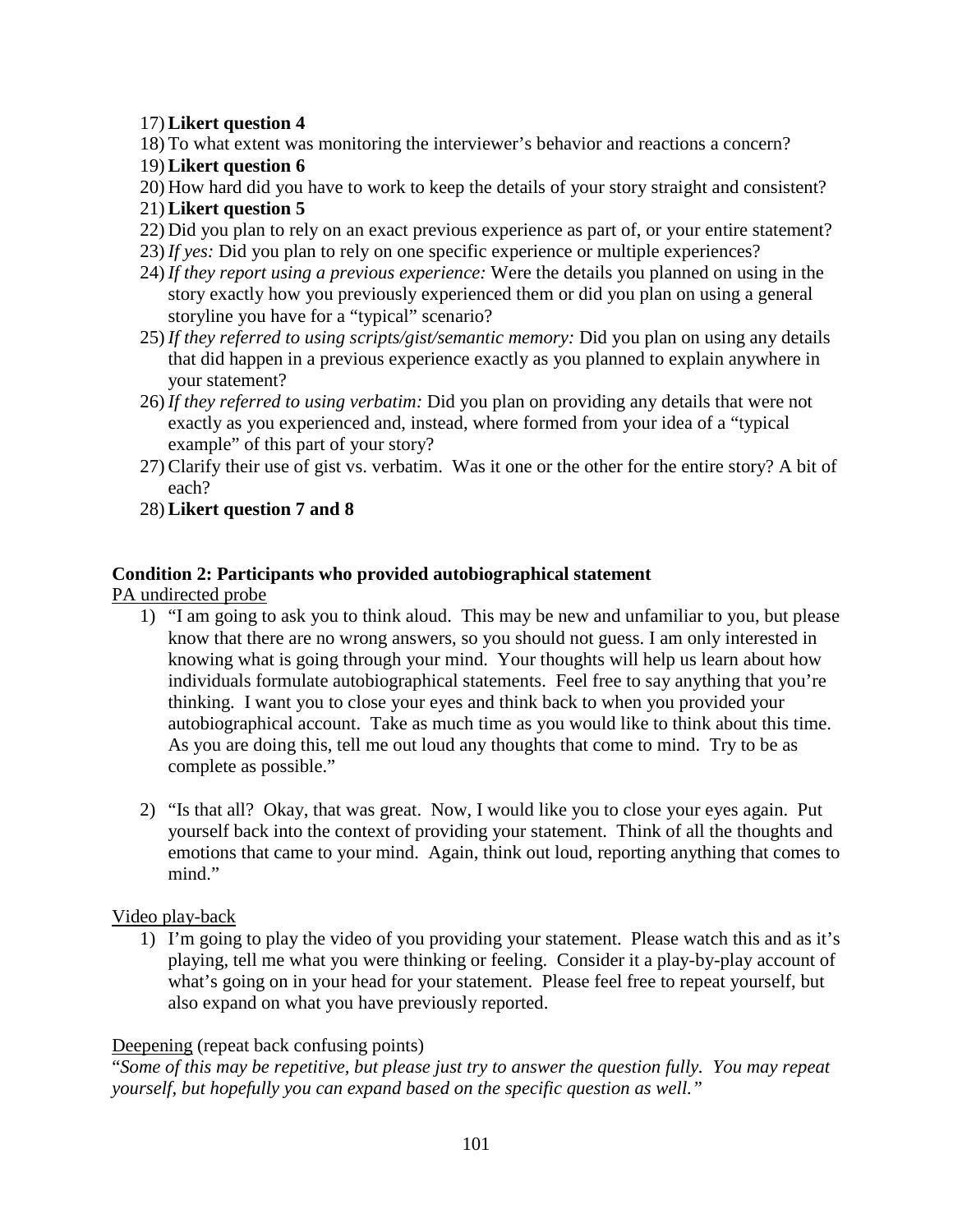### 17) **Likert question 4**

18) To what extent was monitoring the interviewer's behavior and reactions a concern?

### 19) **Likert question 6**

- 20) How hard did you have to work to keep the details of your story straight and consistent?
- 21) **Likert question 5**
- 22) Did you plan to rely on an exact previous experience as part of, or your entire statement?
- 23) *If yes:* Did you plan to rely on one specific experience or multiple experiences?
- 24) *If they report using a previous experience:* Were the details you planned on using in the story exactly how you previously experienced them or did you plan on using a general storyline you have for a "typical" scenario?
- 25) *If they referred to using scripts/gist/semantic memory:* Did you plan on using any details that did happen in a previous experience exactly as you planned to explain anywhere in your statement?
- 26) *If they referred to using verbatim:* Did you plan on providing any details that were not exactly as you experienced and, instead, where formed from your idea of a "typical example" of this part of your story?
- 27) Clarify their use of gist vs. verbatim. Was it one or the other for the entire story? A bit of each?
- 28) **Likert question 7 and 8**

## **Condition 2: Participants who provided autobiographical statement**

PA undirected probe

- 1) "I am going to ask you to think aloud. This may be new and unfamiliar to you, but please know that there are no wrong answers, so you should not guess. I am only interested in knowing what is going through your mind. Your thoughts will help us learn about how individuals formulate autobiographical statements. Feel free to say anything that you're thinking. I want you to close your eyes and think back to when you provided your autobiographical account. Take as much time as you would like to think about this time. As you are doing this, tell me out loud any thoughts that come to mind. Try to be as complete as possible."
- 2) "Is that all? Okay, that was great. Now, I would like you to close your eyes again. Put yourself back into the context of providing your statement. Think of all the thoughts and emotions that came to your mind. Again, think out loud, reporting anything that comes to mind."

Video play-back

1) I'm going to play the video of you providing your statement. Please watch this and as it's playing, tell me what you were thinking or feeling. Consider it a play-by-play account of what's going on in your head for your statement. Please feel free to repeat yourself, but also expand on what you have previously reported.

### Deepening (repeat back confusing points)

"*Some of this may be repetitive, but please just try to answer the question fully. You may repeat yourself, but hopefully you can expand based on the specific question as well."*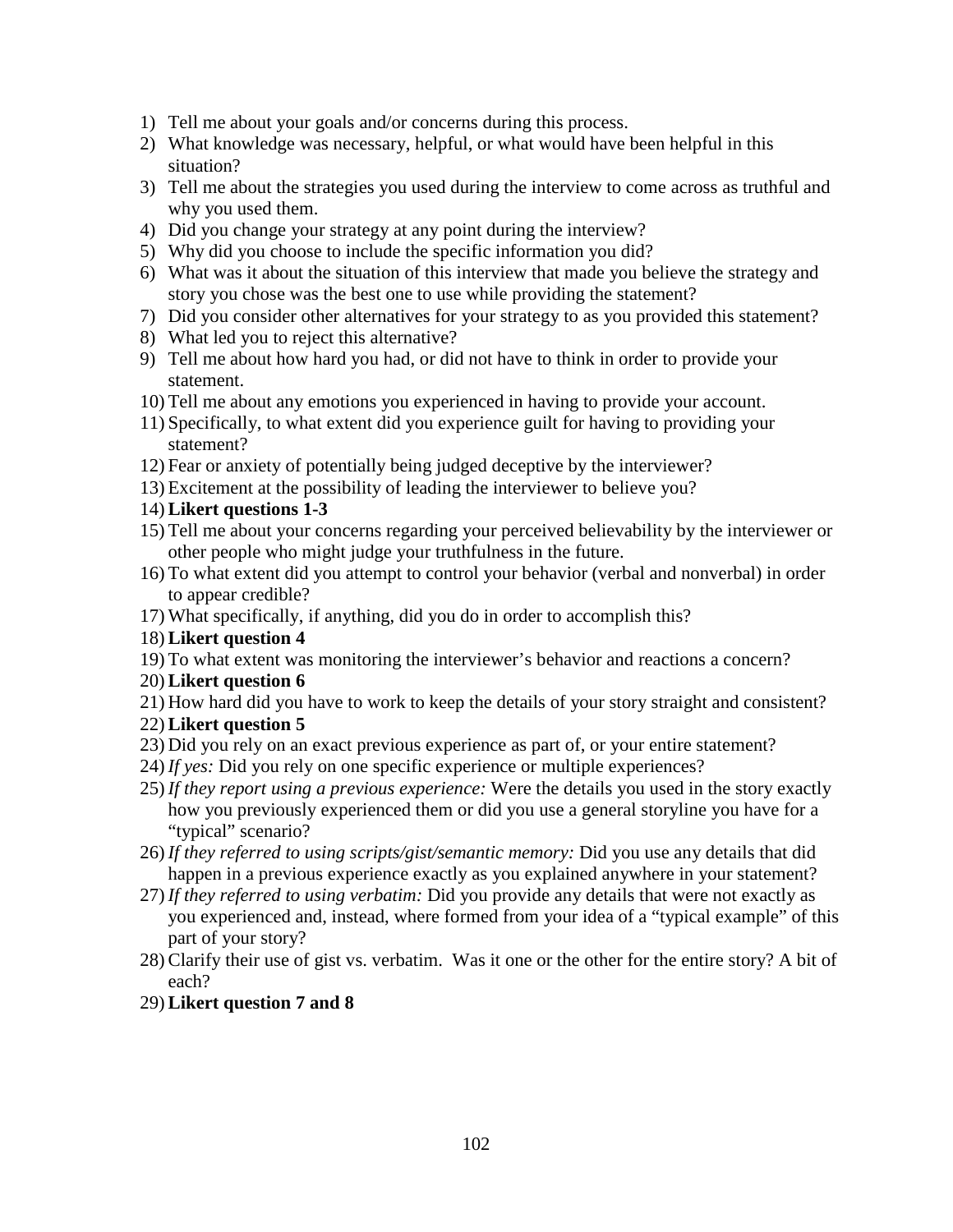- 1) Tell me about your goals and/or concerns during this process.
- 2) What knowledge was necessary, helpful, or what would have been helpful in this situation?
- 3) Tell me about the strategies you used during the interview to come across as truthful and why you used them.
- 4) Did you change your strategy at any point during the interview?
- 5) Why did you choose to include the specific information you did?
- 6) What was it about the situation of this interview that made you believe the strategy and story you chose was the best one to use while providing the statement?
- 7) Did you consider other alternatives for your strategy to as you provided this statement?
- 8) What led you to reject this alternative?
- 9) Tell me about how hard you had, or did not have to think in order to provide your statement.
- 10) Tell me about any emotions you experienced in having to provide your account.
- 11) Specifically, to what extent did you experience guilt for having to providing your statement?
- 12) Fear or anxiety of potentially being judged deceptive by the interviewer?
- 13) Excitement at the possibility of leading the interviewer to believe you?
- 14) **Likert questions 1-3**
- 15) Tell me about your concerns regarding your perceived believability by the interviewer or other people who might judge your truthfulness in the future.
- 16) To what extent did you attempt to control your behavior (verbal and nonverbal) in order to appear credible?
- 17) What specifically, if anything, did you do in order to accomplish this?
- 18) **Likert question 4**
- 19) To what extent was monitoring the interviewer's behavior and reactions a concern?
- 20) **Likert question 6**
- 21) How hard did you have to work to keep the details of your story straight and consistent?
- 22) **Likert question 5**
- 23) Did you rely on an exact previous experience as part of, or your entire statement?
- 24) *If yes:* Did you rely on one specific experience or multiple experiences?
- 25) *If they report using a previous experience:* Were the details you used in the story exactly how you previously experienced them or did you use a general storyline you have for a "typical" scenario?
- 26) *If they referred to using scripts/gist/semantic memory:* Did you use any details that did happen in a previous experience exactly as you explained anywhere in your statement?
- 27) *If they referred to using verbatim:* Did you provide any details that were not exactly as you experienced and, instead, where formed from your idea of a "typical example" of this part of your story?
- 28) Clarify their use of gist vs. verbatim. Was it one or the other for the entire story? A bit of each?
- 29) **Likert question 7 and 8**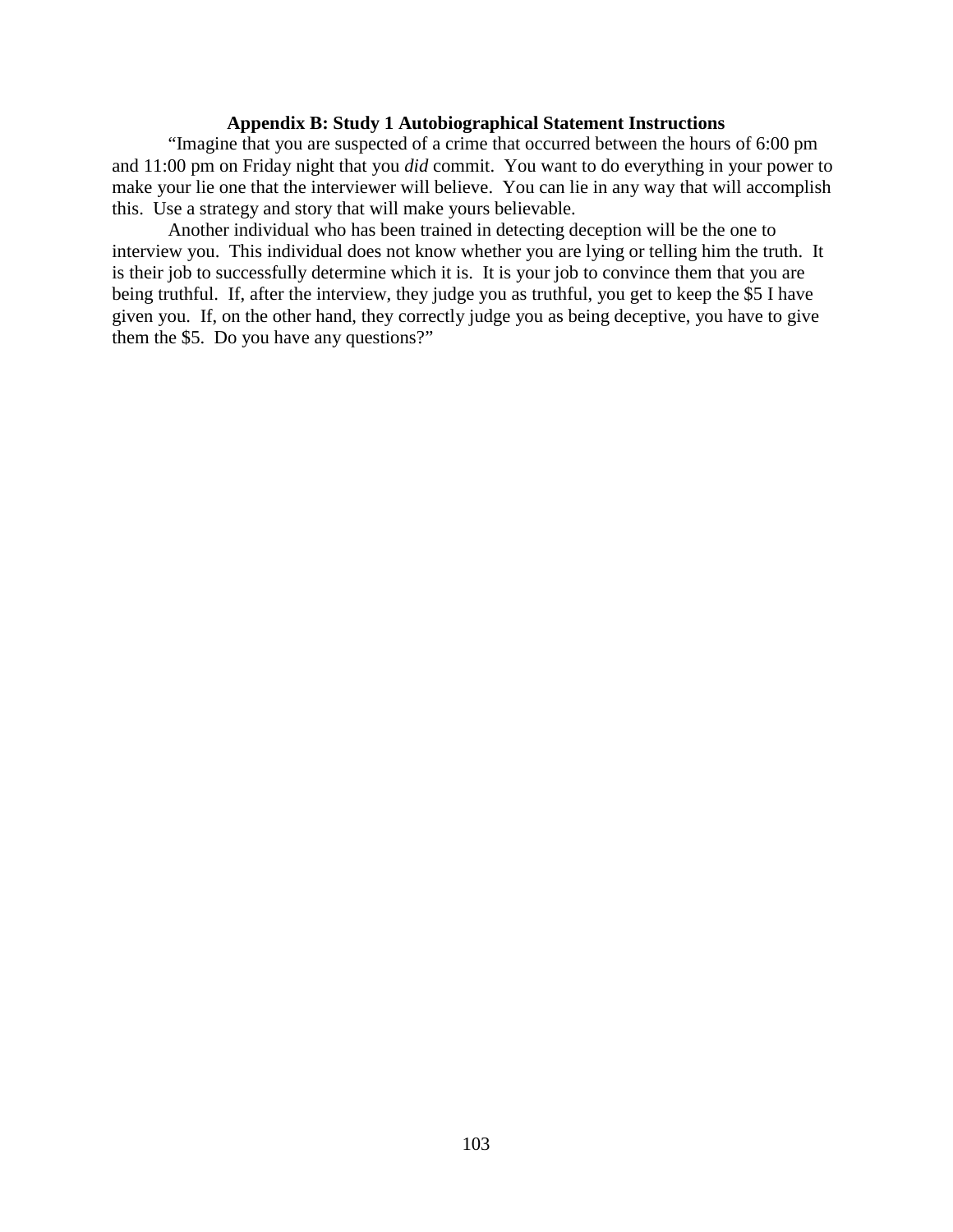#### **Appendix B: Study 1 Autobiographical Statement Instructions**

"Imagine that you are suspected of a crime that occurred between the hours of 6:00 pm and 11:00 pm on Friday night that you *did* commit. You want to do everything in your power to make your lie one that the interviewer will believe. You can lie in any way that will accomplish this. Use a strategy and story that will make yours believable.

Another individual who has been trained in detecting deception will be the one to interview you. This individual does not know whether you are lying or telling him the truth. It is their job to successfully determine which it is. It is your job to convince them that you are being truthful. If, after the interview, they judge you as truthful, you get to keep the \$5 I have given you. If, on the other hand, they correctly judge you as being deceptive, you have to give them the \$5. Do you have any questions?"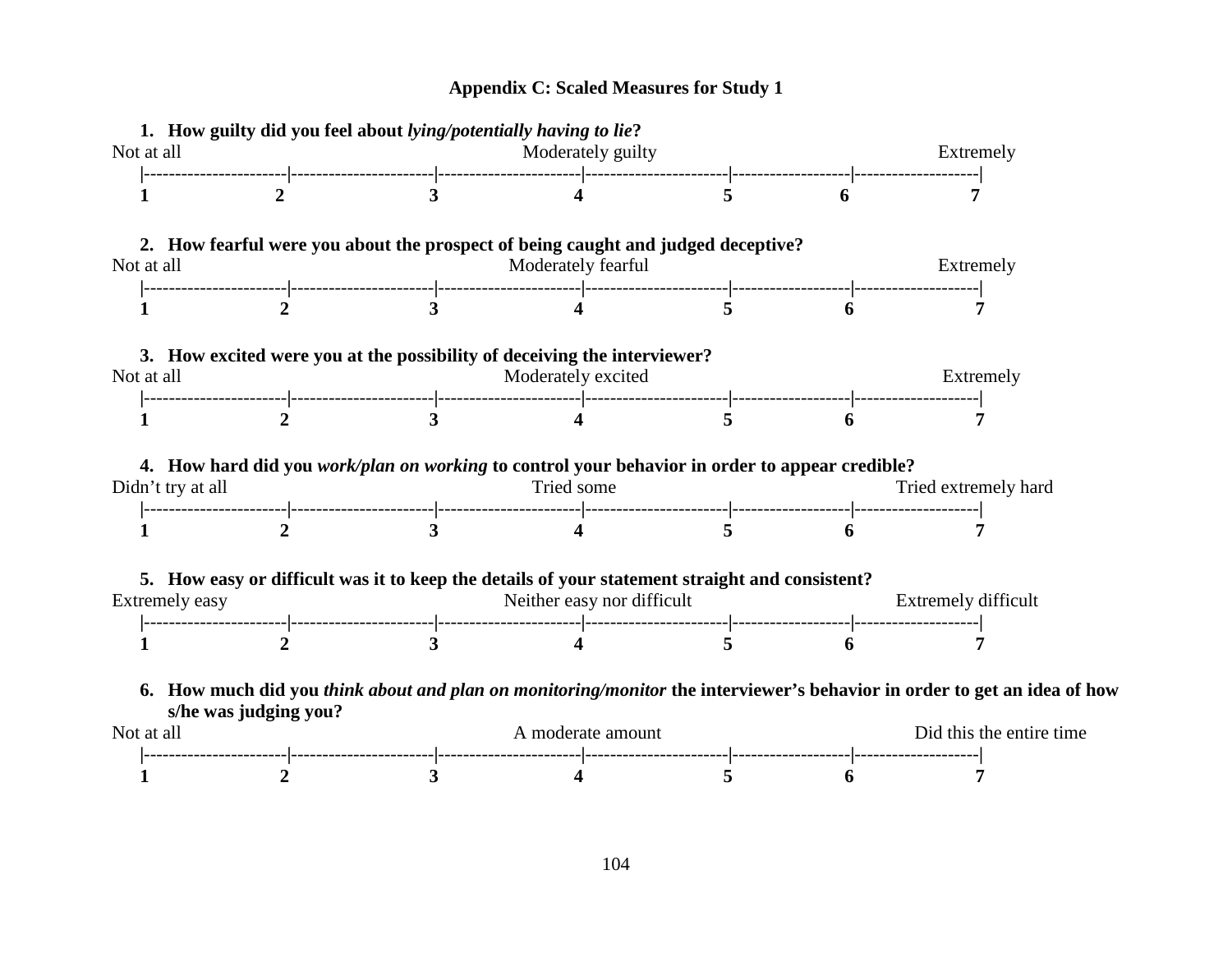# **Appendix C: Scaled Measures for Study 1**

|                   |                       | 1. How guilty did you feel about lying/potentially having to lie? |                                                                                                              |                            |                          |                                                                                                                          |  |  |
|-------------------|-----------------------|-------------------------------------------------------------------|--------------------------------------------------------------------------------------------------------------|----------------------------|--------------------------|--------------------------------------------------------------------------------------------------------------------------|--|--|
| Not at all        |                       |                                                                   | Moderately guilty                                                                                            |                            | Extremely                |                                                                                                                          |  |  |
|                   |                       |                                                                   |                                                                                                              |                            |                          |                                                                                                                          |  |  |
|                   |                       |                                                                   | 2. How fearful were you about the prospect of being caught and judged deceptive?                             |                            |                          |                                                                                                                          |  |  |
| Not at all        |                       |                                                                   | Moderately fearful                                                                                           |                            |                          | Extremely                                                                                                                |  |  |
|                   |                       |                                                                   |                                                                                                              |                            |                          |                                                                                                                          |  |  |
|                   |                       |                                                                   | 3. How excited were you at the possibility of deceiving the interviewer?                                     |                            |                          |                                                                                                                          |  |  |
| Not at all        |                       |                                                                   | Moderately excited                                                                                           | Extremely                  |                          |                                                                                                                          |  |  |
|                   |                       |                                                                   |                                                                                                              |                            |                          |                                                                                                                          |  |  |
|                   |                       |                                                                   |                                                                                                              |                            |                          |                                                                                                                          |  |  |
| Didn't try at all |                       |                                                                   | 4. How hard did you work/plan on working to control your behavior in order to appear credible?<br>Tried some |                            |                          | Tried extremely hard                                                                                                     |  |  |
|                   |                       |                                                                   |                                                                                                              |                            |                          |                                                                                                                          |  |  |
|                   |                       |                                                                   | 5. How easy or difficult was it to keep the details of your statement straight and consistent?               |                            |                          |                                                                                                                          |  |  |
| Extremely easy    |                       |                                                                   | Neither easy nor difficult                                                                                   | <b>Extremely difficult</b> |                          |                                                                                                                          |  |  |
|                   |                       |                                                                   |                                                                                                              |                            |                          |                                                                                                                          |  |  |
|                   | s/he was judging you? |                                                                   |                                                                                                              |                            |                          | 6. How much did you think about and plan on monitoring/monitor the interviewer's behavior in order to get an idea of how |  |  |
| Not at all        |                       |                                                                   | A moderate amount                                                                                            |                            | Did this the entire time |                                                                                                                          |  |  |
|                   |                       |                                                                   |                                                                                                              |                            |                          |                                                                                                                          |  |  |
|                   |                       |                                                                   |                                                                                                              |                            |                          |                                                                                                                          |  |  |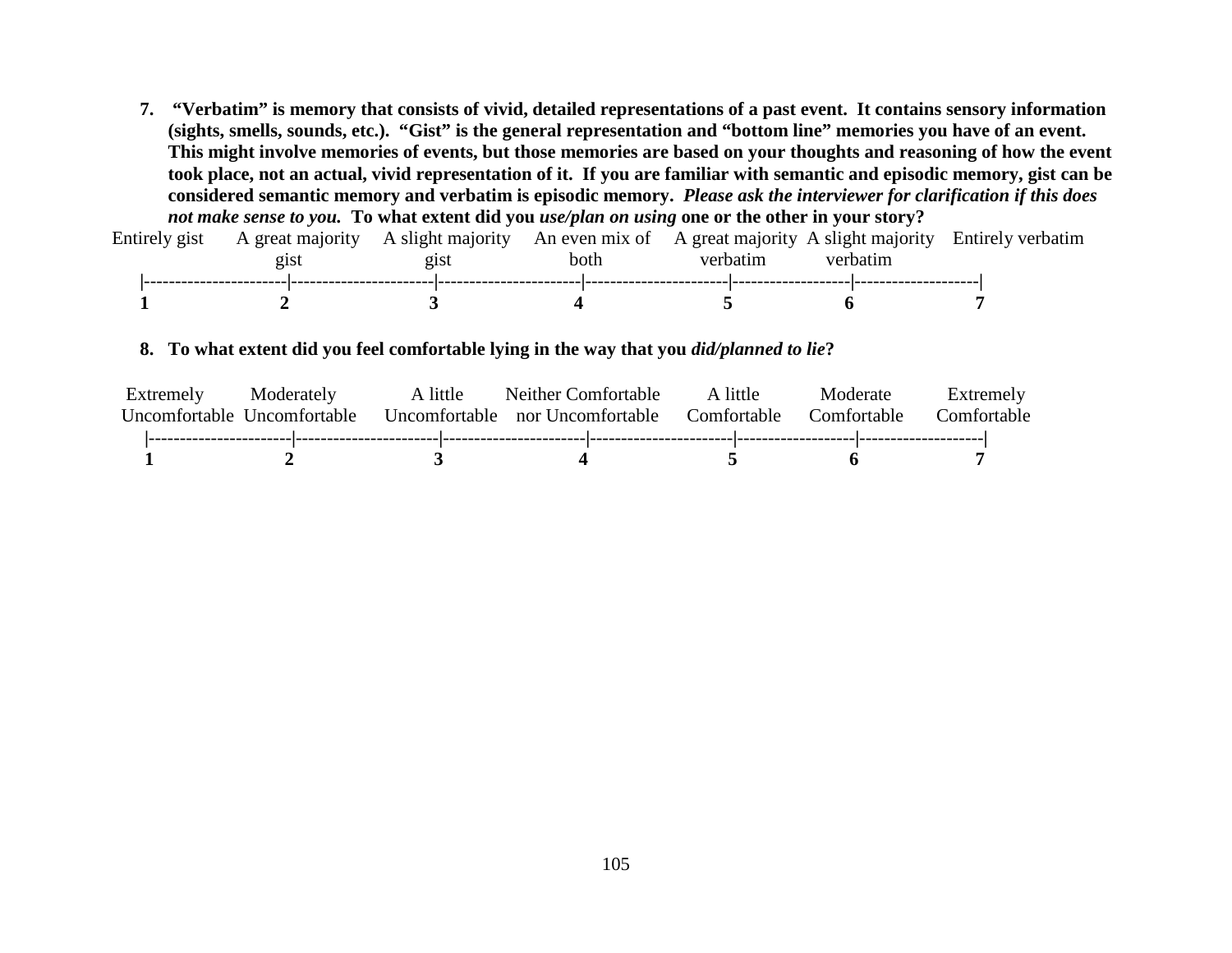**7. "Verbatim" is memory that consists of vivid, detailed representations of a past event. It contains sensory information (sights, smells, sounds, etc.). "Gist" is the general representation and "bottom line" memories you have of an event. This might involve memories of events, but those memories are based on your thoughts and reasoning of how the event took place, not an actual, vivid representation of it. If you are familiar with semantic and episodic memory, gist can be considered semantic memory and verbatim is episodic memory.** *Please ask the interviewer for clarification if this does not make sense to you.* **To what extent did you** *use/plan on using* **one or the other in your story?**

| Entirely gist | A great majority A slight majority An even mix of A great majority A slight majority Entirely verbatim | 21St | both | verbatim | verbatim |  |  |
|---------------|--------------------------------------------------------------------------------------------------------|------|------|----------|----------|--|--|
|               |                                                                                                        |      |      |          |          |  |  |

#### **8. To what extent did you feel comfortable lying in the way that you** *did/planned to lie***?**

| Extremely<br>Uncomfortable Uncomfortable | Moderately | A little | Neither Comfortable<br>Uncomfortable nor Uncomfortable | A little<br>Comfortable | Moderate<br>Comfortable | Comfortable | Extremely |
|------------------------------------------|------------|----------|--------------------------------------------------------|-------------------------|-------------------------|-------------|-----------|
|                                          |            |          |                                                        |                         |                         |             |           |
|                                          |            |          |                                                        |                         |                         |             |           |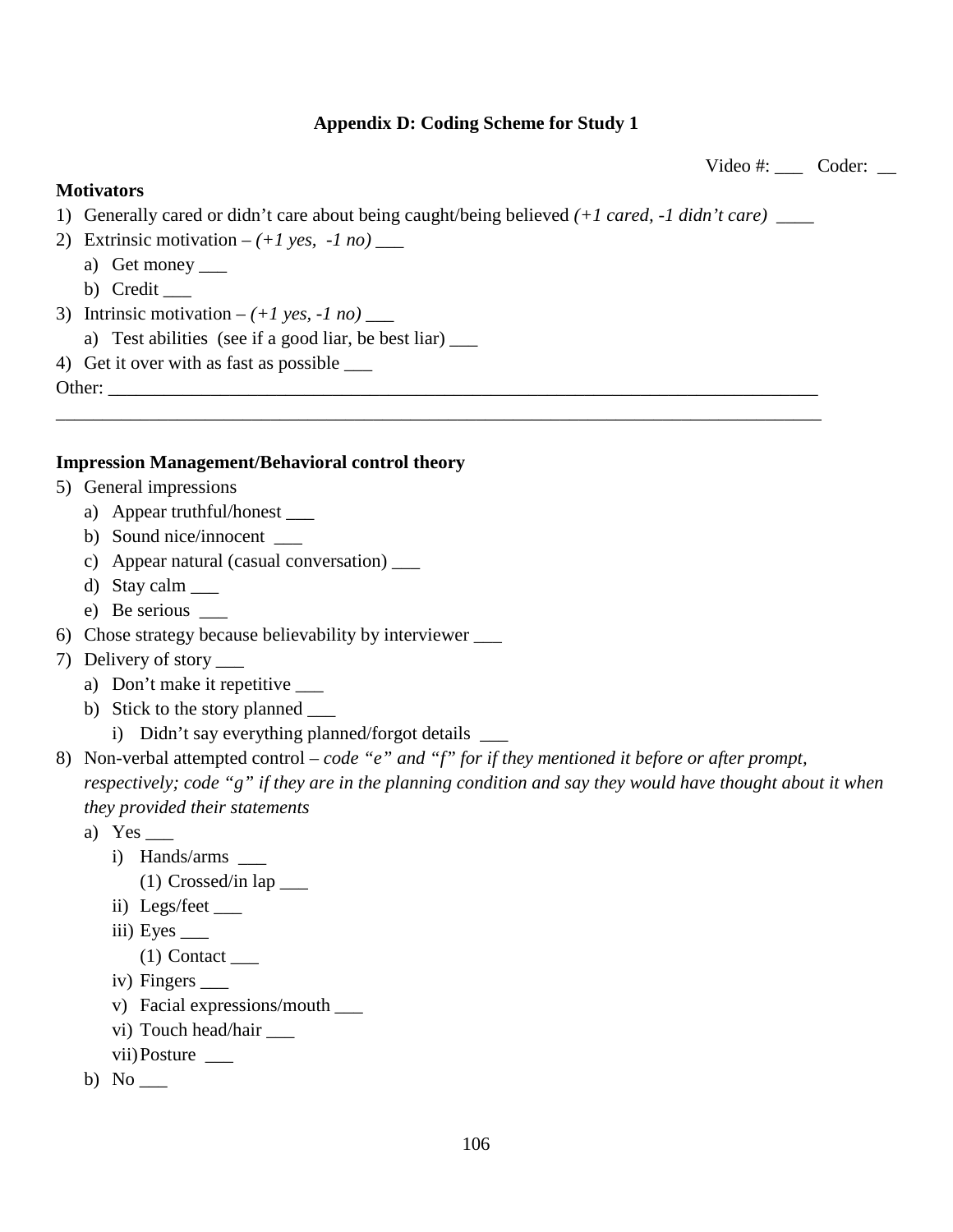### **Appendix D: Coding Scheme for Study 1**

Video #: Coder: \_\_

### **Motivators**

1) Generally cared or didn't care about being caught/being believed *(+1 cared, -1 didn't care)* \_\_\_\_

\_\_\_\_\_\_\_\_\_\_\_\_\_\_\_\_\_\_\_\_\_\_\_\_\_\_\_\_\_\_\_\_\_\_\_\_\_\_\_\_\_\_\_\_\_\_\_\_\_\_\_\_\_\_\_\_\_\_\_\_\_\_\_\_\_\_\_\_\_\_\_\_\_\_\_\_\_\_\_\_\_\_

- 2) Extrinsic motivation  $-(+1 \text{ yes}, -1 \text{ no})$ 
	- a) Get money \_\_\_\_
	- b) Credit  $\_\_$
- 3) Intrinsic motivation  $-(+1 \text{ yes}, -1 \text{ no})$  \_\_\_\_
	- a) Test abilities (see if a good liar, be best liar)  $\frac{1}{\sqrt{2\pi}}$
- 4) Get it over with as fast as possible \_\_\_

Other:

### **Impression Management/Behavioral control theory**

- 5) General impressions
	- a) Appear truthful/honest \_\_\_\_\_
	- b) Sound nice/innocent \_\_\_\_\_
	- c) Appear natural (casual conversation) \_\_\_
	- d) Stay calm \_\_\_
	- e) Be serious
- 6) Chose strategy because believability by interviewer \_\_\_
- 7) Delivery of story \_\_\_
	- a) Don't make it repetitive \_\_\_\_\_
	- b) Stick to the story planned \_\_\_
		- i) Didn't say everything planned/forgot details \_\_\_\_\_\_
- 8) Non-verbal attempted control *– code "e" and "f" for if they mentioned it before or after prompt, respectively; code "g" if they are in the planning condition and say they would have thought about it when they provided their statements* 
	- a) Yes
		- i) Hands/arms
			- (1) Crossed/in lap \_\_\_
		- ii) Legs/feet \_\_\_
		- iii) Eyes  $\_\_$ 
			- $(1)$  Contact
		- iv) Fingers \_\_\_\_\_
		- v) Facial expressions/mouth \_\_\_
		- vi) Touch head/hair \_\_\_\_
		- vii) Posture
	- b) No  $\blacksquare$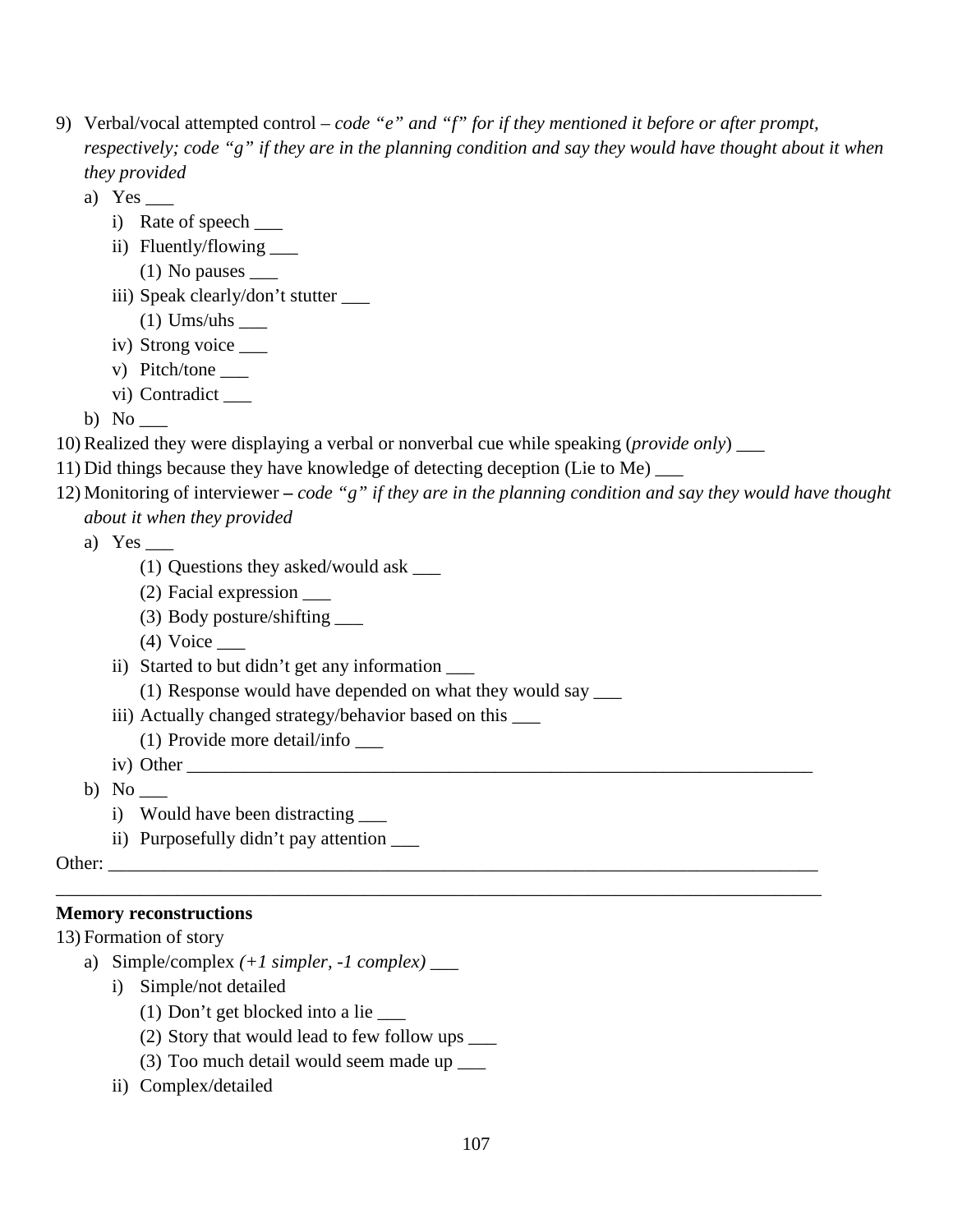- 9) Verbal/vocal attempted control *– code "e" and "f" for if they mentioned it before or after prompt, respectively; code "g" if they are in the planning condition and say they would have thought about it when they provided* 
	- a) Yes  $\_\_$ 
		- i) Rate of speech \_\_\_\_
		- ii) Fluently/flowing \_\_\_\_
			- $(1)$  No pauses  $\_\_$
		- iii) Speak clearly/don't stutter \_\_\_
			- $(1)$  Ums/uhs \_\_\_\_\_\_\_
		- iv) Strong voice \_\_\_
		- v) Pitch/tone
		- vi) Contradict

b) No \_\_\_

- 10) Realized they were displaying a verbal or nonverbal cue while speaking (*provide only*) \_\_\_
- 11) Did things because they have knowledge of detecting deception (Lie to Me) \_\_\_
- 12) Monitoring of interviewer **–** *code "g" if they are in the planning condition and say they would have thought about it when they provided*
	- a) Yes
		- (1) Questions they asked/would ask \_\_\_
		- (2) Facial expression \_\_\_
		- (3) Body posture/shifting \_\_\_
		- $(4)$  Voice  $\_\_$
		- ii) Started to but didn't get any information \_\_\_
			- (1) Response would have depended on what they would say \_\_\_
		- iii) Actually changed strategy/behavior based on this
			- (1) Provide more detail/info \_\_\_
		- iv) Other
	- b) No
		- i) Would have been distracting
		- ii) Purposefully didn't pay attention \_\_\_\_\_

Other:

## **Memory reconstructions**

13) Formation of story

- a) Simple/complex *(+1 simpler, -1 complex)* \_\_\_
	- i) Simple/not detailed
		- (1) Don't get blocked into a lie
		- (2) Story that would lead to few follow ups \_\_\_
		- (3) Too much detail would seem made up \_\_\_
	- ii) Complex/detailed

\_\_\_\_\_\_\_\_\_\_\_\_\_\_\_\_\_\_\_\_\_\_\_\_\_\_\_\_\_\_\_\_\_\_\_\_\_\_\_\_\_\_\_\_\_\_\_\_\_\_\_\_\_\_\_\_\_\_\_\_\_\_\_\_\_\_\_\_\_\_\_\_\_\_\_\_\_\_\_\_\_\_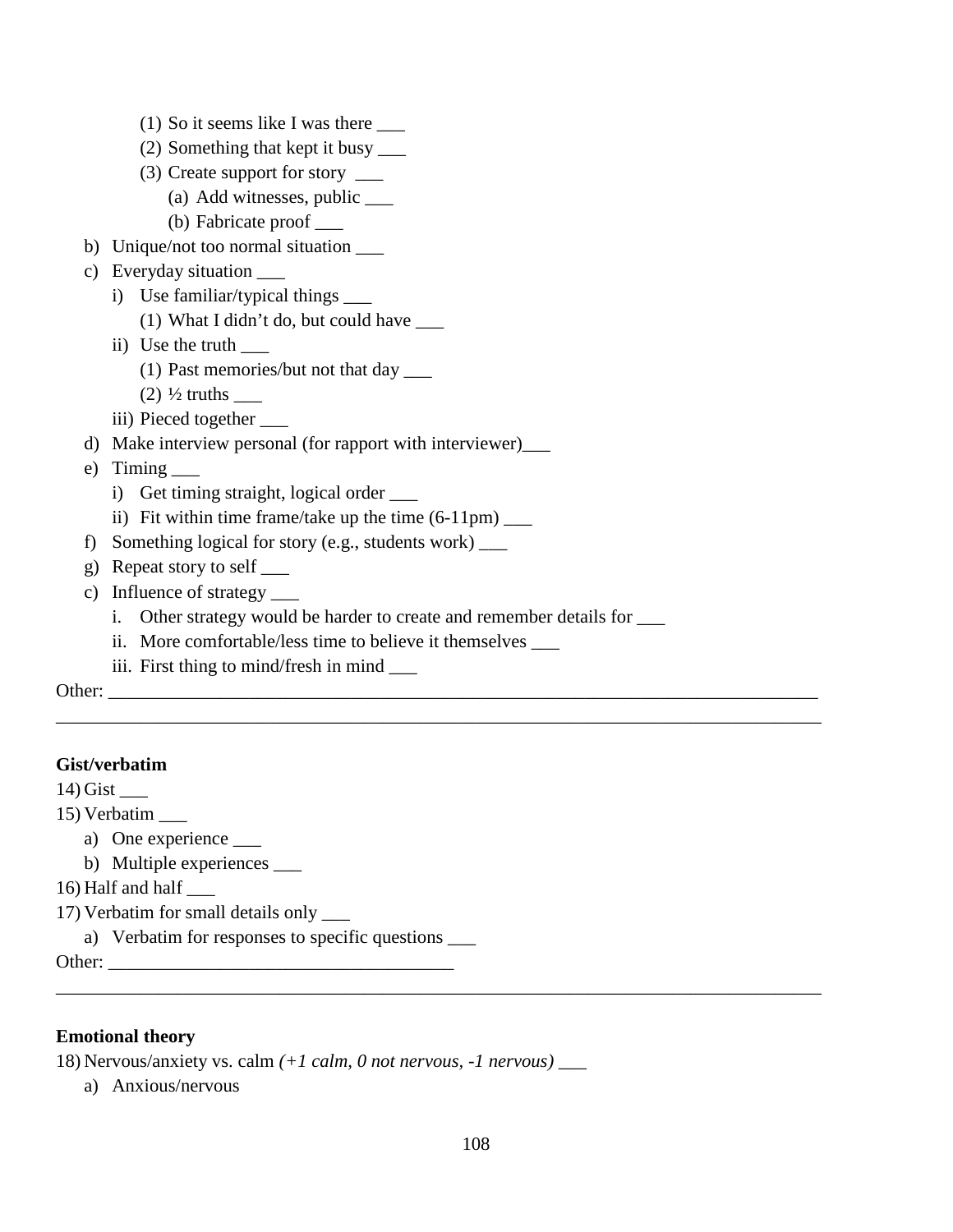|               | (1) So it seems like I was there ______                              |
|---------------|----------------------------------------------------------------------|
|               | (2) Something that kept it busy _____                                |
|               | (3) Create support for story _____                                   |
|               | (a) Add witnesses, public ____                                       |
|               | (b) Fabricate proof _____                                            |
|               | b) Unique/not too normal situation _____                             |
| C)            | Everyday situation _____                                             |
|               | i) Use familiar/typical things _____                                 |
|               | (1) What I didn't do, but could have $\frac{ }{ }$                   |
|               | ii) Use the truth $\qquad$                                           |
|               | $(1)$ Past memories/but not that day $\_\_$                          |
|               | $(2)$ $\frac{1}{2}$ truths                                           |
|               | iii) Pieced together                                                 |
| d)            | Make interview personal (for rapport with interviewer)_____          |
| e)            | $T$ iming $\_\_$                                                     |
|               | i) Get timing straight, logical order _____                          |
|               | ii) Fit within time frame/take up the time $(6-11 \text{pm})$ ______ |
| f)            | Something logical for story (e.g., students work) __                 |
| g)            | Repeat story to self _____                                           |
| $\mathbf{c})$ | Influence of strategy ______                                         |
|               | $\mathbf{i}$ .                                                       |
|               | More comfortable/less time to believe it themselves ______<br>ii.    |
|               | iii. First thing to mind/fresh in mind _____                         |
|               |                                                                      |
|               |                                                                      |

### **Gist/verbatim**

14) Gist \_\_\_

15) Verbatim \_\_\_

a) One experience \_\_\_\_\_

b) Multiple experiences \_\_\_\_\_

16) Half and half \_\_\_

17) Verbatim for small details only \_\_\_

a) Verbatim for responses to specific questions  $\_\_$ 

Other: \_\_\_\_\_\_\_\_\_\_\_\_\_\_\_\_\_\_\_\_\_\_\_\_\_\_\_\_\_\_\_\_\_\_\_\_\_

### **Emotional theory**

18) Nervous/anxiety vs. calm *(+1 calm, 0 not nervous, -1 nervous)* \_\_\_

a) Anxious/nervous

\_\_\_\_\_\_\_\_\_\_\_\_\_\_\_\_\_\_\_\_\_\_\_\_\_\_\_\_\_\_\_\_\_\_\_\_\_\_\_\_\_\_\_\_\_\_\_\_\_\_\_\_\_\_\_\_\_\_\_\_\_\_\_\_\_\_\_\_\_\_\_\_\_\_\_\_\_\_\_\_\_\_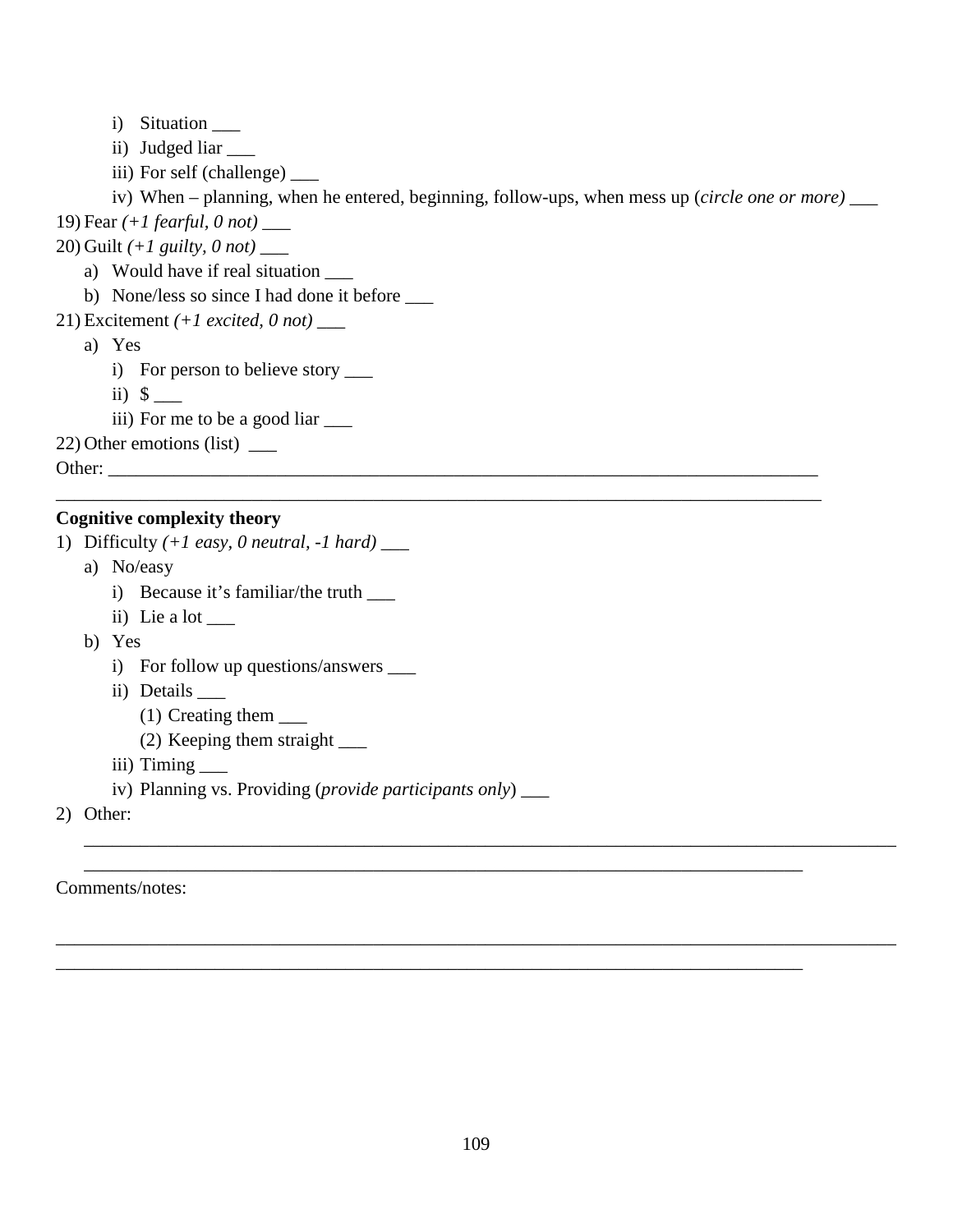- i) Situation \_\_\_\_
- ii) Judged liar \_\_\_\_\_
- iii) For self (challenge) \_\_\_

iv) When – planning, when he entered, beginning, follow-ups, when mess up (*circle one or more)* \_\_\_

\_\_\_\_\_\_\_\_\_\_\_\_\_\_\_\_\_\_\_\_\_\_\_\_\_\_\_\_\_\_\_\_\_\_\_\_\_\_\_\_\_\_\_\_\_\_\_\_\_\_\_\_\_\_\_\_\_\_\_\_\_\_\_\_\_\_\_\_\_\_\_\_\_\_\_\_\_\_\_\_\_\_

19) Fear *(+1 fearful, 0 not)* \_\_\_

20) Guilt *(+1 guilty, 0 not)* \_\_\_

- a) Would have if real situation
- b) None/less so since I had done it before \_\_\_
- 21) Excitement *(+1 excited, 0 not)* \_\_\_
	- a) Yes
		- i) For person to believe story  $\frac{1}{\sqrt{2\pi}}$
		- ii)  $\sqrt{ }$
		- iii) For me to be a good liar

22) Other emotions (list) \_\_\_

Other: \_\_\_\_\_\_\_\_\_\_\_\_\_\_\_\_\_\_\_\_\_\_\_\_\_\_\_\_\_\_\_\_\_\_\_\_\_\_\_\_\_\_\_\_\_\_\_\_\_\_\_\_\_\_\_\_\_\_\_\_\_\_\_\_\_\_\_\_\_\_\_\_\_\_\_\_

#### **Cognitive complexity theory**

- 1) Difficulty *(+1 easy, 0 neutral, -1 hard) \_\_\_*
	- a) No/easy
		- i) Because it's familiar/the truth \_\_\_\_\_
		- ii) Lie a lot
	- b) Yes
		- i) For follow up questions/answers \_\_\_\_\_
		- ii) Details \_\_\_
			- (1) Creating them \_\_\_
			- (2) Keeping them straight \_\_\_
		- iii) Timing \_\_\_\_\_\_
		- iv) Planning vs. Providing (*provide participants only*) \_\_\_
- 2) Other:

#### Comments/notes:

\_\_\_\_\_\_\_\_\_\_\_\_\_\_\_\_\_\_\_\_\_\_\_\_\_\_\_\_\_\_\_\_\_\_\_\_\_\_\_\_\_\_\_\_\_\_\_\_\_\_\_\_\_\_\_\_\_\_\_\_\_\_\_\_\_\_\_\_\_\_\_\_\_\_\_\_\_\_\_\_\_\_\_\_\_\_\_

\_\_\_\_\_\_\_\_\_\_\_\_\_\_\_\_\_\_\_\_\_\_\_\_\_\_\_\_\_\_\_\_\_\_\_\_\_\_\_\_\_\_\_\_\_\_\_\_\_\_\_\_\_\_\_\_\_\_\_\_\_\_\_\_\_\_\_\_\_\_\_\_\_\_\_\_\_\_\_\_\_\_\_\_\_\_\_\_\_\_

\_\_\_\_\_\_\_\_\_\_\_\_\_\_\_\_\_\_\_\_\_\_\_\_\_\_\_\_\_\_\_\_\_\_\_\_\_\_\_\_\_\_\_\_\_\_\_\_\_\_\_\_\_\_\_\_\_\_\_\_\_\_\_\_\_\_\_\_\_\_\_\_\_\_\_\_\_

\_\_\_\_\_\_\_\_\_\_\_\_\_\_\_\_\_\_\_\_\_\_\_\_\_\_\_\_\_\_\_\_\_\_\_\_\_\_\_\_\_\_\_\_\_\_\_\_\_\_\_\_\_\_\_\_\_\_\_\_\_\_\_\_\_\_\_\_\_\_\_\_\_\_\_\_\_\_\_\_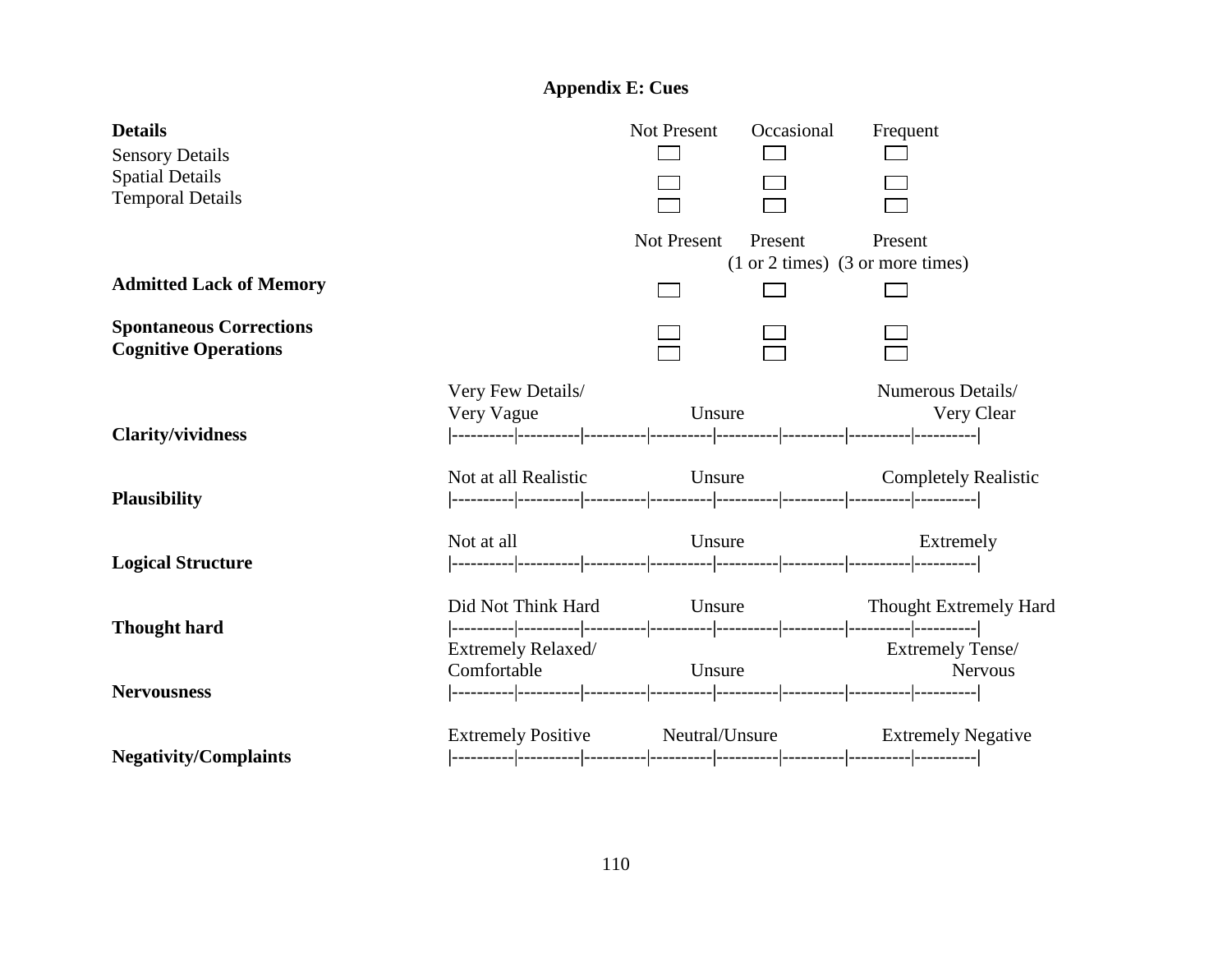# **Appendix E: Cues**

| <b>Details</b>                                    |                                                      | <b>Not Present</b> | Occasional                           | Frequent |                               |
|---------------------------------------------------|------------------------------------------------------|--------------------|--------------------------------------|----------|-------------------------------|
| <b>Sensory Details</b>                            |                                                      |                    |                                      |          |                               |
| <b>Spatial Details</b><br><b>Temporal Details</b> |                                                      |                    |                                      |          |                               |
|                                                   |                                                      |                    |                                      |          |                               |
|                                                   |                                                      | Not Present        | Present                              | Present  |                               |
|                                                   |                                                      |                    | $(1 or 2 times)$ $(3 or more times)$ |          |                               |
| <b>Admitted Lack of Memory</b>                    |                                                      |                    |                                      |          |                               |
| <b>Spontaneous Corrections</b>                    |                                                      |                    |                                      |          |                               |
| <b>Cognitive Operations</b>                       |                                                      |                    |                                      |          |                               |
|                                                   | Very Few Details/                                    |                    |                                      |          | Numerous Details/             |
|                                                   | Very Vague                                           | Unsure             |                                      |          | Very Clear                    |
| <b>Clarity/vividness</b>                          |                                                      |                    |                                      |          |                               |
|                                                   | Not at all Realistic                                 | Unsure             |                                      |          | <b>Completely Realistic</b>   |
| <b>Plausibility</b>                               |                                                      |                    |                                      |          |                               |
|                                                   | Not at all                                           |                    | Unsure                               |          | Extremely                     |
| <b>Logical Structure</b>                          |                                                      |                    |                                      |          |                               |
|                                                   |                                                      |                    |                                      |          |                               |
|                                                   | Did Not Think Hard                                   |                    | Unsure                               |          | <b>Thought Extremely Hard</b> |
| <b>Thought hard</b>                               |                                                      |                    |                                      |          | <b>Extremely Tense/</b>       |
|                                                   | Extremely Relaxed/<br>Comfortable                    | Unsure             |                                      |          | <b>Nervous</b>                |
| <b>Nervousness</b>                                |                                                      |                    |                                      |          |                               |
|                                                   |                                                      |                    |                                      |          |                               |
|                                                   | Extremely Positive Meutral/Unsure Extremely Negative |                    |                                      |          |                               |
| <b>Negativity/Complaints</b>                      |                                                      |                    |                                      |          |                               |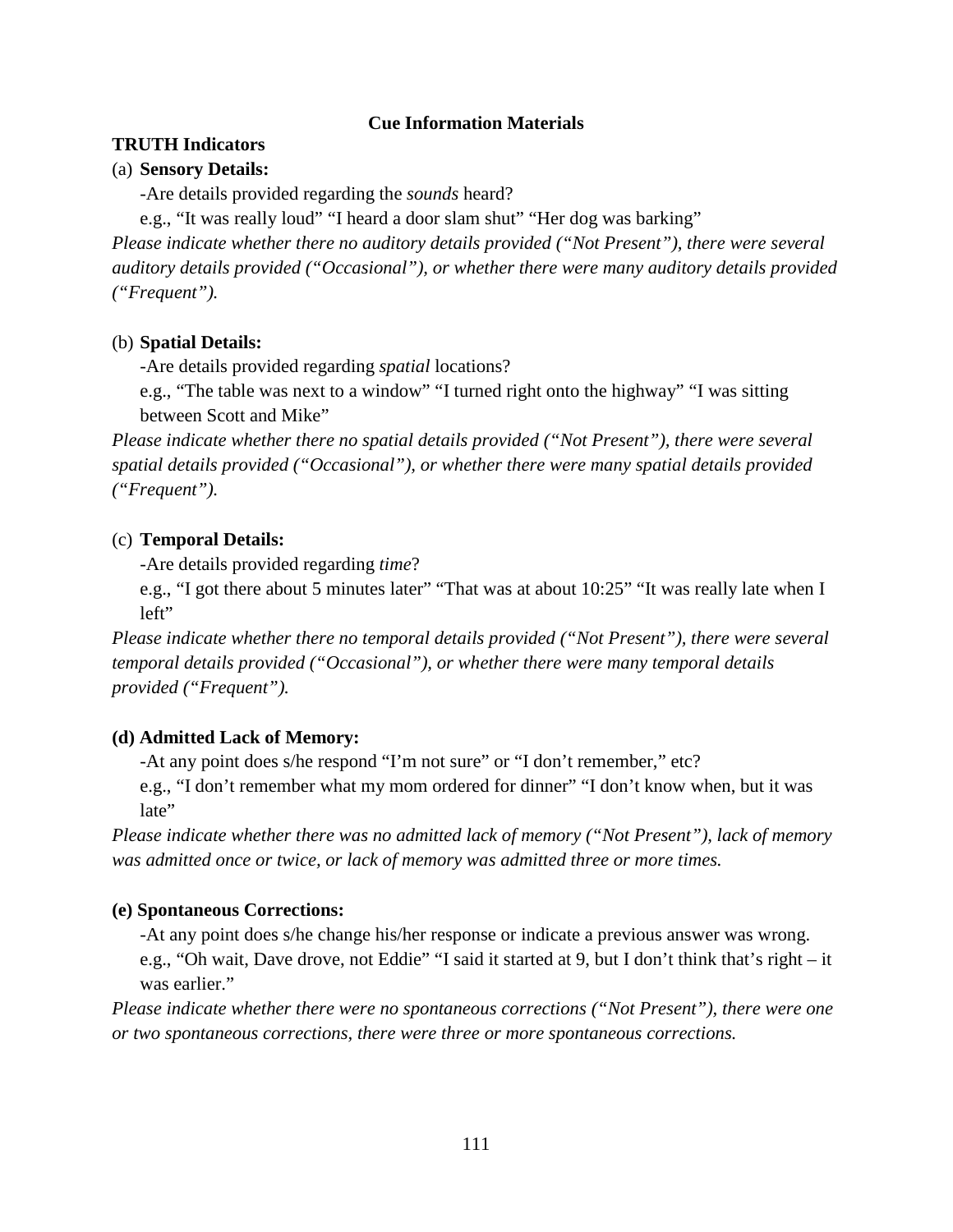### **Cue Information Materials**

### **TRUTH Indicators**

### (a) **Sensory Details:**

-Are details provided regarding the *sounds* heard?

e.g., "It was really loud" "I heard a door slam shut" "Her dog was barking"

*Please indicate whether there no auditory details provided ("Not Present"), there were several auditory details provided ("Occasional"), or whether there were many auditory details provided ("Frequent").*

### (b) **Spatial Details:**

-Are details provided regarding *spatial* locations?

e.g., "The table was next to a window" "I turned right onto the highway" "I was sitting between Scott and Mike"

*Please indicate whether there no spatial details provided ("Not Present"), there were several spatial details provided ("Occasional"), or whether there were many spatial details provided ("Frequent").*

### (c) **Temporal Details:**

-Are details provided regarding *time*?

e.g., "I got there about 5 minutes later" "That was at about 10:25" "It was really late when I left"

*Please indicate whether there no temporal details provided ("Not Present"), there were several temporal details provided ("Occasional"), or whether there were many temporal details provided ("Frequent").*

### **(d) Admitted Lack of Memory:**

-At any point does s/he respond "I'm not sure" or "I don't remember," etc?

e.g., "I don't remember what my mom ordered for dinner" "I don't know when, but it was late"

*Please indicate whether there was no admitted lack of memory ("Not Present"), lack of memory was admitted once or twice, or lack of memory was admitted three or more times.*

### **(e) Spontaneous Corrections:**

-At any point does s/he change his/her response or indicate a previous answer was wrong.

e.g., "Oh wait, Dave drove, not Eddie" "I said it started at 9, but I don't think that's right – it was earlier."

*Please indicate whether there were no spontaneous corrections ("Not Present"), there were one or two spontaneous corrections, there were three or more spontaneous corrections.*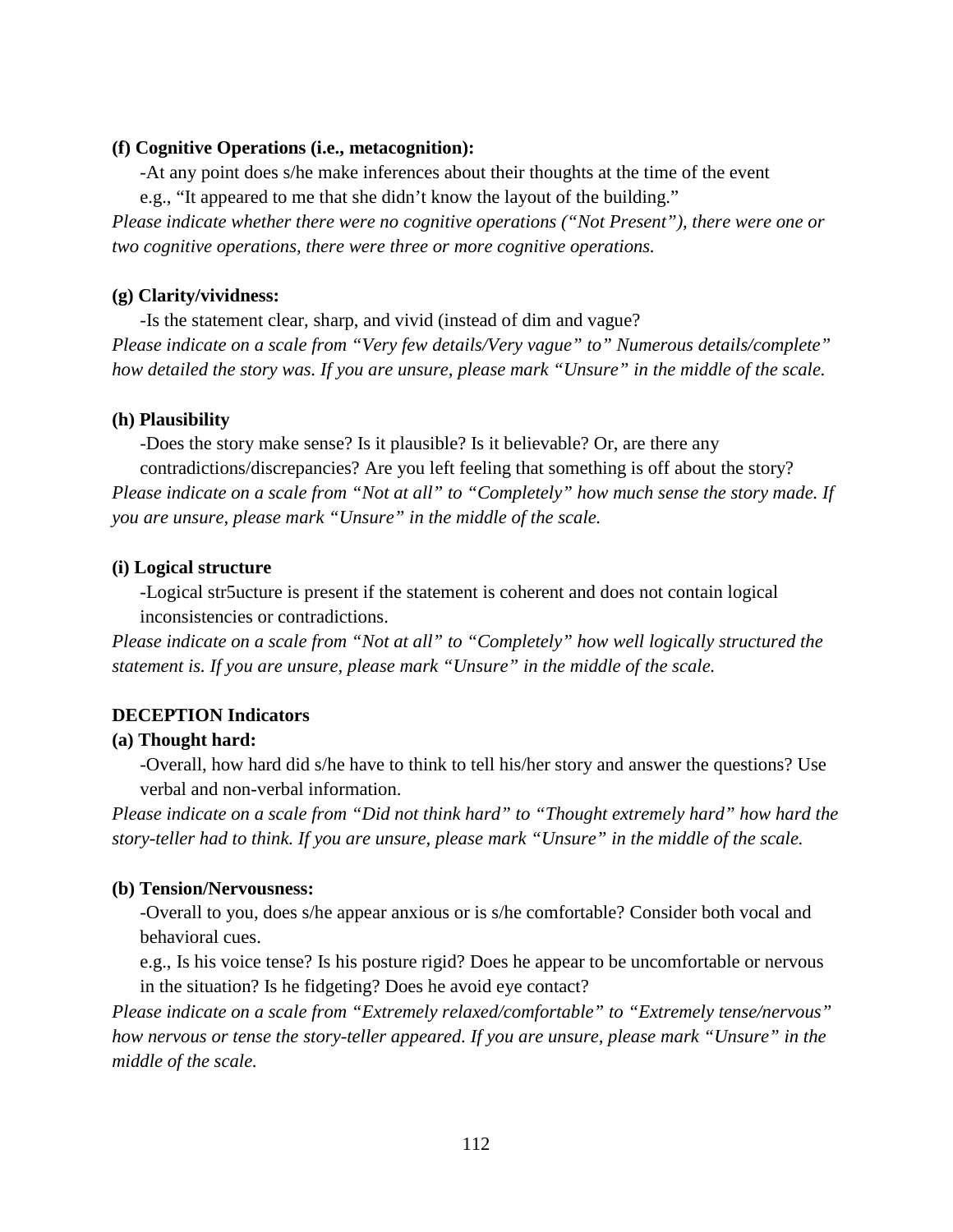#### **(f) Cognitive Operations (i.e., metacognition):**

-At any point does s/he make inferences about their thoughts at the time of the event e.g., "It appeared to me that she didn't know the layout of the building." *Please indicate whether there were no cognitive operations ("Not Present"), there were one or two cognitive operations, there were three or more cognitive operations.*

#### **(g) Clarity/vividness:**

-Is the statement clear, sharp, and vivid (instead of dim and vague? *Please indicate on a scale from "Very few details/Very vague" to" Numerous details/complete" how detailed the story was. If you are unsure, please mark "Unsure" in the middle of the scale.*

#### **(h) Plausibility**

-Does the story make sense? Is it plausible? Is it believable? Or, are there any contradictions/discrepancies? Are you left feeling that something is off about the story? *Please indicate on a scale from "Not at all" to "Completely" how much sense the story made. If you are unsure, please mark "Unsure" in the middle of the scale.*

#### **(i) Logical structure**

-Logical str5ucture is present if the statement is coherent and does not contain logical inconsistencies or contradictions.

*Please indicate on a scale from "Not at all" to "Completely" how well logically structured the statement is. If you are unsure, please mark "Unsure" in the middle of the scale.*

#### **DECEPTION Indicators**

#### **(a) Thought hard:**

-Overall, how hard did s/he have to think to tell his/her story and answer the questions? Use verbal and non-verbal information.

*Please indicate on a scale from "Did not think hard" to "Thought extremely hard" how hard the story-teller had to think. If you are unsure, please mark "Unsure" in the middle of the scale.*

#### **(b) Tension/Nervousness:**

-Overall to you, does s/he appear anxious or is s/he comfortable? Consider both vocal and behavioral cues.

e.g., Is his voice tense? Is his posture rigid? Does he appear to be uncomfortable or nervous in the situation? Is he fidgeting? Does he avoid eye contact?

*Please indicate on a scale from "Extremely relaxed/comfortable" to "Extremely tense/nervous" how nervous or tense the story-teller appeared. If you are unsure, please mark "Unsure" in the middle of the scale.*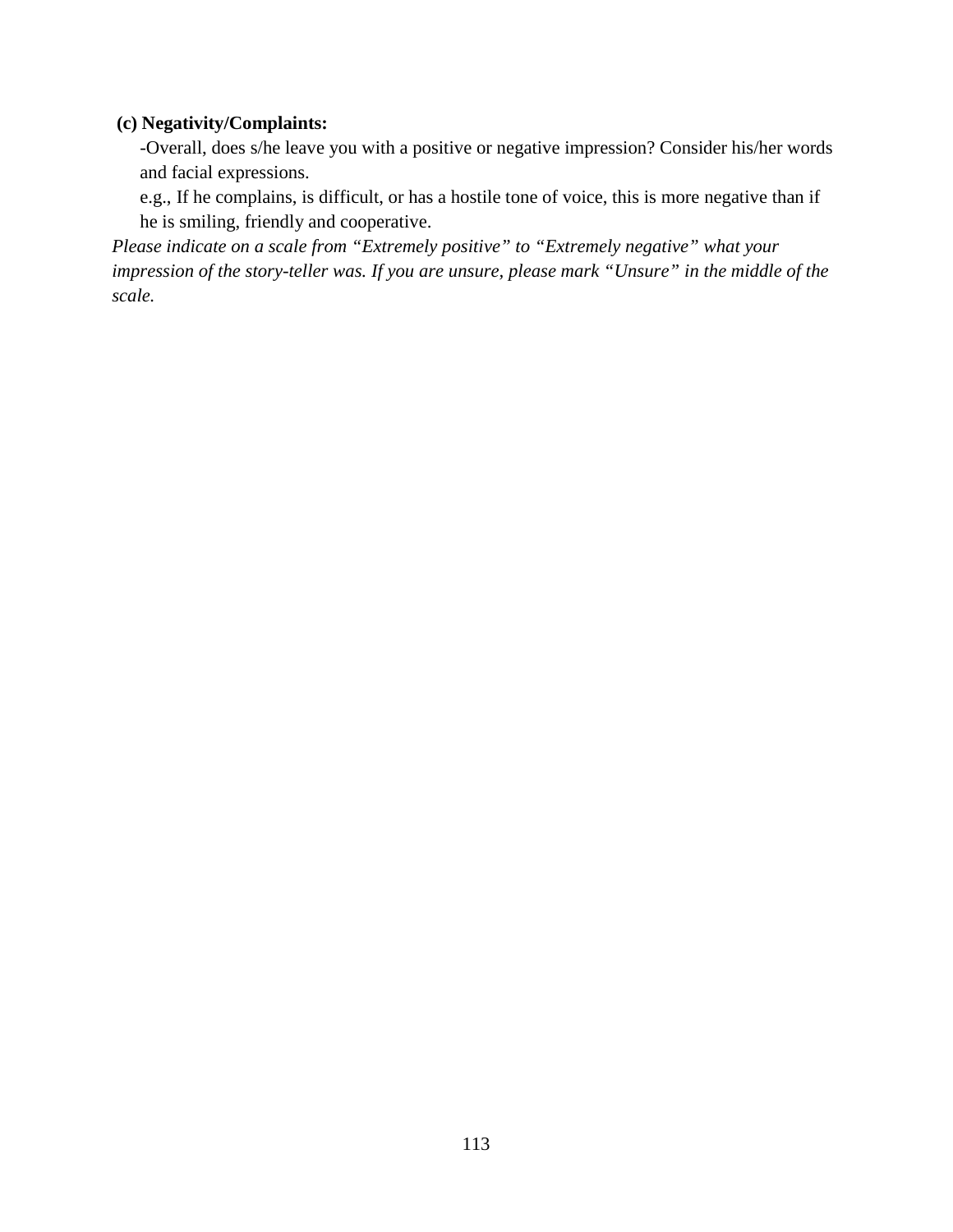### **(c) Negativity/Complaints:**

-Overall, does s/he leave you with a positive or negative impression? Consider his/her words and facial expressions.

e.g., If he complains, is difficult, or has a hostile tone of voice, this is more negative than if he is smiling, friendly and cooperative.

*Please indicate on a scale from "Extremely positive" to "Extremely negative" what your impression of the story-teller was. If you are unsure, please mark "Unsure" in the middle of the scale.*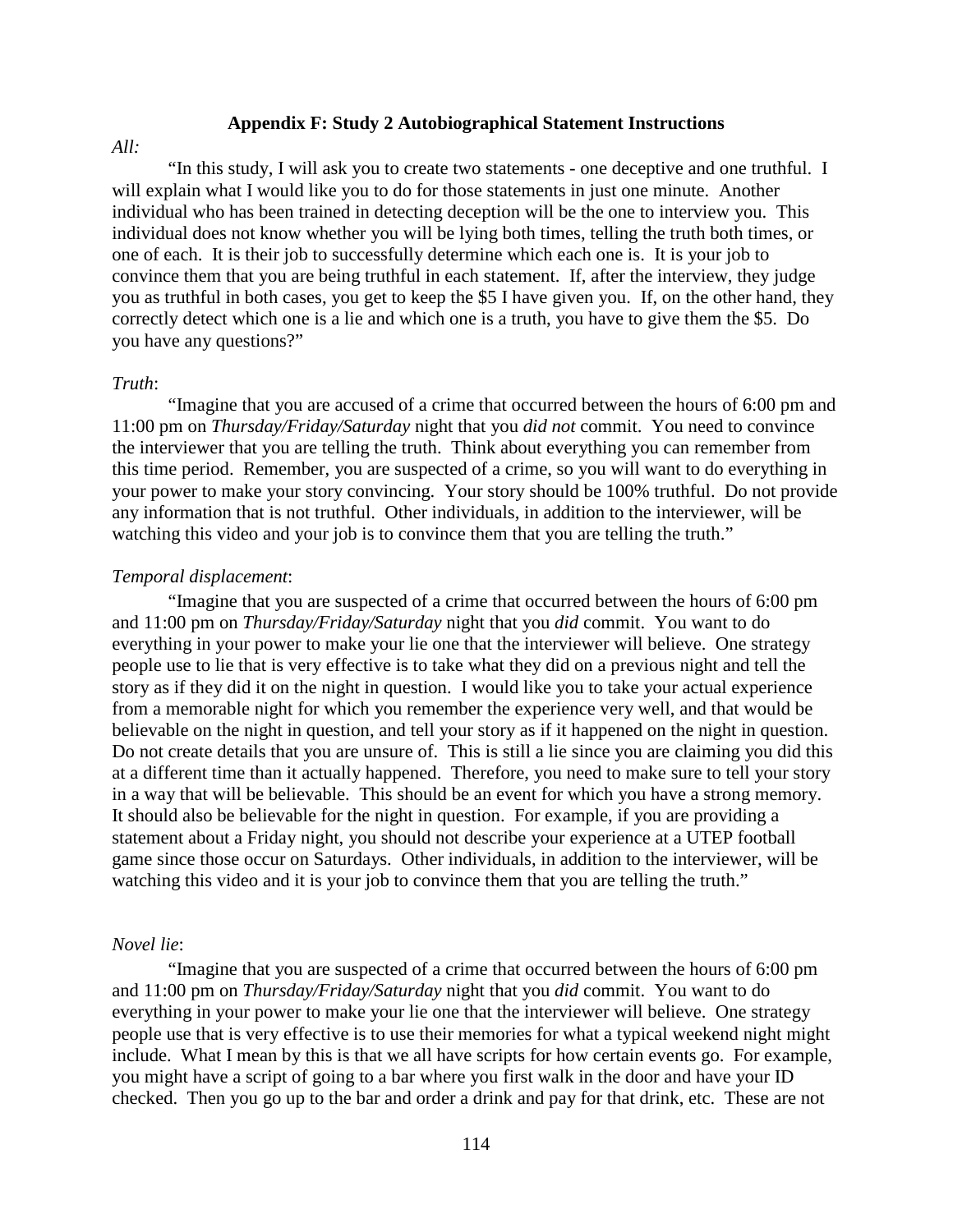#### **Appendix F: Study 2 Autobiographical Statement Instructions**

#### *All:*

"In this study, I will ask you to create two statements - one deceptive and one truthful. I will explain what I would like you to do for those statements in just one minute. Another individual who has been trained in detecting deception will be the one to interview you. This individual does not know whether you will be lying both times, telling the truth both times, or one of each. It is their job to successfully determine which each one is. It is your job to convince them that you are being truthful in each statement. If, after the interview, they judge you as truthful in both cases, you get to keep the \$5 I have given you. If, on the other hand, they correctly detect which one is a lie and which one is a truth, you have to give them the \$5. Do you have any questions?"

#### *Truth*:

"Imagine that you are accused of a crime that occurred between the hours of 6:00 pm and 11:00 pm on *Thursday/Friday/Saturday* night that you *did not* commit. You need to convince the interviewer that you are telling the truth. Think about everything you can remember from this time period. Remember, you are suspected of a crime, so you will want to do everything in your power to make your story convincing. Your story should be 100% truthful. Do not provide any information that is not truthful. Other individuals, in addition to the interviewer, will be watching this video and your job is to convince them that you are telling the truth."

#### *Temporal displacement*:

"Imagine that you are suspected of a crime that occurred between the hours of 6:00 pm and 11:00 pm on *Thursday/Friday/Saturday* night that you *did* commit. You want to do everything in your power to make your lie one that the interviewer will believe. One strategy people use to lie that is very effective is to take what they did on a previous night and tell the story as if they did it on the night in question. I would like you to take your actual experience from a memorable night for which you remember the experience very well, and that would be believable on the night in question, and tell your story as if it happened on the night in question. Do not create details that you are unsure of. This is still a lie since you are claiming you did this at a different time than it actually happened. Therefore, you need to make sure to tell your story in a way that will be believable. This should be an event for which you have a strong memory. It should also be believable for the night in question. For example, if you are providing a statement about a Friday night, you should not describe your experience at a UTEP football game since those occur on Saturdays. Other individuals, in addition to the interviewer, will be watching this video and it is your job to convince them that you are telling the truth."

#### *Novel lie*:

"Imagine that you are suspected of a crime that occurred between the hours of 6:00 pm and 11:00 pm on *Thursday/Friday/Saturday* night that you *did* commit. You want to do everything in your power to make your lie one that the interviewer will believe. One strategy people use that is very effective is to use their memories for what a typical weekend night might include. What I mean by this is that we all have scripts for how certain events go. For example, you might have a script of going to a bar where you first walk in the door and have your ID checked. Then you go up to the bar and order a drink and pay for that drink, etc. These are not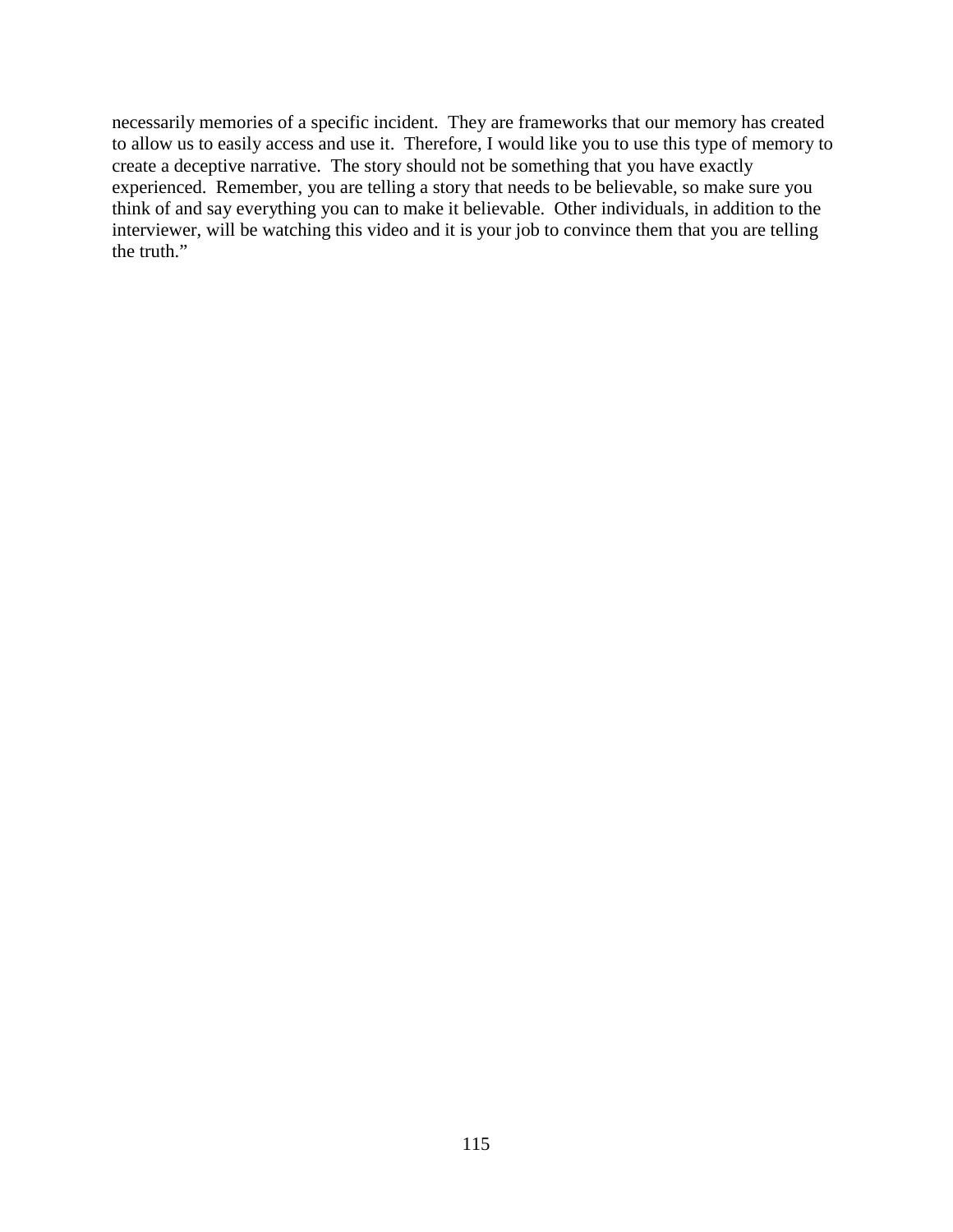necessarily memories of a specific incident. They are frameworks that our memory has created to allow us to easily access and use it. Therefore, I would like you to use this type of memory to create a deceptive narrative. The story should not be something that you have exactly experienced. Remember, you are telling a story that needs to be believable, so make sure you think of and say everything you can to make it believable. Other individuals, in addition to the interviewer, will be watching this video and it is your job to convince them that you are telling the truth."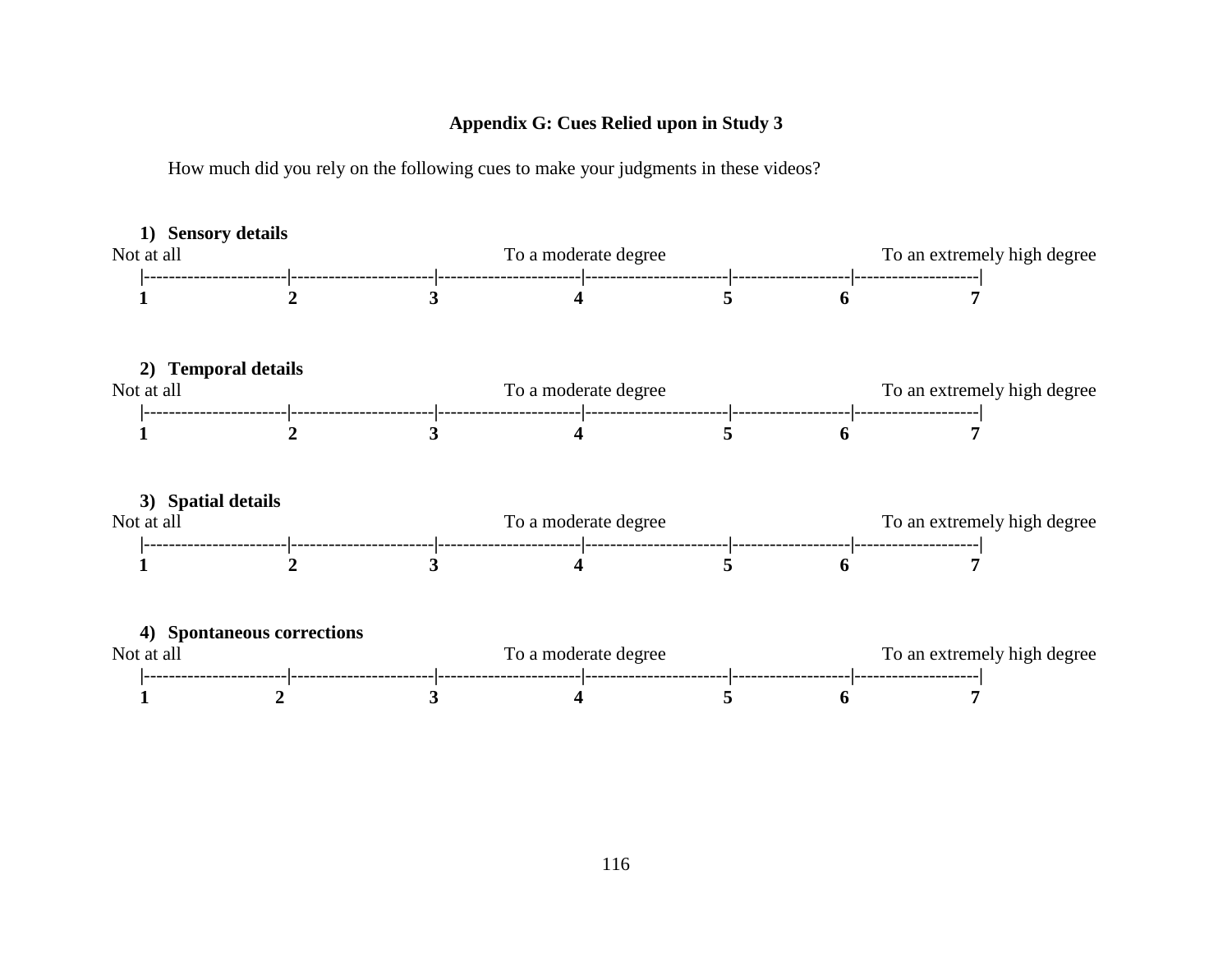### **Appendix G: Cues Relied upon in Study 3**

How much did you rely on the following cues to make your judgments in these videos?

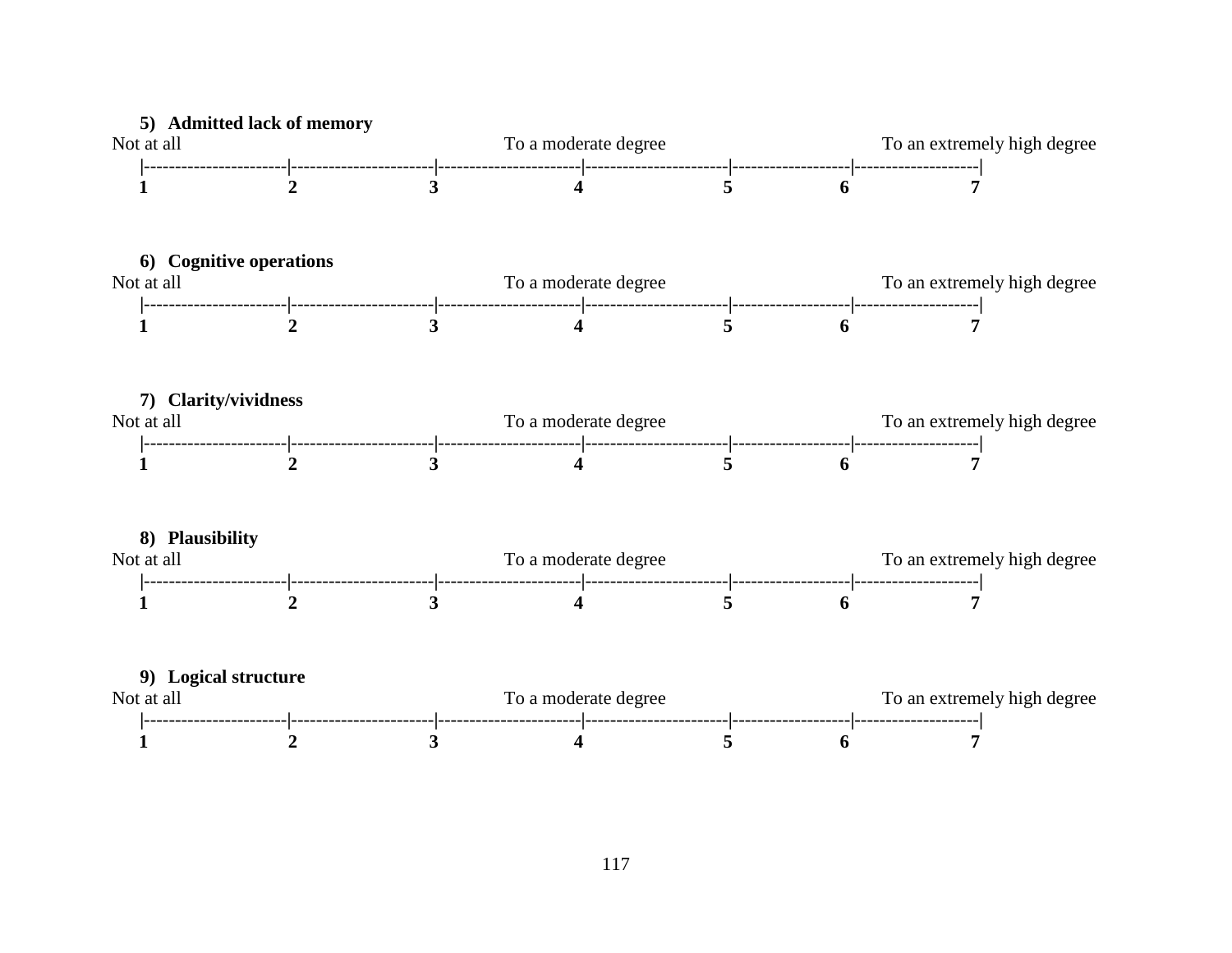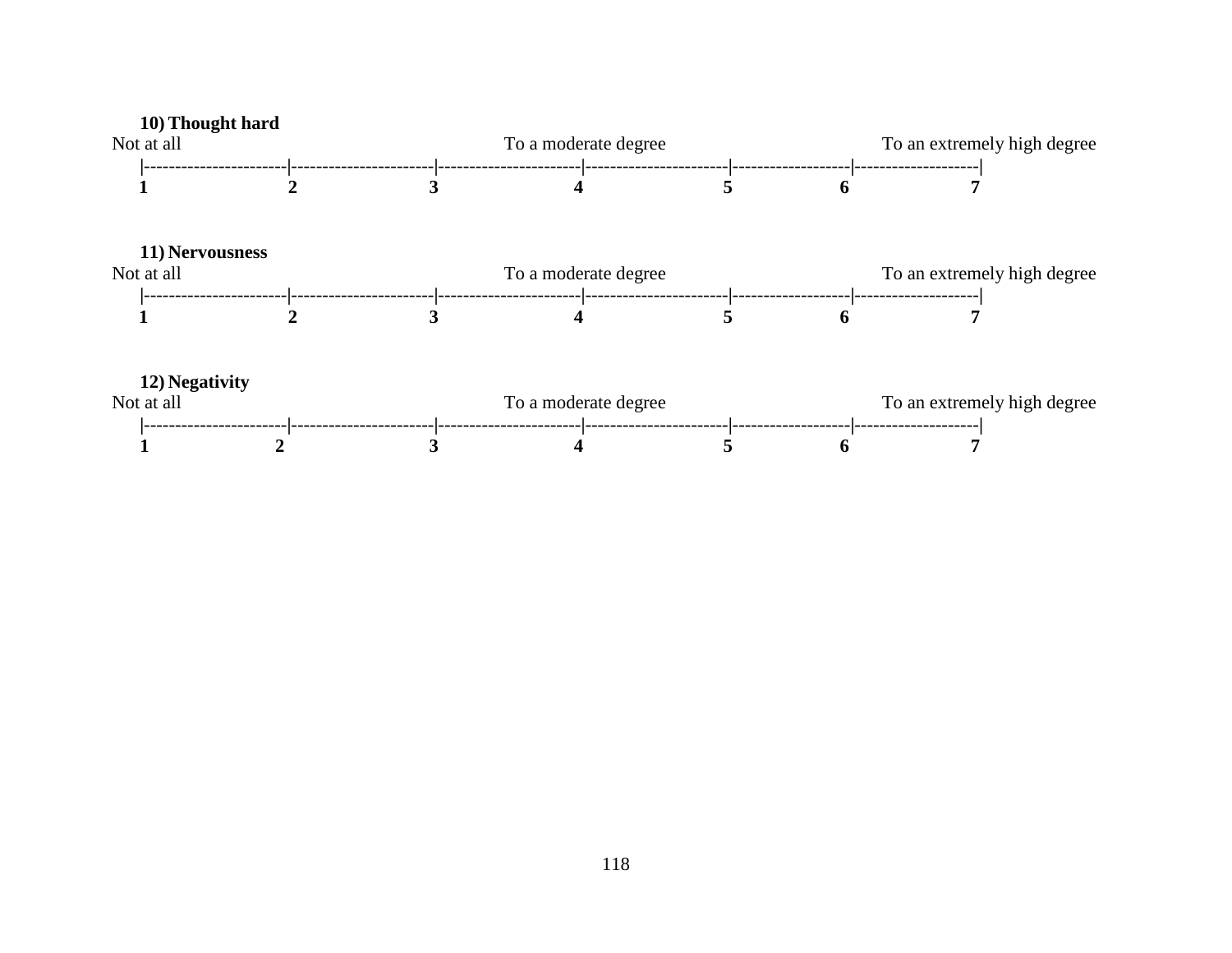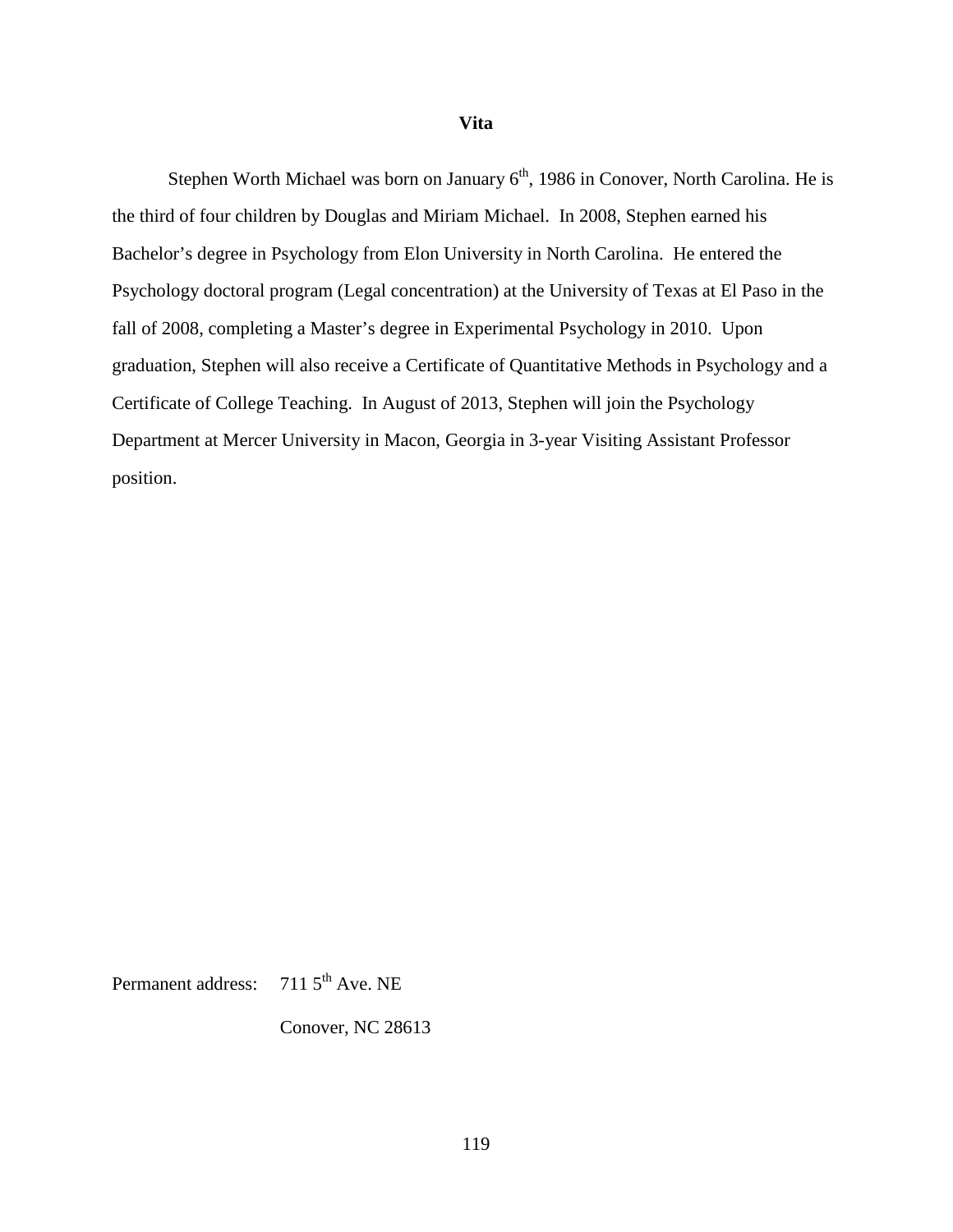#### **Vita**

Stephen Worth Michael was born on January 6<sup>th</sup>, 1986 in Conover, North Carolina. He is the third of four children by Douglas and Miriam Michael. In 2008, Stephen earned his Bachelor's degree in Psychology from Elon University in North Carolina. He entered the Psychology doctoral program (Legal concentration) at the University of Texas at El Paso in the fall of 2008, completing a Master's degree in Experimental Psychology in 2010. Upon graduation, Stephen will also receive a Certificate of Quantitative Methods in Psychology and a Certificate of College Teaching. In August of 2013, Stephen will join the Psychology Department at Mercer University in Macon, Georgia in 3-year Visiting Assistant Professor position.

Permanent address: 711 5<sup>th</sup> Ave. NE

Conover, NC 28613